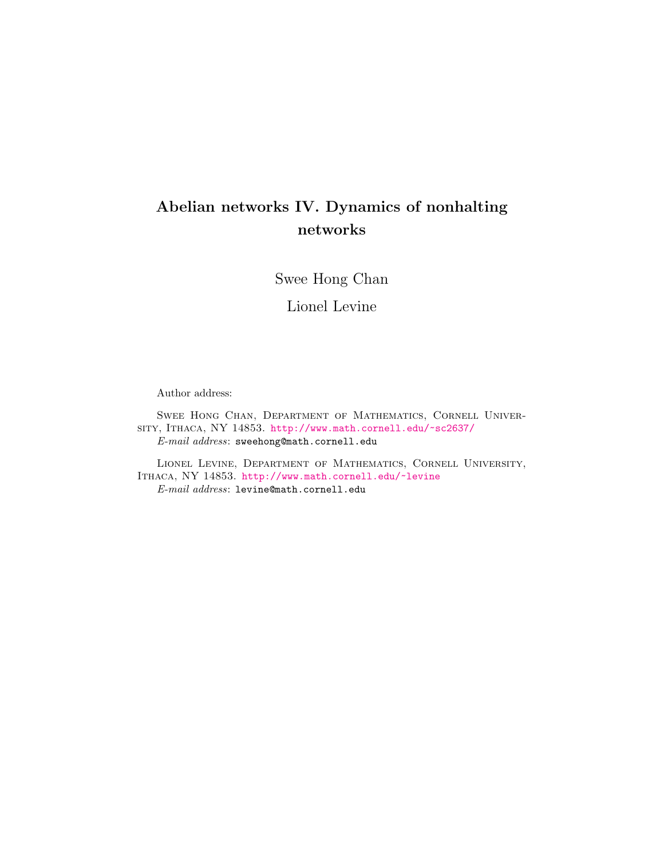# Abelian networks IV. Dynamics of nonhalting networks

Swee Hong Chan

Lionel Levine

Author address:

Swee Hong Chan, Department of Mathematics, Cornell University, Ithaca, NY 14853. <http://www.math.cornell.edu/~sc2637/> E-mail address: sweehong@math.cornell.edu

Lionel Levine, Department of Mathematics, Cornell University, Ithaca, NY 14853. <http://www.math.cornell.edu/~levine> E-mail address: levine@math.cornell.edu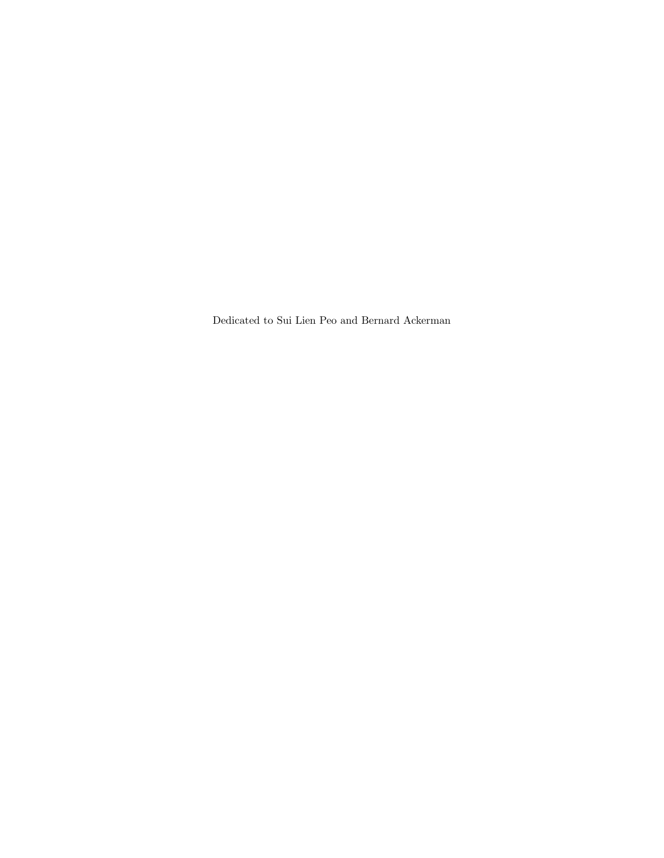Dedicated to Sui Lien Peo and Bernard Ackerman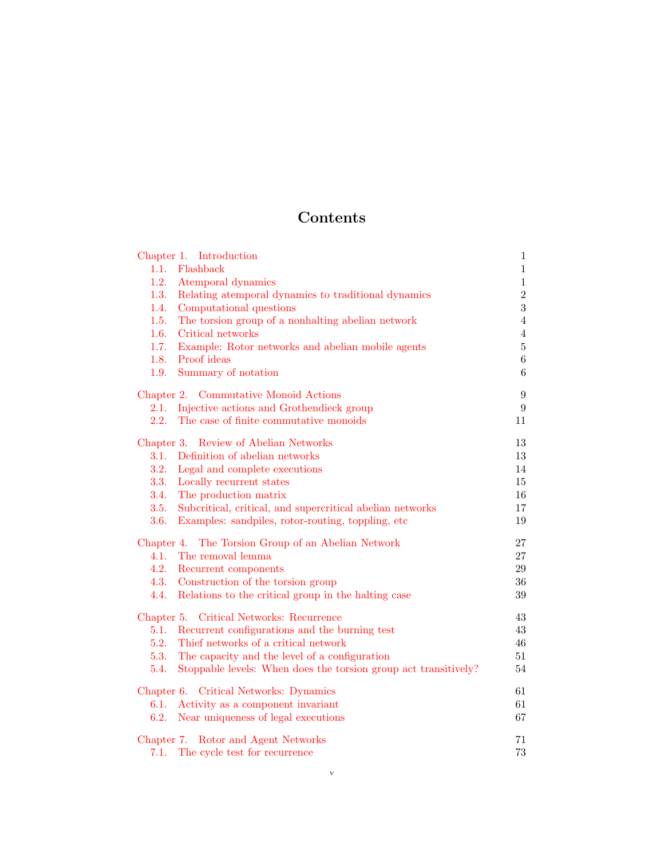# Contents

| Chapter 1. Introduction                                                 | $\mathbf{1}$   |
|-------------------------------------------------------------------------|----------------|
| 1.1.<br>Flashback                                                       | $\,1\,$        |
| 1.2.<br>Atemporal dynamics                                              | $\,1$          |
| Relating a<br>temporal dynamics to traditional dynamics<br>1.3.         | $\overline{2}$ |
| 1.4.<br>Computational questions                                         | 3              |
| 1.5.<br>The torsion group of a nonhalting abelian network               | $\overline{4}$ |
| 1.6.<br>Critical networks                                               | $\overline{4}$ |
| 1.7.<br>Example: Rotor networks and abelian mobile agents               | $\overline{5}$ |
| 1.8.<br>Proof ideas                                                     | $\overline{6}$ |
| Summary of notation<br>1.9.                                             | 6              |
| Chapter 2. Commutative Monoid Actions                                   | 9              |
| Injective actions and Grothendieck group<br>2.1.                        | 9              |
| 2.2.<br>The case of finite commutative monoids                          | 11             |
| Chapter 3. Review of Abelian Networks                                   | 13             |
| Definition of abelian networks<br>3.1.                                  | 13             |
| 3.2.<br>Legal and complete executions                                   | 14             |
| 3.3.<br>Locally recurrent states                                        | 15             |
| 3.4.<br>The production matrix                                           | 16             |
| 3.5.<br>Subcritical, critical, and supercritical abelian networks       | 17             |
| 3.6.<br>Examples: sandpiles, rotor-routing, toppling, etc               | 19             |
| Chapter 4. The Torsion Group of an Abelian Network                      | 27             |
| 4.1.<br>The removal lemma                                               | 27             |
| 4.2.<br>Recurrent components                                            | 29             |
| 4.3. Construction of the torsion group                                  | 36             |
| 4.4.<br>Relations to the critical group in the halting case             | 39             |
| Chapter 5. Critical Networks: Recurrence                                | 43             |
| Recurrent configurations and the burning test<br>5.1.                   | 43             |
| Thief networks of a critical network<br>5.2.                            | 46             |
| The capacity and the level of a configuration<br>5.3.                   | 51             |
| Stoppable levels: When does the torsion group act transitively?<br>5.4. | 54             |
| Chapter 6. Critical Networks: Dynamics                                  | 61             |
| Activity as a component invariant<br>6.1.                               | 61             |
| 6.2.<br>Near uniqueness of legal executions                             | 67             |
| Chapter 7. Rotor and Agent Networks                                     | 71             |
| 7.1.<br>The cycle test for recurrence                                   | 73             |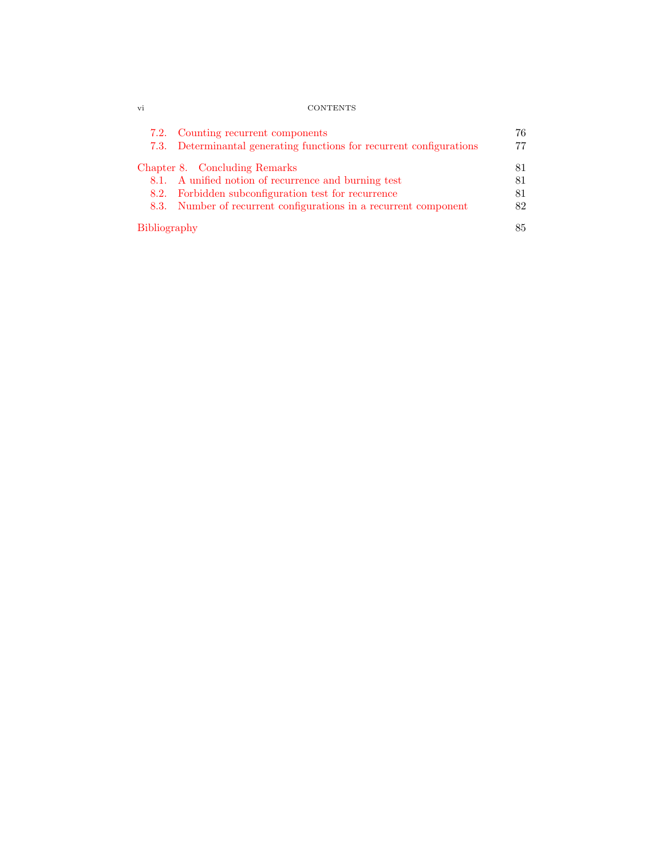| Vl | <b>CONTENTS</b> |
|----|-----------------|
|    |                 |

|              | 7.2. Counting recurrent components<br>7.3. Determinantal generating functions for recurrent configurations | 76<br>77 |
|--------------|------------------------------------------------------------------------------------------------------------|----------|
|              | Chapter 8. Concluding Remarks                                                                              | 81       |
|              | 8.1. A unified notion of recurrence and burning test                                                       | 81       |
|              | 8.2. Forbidden subconfiguration test for recurrence                                                        | 81       |
|              | 8.3. Number of recurrent configurations in a recurrent component                                           | 82       |
| Bibliography |                                                                                                            | 85       |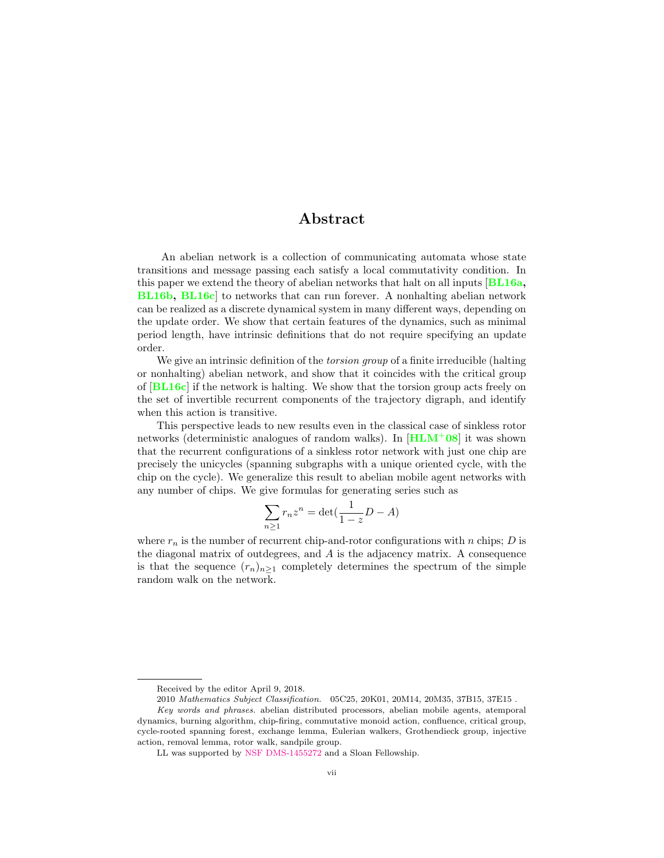## Abstract

An abelian network is a collection of communicating automata whose state transitions and message passing each satisfy a local commutativity condition. In this paper we extend the theory of abelian networks that halt on all inputs [[BL16a,](#page-92-1) [BL16b,](#page-92-2) [BL16c](#page-92-3)] to networks that can run forever. A nonhalting abelian network can be realized as a discrete dynamical system in many different ways, depending on the update order. We show that certain features of the dynamics, such as minimal period length, have intrinsic definitions that do not require specifying an update order.

We give an intrinsic definition of the *torsion group* of a finite irreducible (halting or nonhalting) abelian network, and show that it coincides with the critical group of  $[\text{BL16c}]$  $[\text{BL16c}]$  $[\text{BL16c}]$  if the network is halting. We show that the torsion group acts freely on the set of invertible recurrent components of the trajectory digraph, and identify when this action is transitive.

This perspective leads to new results even in the classical case of sinkless rotor networks (deterministic analogues of random walks). In  $[\text{HLM}^+08]$  $[\text{HLM}^+08]$  $[\text{HLM}^+08]$  it was shown that the recurrent configurations of a sinkless rotor network with just one chip are precisely the unicycles (spanning subgraphs with a unique oriented cycle, with the chip on the cycle). We generalize this result to abelian mobile agent networks with any number of chips. We give formulas for generating series such as

$$
\sum_{n\geq 1} r_n z^n = \det\left(\frac{1}{1-z}D - A\right)
$$

where  $r_n$  is the number of recurrent chip-and-rotor configurations with n chips; D is the diagonal matrix of outdegrees, and A is the adjacency matrix. A consequence is that the sequence  $(r_n)_{n\geq 1}$  completely determines the spectrum of the simple random walk on the network.

Received by the editor April 9, 2018.

<sup>2010</sup> Mathematics Subject Classification. 05C25, 20K01, 20M14, 20M35, 37B15, 37E15 .

Key words and phrases. abelian distributed processors, abelian mobile agents, atemporal dynamics, burning algorithm, chip-firing, commutative monoid action, confluence, critical group, cycle-rooted spanning forest, exchange lemma, Eulerian walkers, Grothendieck group, injective action, removal lemma, rotor walk, sandpile group.

LL was supported by [NSF DMS-1455272](http://www.nsf.gov/awardsearch/showAward?AWD_ID=1455272) and a Sloan Fellowship.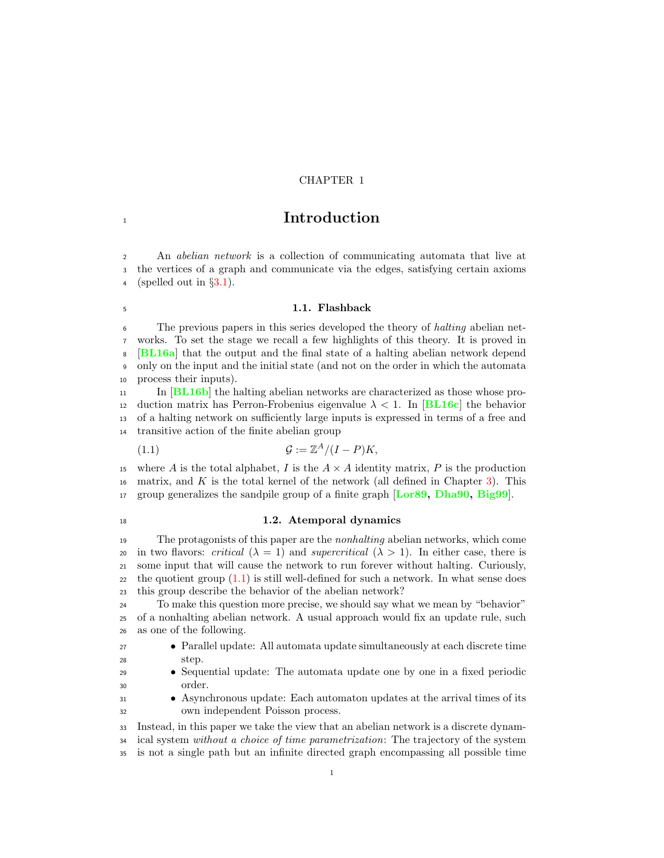## CHAPTER 1

## <span id="page-8-0"></span>**Introduction**

 An abelian network is a collection of communicating automata that live at the vertices of a graph and communicate via the edges, satisfying certain axioms 4 (spelled out in  $\S3.1$ ).

## <span id="page-8-1"></span>1.1. Flashback

 The previous papers in this series developed the theory of halting abelian net- works. To set the stage we recall a few highlights of this theory. It is proved in **[[BL16a](#page-92-1)]** that the output and the final state of a halting abelian network depend only on the input and the initial state (and not on the order in which the automata process their inputs).

 In [[BL16b](#page-92-2)] the halting abelian networks are characterized as those whose pro-12 duction matrix has Perron-Frobenius eigenvalue  $\lambda < 1$ . In [[BL16c](#page-92-3)] the behavior of a halting network on sufficiently large inputs is expressed in terms of a free and transitive action of the finite abelian group

<span id="page-8-3"></span>
$$
(1.1) \t\t\t\t\mathcal{G} := \mathbb{Z}^A / (I - P)K,
$$

15 where A is the total alphabet, I is the  $A \times A$  identity matrix, P is the production matrix, and K is the total kernel of the network (all defined in Chapter 3). This matrix, and  $K$  is the total kernel of the network (all defined in Chapter [3\)](#page-20-0). This 17 group generalizes the sandpile group of a finite graph [[Lor89,](#page-93-1) [Dha90,](#page-92-4) [Big99](#page-92-5)].

## <span id="page-8-2"></span>18 1.2. Atemporal dynamics

19 The protagonists of this paper are the *nonhalting* abelian networks, which come 20 in two flavors: critical  $(\lambda = 1)$  and supercritical  $(\lambda > 1)$ . In either case, there is some input that will cause the network to run forever without halting. Curiously, the quotient group  $(1.1)$  is still well-defined for such a network. In what sense does this group describe the behavior of the abelian network?

 To make this question more precise, we should say what we mean by "behavior" of a nonhalting abelian network. A usual approach would fix an update rule, such as one of the following.

- <sup>27</sup> Parallel update: All automata update simultaneously at each discrete time<br><sup>28</sup> step.
- Sequential update: The automata update one by one in a fixed periodic order.
- Asynchronous update: Each automaton updates at the arrival times of its own independent Poisson process.

Instead, in this paper we take the view that an abelian network is a discrete dynam-

<sup>34</sup> ical system *without a choice of time parametrization*: The trajectory of the system

is not a single path but an infinite directed graph encompassing all possible time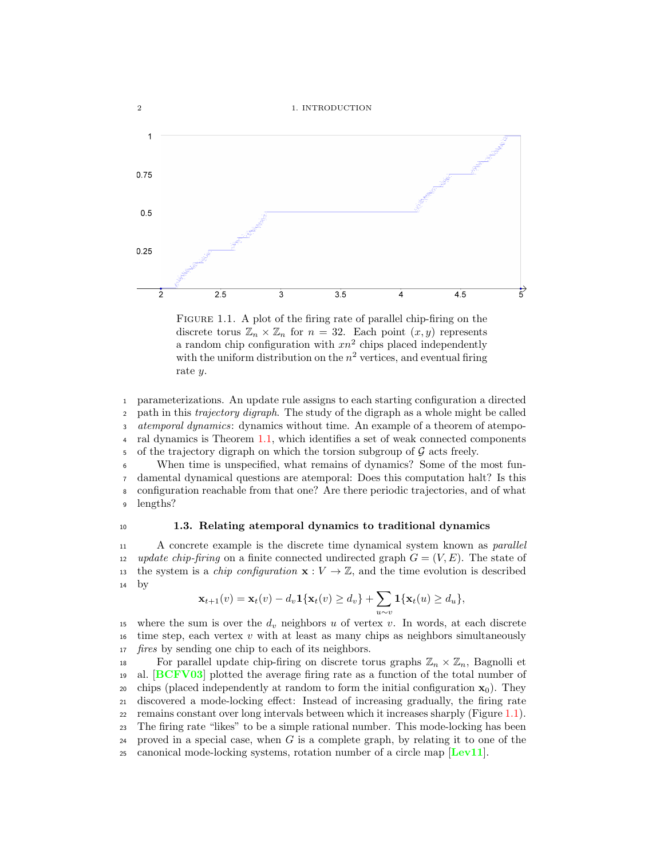2 1. INTRODUCTION



<span id="page-9-1"></span>FIGURE 1.1. A plot of the firing rate of parallel chip-firing on the discrete torus  $\mathbb{Z}_n \times \mathbb{Z}_n$  for  $n = 32$ . Each point  $(x, y)$  represents a random chip configuration with  $xn^2$  chips placed independently with the uniform distribution on the  $n^2$  vertices, and eventual firing rate y.

<sup>1</sup> parameterizations. An update rule assigns to each starting configuration a directed 2 path in this *trajectory digraph*. The study of the digraph as a whole might be called <sup>3</sup> atemporal dynamics: dynamics without time. An example of a theorem of atempo-<sup>4</sup> ral dynamics is Theorem [1.1,](#page-11-2) which identifies a set of weak connected components 5 of the trajectory digraph on which the torsion subgroup of  $G$  acts freely.<br>6 When time is unspecified, what remains of dynamics? Some of the

When time is unspecified, what remains of dynamics? Some of the most fun-<sup>7</sup> damental dynamical questions are atemporal: Does this computation halt? Is this <sup>8</sup> configuration reachable from that one? Are there periodic trajectories, and of what <sup>9</sup> lengths?

### <span id="page-9-0"></span><sup>10</sup> 1.3. Relating atemporal dynamics to traditional dynamics

11 A concrete example is the discrete time dynamical system known as *parallel* 12 update chip-firing on a finite connected undirected graph  $G = (V, E)$ . The state of 13 the system is a *chip configuration*  $\mathbf{x}: V \to \mathbb{Z}$ , and the time evolution is described by by

$$
\mathbf{x}_{t+1}(v) = \mathbf{x}_t(v) - d_v \mathbf{1}\{\mathbf{x}_t(v) \ge d_v\} + \sum_{u \sim v} \mathbf{1}\{\mathbf{x}_t(u) \ge d_u\},\
$$

15 where the sum is over the  $d_v$  neighbors u of vertex v. In words, at each discrete 16 time step, each vertex  $v$  with at least as many chips as neighbors simultaneously 17 *fires* by sending one chip to each of its neighbors.

18 For parallel update chip-firing on discrete torus graphs  $\mathbb{Z}_n \times \mathbb{Z}_n$ , Bagnolli et al. [BCFV03] plotted the average firing rate as a function of the total number of al.  $[**BCFV03**]$  $[**BCFV03**]$  $[**BCFV03**]$  plotted the average firing rate as a function of the total number of 20 chips (placed independently at random to form the initial configuration  $\mathbf{x}_0$ ). They <sup>21</sup> discovered a mode-locking effect: Instead of increasing gradually, the firing rate <sup>22</sup> remains constant over long intervals between which it increases sharply (Figure [1.1\)](#page-9-1). <sup>23</sup> The firing rate "likes" to be a simple rational number. This mode-locking has been 24 proved in a special case, when  $G$  is a complete graph, by relating it to one of the 25 canonical mode-locking systems, rotation number of a circle map  $[\text{Lev11}]$  $[\text{Lev11}]$  $[\text{Lev11}]$ .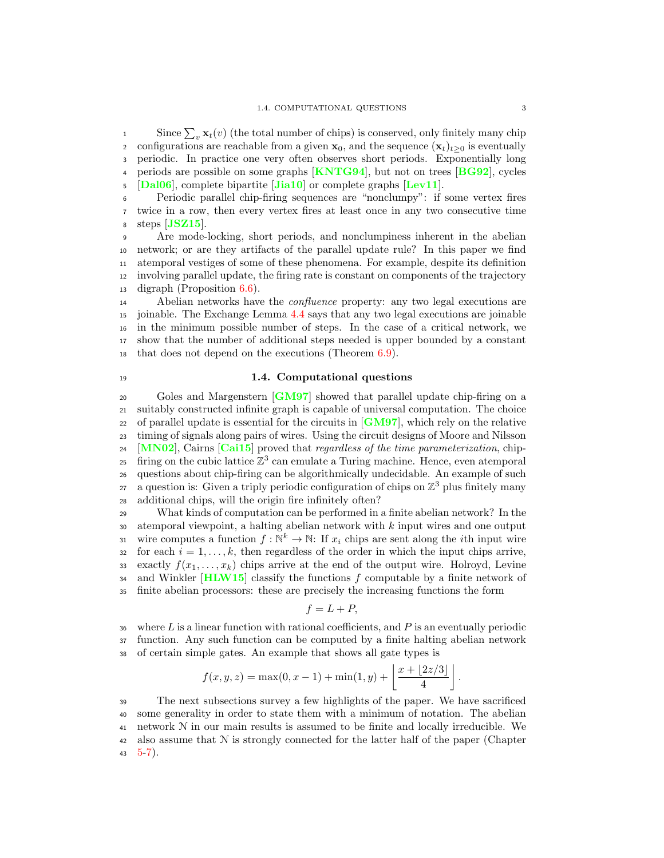since  $\sum_{v} \mathbf{x}_t(v)$  (the total number of chips) is conserved, only finitely many chip 2 configurations are reachable from a given  $\mathbf{x}_0$ , and the sequence  $(\mathbf{x}_t)_{t\geq0}$  is eventually <sup>3</sup> periodic. In practice one very often observes short periods. Exponentially long 4 periods are possible on some graphs  $\text{[KNTG94]}$  $\text{[KNTG94]}$  $\text{[KNTG94]}$ , but not on trees  $\text{[BG92]}$  $\text{[BG92]}$  $\text{[BG92]}$ , cycles  $\overline{\text{5}}$  [[Dal06](#page-92-8)], complete bipartite [[Jia10](#page-93-4)] or complete graphs [[Lev11](#page-93-2)].

<sup>6</sup> Periodic parallel chip-firing sequences are "nonclumpy": if some vertex fires <sup>7</sup> twice in a row, then every vertex fires at least once in any two consecutive time  $\,$  steps  $|{\bf JSZ15}|$  $|{\bf JSZ15}|$  $|{\bf JSZ15}|$ .

 Are mode-locking, short periods, and nonclumpiness inherent in the abelian network; or are they artifacts of the parallel update rule? In this paper we find atemporal vestiges of some of these phenomena. For example, despite its definition involving parallel update, the firing rate is constant on components of the trajectory digraph (Proposition [6.6\)](#page-71-0).

14 Abelian networks have the *confluence* property: any two legal executions are joinable. The Exchange Lemma [4.4](#page-35-0) says that any two legal executions are joinable in the minimum possible number of steps. In the case of a critical network, we show that the number of additional steps needed is upper bounded by a constant that does not depend on the executions (Theorem [6.9\)](#page-74-1).

## <span id="page-10-0"></span><sup>19</sup> 1.4. Computational questions

20 Goles and Margenstern [[GM97](#page-93-6)] showed that parallel update chip-firing on a <sup>21</sup> suitably constructed infinite graph is capable of universal computation. The choice 22 of parallel update is essential for the circuits in  $\lceil GM97 \rceil$  $\lceil GM97 \rceil$  $\lceil GM97 \rceil$ , which rely on the relative <sup>23</sup> timing of signals along pairs of wires. Using the circuit designs of Moore and Nilsson 24 [[MN02](#page-94-0)], Cairns  $\overline{[Cai15]}$  $\overline{[Cai15]}$  $\overline{[Cai15]}$  proved that *regardless of the time parameterization*, chip-<sup>25</sup> firing on the cubic lattice  $\mathbb{Z}^3$  can emulate a Turing machine. Hence, even atemporal <sup>26</sup> questions about chip-firing can be algorithmically undecidable. An example of such <sup>27</sup> a question is: Given a triply periodic configuration of chips on  $\mathbb{Z}^3$  plus finitely many <sup>28</sup> additional chips, will the origin fire infinitely often?

<sup>29</sup> What kinds of computation can be performed in a finite abelian network? In the <sup>30</sup> atemporal viewpoint, a halting abelian network with k input wires and one output wire computes a function  $f : \mathbb{N}^k \to \mathbb{N}$ : If  $x_i$  chips are sent along the *i*th input wire<br>so for each  $i = 1, ..., k$ , then regardless of the order in which the input chips arrive. for each  $i = 1, \ldots, k$ , then regardless of the order in which the input chips arrive, 33 exactly  $f(x_1, \ldots, x_k)$  chips arrive at the end of the output wire. Holroyd, Levine 34 and Winkler [[HLW15](#page-93-7)] classify the functions  $f$  computable by a finite network of <sup>35</sup> finite abelian processors: these are precisely the increasing functions the form

$$
f = L + P,
$$

 $36$  where L is a linear function with rational coefficients, and P is an eventually periodic <sup>37</sup> function. Any such function can be computed by a finite halting abelian network <sup>38</sup> of certain simple gates. An example that shows all gate types is

$$
f(x, y, z) = \max(0, x - 1) + \min(1, y) + \left\lfloor \frac{x + \lfloor 2z/3 \rfloor}{4} \right\rfloor
$$

.

<sup>39</sup> The next subsections survey a few highlights of the paper. We have sacrificed <sup>40</sup> some generality in order to state them with a minimum of notation. The abelian <sup>41</sup> network N in our main results is assumed to be finite and locally irreducible. We 42 also assume that  $N$  is strongly connected for the latter half of the paper (Chapter 43  $5-7$  $5-7$ ).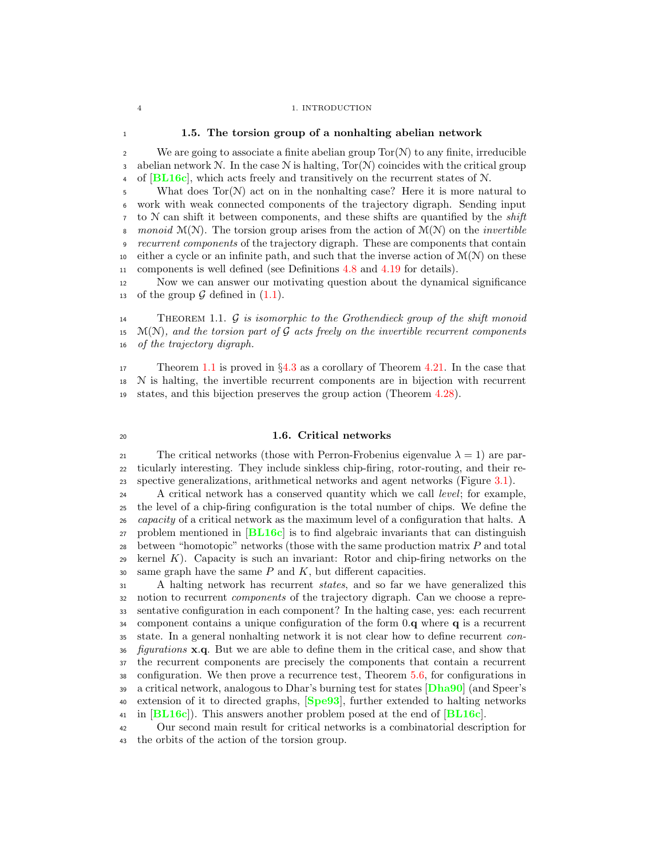### 4 1. INTRODUCTION

## <span id="page-11-0"></span><sup>1</sup> 1.5. The torsion group of a nonhalting abelian network

2 We are going to associate a finite abelian group  $Tor(N)$  to any finite, irreducible 3 abelian network N. In the case N is halting,  $Tor(N)$  coincides with the critical group  $\overline{AB}$  of  $[\overline{BL16c}]$  $[\overline{BL16c}]$  $[\overline{BL16c}]$ , which acts freely and transitively on the recurrent states of N.

5 What does  $Tor(N)$  act on in the nonhalting case? Here it is more natural to <sup>6</sup> work with weak connected components of the trajectory digraph. Sending input  $\tau$  to  $\mathcal N$  can shift it between components, and these shifts are quantified by the *shift* 8 monoid  $\mathcal{M}(\mathcal{N})$ . The torsion group arises from the action of  $\mathcal{M}(\mathcal{N})$  on the *invertible* <sup>9</sup> recurrent components of the trajectory digraph. These are components that contain 10 either a cycle or an infinite path, and such that the inverse action of  $\mathcal{M}(\mathcal{N})$  on these <sup>11</sup> components is well defined (see Definitions [4.8](#page-38-0) and [4.19](#page-43-1) for details).

<sup>12</sup> Now we can answer our motivating question about the dynamical significance 13 of the group  $\mathcal G$  defined in  $(1.1)$ .

<span id="page-11-2"></span>14 THEOREM 1.1.  $\mathcal G$  is isomorphic to the Grothendieck group of the shift monoid<br>15 M(N), and the torsion part of  $\mathcal G$  acts freely on the invertible recurrent components 15 M(N), and the torsion part of  $G$  acts freely on the invertible recurrent components<br>16 of the trajectory digraph. of the trajectory digraph.

<sup>17</sup> Theorem [1.1](#page-11-2) is proved in §[4.3](#page-43-0) as a corollary of Theorem [4.21.](#page-44-0) In the case that <sup>18</sup> N is halting, the invertible recurrent components are in bijection with recurrent <sup>19</sup> states, and this bijection preserves the group action (Theorem [4.28\)](#page-48-0).

## <span id="page-11-1"></span><sup>20</sup> 1.6. Critical networks

21 The critical networks (those with Perron-Frobenius eigenvalue  $\lambda = 1$ ) are par-<sup>22</sup> ticularly interesting. They include sinkless chip-firing, rotor-routing, and their re-<sup>23</sup> spective generalizations, arithmetical networks and agent networks (Figure [3.1\)](#page-26-1).

24 A critical network has a conserved quantity which we call level; for example, <sup>25</sup> the level of a chip-firing configuration is the total number of chips. We define the 26 *capacity* of a critical network as the maximum level of a configuration that halts. A <sup>27</sup> problem mentioned in [[BL16c](#page-92-3)] is to find algebraic invariants that can distinguish 28 between "homotopic" networks (those with the same production matrix  $P$  and total  $29$  kernel K). Capacity is such an invariant: Rotor and chip-firing networks on the 30 same graph have the same  $P$  and  $K$ , but different capacities.

 A halting network has recurrent states, and so far we have generalized this notion to recurrent components of the trajectory digraph. Can we choose a repre- sentative configuration in each component? In the halting case, yes: each recurrent component contains a unique configuration of the form 0.q where q is a recurrent state. In a general nonhalting network it is not clear how to define recurrent con-*figurations* **x.q.** But we are able to define them in the critical case, and show that the recurrent components are precisely the components that contain a recurrent configuration. We then prove a recurrence test, Theorem [5.6,](#page-53-1) for configurations in 39 a critical network, analogous to Dhar's burning test for states [[Dha90](#page-92-4)] (and Speer's 40 extension of it to directed graphs, [[Spe93](#page-94-1)], further extended to halting networks 41 in  $[\text{BL16c}]$  $[\text{BL16c}]$  $[\text{BL16c}]$ . This answers another problem posed at the end of  $[\text{BL16c}]$ .

<sup>42</sup> Our second main result for critical networks is a combinatorial description for <sup>43</sup> the orbits of the action of the torsion group.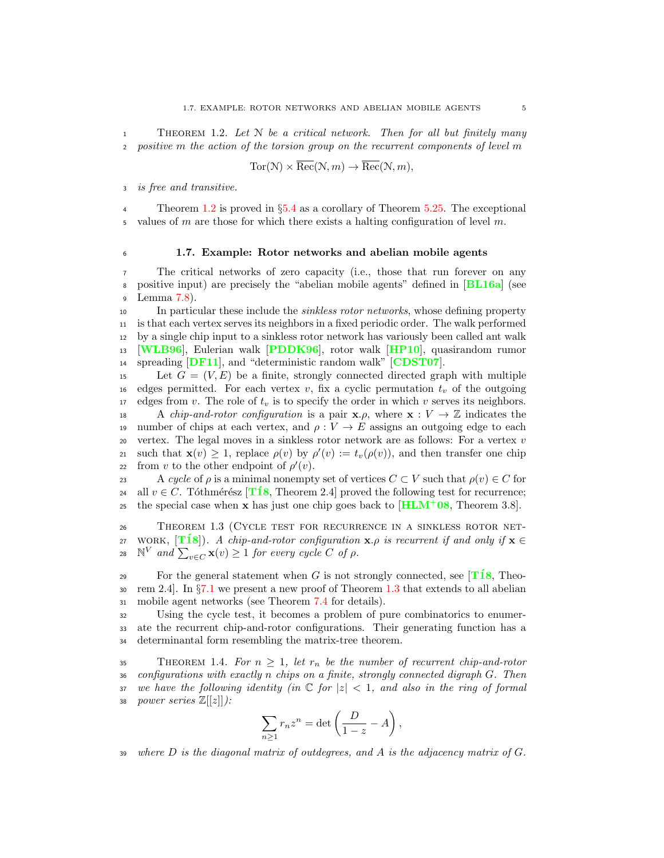<span id="page-12-1"></span>THEOREM 1.2. Let  $N$  be a critical network. Then for all but finitely many positive m the action of the torsion group on the recurrent components of level  $m$ 

$$
Tor(\mathcal{N}) \times \overline{Rec}(\mathcal{N}, m) \to \overline{Rec}(\mathcal{N}, m),
$$

is free and transitive.

Theorem [1.2](#page-12-1) is proved in  $\S 5.4$  $\S 5.4$  as a corollary of Theorem [5.25.](#page-63-0) The exceptional 5 values of m are those for which there exists a halting configuration of level m.

## <span id="page-12-0"></span><sup>6</sup> 1.7. Example: Rotor networks and abelian mobile agents

<sup>7</sup> The critical networks of zero capacity (i.e., those that run forever on any <sup>8</sup> positive input) are precisely the "abelian mobile agents" defined in [[BL16a](#page-92-1)] (see <sup>9</sup> Lemma [7.8\)](#page-83-1).

 In particular these include the sinkless rotor networks, whose defining property is that each vertex serves its neighbors in a fixed periodic order. The walk performed by a single chip input to a sinkless rotor network has variously been called ant walk [[WLB96](#page-94-2)], Eulerian walk [[PDDK96](#page-94-3)], rotor walk [[HP10](#page-93-8)], quasirandom rumor 14 spreading **[DF11](#page-92-10)**, and "deterministic random walk" **[[CDST07](#page-92-11)**].

15 Let  $G = (V, E)$  be a finite, strongly connected directed graph with multiple 16 edges permitted. For each vertex v, fix a cyclic permutation  $t<sub>v</sub>$  of the outgoing 17 edges from v. The role of  $t_v$  is to specify the order in which v serves its neighbors. 18 A *chip-and-rotor configuration* is a pair  $\mathbf{x}.\rho$ , where  $\mathbf{x}: V \to \mathbb{Z}$  indicates the number of chips at each vertex, and  $\rho: V \to E$  assigns an outgoing edge to each 19 number of chips at each vertex, and  $\rho: V \to E$  assigns an outgoing edge to each 20 vertex. The legal moves in a sinkless rotor network are as follows: For a vertex v vertex. The legal moves in a sinkless rotor network are as follows: For a vertex  $v$ 21 such that  $\mathbf{x}(v) \geq 1$ , replace  $\rho(v)$  by  $\rho'(v) := t_v(\rho(v))$ , and then transfer one chip

22 from v to the other endpoint of  $\rho'(v)$ .

23 A cycle of  $\rho$  is a minimal nonempty set of vertices  $C \subset V$  such that  $\rho(v) \in C$  for  $e_1$  all  $v \in C$ . Tóthmérész [T18] Theorem 2.4] proved the following test for recurrence 24 all  $v \in C$ . Tóthmérész [**T18**, Theorem 2.4] proved the following test for recurrence;<br>25 the special case when **x** has just one chip goes back to [**HLM<sup>+</sup>08**. Theorem 3.8]. the special case when **x** has just one chip goes back to  $[\text{HLM}^+0.8]$  $[\text{HLM}^+0.8]$  $[\text{HLM}^+0.8]$ , Theorem 3.8].

<span id="page-12-2"></span><sup>26</sup> Theorem 1.3 (Cycle test for recurrence in a sinkless rotor net-27 WORK,  $[\mathbf{T18}]$ ). A chip-and-rotor configuration **x**. $\rho$  is recurrent if and only if **x**  $\in$ <br>28  $\mathbb{N}^V$  and  $\sum_{x \in G} \mathbf{x}(v) \ge 1$  for every cycle C of  $\rho$ . 28  $\mathbb{N}^V$  and  $\sum_{v \in C} \mathbf{x}(v) \geq 1$  for every cycle C of  $\rho$ .

29 For the general statement when G is not strongly connected, see [T18, Theo-30 rem 2.4]. In  $\S 7.1$  $\S 7.1$  we present a new proof of Theorem [1.3](#page-12-2) that extends to all abelian mobile agent networks (see Theorem 7.4 for details). mobile agent networks (see Theorem [7.4](#page-80-1) for details).

<sup>32</sup> Using the cycle test, it becomes a problem of pure combinatorics to enumer-<sup>33</sup> ate the recurrent chip-and-rotor configurations. Their generating function has a <sup>34</sup> determinantal form resembling the matrix-tree theorem.

<span id="page-12-3"></span>35 THEOREM 1.4. For  $n \geq 1$ , let  $r_n$  be the number of recurrent chip-and-rotor<br>36 configurations with exactly n chips on a finite, strongly connected digraph G. Then  $\emph{configurations with exactly $n$ chips on a finite, strongly connected digraph $G$. Then}$ 37 we have the following identity (in  $\mathbb{C}$  for  $|z| < 1$ , and also in the ring of formal 38 power series  $\mathbb{Z}[[z]]$ :

$$
\sum_{n\geq 1} r_n z^n = \det\left(\frac{D}{1-z} - A\right),\,
$$

 $39$  where D is the diagonal matrix of outdegrees, and A is the adjacency matrix of G.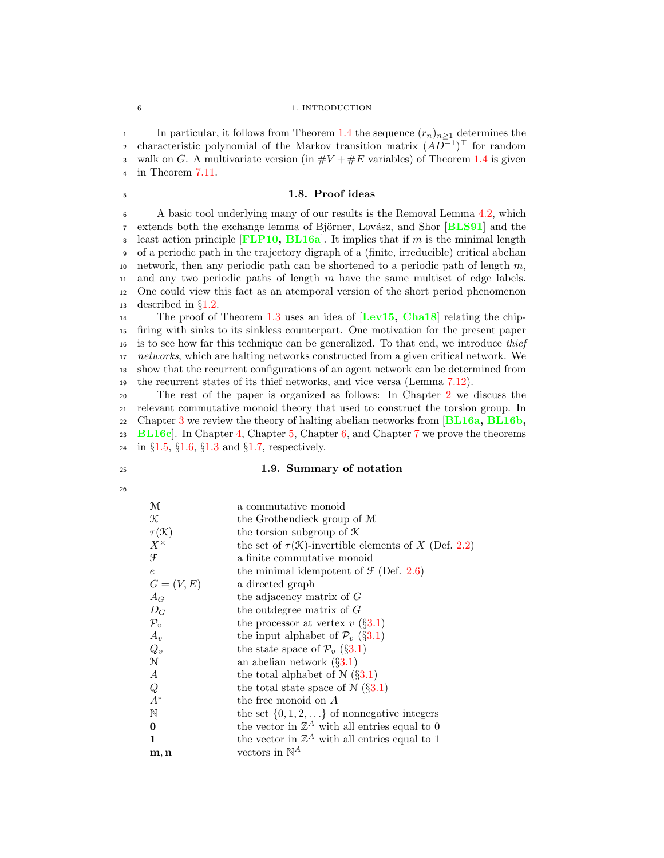## 6 1. INTRODUCTION

1 In particular, it follows from Theorem [1.4](#page-12-3) the sequence  $(r_n)_{n>1}$  determines the characteristic polynomial of the Markov transition matrix  $(AD^{-1})^{\top}$  for random 3 walk on G. A multivariate version (in  $\#V + \#E$  variables) of Theorem [1.4](#page-12-3) is given <sup>4</sup> in Theorem [7.11.](#page-85-0)

## <span id="page-13-0"></span><sup>5</sup> 1.8. Proof ideas

<sup>6</sup> A basic tool underlying many of our results is the Removal Lemma [4.2,](#page-34-2) which  $\tau$  extends both the exchange lemma of Björner, Lovász, and Shor  $[BLS91]$  $[BLS91]$  $[BLS91]$  and the 8 least action principle  $[FLP10, BL16a]$  $[FLP10, BL16a]$  $[FLP10, BL16a]$  $[FLP10, BL16a]$  $[FLP10, BL16a]$ . It implies that if m is the minimal length <sup>9</sup> of a periodic path in the trajectory digraph of a (finite, irreducible) critical abelian 10 network, then any periodic path can be shortened to a periodic path of length  $m$ , 11 and any two periodic paths of length  $m$  have the same multiset of edge labels. <sup>12</sup> One could view this fact as an atemporal version of the short period phenomenon 13 described in  $\S1.2$ .<br>14 The proof of

The proof of Theorem [1.3](#page-12-2) uses an idea of  $[Lev15, Cha18]$  $[Lev15, Cha18]$  $[Lev15, Cha18]$  $[Lev15, Cha18]$  $[Lev15, Cha18]$  relating the chip- firing with sinks to its sinkless counterpart. One motivation for the present paper is to see how far this technique can be generalized. To that end, we introduce thief 17 networks, which are halting networks constructed from a given critical network. We show that the recurrent configurations of an agent network can be determined from the recurrent states of its thief networks, and vice versa (Lemma [7.12\)](#page-85-1).

 The rest of the paper is organized as follows: In Chapter [2](#page-16-0) we discuss the relevant commutative monoid theory that used to construct the torsion group. In 22 Chapter [3](#page-20-0) we review the theory of halting abelian networks from  $[BL16a, BL16b,$  $[BL16a, BL16b,$  $[BL16a, BL16b,$  $[BL16a, BL16b,$ [BL16c](#page-92-3). In Chapter [4,](#page-34-0) Chapter [5,](#page-50-0) Chapter [6,](#page-68-0) and Chapter [7](#page-78-0) we prove the theorems

<sup>24</sup> in §[1.5,](#page-11-0) §[1.6,](#page-11-1) §[1.3](#page-9-0) and §[1.7,](#page-12-0) respectively.

## <span id="page-13-1"></span><sup>25</sup> 1.9. Summary of notation

26

| M                                                      | a commutative monoid                                                |
|--------------------------------------------------------|---------------------------------------------------------------------|
| K                                                      | the Grothendieck group of M                                         |
| $\tau(\mathcal{K})$                                    | the torsion subgroup of $\mathcal K$                                |
| $X^{\times}$                                           | the set of $\tau(\mathcal{K})$ -invertible elements of X (Def. 2.2) |
| F                                                      | a finite commutative monoid                                         |
| e                                                      | the minimal idempotent of $\mathcal{F}$ (Def. 2.6)                  |
| $G=(V,E)$                                              | a directed graph                                                    |
| $A_G$                                                  | the adjacency matrix of $G$                                         |
| $D_G$                                                  | the outdegree matrix of $G$                                         |
| $\mathcal{P}_v$                                        | the processor at vertex $v(\S 3.1)$                                 |
| $A_v$                                                  | the input alphabet of $\mathcal{P}_{v}$ (§3.1)                      |
| $Q_v$                                                  | the state space of $\mathcal{P}_{v}$ (§3.1)                         |
| $\mathcal{N}$                                          | an abelian network $(\S3.1)$                                        |
|                                                        | the total alphabet of $\mathcal{N}(\S 3.1)$                         |
| $\begin{matrix} A & \cr Q & \cr A^* & \cr\end{matrix}$ | the total state space of $N(\S 3.1)$                                |
|                                                        | the free monoid on $A$                                              |
| $\mathbb N$                                            | the set $\{0, 1, 2, \ldots\}$ of nonnegative integers               |
| 0                                                      | the vector in $\mathbb{Z}^A$ with all entries equal to 0            |
| 1                                                      | the vector in $\mathbb{Z}^A$ with all entries equal to 1            |
| m, n                                                   | vectors in $\mathbb{N}^A$                                           |
|                                                        |                                                                     |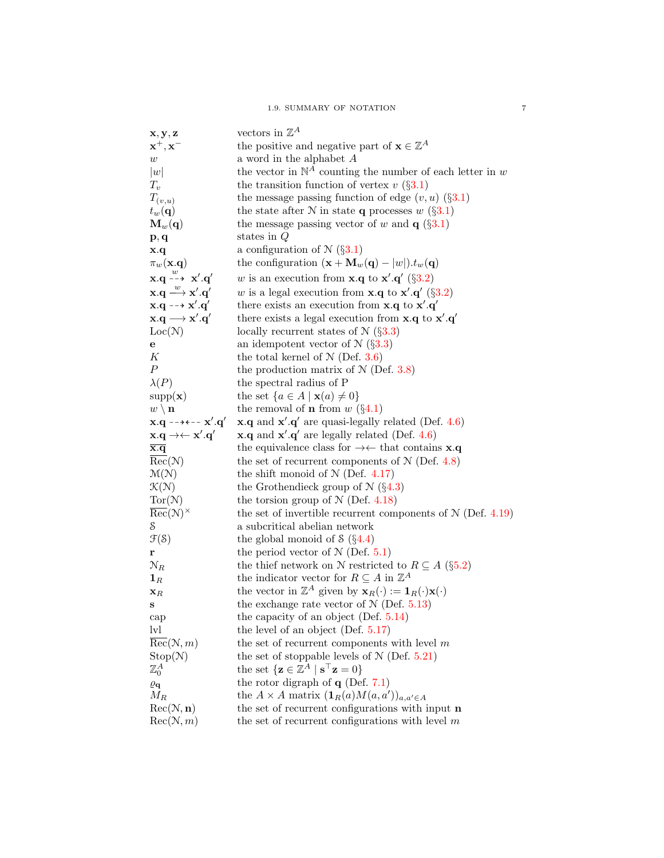| $\mathbf{x},\mathbf{y},\mathbf{z}$                                                        | vectors in $\mathbb{Z}^A$                                                                              |
|-------------------------------------------------------------------------------------------|--------------------------------------------------------------------------------------------------------|
| $\mathbf{x}^+,\mathbf{x}^-$                                                               | the positive and negative part of $\mathbf{x} \in \mathbb{Z}^A$                                        |
| $\boldsymbol{w}$                                                                          | a word in the alphabet $A$                                                                             |
| w                                                                                         | the vector in $\mathbb{N}^A$ counting the number of each letter in w                                   |
| $T_v$                                                                                     | the transition function of vertex $v(\S 3.1)$                                                          |
| $T_{(v,u)}$                                                                               | the message passing function of edge $(v, u)$ (§3.1)                                                   |
| $t_w(\mathbf{q})$                                                                         | the state after N in state <b>q</b> processes w $(\S3.1)$                                              |
| $\mathbf{M}_w(\mathbf{q})$                                                                | the message passing vector of w and $q(\S3.1)$                                                         |
| $\mathbf{p}, \mathbf{q}$                                                                  | states in $Q$                                                                                          |
| $\mathbf{x} \cdot \mathbf{q}$                                                             | a configuration of $\mathcal{N}(\S 3.1)$                                                               |
| $\pi_w(\mathbf{x}.\mathbf{q})$                                                            | the configuration $(\mathbf{x} + \mathbf{M}_w(\mathbf{q}) -  w ) \cdot t_w(\mathbf{q})$                |
| $\mathbf{x} \cdot \mathbf{q} \stackrel{w}{\dashrightarrow} \mathbf{x}' \cdot \mathbf{q}'$ | w is an execution from <b>x</b> .q to <b>x'</b> .q' (§3.2)                                             |
| $\mathbf{x} \cdot \mathbf{q} \longrightarrow \mathbf{x}' \cdot \mathbf{q}'$               | w is a legal execution from <b>x</b> .q to <b>x'</b> .q' (§3.2)                                        |
| $x.q \dashrightarrow x'.q'$                                                               | there exists an execution from $x.q$ to $x'.q'$                                                        |
| $\mathbf{x}.\mathbf{q} \longrightarrow \mathbf{x}'.\mathbf{q}'$                           | there exists a legal execution from $x.q$ to $x'.q'$                                                   |
| Loc(N)                                                                                    | locally recurrent states of $N$ (§3.3)                                                                 |
| е                                                                                         | an idempotent vector of $\mathcal{N}(\S3.3)$                                                           |
| К                                                                                         | the total kernel of $N$ (Def. 3.6)                                                                     |
| $\boldsymbol{P}$                                                                          | the production matrix of $N$ (Def. 3.8)                                                                |
| $\lambda(P)$                                                                              | the spectral radius of P                                                                               |
| supp(x)                                                                                   | the set $\{a \in A \mid \mathbf{x}(a) \neq 0\}$                                                        |
| $w \setminus \mathbf{n}$                                                                  | the removal of <b>n</b> from $w(\S 4.1)$                                                               |
| $x.q - \rightarrow \leftarrow x'.q'$                                                      | $\mathbf{x} \cdot \mathbf{q}$ and $\mathbf{x}' \cdot \mathbf{q}'$ are quasi-legally related (Def. 4.6) |
| $\mathbf{x}.\mathbf{q} \rightarrow \leftarrow \mathbf{x}'.\mathbf{q}'$                    | $\mathbf{x} \cdot \mathbf{q}$ and $\mathbf{x}' \cdot \mathbf{q}'$ are legally related (Def. 4.6)       |
| $\overline{\mathbf{x}.\mathbf{q}}$                                                        | the equivalence class for $\rightarrow \leftarrow$ that contains <b>x</b> . <b>q</b>                   |
| $\overline{\text{Rec}}(\mathcal{N})$                                                      | the set of recurrent components of $N$ (Def. 4.8)                                                      |
| $\mathcal{M}(\mathcal{N})$                                                                | the shift monoid of $N$ (Def. 4.17)                                                                    |
| $\mathcal{K}(\mathcal{N})$                                                                | the Grothendieck group of $\mathcal{N}(\S 4.3)$                                                        |
| Tor(N)                                                                                    | the torsion group of $N$ (Def. 4.18)                                                                   |
| $\text{Rec}(\mathcal{N})^{\times}$                                                        | the set of invertible recurrent components of $N$ (Def. 4.19)                                          |
| S                                                                                         | a subcritical abelian network                                                                          |
| $\mathfrak{F}(\mathcal{S})$                                                               | the global monoid of $\Im$ (§4.4)                                                                      |
| r                                                                                         | the period vector of $N$ (Def. 5.1)                                                                    |
| $\mathcal{N}_R$                                                                           | the thief network on N restricted to $R \subseteq A$ (§5.2)                                            |
| $\mathbf{1}_R$                                                                            | the indicator vector for $R \subseteq A$ in $\mathbb{Z}^A$                                             |
| $\mathbf{x}_R$                                                                            | the vector in $\mathbb{Z}^A$ given by $\mathbf{x}_R(\cdot) := \mathbf{1}_R(\cdot) \mathbf{x}(\cdot)$   |
| S                                                                                         | the exchange rate vector of $N$ (Def. 5.13)                                                            |
| cap                                                                                       | the capacity of an object (Def. $5.14$ )                                                               |
| $\mathop{\rm [vl]}$                                                                       | the level of an object (Def. $5.17$ )                                                                  |
| $\overline{\text{Rec}}(\mathcal{N}, m)$                                                   | the set of recurrent components with level $m$                                                         |
| Stop(N)                                                                                   | the set of stoppable levels of $N$ (Def. 5.21)                                                         |
| $\mathbb{Z}^A_0$                                                                          | the set $\{z \in \mathbb{Z}^A \mid s^\top z = 0\}$                                                     |
| $\varrho_{\bf q}$                                                                         | the rotor digraph of $q$ (Def. 7.1)                                                                    |
| $M_R$                                                                                     | the $A \times A$ matrix $(\mathbf{1}_R(a)M(a,a'))_{a,a' \in A}$                                        |
| Rec(N, n)                                                                                 | the set of recurrent configurations with input <b>n</b>                                                |
| Rec(N, m)                                                                                 | the set of recurrent configurations with level $m$                                                     |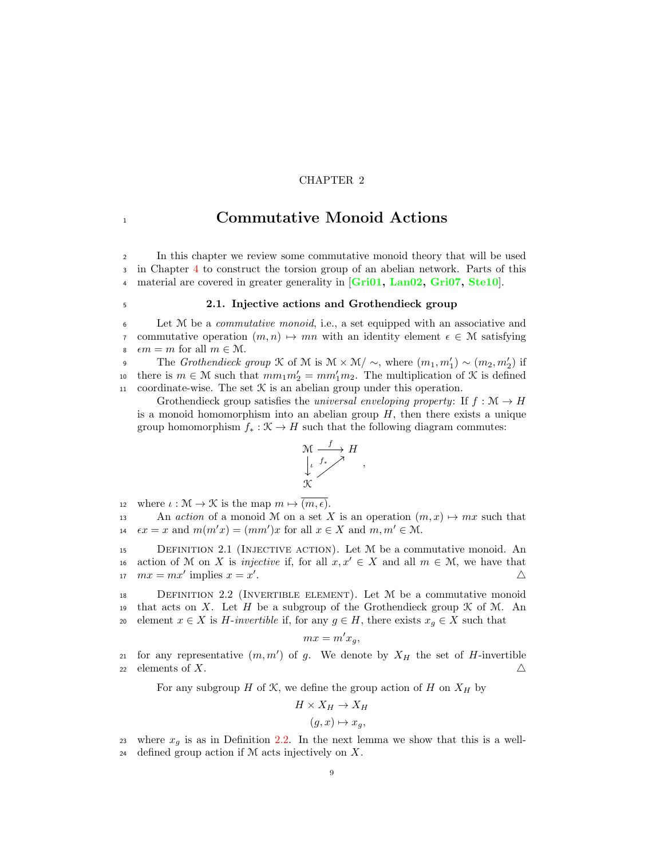## CHAPTER 2

## <span id="page-16-0"></span>1 **1 Commutative Monoid Actions**

<sup>2</sup> In this chapter we review some commutative monoid theory that will be used <sup>3</sup> in Chapter [4](#page-34-0) to construct the torsion group of an abelian network. Parts of this 4 material are covered in greater generality in [[Gri01,](#page-93-11) [Lan02,](#page-93-12) [Gri07,](#page-93-13) [Ste10](#page-94-5)].

<span id="page-16-1"></span>

## <sup>5</sup> 2.1. Injective actions and Grothendieck group

<sup>6</sup> Let M be a commutative monoid, i.e., a set equipped with an associative and 7 commutative operation  $(m, n) \mapsto mn$  with an identity element  $\epsilon \in \mathcal{M}$  satisfying  $\epsilon m = m$  for all  $m \in \mathcal{M}$ . 8  $\epsilon m = m$  for all  $m \in \mathcal{M}$ .<br>9 The *Grothendieck* 

The Grothendieck group  $\mathcal K$  of  $\mathcal M$  is  $\mathcal M \times \mathcal M \setminus \sim$ , where  $(m_1, m'_1) \sim (m_2, m'_2)$  if there is  $m \in \mathcal{M}$  such that  $mm_1m_2' = mm_1'm_2$ . The multiplication of  $\mathcal{K}$  is defined 11 coordinate-wise. The set  $K$  is an abelian group under this operation.

Grothendieck group satisfies the *universal enveloping property*: If  $f : \mathcal{M} \to H$ is a monoid homomorphism into an abelian group  $H$ , then there exists a unique group homomorphism  $f_* : \mathfrak{K} \to H$  such that the following diagram commutes:



12 where  $\iota : \mathcal{M} \to \mathcal{K}$  is the map  $m \mapsto (m, \epsilon)$ .<br>13 An *action* of a monoid M on a set X

An action of a monoid M on a set X is an operation  $(m, x) \mapsto mx$  such that 14  $\epsilon x = x$  and  $m(m'x) = (mm')x$  for all  $x \in X$  and  $m, m' \in \mathcal{M}$ .

15 DEFINITION 2.1 (INJECTIVE ACTION). Let  $M$  be a commutative monoid. An 16 action of M on X is *injective* if, for all  $x, x' \in X$  and all  $m \in \mathcal{M}$ , we have that  $mx = mx'$  implies  $x = x'$ .

<span id="page-16-2"></span><sup>18</sup> Definition 2.2 (Invertible element). Let M be a commutative monoid 19 that acts on X. Let H be a subgroup of the Grothendieck group  $\mathcal K$  of M. An 20 element  $x \in X$  is H-invertible if, for any  $g \in H$ , there exists  $x_g \in X$  such that

$$
mx = m'x_g,
$$

21 for any representative  $(m, m')$  of g. We denote by  $X_H$  the set of H-invertible 22 elements of X.

For any subgroup  $H$  of  $K$ , we define the group action of  $H$  on  $X_H$  by

$$
H\times X_H\to X_H
$$

$$
(g, x) \mapsto x_g,
$$

23 where  $x_g$  is as in Definition [2.2.](#page-16-2) In the next lemma we show that this is a well-24 defined group action if  $M$  acts injectively on  $X$ .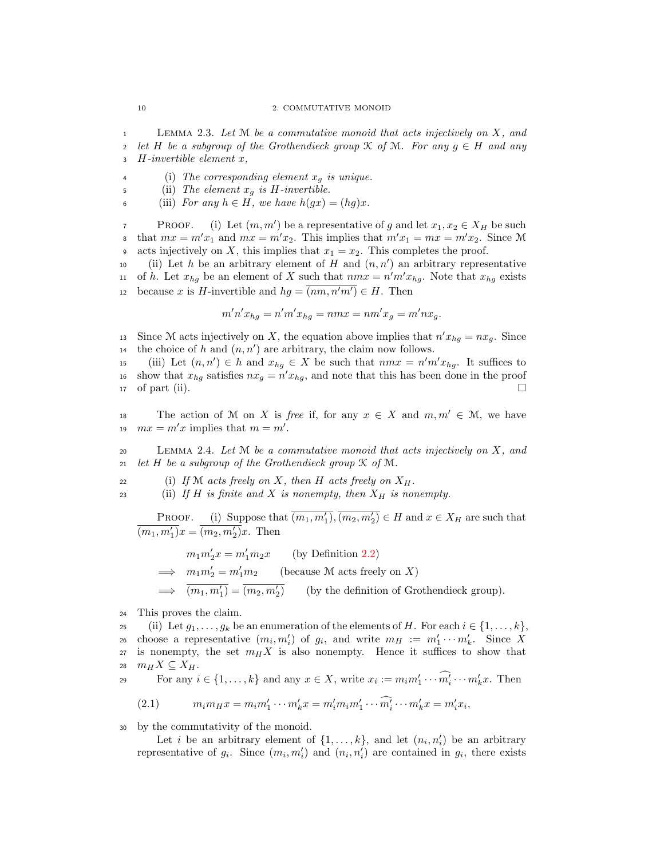<sup>1</sup> Lemma 2.3. Let M be a commutative monoid that acts injectively on X, and 2 let H be a subgroup of the Grothendieck group  $\mathcal K$  of  $\mathcal M$ . For any  $g \in H$  and any  $H$ -invertible element  $x$ .  $H$ -invertible element  $x$ ,

4 (i) The corresponding element  $x_q$  is unique.

5 (ii) The element  $x_g$  is H-invertible.

6 (iii) For any  $h \in H$ , we have  $h(gx) = (hg)x$ .

PROOF. (i) Let  $(m, m')$  be a representative of g and let  $x_1, x_2 \in X_H$  be such that  $mx = m'x_1$  and  $mx = m'x_2$ . This implies that  $m'x_1 = mx = m'x_2$ . Since M 9 acts injectively on X, this implies that  $x_1 = x_2$ . This completes the proof.

10 (ii) Let h be an arbitrary element of H and  $(n, n')$  an arbitrary representative 11 of h. Let  $x_{hg}$  be an element of X such that  $nmx = n'm'x_{hg}$ . Note that  $x_{hg}$  exists because x is H-invertible and  $hg = (nm, n'm') \in H$ . Then

$$
m'n'x_{hg} = n'm'x_{hg} = nmx = nm'x_g = m'nx_g.
$$

13 Since M acts injectively on X, the equation above implies that  $n'x_{hg} = nx_g$ . Since 14 the choice of h and  $(n, n')$  are arbitrary, the claim now follows.

15 (iii) Let  $(n, n') \in h$  and  $x_{hg} \in X$  be such that  $nmx = n'm'x_{hg}$ . It suffices to is show that  $x_{hg}$  satisfies  $nx_g = n'x_{hg}$ , and note that this has been done in the proof  $\Box$  of part (ii).

The action of M on X is free if, for any  $x \in X$  and  $m, m' \in M$ , we have 19  $mx = m'x$  implies that  $m = m'$ .

<span id="page-17-1"></span>20 LEMMA 2.4. Let  $M$  be a commutative monoid that acts injectively on  $X$ , and 21 let H be a subgroup of the Grothendieck group  $\mathcal K$  of  $\mathcal M$ .

22 (i) If M acts freely on X, then H acts freely on  $X_H$ .

23 (ii) If H is finite and X is nonempty, then  $X_H$  is nonempty.

**PROOF.** (i) Suppose that  $\overline{(m_1, m'_1)}$ ,  $\overline{(m_2, m'_2)} \in H$  and  $x \in X_H$  are such that  $\overline{(m_1, m'_1)}x = \overline{(m_2, m'_2)}x$ . Then

$$
m_1 m_2' x = m_1' m_2 x
$$
 (by Definition 2.2)  
\n
$$
\implies m_1 m_2' = m_1' m_2
$$
 (because M acts freely on X)  
\n
$$
\implies \overline{(m_1, m_1')} = \overline{(m_2, m_2')}
$$
 (by the definition of Grothendieck group).

<sup>24</sup> This proves the claim.

25 (ii) Let  $g_1, \ldots, g_k$  be an enumeration of the elements of H. For each  $i \in \{1, \ldots, k\}$ , z<sub>6</sub> choose a representative  $(m_i, m'_i)$  of  $g_i$ , and write  $m_H := m'_1 \cdots m'_k$ . Since X 27 is nonempty, the set  $m_H X$  is also nonempty. Hence it suffices to show that 28  $m_H X \subseteq X_H$ . For any  $i \in \{1, ..., k\}$  and any  $x \in X$ , write  $x_i := m_i m'_1 \cdots m'_k \cdots m'_k x$ . Then

<span id="page-17-0"></span>(2.1) 
$$
m_i m_H x = m_i m'_1 \cdots m'_k x = m'_i m_i m'_1 \cdots \widehat{m'_i} \cdots m'_k x = m'_i x_i,
$$

<sup>30</sup> by the commutativity of the monoid.

Let *i* be an arbitrary element of  $\{1, \ldots, k\}$ , and let  $(n_i, n'_i)$  be an arbitrary representative of  $g_i$ . Since  $(m_i, m'_i)$  and  $(n_i, n'_i)$  are contained in  $g_i$ , there exists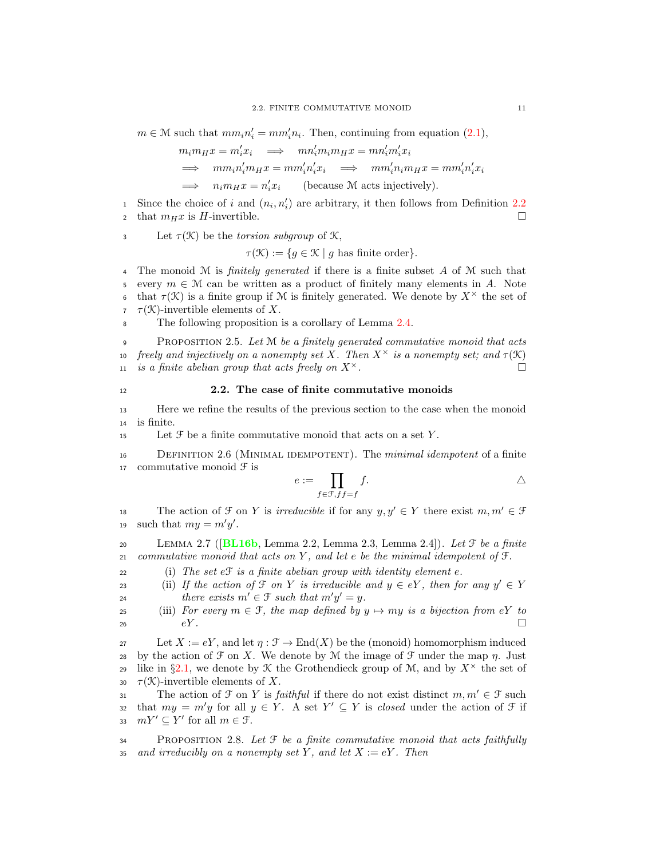$m \in \mathcal{M}$  such that  $mm_i n'_i = mm'_i n_i$ . Then, continuing from equation [\(2.1\)](#page-17-0),

$$
m_i m_H x = m'_i x_i \implies m n'_i m_i m_H x = m n'_i m'_i x_i
$$
  
\n
$$
\implies m m_i n'_i m_H x = m m'_i n'_i x_i \implies m m'_i n_i m_H x = m m'_i n'_i x_i
$$
  
\n
$$
\implies n_i m_H x = n'_i x_i \qquad \text{(because } M \text{ acts injectively)}.
$$

<sup>1</sup> Since the choice of *i* and  $(n_i, n'_i)$  are arbitrary, it then follows from Definition [2.2](#page-16-2) 2 that  $m_H x$  is H-invertible.

3 Let  $\tau(\mathcal{K})$  be the *torsion subgroup* of  $\mathcal{K}$ ,

 $\tau(\mathcal{K}) := \{ g \in \mathcal{K} \mid g \text{ has finite order} \}.$ 

4 The monoid M is *finitely generated* if there is a finite subset  $\vec{A}$  of M such that 5 every  $m \in \mathcal{M}$  can be written as a product of finitely many elements in A. Note<br>6 that  $\tau(\mathcal{K})$  is a finite group if M is finitely generated. We denote by  $X^{\times}$  the set of that  $\tau(\mathcal{K})$  is a finite group if M is finitely generated. We denote by  $X^{\times}$  the set of  $\tau(\mathcal{K})$ -invertible elements of X.

8 The following proposition is a corollary of Lemma [2.4.](#page-17-1)

9 PROPOSITION 2.5. Let  $M$  be a finitely generated commutative monoid that acts freely and injectively on a nonempty set X. Then  $X^{\times}$  is a nonempty set; and  $\tau(\mathcal{K})$ is a finite abelian group that acts freely on  $X^{\times}$ .

## <span id="page-18-0"></span><sup>12</sup> 2.2. The case of finite commutative monoids

<sup>13</sup> Here we refine the results of the previous section to the case when the monoid <sup>14</sup> is finite.

15 Let  $\mathcal F$  be a finite commutative monoid that acts on a set  $Y$ .

<span id="page-18-1"></span><sup>16</sup> Definition 2.6 (Minimal idempotent). The minimal idempotent of a finite 17 commutative monoid  $\mathfrak F$  is

$$
e := \prod_{f \in \mathcal{F}, f f = f} f.
$$

The action of  $\mathcal F$  on Y is *irreducible* if for any  $y, y' \in Y$  there exist  $m, m' \in \mathcal F$ 19 such that  $my = m'y'$ .

<span id="page-18-2"></span>20 LEMMA 2.7 ( $[BL16b, Lemma 2.2, Lemma 2.3, Lemma 2.4]$  $[BL16b, Lemma 2.2, Lemma 2.3, Lemma 2.4]$  $[BL16b, Lemma 2.2, Lemma 2.3, Lemma 2.4]$ ). Let  $\mathcal F$  be a finite 21 commutative monoid that acts on  $Y$ , and let  $e$  be the minimal idempotent of  $\mathcal{F}$ .

<span id="page-18-5"></span>22 (i) The set  $eF$  is a finite abelian group with identity element  $e$ .

<span id="page-18-4"></span>23 (ii) If the action of  $\mathcal{F}$  on Y is irreducible and  $y \in eY$ , then for any  $y' \in Y$ there exists  $m' \in \mathcal{F}$  such that  $m'y' = y$ .<br>25 (iii) For every  $m \in \mathcal{F}$ , the map defined by a

<span id="page-18-3"></span>(iii) For every  $m \in \mathcal{F}$ , the map defined by  $y \mapsto my$  is a bijection from eY to  $eY$ . 26  $eY$ .

27 Let  $X := eY$ , and let  $\eta : \mathcal{F} \to \text{End}(X)$  be the (monoid) homomorphism induced 28 by the action of  $\mathcal F$  on X. We denote by M the image of  $\mathcal F$  under the map  $\eta$ . Just <sup>29</sup> like in §[2.1,](#page-16-1) we denote by K the Grothendieck group of M, and by  $X^{\times}$  the set of 30  $\tau(\mathcal{K})$ -invertible elements of X.

The action of  $\mathcal F$  on Y is *faithful* if there do not exist distinct  $m, m' \in \mathcal F$  such that  $my = m'y$  for all  $y \in Y$ . A set  $Y' \subseteq Y$  is *closed* under the action of  $\mathcal F$  if  $mY' \subseteq Y'$  for all  $m \in \mathcal F$ . 33  $mY' \subseteq Y'$  for all  $m \in \mathfrak{F}$ .

 $34$  PROPOSITION 2.8. Let  $\mathcal F$  be a finite commutative monoid that acts faithfully 35 and irreducibly on a nonempty set Y, and let  $X := eY$ . Then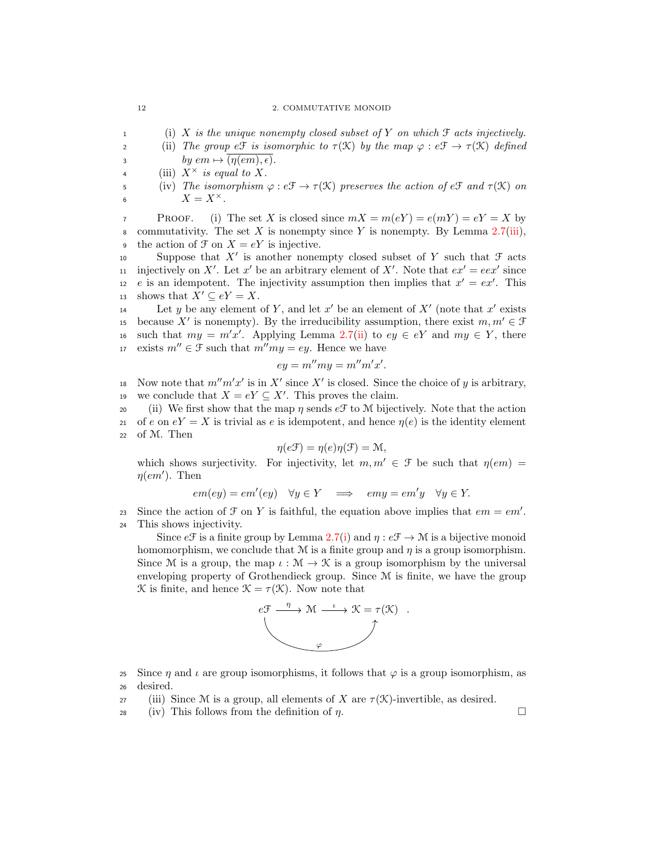### 12 2. COMMUTATIVE MONOID

1 (i) X is the unique nonempty closed subset of Y on which  $\mathcal F$  acts injectively.

2 (ii) The group eff is isomorphic to  $\tau(\mathcal{K})$  by the map  $\varphi : e\mathcal{F} \to \tau(\mathcal{K})$  defined 3 by  $em \mapsto \overline{(\eta(em), \epsilon)}.$ 

4 (iii)  $X^{\times}$  is equal to X.

5 (iv) The isomorphism  $\varphi : e \mathcal{F} \to \tau(\mathcal{K})$  preserves the action of e $\mathcal{F}$  and  $\tau(\mathcal{K})$  on 6  $X = X^{\times}$ .

**PROOF.** (i) The set X is closed since  $mX = m(eY) = e(mY) = eY = X$  by 8 commutativity. The set X is nonempty since Y is nonempty. By Lemma  $2.7(iii)$  $2.7(iii)$ , <sup>9</sup> the action of  $\mathcal{F}$  on  $X = eY$  is injective.

10 Suppose that  $X'$  is another nonempty closed subset of Y such that  $\mathcal F$  acts in injectively on X'. Let x' be an arbitrary element of X'. Note that  $ex' = eex'$  since 12 e is an idempotent. The injectivity assumption then implies that  $x' = e^{x'}$ . This 13 shows that  $X' \subseteq eY = X$ .

Let y be any element of Y, and let  $x'$  be an element of  $X'$  (note that  $x'$  exists is because X' is nonempty). By the irreducibility assumption, there exist  $m, m' \in \mathcal{F}$ 16 such that  $my = m'x'$ . Applying Lemma [2.7\(](#page-18-2)[ii\)](#page-18-4) to  $ey \in eY$  and  $my \in Y$ , there 17 exists  $m'' \in \mathcal{F}$  such that  $m''mv = ey$ . Hence we have

$$
ey = m''my = m''m'x'.
$$

18 Now note that  $m'm'x'$  is in X' since X' is closed. Since the choice of y is arbitrary, we conclude that  $X = eY \subseteq X'$ . This proves the claim.

20 (ii) We first show that the map  $\eta$  sends  $e^{\mathcal{F}}$  to M bijectively. Note that the action 21 of e on  $eY = X$  is trivial as e is idempotent, and hence  $\eta(e)$  is the identity element <sup>22</sup> of M. Then

$$
\eta(e\mathfrak{F}) = \eta(e)\eta(\mathfrak{F}) = \mathfrak{M},
$$

which shows surjectivity. For injectivity, let  $m, m' \in \mathcal{F}$  be such that  $\eta(em) =$  $\eta(em')$ . Then

$$
em(ey) = em'(ey) \quad \forall y \in Y \implies emy = em'y \quad \forall y \in Y.
$$

Since the action of  $\mathcal F$  on  $Y$  is faithful, the equation above implies that  $em = em'.$ 

<sup>24</sup> This shows injectivity.

Since  $e\mathcal{F}$  is a finite group by Lemma [2.7](#page-18-2)[\(i\)](#page-18-5) and  $\eta : e\mathcal{F} \to \mathcal{M}$  is a bijective monoid homomorphism, we conclude that  $M$  is a finite group and  $\eta$  is a group isomorphism. Since M is a group, the map  $\iota : \mathcal{M} \to \mathcal{K}$  is a group isomorphism by the universal enveloping property of Grothendieck group. Since M is finite, we have the group K is finite, and hence  $\mathcal{K} = \tau(\mathcal{K})$ . Now note that



25 Since  $\eta$  and  $\iota$  are group isomorphisms, it follows that  $\varphi$  is a group isomorphism, as <sup>26</sup> desired.

- 27 (iii) Since M is a group, all elements of X are  $\tau(\mathcal{K})$ -invertible, as desired.
- 28 (iv) This follows from the definition of  $\eta$ .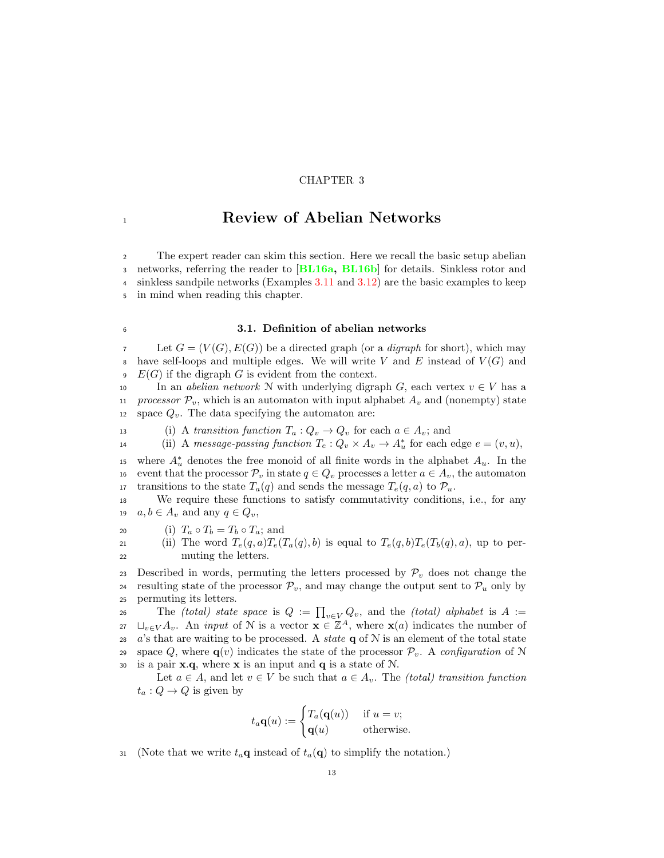## CHAPTER 3

## <span id="page-20-0"></span>1 **1 Review of Abelian Networks**

 The expert reader can skim this section. Here we recall the basic setup abelian networks, referring the reader to [[BL16a,](#page-92-1) [BL16b](#page-92-2)] for details. Sinkless rotor and sinkless sandpile networks (Examples [3.11](#page-27-0) and [3.12\)](#page-27-1) are the basic examples to keep in mind when reading this chapter.

## <span id="page-20-1"></span><sup>6</sup> 3.1. Definition of abelian networks

 $\mathcal{T}$  Let  $G = (V(G), E(G))$  be a directed graph (or a *digraph* for short), which may 8 have self-loops and multiple edges. We will write V and E instead of  $V(G)$  and  $\Phi$  E(G) if the digraph G is evident from the context.

10 In an *abelian network* N with underlying digraph G, each vertex  $v \in V$  has a<br>11 *processor*  $\mathcal{P}_v$ , which is an automaton with input alphabet  $A_v$  and (nonempty) state processor  $\mathcal{P}_v$ , which is an automaton with input alphabet  $A_v$  and (nonempty) state 12 space  $Q_v$ . The data specifying the automaton are:

13 (i) A transition function  $T_a: Q_v \to Q_v$  for each  $a \in A_v$ ; and<br>
14 (ii) A message-passing function  $T_e: Q_v \times A_v \to A_v^*$  for each

14 (ii) A message-passing function  $T_e: Q_v \times A_v \to A_u^*$  for each edge  $e = (v, u)$ ,

<sup>15</sup> where  $A^*_{u}$  denotes the free monoid of all finite words in the alphabet  $A_u$ . In the 16 event that the processor  $\mathcal{P}_v$  in state  $q \in Q_v$  processes a letter  $a \in A_v$ , the automaton<br>17 transitions to the state  $T_a(q)$  and sends the message  $T_e(q, a)$  to  $\mathcal{P}_u$ . 17 transitions to the state  $T_a(q)$  and sends the message  $T_e(q, a)$  to  $\mathcal{P}_u$ .<br>18 We require these functions to satisfy commutativity condition

We require these functions to satisfy commutativity conditions, i.e., for any 19  $a, b \in A_v$  and any  $q \in Q_v$ ,

20 (i)  $T_a \circ T_b = T_b \circ T_a$ ; and<br>
21 (ii) The word  $T_e(a, a)T_e$ 

(ii) The word  $T_e(q, a)T_e(T_a(q), b)$  is equal to  $T_e(q, b)T_e(T_b(q), a)$ , up to per-<sup>22</sup> muting the letters.

23 Described in words, permuting the letters processed by  $\mathcal{P}_v$  does not change the <br>24 resulting state of the processor  $\mathcal{P}_v$ , and may change the output sent to  $\mathcal{P}_v$  only by 24 resulting state of the processor  $\mathcal{P}_v$ , and may change the output sent to  $\mathcal{P}_u$  only by permuting its letters. permuting its letters.

26 The (total) state space is  $Q := \prod_{v \in V} Q_v$ , and the (total) alphabet is  $A :=$ 27  $\sqcup_{v\in V} A_v$ . An *input* of N is a vector  $\mathbf{x} \in \mathbb{Z}^A$ , where  $\mathbf{x}(a)$  indicates the number of 28 a's that are waiting to be processed. A *state*  $q$  of  $N$  is an element of the total state 29 space Q, where  $\mathbf{q}(v)$  indicates the state of the processor  $\mathcal{P}_v$ . A configuration of N is a pair **x.q.** where **x** is an input and **q** is a state of N. is a pair  $x.q$ , where  $x$  is an input and  $q$  is a state of  $N$ .

Let  $a \in A$ , and let  $v \in V$  be such that  $a \in A_v$ . The *(total) transition function*  $t_a: Q \to Q$  is given by

$$
t_a \mathbf{q}(u) := \begin{cases} T_a(\mathbf{q}(u)) & \text{if } u = v; \\ \mathbf{q}(u) & \text{otherwise.} \end{cases}
$$

31 (Note that we write  $t_a\mathbf{q}$  instead of  $t_a(\mathbf{q})$  to simplify the notation.)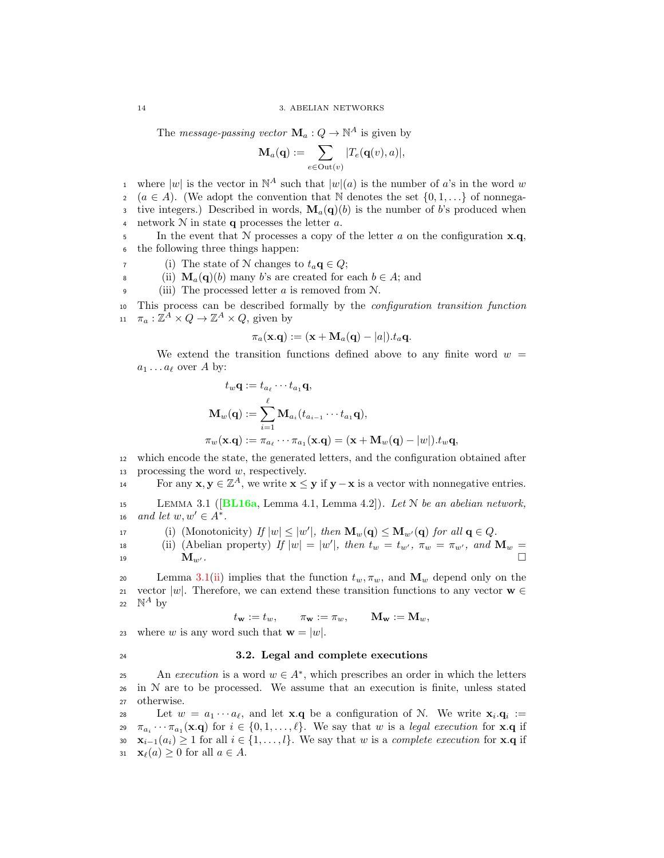The *message-passing vector*  $\mathbf{M}_a: Q \to \mathbb{N}^A$  is given by

$$
\mathbf{M}_a(\mathbf{q}):=\sum_{e\in \mathrm{Out}(v)}|T_e(\mathbf{q}(v),a)|,
$$

where  $|w|$  is the vector in  $\mathbb{N}^A$  such that  $|w|(a)$  is the number of a's in the word w 2 ( $a \in A$ ). (We adopt the convention that N denotes the set  $\{0, 1, ...\}$  of nonnega-3 tive integers.) Described in words,  $\mathbf{M}_a(\mathbf{q})$  is the number of b's produced when 4 network  $N$  in state q processes the letter a.

5 In the event that N processes a copy of the letter a on the configuration  $x.q$ , <sup>6</sup> the following three things happen:

- 7 (i) The state of N changes to  $t_a \mathbf{q} \in Q$ ;<br>(ii)  $\mathbf{M}_-(\mathbf{q})$  many b's are created for
- 8 (ii)  $\mathbf{M}_a(\mathbf{q})$  (b) many b's are created for each  $b \in A$ ; and (iii) The processed letter a is removed from N

(iii) The processed letter  $a$  is removed from  $N$ .

This process can be described formally by the *configuration transition function* 11  $\pi_a: \mathbb{Z}^A \times Q \to \mathbb{Z}^A \times Q$ , given by

$$
\pi_a(\mathbf{x}.\mathbf{q}) := (\mathbf{x} + \mathbf{M}_a(\mathbf{q}) - |a|).t_a\mathbf{q}.
$$

We extend the transition functions defined above to any finite word  $w =$  $a_1 \dots a_\ell$  over A by:

$$
t_w \mathbf{q} := t_{a_\ell} \cdots t_{a_1} \mathbf{q},
$$
  
\n
$$
\mathbf{M}_w(\mathbf{q}) := \sum_{i=1}^{\ell} \mathbf{M}_{a_i} (t_{a_{i-1}} \cdots t_{a_1} \mathbf{q}),
$$
  
\n
$$
\pi_w(\mathbf{x}.\mathbf{q}) := \pi_{a_\ell} \cdots \pi_{a_1}(\mathbf{x}.\mathbf{q}) = (\mathbf{x} + \mathbf{M}_w(\mathbf{q}) - |w|).t_w \mathbf{q},
$$

<sup>12</sup> which encode the state, the generated letters, and the configuration obtained after 13 processing the word  $w$ , respectively.

For any  $\mathbf{x}, \mathbf{y} \in \mathbb{Z}^A$ , we write  $\mathbf{x} \leq \mathbf{y}$  if  $\mathbf{y} - \mathbf{x}$  is a vector with nonnegative entries.

<span id="page-21-1"></span>15 LEMMA 3.1 ( $[BL16a, Lemma 4.1, Lemma 4.2]$  $[BL16a, Lemma 4.1, Lemma 4.2]$  $[BL16a, Lemma 4.1, Lemma 4.2]$ ). Let N be an abelian network, 16 and let  $w, w' \in A^*$ .

<span id="page-21-3"></span>17 (i) (Monotonicity)  $If |w| \le |w'|$ , then  $\mathbf{M}_w(\mathbf{q}) \le \mathbf{M}_{w'}(\mathbf{q})$  for all  $\mathbf{q} \in Q$ .

<span id="page-21-2"></span>
$$
\begin{array}{lll}\n\text{is} & \text{(ii) (Abelian property) } \text{ If } |w| = |w'|, \text{ then } t_w = t_{w'}, \ \pi_w = \pi_{w'}, \text{ and } \mathbf{M}_w = \mathbf{M}_{w'}.\n\end{array}
$$

20 Lemma [3.1](#page-21-1)[\(ii\)](#page-21-2) implies that the function  $t_w, \pi_w$ , and  $\mathbf{M}_w$  depend only on the 21 vector  $|w|$ . Therefore, we can extend these transition functions to any vector  $\mathbf{w} \in$ <br>22  $\mathbb{N}^A$  by 22  $\mathbb{N}^A$  by

 $t_{\mathbf{w}} := t_w, \quad \pi_{\mathbf{w}} := \pi_w, \quad \mathbf{M}_{\mathbf{w}} := \mathbf{M}_w,$ 

23 where w is any word such that  $\mathbf{w} = |w|$ .

## <span id="page-21-0"></span><sup>24</sup> 3.2. Legal and complete executions

An execution is a word  $w \in A^*$ , which prescribes an order in which the letters  $26$  in N are to be processed. We assume that an execution is finite, unless stated <sup>27</sup> otherwise.

Let  $w = a_1 \cdots a_\ell$ , and let **x**.q be a configuration of N. We write  $\mathbf{x}_i \cdot \mathbf{q}_i :=$ 29  $\pi_{a_i} \cdots \pi_{a_1}(\mathbf{x}.\mathbf{q})$  for  $i \in \{0, 1, \ldots, \ell\}$ . We say that w is a legal execution for **x**.q if 30  $\mathbf{x}_{i-1}(a_i) \ge 1$  for all  $i \in \{1, ..., l\}$ . We say that w is a complete execution for **x**.q if  $\mathbf{x}_{\ell}(a) > 0$  for all  $a \in A$ .  $\mathbf{x}_{\ell}(a) > 0$  for all  $a \in A$ .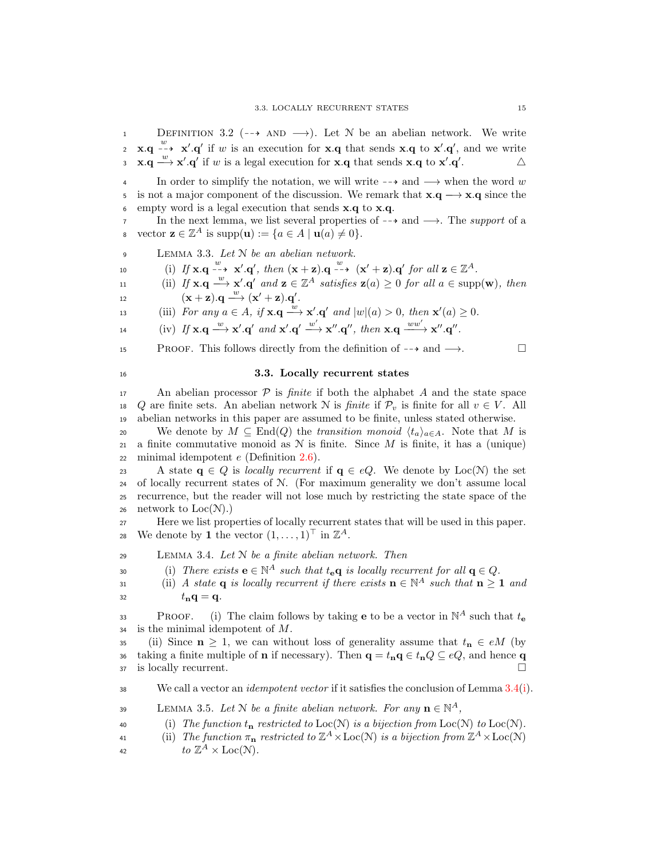DEFINITION 3.2 ( $\rightarrow$  AND  $\rightarrow$ ). Let N be an abelian network. We write 2 **x.q**  $\rightarrow$  **x'.q'** if w is an execution for **x.q** that sends **x.q** to **x'.q'**, and we write  $\mathbf{x} \cdot \mathbf{q} \stackrel{w}{\longrightarrow} \mathbf{x}' \cdot \mathbf{q}'$  if w is a legal execution for  $\mathbf{x} \cdot \mathbf{q}$  that sends  $\mathbf{x} \cdot \mathbf{q}$  to  $\mathbf{x}' \cdot \mathbf{q}'$ .

4 In order to simplify the notation, we will write  $-\rightarrow$  and  $\rightarrow$  when the word w is not a major component of the discussion. We remark that  $\mathbf{x} \cdot \mathbf{a} \rightarrow \mathbf{x} \cdot \mathbf{a}$  since the 5 is not a major component of the discussion. We remark that  $\mathbf{x} \cdot \mathbf{q} \longrightarrow \mathbf{x} \cdot \mathbf{q}$  since the empty word is a legal execution that sends  $\mathbf{x} \cdot \mathbf{a}$  to  $\mathbf{x} \cdot \mathbf{a}$ . empty word is a legal execution that sends  $x.q$  to  $x.q$ .

7 In the next lemma, we list several properties of  $-\rightarrow$  and  $\rightarrow$ . The support of a<br>8 vector  $\mathbf{z} \in \mathbb{Z}^A$  is supp $(\mathbf{u}) := \{a \in A \mid \mathbf{u}(a) \neq 0\}$ .  $\mathbf{s} \quad \text{vector } \mathbf{z} \in \mathbb{Z}^A \text{ is } \text{supp}(\mathbf{u}) := \{a \in A \mid \mathbf{u}(a) \neq 0\}.$ 

9 LEMMA 3.3. Let N be an abelian network.

10 (i) If  $\mathbf{x} \cdot \mathbf{q} \xrightarrow{w} \mathbf{x}' \cdot \mathbf{q}'$ , then  $(\mathbf{x} + \mathbf{z}) \cdot \mathbf{q} \xrightarrow{w} (\mathbf{x}' + \mathbf{z}) \cdot \mathbf{q}'$  for all  $\mathbf{z} \in \mathbb{Z}^A$ .

11 (ii) If  $\mathbf{x} \cdot \mathbf{q} \stackrel{w}{\longrightarrow} \mathbf{x}' \cdot \mathbf{q}'$  and  $\mathbf{z} \in \mathbb{Z}^A$  satisfies  $\mathbf{z}(a) \geq 0$  for all  $a \in \text{supp}(\mathbf{w})$ , then 12  $(\mathbf{x} + \mathbf{z}).\mathbf{q} \longrightarrow (\mathbf{x}' + \mathbf{z}).\mathbf{q}'$ 

13 (iii) For any  $a \in A$ , if  $\mathbf{x} \cdot \mathbf{q} \stackrel{w}{\longrightarrow} \mathbf{x}' \cdot \mathbf{q}'$  and  $|w|(a) > 0$ , then  $\mathbf{x}'(a) \ge 0$ .

14 (iv) If  $\mathbf{x} \cdot \mathbf{q} \stackrel{w}{\longrightarrow} \mathbf{x}' \cdot \mathbf{q}'$  and  $\mathbf{x}' \cdot \mathbf{q}' \stackrel{w'}{\longrightarrow} \mathbf{x}'' \cdot \mathbf{q}''$ , then  $\mathbf{x} \cdot \mathbf{q} \stackrel{ww'}{\longrightarrow} \mathbf{x}'' \cdot \mathbf{q}''$ .

15 PROOF. This follows directly from the definition of  $-\rightarrow$  and  $\rightarrow$ .

## <span id="page-22-0"></span><sup>16</sup> 3.3. Locally recurrent states

17 An abelian processor  $P$  is *finite* if both the alphabet A and the state space<br>18 Q are finite sets. An abelian network N is *finite* if  $P_v$  is finite for all  $v \in V$ . All Q are finite sets. An abelian network N is *finite* if  $\mathcal{P}_v$  is finite for all  $v \in V$ . All <sup>19</sup> abelian networks in this paper are assumed to be finite, unless stated otherwise.

20 We denote by  $M \subseteq \text{End}(Q)$  the *transition monoid*  $\langle t_a \rangle_{a \in A}$ . Note that M is a finite commutative monoid as N is finite. Since M is finite, it has a (unique) a finite commutative monoid as  $N$  is finite. Since  $M$  is finite, it has a (unique) 22 minimal idempotent  $e$  (Definition [2.6\)](#page-18-1).

23 A state  $q \in Q$  is *locally recurrent* if  $q \in eQ$ . We denote by Loc(N) the set <sup>24</sup> of locally recurrent states of N. (For maximum generality we don't assume local <sup>25</sup> recurrence, but the reader will not lose much by restricting the state space of the 26 network to  $Loc(N).$ 

<sup>27</sup> Here we list properties of locally recurrent states that will be used in this paper. 28 We denote by 1 the vector  $(1, \ldots, 1)^\top$  in  $\mathbb{Z}^A$ .

<span id="page-22-1"></span>29 LEMMA 3.4. Let  $N$  be a finite abelian network. Then

<span id="page-22-2"></span>30 (i) There exists  $\mathbf{e} \in \mathbb{N}^A$  such that  $t_{\mathbf{e}} \mathbf{q}$  is locally recurrent for all  $\mathbf{q} \in Q$ .

31 (ii) A state **q** is locally recurrent if there exists  $\mathbf{n} \in \mathbb{N}^A$  such that  $\mathbf{n} \geq 1$  and  $t_{\mathbf{n}}\mathbf{q} = \mathbf{q}$ .

PROOF. (i) The claim follows by taking **e** to be a vector in  $\mathbb{N}^A$  such that  $t_e$  $34$  is the minimal idempotent of M.

35 (ii) Since  $n \geq 1$ , we can without loss of generality assume that  $t_n \in e^M$  (by 36 taking a finite multiple of **n** if necessary). Then  $\mathbf{q} = t_{\mathbf{n}} \mathbf{q} \in t_{\mathbf{n}} Q \subseteq eQ$ , and hence  $\mathbf{q}$  is locally recurrent. <sup>37</sup> is locally recurrent.

38 We call a vector an *idempotent vector* if it satisfies the conclusion of Lemma  $3.4(i)$  $3.4(i)$ .

19 LEMMA 3.5. Let N be a finite abelian network. For any  $\mathbf{n} \in \mathbb{N}^A$ ,

40 (i) The function  $t_n$  restricted to Loc(N) is a bijection from Loc(N) to Loc(N).

(ii) The function  $\pi_{\mathbf{n}}$  restricted to  $\mathbb{Z}^A \times \text{Loc}(\mathcal{N})$  is a bijection from  $\mathbb{Z}^A \times \text{Loc}(\mathcal{N})$ 

42  $to \mathbb{Z}^A \times \text{Loc}(\mathcal{N}).$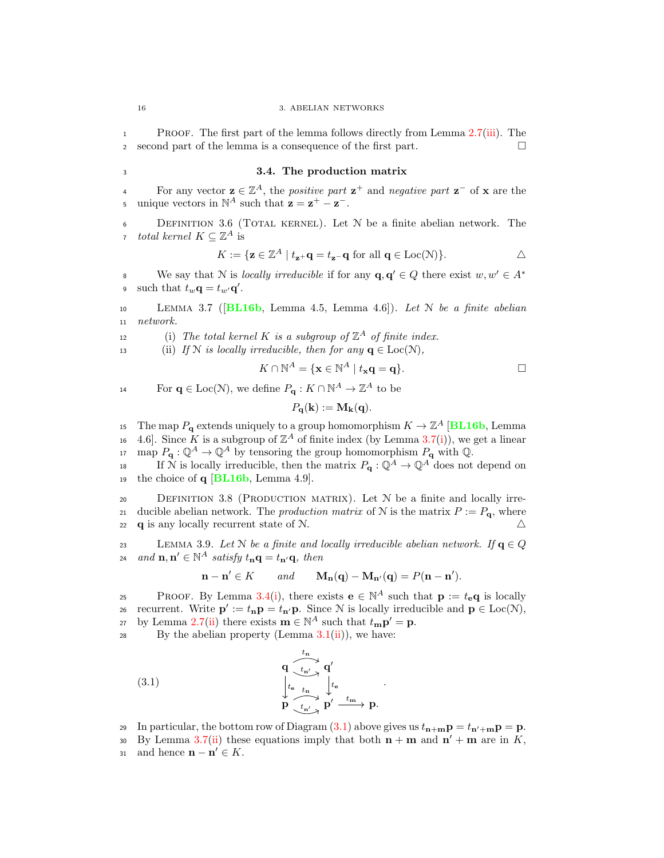<sup>1</sup> Proof. The first part of the lemma follows directly from Lemma [2.7\(](#page-18-2)[iii\)](#page-18-3). The <sup>2</sup> second part of the lemma is a consequence of the first part.

## <span id="page-23-0"></span><sup>3</sup> 3.4. The production matrix

For any vector  $z \in \mathbb{Z}^A$ , the *positive part*  $z^+$  and *negative part*  $z^-$  of x are the 5 unique vectors in  $\mathbb{N}^A$  such that  $\mathbf{z} = \mathbf{z}^+ - \mathbf{z}^-$ .

<span id="page-23-1"></span><sup>6</sup> Definition 3.6 (Total kernel). Let N be a finite abelian network. The *total kernel*  $K \subseteq \mathbb{Z}^A$  is

$$
K:=\{\mathbf{z}\in\mathbb{Z}^A\mid t_{\mathbf{z}^+}\mathbf{q}=t_{\mathbf{z}^-}\mathbf{q}\text{ for all } \mathbf{q}\in\mathrm{Loc}(\mathcal{N})\}.
$$

We say that N is *locally irreducible* if for any  $\mathbf{q}, \mathbf{q}' \in Q$  there exist  $w, w' \in A^*$ 8 9 such that  $t_w \mathbf{q} = t_{w'} \mathbf{q}'$ .

<span id="page-23-3"></span>10 LEMMA 3.7 ( $[BL16b, Lemma 4.5, Lemma 4.6]$  $[BL16b, Lemma 4.5, Lemma 4.6]$  $[BL16b, Lemma 4.5, Lemma 4.6]$ ). Let N be a finite abelian <sup>11</sup> network.

<span id="page-23-4"></span>12 (i) The total kernel K is a subgroup of  $\mathbb{Z}^A$  of finite index.

<span id="page-23-6"></span>13 (ii) If N is locally irreducible, then for any  $q \in Loc(N)$ ,

$$
K \cap \mathbb{N}^A = \{ \mathbf{x} \in \mathbb{N}^A \mid t_{\mathbf{x}} \mathbf{q} = \mathbf{q} \}.
$$

<span id="page-23-5"></span>.

For  $\mathbf{q} \in \text{Loc}(\mathcal{N})$ , we define  $P_{\mathbf{q}} : K \cap \mathbb{N}^A \to \mathbb{Z}^A$  to be

$$
P_{\mathbf{q}}(\mathbf{k}) := \mathbf{M}_{\mathbf{k}}(\mathbf{q}).
$$

The map  $P_{\mathbf{q}}$  extends uniquely to a group homomorphism  $K \to \mathbb{Z}^A$  [[BL16b](#page-92-2), Lemma 16 4.6. Since K is a subgroup of  $\mathbb{Z}^A$  of finite index (by Lemma [3.7](#page-23-3)[\(i\)](#page-23-4)), we get a linear

<sup>17</sup> map  $P_{\mathbf{q}} : \mathbb{Q}^A \to \mathbb{Q}^A$  by tensoring the group homomorphism  $P_{\mathbf{q}}$  with  $\mathbb{Q}$ .<br><sup>18</sup> is locally irreducible, then the matrix  $P_{\mathbf{q}} : \mathbb{Q}^A \to \mathbb{Q}^A$  does not If N is locally irreducible, then the matrix  $P_{\mathbf{q}} : \mathbb{Q}^A \to \mathbb{Q}^A$  does not depend on 19 the choice of  $q$  [[BL16b](#page-92-2), Lemma 4.9].

<span id="page-23-2"></span>20 DEFINITION 3.8 (PRODUCTION MATRIX). Let N be a finite and locally irre-21 ducible abelian network. The *production matrix* of N is the matrix  $P := P_{q}$ , where 22 **q** is any locally recurrent state of N.  $\triangle$ 

23 LEMMA 3.9. Let N be a finite and locally irreducible abelian network. If  $\mathbf{q} \in Q$ <br>24 and  $\mathbf{n} \cdot \mathbf{n}' \in \mathbb{N}^A$  satisfy  $t_{\text{in}} \mathbf{q} = t_{\text{in}} / \mathbf{q}$  then 24 and  $\mathbf{n}, \mathbf{n}' \in \mathbb{N}^A$  satisfy  $t_{\mathbf{n}} \mathbf{q} = t_{\mathbf{n}'} \mathbf{q}$ , then

$$
\mathbf{n} - \mathbf{n}' \in K \qquad \text{and} \qquad \mathbf{M}_{\mathbf{n}}(\mathbf{q}) - \mathbf{M}_{\mathbf{n}'}(\mathbf{q}) = P(\mathbf{n} - \mathbf{n}').
$$

PROOF. By Lemma [3.4](#page-22-1)[\(i\)](#page-22-2), there exists  $\mathbf{e} \in \mathbb{N}^A$  such that  $\mathbf{p} := t_{\mathbf{e}} \mathbf{q}$  is locally 26 recurrent. Write  $\mathbf{p}' := t_{\mathbf{n}} \mathbf{p} = t_{\mathbf{n}'} \mathbf{p}$ . Since N is locally irreducible and  $\mathbf{p} \in \text{Loc}(\mathcal{N})$ , by Lemma [2.7\(](#page-18-2)[ii\)](#page-18-4) there exists  $\mathbf{m} \in \mathbb{N}^A$  such that  $t_{\mathbf{m}} \mathbf{p}' = \mathbf{p}$ .

28 By the abelian property (Lemma  $3.1(ii)$  $3.1(ii)$ ), we have:

(3.1) 
$$
\begin{array}{ccc}\n & \mathbf{q} & \mathbf{t}_{n} \\
 & \downarrow_{t_{\mathbf{e}} & t_{\mathbf{m}}} & \mathbf{q}' \\
 & \downarrow_{t_{\mathbf{e}} & t_{\mathbf{m}}} & \downarrow_{t_{\mathbf{e}}} \\
 & \mathbf{p} & \mathbf{t}_{n'} & \mathbf{p}' & \mathbf{t}_{\mathbf{m}} & \mathbf{p}.\n\end{array}
$$

29 In particular, the bottom row of Diagram  $(3.1)$  above gives us  $t_{\mathbf{n}+\mathbf{m}}\mathbf{p} = t_{\mathbf{n'+m}}\mathbf{p} = \mathbf{p}$ .

30 By Lemma [3.7\(](#page-23-3)[ii\)](#page-23-6) these equations imply that both  $n + m$  and  $n' + m$  are in K, 31 and hence  $\mathbf{n} - \mathbf{n}' \in K$ .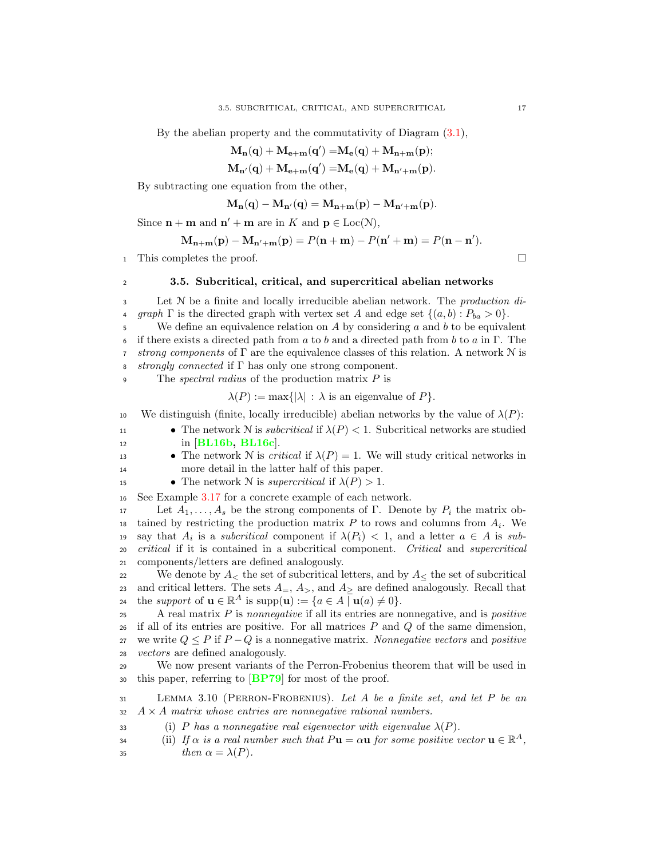By the abelian property and the commutativity of Diagram  $(3.1)$ ,

$$
\mathbf{M_n}(\mathbf{q})+\mathbf{M_{e+m}}(\mathbf{q}')=\!\mathbf{M_e}(\mathbf{q})+\mathbf{M_{n+m}}(\mathbf{p});
$$

$$
\mathbf{M}_{\mathbf{n}'}(\mathbf{q})+\mathbf{M}_{\mathbf{e}+\mathbf{m}}(\mathbf{q}')=\!\mathbf{M}_{\mathbf{e}}(\mathbf{q})+\mathbf{M}_{\mathbf{n}'+\mathbf{m}}(\mathbf{p}).
$$

By subtracting one equation from the other,

$$
\mathbf{M}_{\mathbf{n}}(\mathbf{q}) - \mathbf{M}_{\mathbf{n}'}(\mathbf{q}) = \mathbf{M}_{\mathbf{n}+\mathbf{m}}(\mathbf{p}) - \mathbf{M}_{\mathbf{n}'+\mathbf{m}}(\mathbf{p}).
$$

Since  $\mathbf{n} + \mathbf{m}$  and  $\mathbf{n}' + \mathbf{m}$  are in K and  $\mathbf{p} \in \text{Loc}(\mathcal{N}),$ 

$$
\mathbf{M}_{\mathbf{n}+\mathbf{m}}(\mathbf{p})-\mathbf{M}_{\mathbf{n}'+\mathbf{m}}(\mathbf{p})=P(\mathbf{n}+\mathbf{m})-P(\mathbf{n}'+\mathbf{m})=P(\mathbf{n}-\mathbf{n}').
$$

<sup>1</sup> This completes the proof.

## <span id="page-24-0"></span><sup>2</sup> 3.5. Subcritical, critical, and supercritical abelian networks

3 Let N be a finite and locally irreducible abelian network. The *production di*-4 graph  $\Gamma$  is the directed graph with vertex set A and edge set  $\{(a, b) : P_{ba} > 0\}$ .<br>5 We define an equivalence relation on A by considering a and b to be equival

We define an equivalence relation on  $A$  by considering  $a$  and  $b$  to be equivalent 6 if there exists a directed path from a to b and a directed path from b to a in  $\Gamma$ . The *7* strong components of  $\Gamma$  are the equivalence classes of this relation. A network  $\mathcal N$  is s strongly connected if  $\Gamma$  has only one strong component.

9 The *spectral radius* of the production matrix  $P$  is

 $\lambda(P) := \max\{|\lambda| : \lambda \text{ is an eigenvalue of } P\}.$ 

10 We distinguish (finite, locally irreducible) abelian networks by the value of  $\lambda(P)$ :

- 11 The network N is *subcritical* if  $\lambda(P) < 1$ . Subcritical networks are studied in [BL16b, BL16c]. in  $|BL16b, BL16c|$  $|BL16b, BL16c|$  $|BL16b, BL16c|$  $|BL16b, BL16c|$  $|BL16b, BL16c|$ .
- **•** The network N is *critical* if  $\lambda(P) = 1$ . We will study critical networks in more detail in the latter half of this paper. more detail in the latter half of this paper.
- 15 The network N is *supercritical* if  $\lambda(P) > 1$ .

<sup>16</sup> See Example [3.17](#page-31-0) for a concrete example of each network.

17 Let  $A_1, \ldots, A_s$  be the strong components of Γ. Denote by  $P_i$  the matrix obtained by restricting the production matrix  $P$  to rows and columns from  $A_i$ . We is as subcritical component if  $\lambda(P_i)$  < 1, and a letter  $a \in A$  is sub-<sup>20</sup> critical if it is contained in a subcritical component. Critical and supercritical <sup>21</sup> components/letters are defined analogously.

22 We denote by  $A_{\leq}$  the set of subcritical letters, and by  $A_{\leq}$  the set of subcritical 23 and critical letters. The sets  $A_$ ,  $A_$ , and  $A_$  are defined analogously. Recall that 24 the support of  $\mathbf{u} \in \mathbb{R}^A$  is supp $(\mathbf{u}) := \{a \in A \mid \mathbf{u}(a) \neq 0\}.$ 

 $\Delta$  real matrix P is nonnegative if all its entries are nonnegative, and is positive  $26$  if all of its entries are positive. For all matrices P and Q of the same dimension, 27 we write  $Q \leq P$  if  $P - Q$  is a nonnegative matrix. Nonnegative vectors and positive vectors are defined analogously. *vectors* are defined analogously.

<sup>29</sup> We now present variants of the Perron-Frobenius theorem that will be used in <sup>30</sup> this paper, referring to [[BP79](#page-92-14)] for most of the proof.

<span id="page-24-1"></span><sup>31</sup> Lemma 3.10 (Perron-Frobenius). Let A be a finite set, and let P be an  $32 \quad A \times A$  matrix whose entries are nonnegative rational numbers.

33 (i) P has a nonnegative real eigenvector with eigenvalue  $\lambda(P)$ .

<span id="page-24-2"></span>(ii) If  $\alpha$  is a real number such that  $P\mathbf{u} = \alpha \mathbf{u}$  for some positive vector  $\mathbf{u} \in \mathbb{R}^A$ , 35  $then \alpha = \lambda(P).$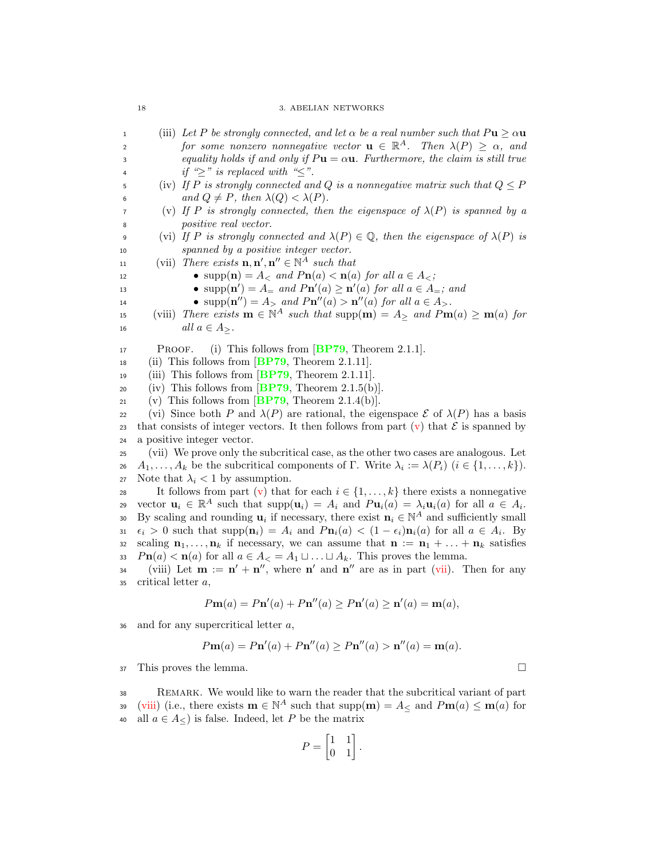### 18 3. ABELIAN NETWORKS

<span id="page-25-3"></span><span id="page-25-2"></span><span id="page-25-1"></span><span id="page-25-0"></span>1 (iii) Let P be strongly connected, and let  $\alpha$  be a real number such that  $P$ **u**  $\geq \alpha$ **u**<br>2 for some nonzero nonnegative vector **u**  $\in \mathbb{R}^A$ . Then  $\lambda(P) \geq \alpha$ , and for some nonzero nonnegative vector  $\mathbf{u} \in \mathbb{R}^A$ . Then  $\lambda(P) \geq \alpha$ , and 3 equality holds if and only if  $P$ **u** =  $\alpha$ **u**. Furthermore, the claim is still true 4 if " $\geq$ " is replaced with " $\leq$ ".<br>5 (iv) If P is strongly connected an (iv) If P is strongly connected and Q is a nonnegative matrix such that  $Q \leq P$ 6 and  $Q \neq P$ , then  $\lambda(Q) < \lambda(P)$ .<br>
(v) If P is strongly connected, then (v) If P is strongly connected, then the eigenspace of  $\lambda(P)$  is spanned by a <sup>8</sup> positive real vector. 9 (vi) If P is strongly connected and  $\lambda(P) \in \mathbb{Q}$ , then the eigenspace of  $\lambda(P)$  is <sup>10</sup> spanned by a positive integer vector. 11 (vii) There exists  $\mathbf{n}, \mathbf{n}', \mathbf{n}'' \in \mathbb{N}^A$  such that 12 •  $\text{supp}(\mathbf{n}) = A_{\leq} \text{ and } P\mathbf{n}(a) \leq \mathbf{n}(a) \text{ for all } a \in A_{\leq}$ ; **•** supp $(\mathbf{n}') = A$ <sub>=</sub> and  $P\mathbf{n}'(a) \ge \mathbf{n}'(a)$  for all  $a \in A$ <sub>=</sub>; and  $\bullet$  supp $(\mathbf{n}'') = A_{>}$  and  $P\mathbf{n}''(a) > \mathbf{n}''(a)$  for all  $a \in A_{>}$ . 15 (viii) There exists  $\mathbf{m} \in \mathbb{N}^A$  such that  $\text{supp}(\mathbf{m}) = A_{\geq}$  and  $P\mathbf{m}(a) \geq \mathbf{m}(a)$  for 16  $all \ a \in A_{>}$ . 17 PROOF. (i) This follows from **[BP79](#page-92-14)**, Theorem 2.1.1. 18 (ii) This follows from  $\boxed{BP79}$  $\boxed{BP79}$  $\boxed{BP79}$ , Theorem 2.1.11. 19 (iii) This follows from  $\overline{BP79}$  $\overline{BP79}$  $\overline{BP79}$ , Theorem 2.1.11. 20 (iv) This follows from  $\overline{BP79}$  $\overline{BP79}$  $\overline{BP79}$ , Theorem 2.1.5(b). 21 (v) This follows from  $\overline{BP79}$  $\overline{BP79}$  $\overline{BP79}$ , Theorem 2.1.4(b). 22 (vi) Since both P and  $\lambda(P)$  are rational, the eigenspace  $\mathcal{E}$  of  $\lambda(P)$  has a basis that consists of integer vectors. It then follows from part (v) that  $\mathcal{E}$  is spanned by 23 that consists of integer vectors. It then follows from part  $(v)$  that  $\mathcal E$  is spanned by<br>24 a positive integer vector. a positive integer vector. <sup>25</sup> (vii) We prove only the subcritical case, as the other two cases are analogous. Let 26  $A_1, \ldots, A_k$  be the subcritical components of Γ. Write  $\lambda_i := \lambda(P_i)$  ( $i \in \{1, \ldots, k\}$ ). 27 Note that  $\lambda_i < 1$  by assumption. 28 It follows from part [\(v\)](#page-25-0) that for each  $i \in \{1, ..., k\}$  there exists a nonnegative<br>29 vector  $\mathbf{u}_i \in \mathbb{R}^A$  such that  $\text{supp}(\mathbf{u}_i) = A_i$  and  $P\mathbf{u}_i(a) = \lambda_i \mathbf{u}_i(a)$  for all  $a \in A_i$ . vector  $\mathbf{u}_i \in \mathbb{R}^A$  such that  $\text{supp}(\mathbf{u}_i) = A_i$  and  $P\mathbf{u}_i(a) = \lambda_i \mathbf{u}_i(a)$  for all  $a \in A_i$ . 30 By scaling and rounding  $\mathbf{u}_i$  if necessary, there exist  $\mathbf{n}_i \in \mathbb{N}^A$  and sufficiently small  $\epsilon_i > 0$  such that  $\text{supp}(\mathbf{n}_i) = A_i$  and  $P\mathbf{n}_i(a) < (1 - \epsilon_i)\mathbf{n}_i(a)$  for all  $a \in A_i$ . By<br>scaling  $\mathbf{n}_1, \ldots, \mathbf{n}_k$  if necessary, we can assume that  $\mathbf{n} := \mathbf{n}_1 + \ldots + \mathbf{n}_k$  satisfies scaling  $\mathbf{n}_1, \ldots, \mathbf{n}_k$  if necessary, we can assume that  $\mathbf{n} := \mathbf{n}_1 + \ldots + \mathbf{n}_k$  satisfies 33  $Pn(a) < n(a)$  for all  $a \in A_{<} = A_1 \sqcup \ldots \sqcup A_k$ . This proves the lemma.  $(0, 0)$  iii) Let  $m := n' + n''$ , where n' and n'' are as in part [\(vii\)](#page-25-1). Then for any  $35$  critical letter  $a$ ,  $(a),$ 

$$
P\mathbf{m}(a) = P\mathbf{n}'(a) + P\mathbf{n}''(a) \ge P\mathbf{n}'(a) \ge \mathbf{n}'(a) = \mathbf{m}(a)
$$

 $36$  and for any supercritical letter  $a$ ,

$$
P\mathbf{m}(a) = P\mathbf{n}'(a) + P\mathbf{n}''(a) \ge P\mathbf{n}''(a) > \mathbf{n}''(a) = \mathbf{m}(a).
$$

 $37$  This proves the lemma.

<sup>38</sup> Remark. We would like to warn the reader that the subcritical variant of part 39 [\(viii\)](#page-25-2) (i.e., there exists  $\mathbf{m} \in \mathbb{N}^A$  such that  $\text{supp}(\mathbf{m}) = A_{\leq}$  and  $P\mathbf{m}(a) \leq \mathbf{m}(a)$  for 40 all  $a \in A_{\leq}$ ) is false. Indeed, let P be the matrix

$$
P = \begin{bmatrix} 1 & 1 \\ 0 & 1 \end{bmatrix}.
$$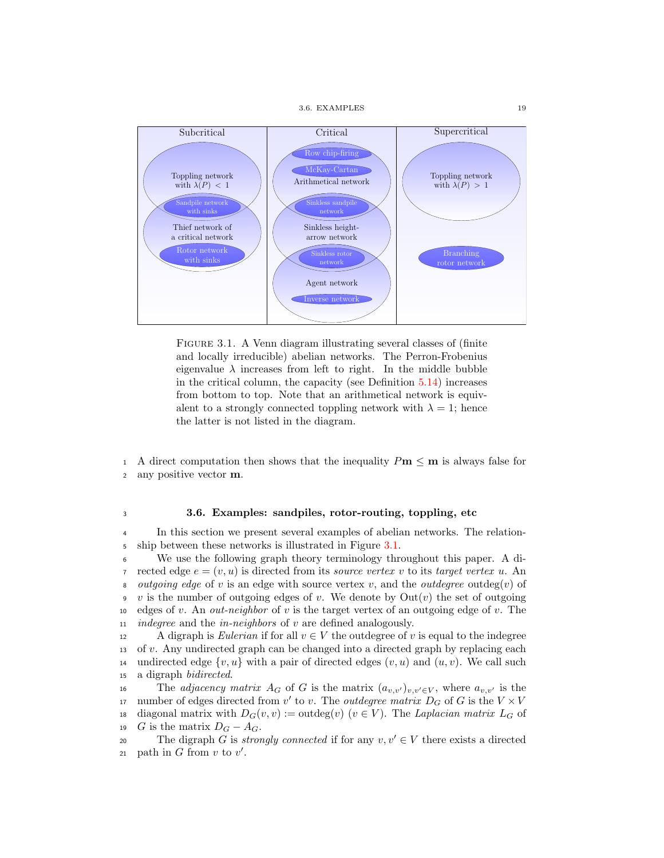3.6. EXAMPLES 19



<span id="page-26-1"></span>FIGURE 3.1. A Venn diagram illustrating several classes of (finite and locally irreducible) abelian networks. The Perron-Frobenius eigenvalue  $\lambda$  increases from left to right. In the middle bubble in the critical column, the capacity (see Definition [5.14\)](#page-58-2) increases from bottom to top. Note that an arithmetical network is equivalent to a strongly connected toppling network with  $\lambda = 1$ ; hence the latter is not listed in the diagram.

1 A direct computation then shows that the inequality  $Pm \le m$  is always false for any positive vector m. any positive vector m.

## <span id="page-26-0"></span><sup>3</sup> 3.6. Examples: sandpiles, rotor-routing, toppling, etc

<sup>4</sup> In this section we present several examples of abelian networks. The relation-5 ship between these networks is illustrated in Figure [3.1.](#page-26-1)

<sup>6</sup> We use the following graph theory terminology throughout this paper. A di-7 rected edge  $e = (v, u)$  is directed from its source vertex v to its target vertex u. An 8 outgoing edge of v is an edge with source vertex v, and the outdegree outdeg(v) of 9 v is the number of outgoing edges of v. We denote by  $Out(v)$  the set of outgoing 10 edges of v. An *out-neighbor* of v is the target vertex of an outgoing edge of v. The 11 *indegree* and the *in-neighbors* of v are defined analogously.

12 A digraph is Eulerian if for all  $v \in V$  the outdegree of v is equal to the indegree 13 of v. Any undirected graph can be changed into a directed graph by replacing each 14 undirected edge  $\{v, u\}$  with a pair of directed edges  $(v, u)$  and  $(u, v)$ . We call such a digraph *bidirected*. a digraph *bidirected*.

The *adjacency matrix*  $A_G$  of G is the matrix  $(a_{v,v'})_{v,v'\in V}$ , where  $a_{v,v'}$  is the 17 number of edges directed from v' to v. The *outdegree matrix*  $D_G$  of G is the  $V \times V$ 18 diagonal matrix with  $D_G(v, v) := \text{outdeg}(v)$   $(v \in V)$ . The Laplacian matrix  $L_G$  of  $G$  is the matrix  $D_G - A_G$ . G is the matrix  $D_G - A_G$ .

20 The digraph G is *strongly connected* if for any  $v, v' \in V$  there exists a directed 21 path in G from  $v$  to  $v'$ .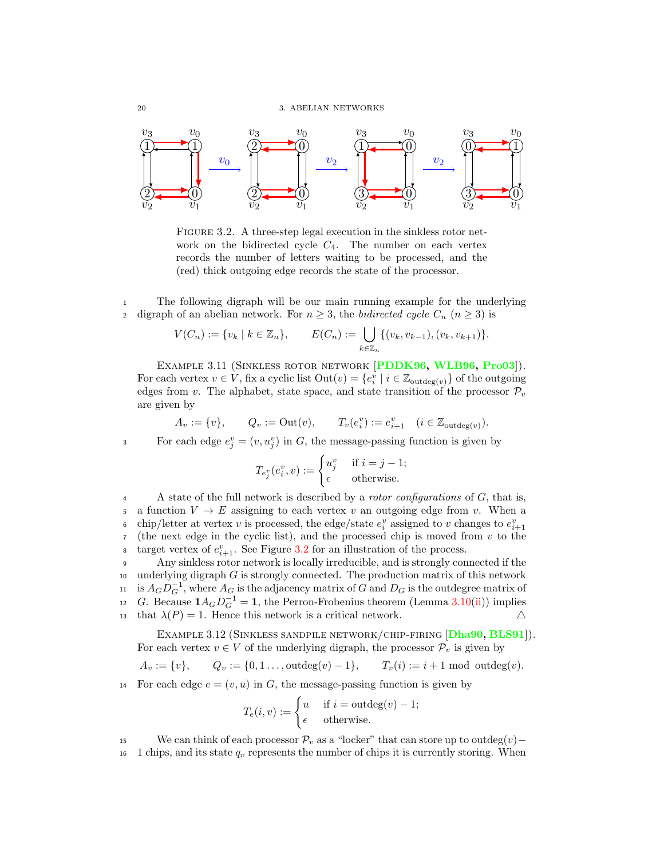

<span id="page-27-2"></span>FIGURE 3.2. A three-step legal execution in the sinkless rotor network on the bidirected cycle  $C_4$ . The number on each vertex records the number of letters waiting to be processed, and the (red) thick outgoing edge records the state of the processor.

<sup>1</sup> The following digraph will be our main running example for the underlying 2 digraph of an abelian network. For  $n \geq 3$ , the bidirected cycle  $C_n$   $(n \geq 3)$  is

$$
V(C_n) := \{v_k \mid k \in \mathbb{Z}_n\}, \qquad E(C_n) := \bigcup_{k \in \mathbb{Z}_n} \{(v_k, v_{k-1}), (v_k, v_{k+1})\}.
$$

<span id="page-27-0"></span>EXAMPLE 3.11 (SINKLESS ROTOR NETWORK [[PDDK96,](#page-94-3) [WLB96,](#page-94-2) [Pro03](#page-94-6)]). For each vertex  $v \in V$ , fix a cyclic list  $Out(v) = \{e_i^v \mid i \in \mathbb{Z}_{outdeg(v)}\}$  of the outgoing edges from v. The alphabet, state space, and state transition of the processor  $\mathcal{P}_v$ are given by

$$
A_v := \{v\}, \qquad Q_v := \text{Out}(v), \qquad T_v(e_i^v) := e_{i+1}^v \quad (i \in \mathbb{Z}_{\text{outdeg}(v)}).
$$

For each edge  $e_j^v = (v, u_j^v)$  in G, the message-passing function is given by

$$
T_{e_j^v}(e_i^v, v) := \begin{cases} u_j^v & \text{if } i = j - 1; \\ \epsilon & \text{otherwise.} \end{cases}
$$

4 A state of the full network is described by a *rotor configurations* of G, that is, 5 a function  $V \to E$  assigning to each vertex v an outgoing edge from v. When a<br>6 chip/letter at vertex v is processed, the edge/state  $e^v$  assigned to v changes to  $e^v_{\text{tot}}$ . • chip/letter at vertex v is processed, the edge/state  $e_i^v$  assigned to v changes to  $e_{i+1}^v$  $7$  (the next edge in the cyclic list), and the processed chip is moved from  $v$  to the a target vertex of  $e_{i+1}^v$ . See Figure [3.2](#page-27-2) for an illustration of the process.

<sup>9</sup> Any sinkless rotor network is locally irreducible, and is strongly connected if the  $10$  underlying digraph G is strongly connected. The production matrix of this network  $i_1$  is  $A_G D_G^{-1}$ , where  $A_G$  is the adjacency matrix of G and  $D_G$  is the outdegree matrix of 12 G. Because  $1A_G D_G^{-1} = 1$ , the Perron-Frobenius theorem (Lemma [3.10\(](#page-24-1)[ii\)](#page-24-2)) implies 13 that  $\lambda(P) = 1$ . Hence this network is a critical network.  $\Delta$ 

<span id="page-27-1"></span>EXAMPLE 3.12 (SINKLESS SANDPILE NETWORK/CHIP-FIRING [[Dha90,](#page-92-4) [BLS91](#page-92-12)]). For each vertex  $v \in V$  of the underlying digraph, the processor  $\mathcal{P}_v$  is given by

$$
A_v := \{v\},
$$
  $Q_v := \{0, 1, \ldots, \text{outdeg}(v) - 1\},$   $T_v(i) := i + 1 \text{ mod } \text{outdeg}(v).$ 

14 For each edge  $e = (v, u)$  in G, the message-passing function is given by

$$
T_e(i, v) := \begin{cases} u & \text{if } i = \text{outdeg}(v) - 1; \\ \epsilon & \text{otherwise.} \end{cases}
$$

15 We can think of each processor  $\mathcal{P}_v$  as a "locker" that can store up to outdeg $(v)$ –<br>16 1 chips, and its state  $q_v$  represents the number of chips it is currently storing. When

1 chips, and its state  $q_v$  represents the number of chips it is currently storing. When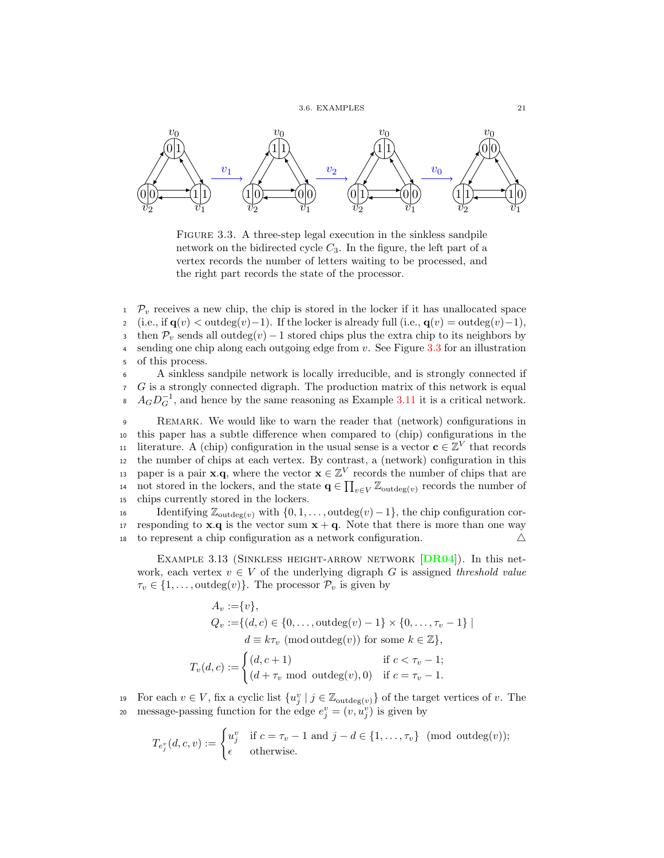3.6. EXAMPLES 21



<span id="page-28-0"></span>FIGURE 3.3. A three-step legal execution in the sinkless sandpile network on the bidirected cycle  $C_3$ . In the figure, the left part of a vertex records the number of letters waiting to be processed, and the right part records the state of the processor.

 $1 \mathcal{P}_v$  receives a new chip, the chip is stored in the locker if it has unallocated space (i.e., if  $\mathbf{q}(v) < \text{outdeg}(v)-1$ ). If the locker is already full (i.e.,  $\mathbf{q}(v) = \text{outdeg}(v)-1$ ), 3 then  $\mathcal{P}_v$  sends all outdeg $(v) - 1$  stored chips plus the extra chip to its neighbors by sending one chip along each outgoing edge from v. See Figure 3.3 for an illustration sending one chip along each outgoing edge from  $v$ . See Figure [3.3](#page-28-0) for an illustration <sup>5</sup> of this process.

<sup>6</sup> A sinkless sandpile network is locally irreducible, and is strongly connected if <sup>7</sup> G is a strongly connected digraph. The production matrix of this network is equal  $A_G D_G^{-1}$ , and hence by the same reasoning as Example [3.11](#page-27-0) it is a critical network.

<sup>9</sup> Remark. We would like to warn the reader that (network) configurations in <sup>10</sup> this paper has a subtle difference when compared to (chip) configurations in the 11 literature. A (chip) configuration in the usual sense is a vector  $\mathbf{c} \in \mathbb{Z}^V$  that records <sup>12</sup> the number of chips at each vertex. By contrast, a (network) configuration in this paper is a pair **x**.q, where the vector  $\mathbf{x} \in \mathbb{Z}^V$  records the number of chips that are 14 not stored in the lockers, and the state  $\mathbf{q} \in \prod_{v \in V} \mathbb{Z}_{\text{outdeg}(v)}$  records the number of <sup>15</sup> chips currently stored in the lockers.

16 Identifying  $\mathbb{Z}_{\text{outdeg}(v)}$  with  $\{0, 1, \ldots, \text{outdeg}(v) - 1\}$ , the chip configuration cor-17 responding to **x**.q is the vector sum  $x + q$ . Note that there is more than one way <sup>18</sup> to represent a chip configuration as a network configuration. 4

EXAMPLE 3.13 (SINKLESS HEIGHT-ARROW NETWORK  $[DR04]$  $[DR04]$  $[DR04]$ ). In this network, each vertex  $v \in V$  of the underlying digraph G is assigned threshold value  $\tau_v \in \{1, \ldots, \text{outdeg}(v)\}\.$  The processor  $\mathcal{P}_v$  is given by

$$
A_v := \{v\},
$$
  
\n
$$
Q_v := \{(d, c) \in \{0, \dots, \text{outdeg}(v) - 1\} \times \{0, \dots, \tau_v - 1\} \mid
$$
  
\n
$$
d \equiv k\tau_v \text{ (mod outdeg}(v) \text{) for some } k \in \mathbb{Z}\},
$$
  
\n
$$
T_v(d, c) := \begin{cases} (d, c + 1) & \text{if } c < \tau_v - 1; \\ (d + \tau_v \mod \text{outdeg}(v), 0) & \text{if } c = \tau_v - 1. \end{cases}
$$

19 For each  $v \in V$ , fix a cyclic list  $\{u_j^v \mid j \in \mathbb{Z}_{\text{outdeg}(v)}\}$  of the target vertices of v. The 20 message-passing function for the edge  $e_j^v = (v, u_j^v)$  is given by

$$
T_{e_j^v}(d,c,v) := \begin{cases} u_j^v & \text{if } c = \tau_v - 1 \text{ and } j - d \in \{1,\ldots,\tau_v\} \pmod{\text{outdeg}(v)}; \\ \epsilon & \text{otherwise.} \end{cases}
$$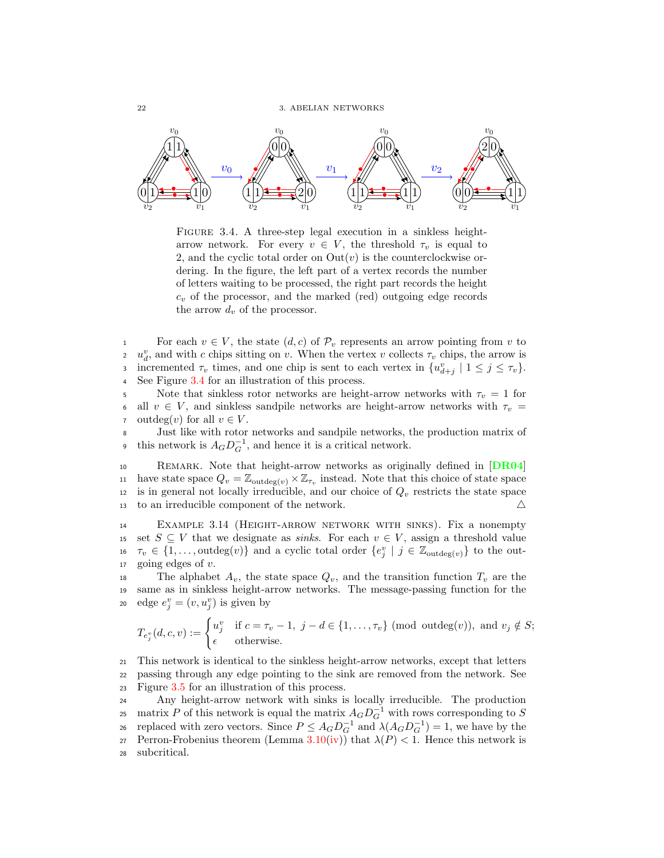

<span id="page-29-0"></span>FIGURE 3.4. A three-step legal execution in a sinkless heightarrow network. For every  $v \in V$ , the threshold  $\tau_v$  is equal to 2, and the cyclic total order on  $\text{Out}(v)$  is the counterclockwise ordering. In the figure, the left part of a vertex records the number of letters waiting to be processed, the right part records the height  $c_v$  of the processor, and the marked (red) outgoing edge records the arrow  $d_v$  of the processor.

1 For each  $v \in V$ , the state  $(d, c)$  of  $\mathcal{P}_v$  represents an arrow pointing from v to  $u^v$ , and with c chips sitting on v. When the vertex v collects  $\tau_v$  chips, the arrow is 2  $u_d^v$ , and with c chips sitting on v. When the vertex v collects  $\tau_v$  chips, the arrow is incremented  $\tau_v$  times, and one chip is sent to each vertex in  $\{u_{d+j}^v \mid 1 \leq j \leq \tau_v\}$ . <sup>4</sup> See Figure [3.4](#page-29-0) for an illustration of this process.

5 Note that sinkless rotor networks are height-arrow networks with  $\tau_v = 1$  for 6 all  $v \in V$ , and sinkless sandpile networks are height-arrow networks with  $\tau_v$  = 7 outdeg(v) for all  $v \in V$ .<br>8 Just like with rotor

Just like with rotor networks and sandpile networks, the production matrix of this network is  $A_G D_G^{-1}$ , and hence it is a critical network.

10 REMARK. Note that height-arrow networks as originally defined in [[DR04](#page-93-14)] 11 have state space  $Q_v = \mathbb{Z}_{\text{outdeg}(v)} \times \mathbb{Z}_{\tau_v}$  instead. Note that this choice of state space 12 is in general not locally irreducible, and our choice of  $Q_v$  restricts the state space 13 to an irreducible component of the network.  $\Delta$ 

<sup>14</sup> Example 3.14 (Height-arrow network with sinks). Fix a nonempty 15 set  $S \subseteq V$  that we designate as *sinks*. For each  $v \in V$ , assign a threshold value<br>16  $\tau_v \in \{1, \ldots, \text{outdeg}(v)\}\$  and a cyclic total order  $\{e_i^v | i \in \mathbb{Z}_{\text{outdeg}(v)}\}\$  to the out-16  $\tau_v \in \{1, \ldots, \text{outdeg}(v)\}\$  and a cyclic total order  $\{e_j^v \mid j \in \mathbb{Z}_{\text{outdeg}(v)}\}\$  to the out-17 going edges of  $v$ .

18 The alphabet  $A_v$ , the state space  $Q_v$ , and the transition function  $T_v$  are the <sup>19</sup> same as in sinkless height-arrow networks. The message-passing function for the 20 edge  $e_j^v = (v, u_j^v)$  is given by

$$
T_{e_j^v}(d,c,v) := \begin{cases} u_j^v & \text{if } c = \tau_v - 1, \ j - d \in \{1, \dots, \tau_v\} \ (\text{mod outdeg}(v)), \ \text{and } v_j \notin S; \\ \epsilon & \text{otherwise.} \end{cases}
$$

<sup>21</sup> This network is identical to the sinkless height-arrow networks, except that letters <sup>22</sup> passing through any edge pointing to the sink are removed from the network. See <sup>23</sup> Figure [3.5](#page-30-0) for an illustration of this process.

<sup>24</sup> Any height-arrow network with sinks is locally irreducible. The production 25 matrix P of this network is equal the matrix  $A_G D_G^{-1}$  with rows corresponding to S 26 replaced with zero vectors. Since  $P \leq A_G D_G^{-1}$  and  $λ(A_G D_G^{-1}) = 1$ , we have by the 27 Perron-Frobenius theorem (Lemma [3.10\(](#page-24-1)[iv\)](#page-25-3)) that  $\lambda(P) < 1$ . Hence this network is <sup>28</sup> subcritical.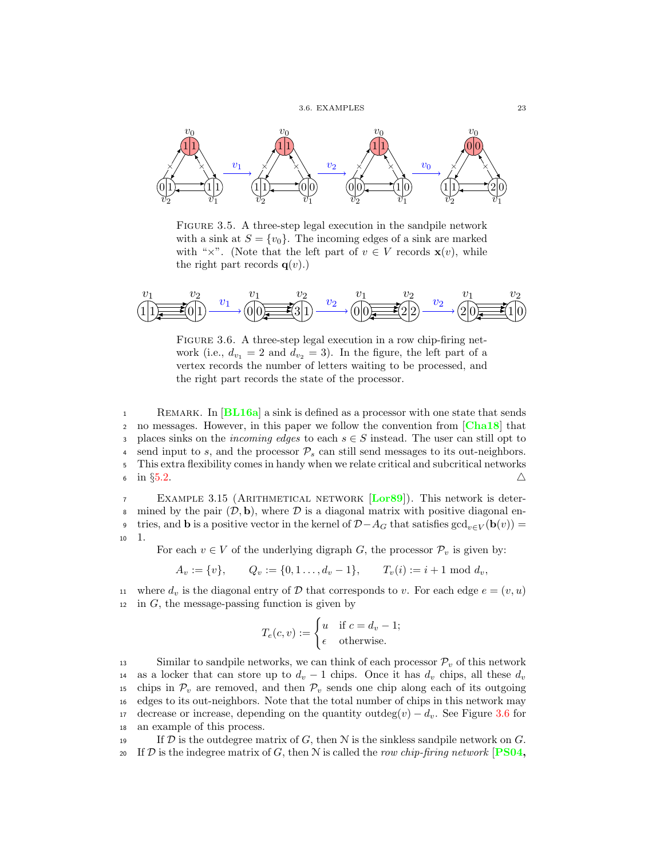

<span id="page-30-0"></span>Figure 3.5. A three-step legal execution in the sandpile network with a sink at  $S = \{v_0\}$ . The incoming edges of a sink are marked with " $\times$ ". (Note that the left part of  $v \in V$  records  $\mathbf{x}(v)$ , while the right part records  $q(v)$ .)



<span id="page-30-1"></span>FIGURE 3.6. A three-step legal execution in a row chip-firing network (i.e.,  $d_{v_1} = 2$  and  $d_{v_2} = 3$ ). In the figure, the left part of a vertex records the number of letters waiting to be processed, and the right part records the state of the processor.

1 REMARK. In  $[BL16a]$  $[BL16a]$  $[BL16a]$  a sink is defined as a processor with one state that sends 2 no messages. However, in this paper we follow the convention from  $[Cha18]$  $[Cha18]$  $[Cha18]$  that 3 places sinks on the *incoming edges* to each  $s \in S$  instead. The user can still opt to send input to s, and the processor  $\mathcal{P}_s$  can still send messages to its out-neighbors. 4 send input to s, and the processor  $P_s$  can still send messages to its out-neighbors.<br>5 This extra flexibility comes in handy when we relate critical and subcritical networks <sup>5</sup> This extra flexibility comes in handy when we relate critical and subcritical networks 6 in §[5.2.](#page-53-0)  $\triangle$ 

<span id="page-30-2"></span><sup>7</sup> Example 3.15 (Arithmetical network [[Lor89](#page-93-1)]). This network is deter-8 mined by the pair  $(D, \mathbf{b})$ , where  $D$  is a diagonal matrix with positive diagonal entries, and **b** is a positive vector in the kernel of  $D - A_G$  that satisfies  $gcd_{n \in V}(\mathbf{b}(v))$  = tries, and **b** is a positive vector in the kernel of  $D-A_G$  that satisfies  $gcd_{v\in V}(\mathbf{b}(v))$  = <sup>10</sup> 1.

For each  $v \in V$  of the underlying digraph G, the processor  $\mathcal{P}_v$  is given by:

$$
A_v := \{v\}, \qquad Q_v := \{0, 1 \dots, d_v - 1\}, \qquad T_v(i) := i + 1 \text{ mod } d_v,
$$

11 where  $d_v$  is the diagonal entry of D that corresponds to v. For each edge  $e = (v, u)$  $12$  in G, the message-passing function is given by

$$
T_e(c, v) := \begin{cases} u & \text{if } c = d_v - 1; \\ \epsilon & \text{otherwise.} \end{cases}
$$

13 Similar to sandpile networks, we can think of each processor  $\mathcal{P}_v$  of this network<br>14 as a locker that can store up to  $d_v - 1$  chips. Once it has  $d_v$  chips, all these  $d_v$ 14 as a locker that can store up to  $d_v - 1$  chips. Once it has  $d_v$  chips, all these  $d_v$ <br>15 chips in  $\mathcal{P}_v$  are removed, and then  $\mathcal{P}_v$  sends one chip along each of its outgoing chips in  $\mathcal{P}_v$  are removed, and then  $\mathcal{P}_v$  sends one chip along each of its outgoing <sup>16</sup> edges to its out-neighbors. Note that the total number of chips in this network may 17 decrease or increase, depending on the quantity outdeg $(v) - d_v$ . See Figure [3.6](#page-30-1) for <sup>18</sup> an example of this process.

19 If  $\mathcal D$  is the outdegree matrix of  $G$ , then  $\mathcal N$  is the sinkless sandpile network on  $G$ . 20 If D is the indegree matrix of G, then N is called the row chip-firing network [[PS04,](#page-94-7)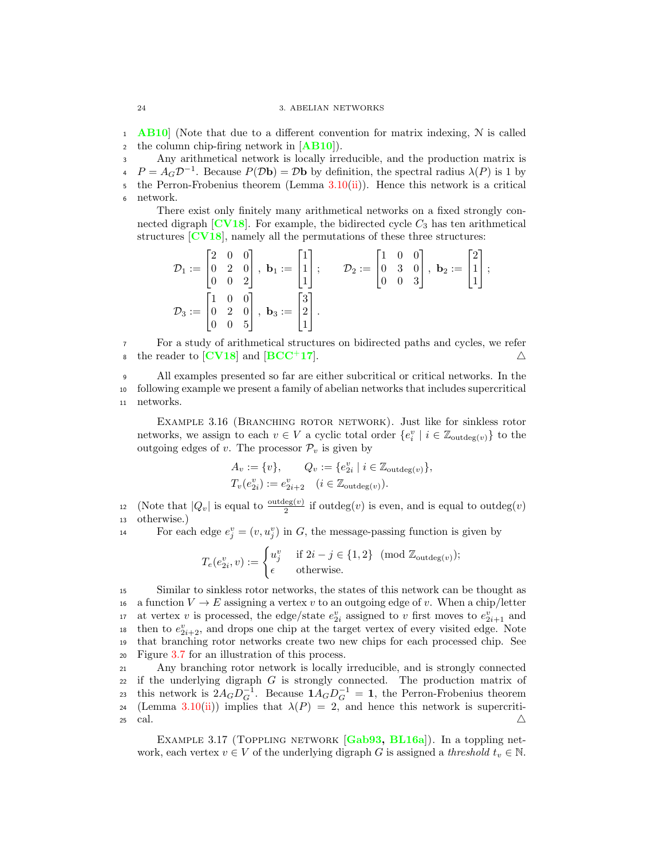1 **[AB10](#page-92-15)** (Note that due to a different convention for matrix indexing,  $N$  is called 2 the column chip-firing network in  $[AB10]$  $[AB10]$  $[AB10]$ .

<sup>3</sup> Any arithmetical network is locally irreducible, and the production matrix is  $P = A_G \mathcal{D}^{-1}$ . Because  $P(\mathcal{D} \mathbf{b}) = \mathcal{D} \mathbf{b}$  by definition, the spectral radius  $\lambda(P)$  is 1 by the Perron-Frobenius theorem (Lemma  $3.10(ii)$  $3.10(ii)$ ). Hence this network is a critical <sup>6</sup> network.

There exist only finitely many arithmetical networks on a fixed strongly connected digraph  $\left[\text{CV18}\right]$  $\left[\text{CV18}\right]$  $\left[\text{CV18}\right]$ . For example, the bidirected cycle  $C_3$  has ten arithmetical structures [[CV18](#page-92-16)], namely all the permutations of these three structures:

$$
\mathcal{D}_1 := \begin{bmatrix} 2 & 0 & 0 \\ 0 & 2 & 0 \\ 0 & 0 & 2 \end{bmatrix}, \ \mathbf{b}_1 := \begin{bmatrix} 1 \\ 1 \\ 1 \end{bmatrix}; \qquad \mathcal{D}_2 := \begin{bmatrix} 1 & 0 & 0 \\ 0 & 3 & 0 \\ 0 & 0 & 3 \end{bmatrix}, \ \mathbf{b}_2 := \begin{bmatrix} 2 \\ 1 \\ 1 \end{bmatrix};
$$

$$
\mathcal{D}_3 := \begin{bmatrix} 1 & 0 & 0 \\ 0 & 2 & 0 \\ 0 & 0 & 5 \end{bmatrix}, \ \mathbf{b}_3 := \begin{bmatrix} 3 \\ 2 \\ 1 \end{bmatrix}.
$$

<sup>7</sup> For a study of arithmetical structures on bidirected paths and cycles, we refer s the reader to [[CV18](#page-92-16)] and [[BCC](#page-92-17)<sup>+</sup>17].  $\triangle$ 

<sup>9</sup> All examples presented so far are either subcritical or critical networks. In the <sup>10</sup> following example we present a family of abelian networks that includes supercritical <sup>11</sup> networks.

EXAMPLE 3.16 (BRANCHING ROTOR NETWORK). Just like for sinkless rotor networks, we assign to each  $v \in V$  a cyclic total order  $\{e_i^v \mid i \in \mathbb{Z}_{\text{outdeg}(v)}\}$  to the outgoing edges of v. The processor  $\mathcal{P}_v$  is given by

$$
A_v := \{v\}, \qquad Q_v := \{e_{2i}^v \mid i \in \mathbb{Z}_{\text{outdeg}(v)}\},
$$
  

$$
T_v(e_{2i}^v) := e_{2i+2}^v \quad (i \in \mathbb{Z}_{\text{outdeg}(v)}).
$$

12 (Note that  $|Q_v|$  is equal to  $\frac{\text{outdeg}(v)}{2}$  if outdeg $(v)$  is even, and is equal to outdeg $(v)$ <sup>13</sup> otherwise.)

14 For each edge  $e_j^v = (v, u_j^v)$  in G, the message-passing function is given by

$$
T_e(e_{2i}^v, v) := \begin{cases} u_j^v & \text{if } 2i - j \in \{1, 2\} \pmod{\mathbb{Z}_{\text{outdeg}(v)}}; \\ \epsilon & \text{otherwise.} \end{cases}
$$

<sup>15</sup> Similar to sinkless rotor networks, the states of this network can be thought as 16 a function  $V \to E$  assigning a vertex v to an outgoing edge of v. When a chip/letter <sup>17</sup> at vertex v is processed, the edge/state  $e_{2i}^v$  assigned to v first moves to  $e_{2i+1}^v$  and <sup>18</sup> then to  $e_{2i+2}^v$ , and drops one chip at the target vertex of every visited edge. Note <sup>19</sup> that branching rotor networks create two new chips for each processed chip. See <sup>20</sup> Figure [3.7](#page-32-0) for an illustration of this process.

<sup>21</sup> Any branching rotor network is locally irreducible, and is strongly connected <sup>22</sup> if the underlying digraph G is strongly connected. The production matrix of this network is  $2A_G D_G^{-1}$ . Because  $1A_G D_G^{-1} = 1$ , the Perron-Frobenius theorem 24 (Lemma [3.10](#page-24-1)[\(ii\)](#page-24-2)) implies that  $\lambda(P) = 2$ , and hence this network is supercriti- $\Delta$  cal.

<span id="page-31-0"></span>EXAMPLE 3.17 (TOPPLING NETWORK [[Gab93,](#page-93-15) [BL16a](#page-92-1)]). In a toppling network, each vertex  $v \in V$  of the underlying digraph G is assigned a threshold  $t_v \in \mathbb{N}$ .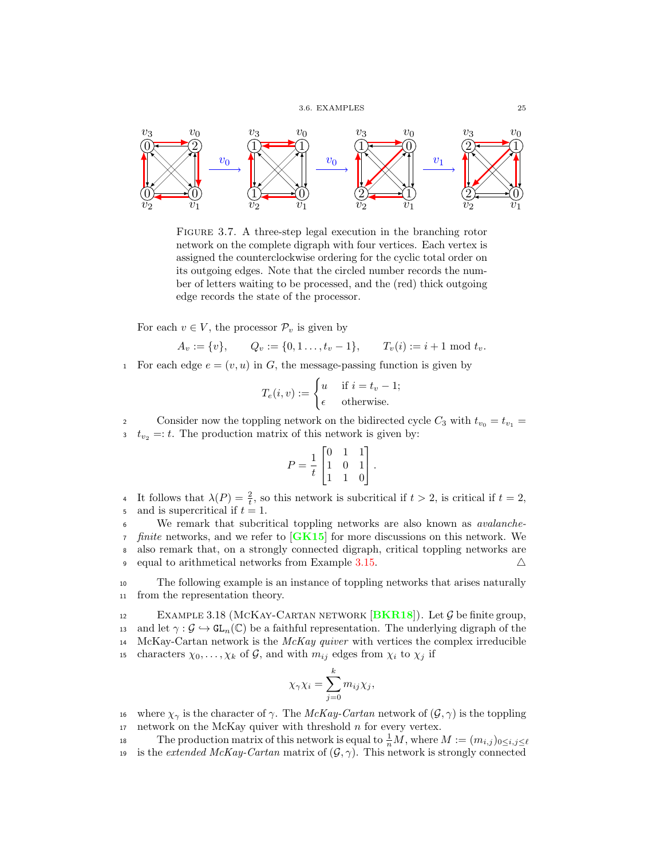

<span id="page-32-0"></span>Figure 3.7. A three-step legal execution in the branching rotor network on the complete digraph with four vertices. Each vertex is assigned the counterclockwise ordering for the cyclic total order on its outgoing edges. Note that the circled number records the number of letters waiting to be processed, and the (red) thick outgoing edge records the state of the processor.

For each  $v \in V$ , the processor  $\mathcal{P}_v$  is given by

$$
A_v := \{v\},
$$
  $Q_v := \{0, 1, \ldots, t_v - 1\},$   $T_v(i) := i + 1 \mod t_v.$ 

1 For each edge  $e = (v, u)$  in G, the message-passing function is given by

$$
T_e(i, v) := \begin{cases} u & \text{if } i = t_v - 1; \\ \epsilon & \text{otherwise.} \end{cases}
$$

Consider now the toppling network on the bidirected cycle  $C_3$  with  $t_{v_0} = t_{v_1} =$  $t_{v_2} =: t$ . The production matrix of this network is given by:

$$
P = \frac{1}{t} \begin{bmatrix} 0 & 1 & 1 \\ 1 & 0 & 1 \\ 1 & 1 & 0 \end{bmatrix}.
$$

4 It follows that  $\lambda(P) = \frac{2}{t}$ , so this network is subcritical if  $t > 2$ , is critical if  $t = 2$ , and is supercritical if  $t = 1$ .

<sup>6</sup> We remark that subcritical toppling networks are also known as avalanche- $\tau$  finite networks, and we refer to [[GK15](#page-93-16)] for more discussions on this network. We <sup>8</sup> also remark that, on a strongly connected digraph, critical toppling networks are 9 equal to arithmetical networks from Example [3.15.](#page-30-2)  $\triangle$ 

<sup>10</sup> The following example is an instance of toppling networks that arises naturally <sup>11</sup> from the representation theory.

12 EXAMPLE 3.18 (MCKAY-CARTAN NETWORK [**[BKR18](#page-92-18)**]). Let  $\mathcal{G}$  be finite group,<br>13 and let  $\gamma : \mathcal{G} \hookrightarrow GL_n(\mathbb{C})$  be a faithful representation. The underlying digraph of the and let  $\gamma : \mathcal{G} \to GL_n(\mathbb{C})$  be a faithful representation. The underlying digraph of the 14 McKay-Cartan network is the  $McKay$  quiver with vertices the complex irreducible 15 characters  $\chi_0, \ldots, \chi_k$  of G, and with  $m_{ij}$  edges from  $\chi_i$  to  $\chi_j$  if

$$
\chi_{\gamma}\chi_i=\sum_{j=0}^k m_{ij}\chi_j,
$$

- 16 where  $\chi_{\gamma}$  is the character of  $\gamma$ . The McKay-Cartan network of  $(\mathcal{G}, \gamma)$  is the toppling 17 network on the McKay quiver with threshold  $n$  for every vertex.
- 18 The production matrix of this network is equal to  $\frac{1}{n}M$ , where  $M := (m_{i,j})_{0 \leq i,j \leq \ell}$
- 19 is the extended McKay-Cartan matrix of  $(\mathcal{G}, \gamma)$ . This network is strongly connected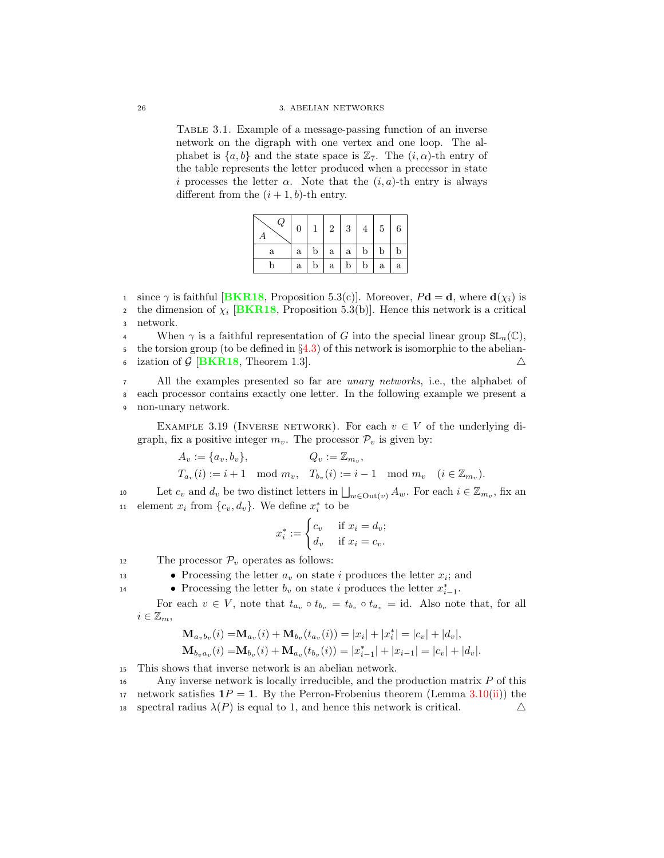Table 3.1. Example of a message-passing function of an inverse network on the digraph with one vertex and one loop. The alphabet is  $\{a, b\}$  and the state space is  $\mathbb{Z}_7$ . The  $(i, \alpha)$ -th entry of the table represents the letter produced when a precessor in state i processes the letter  $\alpha$ . Note that the  $(i, a)$ -th entry is always different from the  $(i + 1, b)$ -th entry.

| Q | $\boldsymbol{0}$ |              | $2\vert$ | 3 <sup>1</sup> | 4            | 5 <sup>1</sup> | 6           |
|---|------------------|--------------|----------|----------------|--------------|----------------|-------------|
| a | a                | $\mathbf{b}$ | a l      | a              | $\mathbf b$  | b              | $\mathbf b$ |
| b | $\mathbf{a}$     | $\mathbf{b}$ | $a-1$    | $\mathbf{b}$   | $\mathbf{b}$ | $\mathbf{a}$   | a           |

1 since  $\gamma$  is faithful [[BKR18](#page-92-18), Proposition 5.3(c)]. Moreover,  $P\mathbf{d} = \mathbf{d}$ , where  $\mathbf{d}(\chi_i)$  is the dimension of  $\chi_i$  [[BKR18](#page-92-18), Proposition 5.3(b)]. Hence this network is a critical <sup>3</sup> network.

4 When  $\gamma$  is a faithful representation of G into the special linear group  $SL_n(\mathbb{C})$ , 5 the torsion group (to be defined in §[4.3\)](#page-43-0) of this network is isomorphic to the abelian-<br>5 ization of G [BKR18, Theorem 1.3]. ization of  $G$  [[BKR18](#page-92-18), Theorem 1.3].

<sup>7</sup> All the examples presented so far are *unary networks*, i.e., the alphabet of <sup>8</sup> each processor contains exactly one letter. In the following example we present a <sup>9</sup> non-unary network.

EXAMPLE 3.19 (INVERSE NETWORK). For each  $v \in V$  of the underlying digraph, fix a positive integer  $m_v$ . The processor  $\mathcal{P}_v$  is given by:

$$
A_v := \{a_v, b_v\}, \qquad Q_v := \mathbb{Z}_{m_v},
$$
  
\n
$$
T_{a_v}(i) := i + 1 \mod m_v, \quad T_{b_v}(i) := i - 1 \mod m_v \quad (i \in \mathbb{Z}_{m_v}).
$$

10 Let  $c_v$  and  $d_v$  be two distinct letters in  $\bigsqcup_{w \in \text{Out}(v)} A_w$ . For each  $i \in \mathbb{Z}_{m_v}$ , fix an 11 element  $x_i$  from  $\{c_v, d_v\}$ . We define  $x_i^*$  to be

$$
x_i^* := \begin{cases} c_v & \text{if } x_i = d_v; \\ d_v & \text{if } x_i = c_v. \end{cases}
$$

12 The processor  $\mathcal{P}_v$  operates as follows:

- Processing the letter  $a_v$  on state *i* produces the letter  $x_i$ ; and <br>• Processing the letter  $b_v$  on state *i* produces the letter  $x_{i-1}^*$ .
- Processing the letter  $b_v$  on state i produces the letter  $x_{i-1}^*$ .

For each  $v \in V$ , note that  $t_{a_v} \circ t_{b_v} = t_{b_v} \circ t_{a_v} = id$ . Also note that, for all  $i \in \mathbb{Z}_m$ ,

$$
\mathbf{M}_{a_v b_v}(i) = \mathbf{M}_{a_v}(i) + \mathbf{M}_{b_v}(t_{a_v}(i)) = |x_i| + |x_i^*| = |c_v| + |d_v|,
$$
  
\n
$$
\mathbf{M}_{b_v a_v}(i) = \mathbf{M}_{b_v}(i) + \mathbf{M}_{a_v}(t_{b_v}(i)) = |x_{i-1}^*| + |x_{i-1}| = |c_v| + |d_v|.
$$

<sup>15</sup> This shows that inverse network is an abelian network.

<sup>16</sup> Any inverse network is locally irreducible, and the production matrix P of this 17 network satisfies  $1P = 1$ . By the Perron-Frobenius theorem (Lemma [3.10\(](#page-24-1)[ii\)](#page-24-2)) the 18 spectral radius  $\lambda(P)$  is equal to 1, and hence this network is critical.  $\Delta$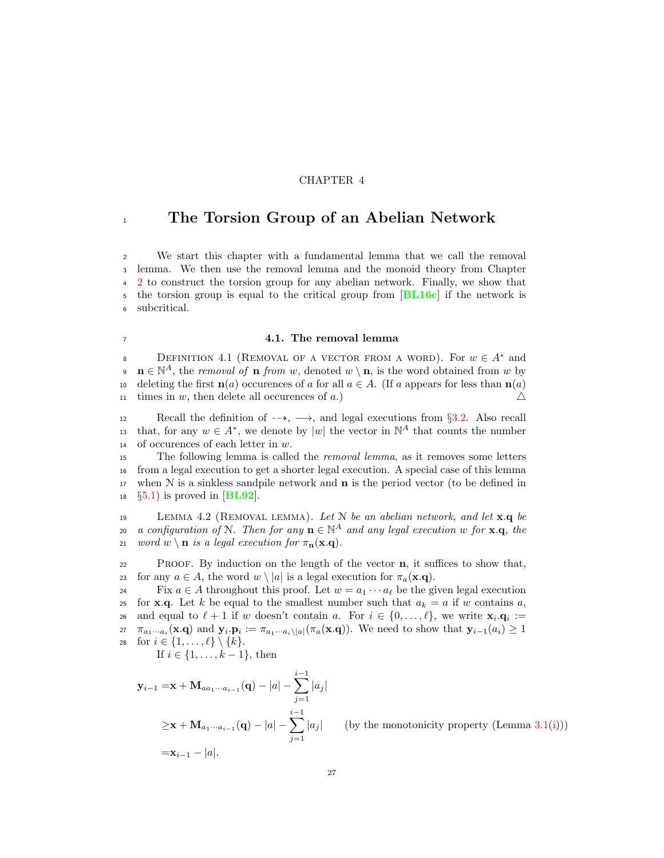## CHAPTER 4

## <span id="page-34-0"></span><sup>1</sup> The Torsion Group of an Abelian Network

 We start this chapter with a fundamental lemma that we call the removal lemma. We then use the removal lemma and the monoid theory from Chapter [2](#page-16-0) to construct the torsion group for any abelian network. Finally, we show that 5 the torsion group is equal to the critical group from [[BL16c](#page-92-3)] if the network is subcritical.

## <span id="page-34-1"></span><sup>7</sup> 4.1. The removal lemma

BEFINITION 4.1 (REMOVAL OF A VECTOR FROM A WORD). For  $w \in A^*$  and **n**  $\in \mathbb{N}^A$ , the removal of **n** from w, denoted  $w \setminus \mathbf{n}$ , is the word obtained from w by 10 deleting the first  $\mathbf{n}(a)$  occurences of a for all  $a \in A$ . (If a appears for less than  $\mathbf{n}(a)$ <br>11 times in w, then delete all occurences of a.) times in w, then delete all occurences of  $a$ .)

12 Recall the definition of  $-\rightarrow$ ,  $\rightarrow$ , and legal executions from §[3.2.](#page-21-0) Also recall that, for any  $w \in A^*$ , we denote by  $|w|$  the vector in  $\mathbb{N}^A$  that counts the number <sup>14</sup> of occurences of each letter in w.

15 The following lemma is called the *removal lemma*, as it removes some letters <sup>16</sup> from a legal execution to get a shorter legal execution. A special case of this lemma 17 when  $N$  is a sinkless sandpile network and  $n$  is the period vector (to be defined in  $18 \quad \text{\{\$\$5.1$}}$  is proved in [[BL92](#page-92-19)].

<span id="page-34-2"></span>19 LEMMA 4.2 (REMOVAL LEMMA). Let N be an abelian network, and let  $\mathbf{x}.\mathbf{q}$  be a configuration of N. Then for any  $\mathbf{n} \in \mathbb{N}^A$  and any legal execution w for **x**.q, the 21 word  $w \setminus \mathbf{n}$  is a legal execution for  $\pi_{\mathbf{n}}(\mathbf{x}.q)$ .

<sup>22</sup> Proof. By induction on the length of the vector n, it suffices to show that, 23 for any  $a \in A$ , the word  $w \setminus |a|$  is a legal execution for  $\pi_a(\mathbf{x}.q)$ .<br>24 Fix  $a \in A$  throughout this proof. Let  $w = a_1 \cdots a_\ell$  be the gi

Fix  $a \in A$  throughout this proof. Let  $w = a_1 \cdots a_\ell$  be the given legal execution<br>25 for **x**.**q**. Let k be equal to the smallest number such that  $a_k = a$  if w contains a. for **x.q.** Let k be equal to the smallest number such that  $a_k = a$  if w contains a, and equal to  $\ell + 1$  if w doesn't contain a. For  $i \in \{0, \ldots, \ell\}$ , we write  $\mathbf{x}_i \cdot \mathbf{q}_i :=$ 27  $\pi_{a_1\cdots a_i}(\mathbf{x}.\mathbf{q})$  and  $\mathbf{y}_i \cdot \mathbf{p}_i := \pi_{a_1\cdots a_i\setminus |a|}(\pi_a(\mathbf{x}.\mathbf{q}))$ . We need to show that  $\mathbf{y}_{i-1}(a_i) \geq 1$ 28 for  $i \in \{1, \ldots, \ell\} \setminus \{k\}.$ 

If *i* ∈ {1, . . . , *k* − 1}, then

$$
\mathbf{y}_{i-1} = \mathbf{x} + \mathbf{M}_{aa_1 \cdots a_{i-1}}(\mathbf{q}) - |a| - \sum_{j=1}^{i-1} |a_j|
$$
  
\n
$$
\geq \mathbf{x} + \mathbf{M}_{a_1 \cdots a_{i-1}}(\mathbf{q}) - |a| - \sum_{j=1}^{i-1} |a_j| \qquad \text{(by the monotonicity property (Lemma 3.1(i)))}
$$
  
\n
$$
= \mathbf{x}_{i-1} - |a|.
$$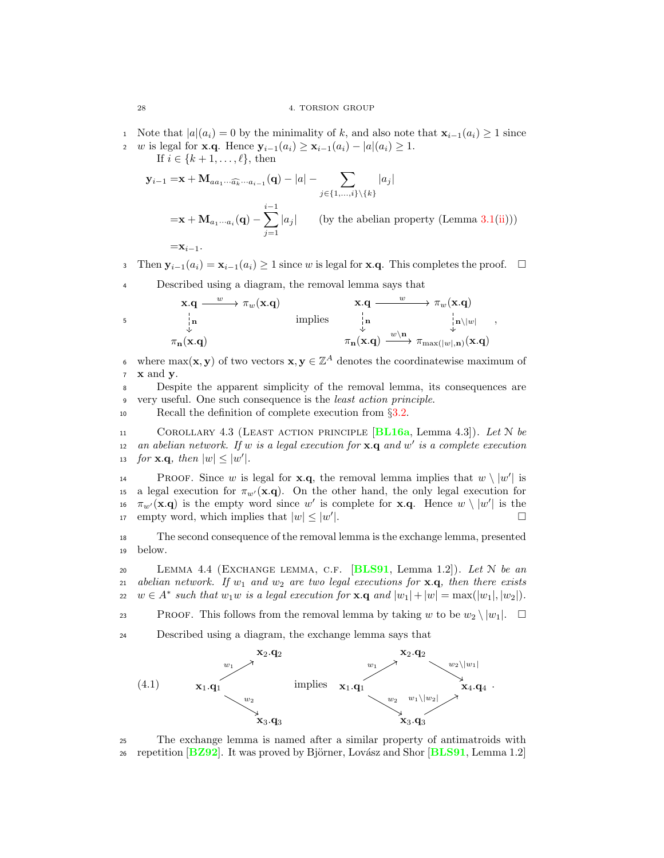1 Note that  $|a|(a_i) = 0$  by the minimality of k, and also note that  $\mathbf{x}_{i-1}(a_i) \ge 1$  since<br>2 w is legal for  $\mathbf{x} \cdot \mathbf{a}$ . Hence  $\mathbf{v}_{i-1}(a_i) \ge \mathbf{x}_{i-1}(a_i) - |a|(a_i) \ge 1$ . w is legal for **x.q.** Hence  $y_{i-1}(a_i) \ge x_{i-1}(a_i) - |a|(a_i) \ge 1$ .

If  $i \in \{k+1,\ldots,\ell\}$ , then

$$
\mathbf{y}_{i-1} = \mathbf{x} + \mathbf{M}_{aa_1 \cdots \widehat{a_k} \cdots a_{i-1}}(\mathbf{q}) - |a| - \sum_{j \in \{1, \ldots, i\} \setminus \{k\}} |a_j|
$$
\n
$$
= \mathbf{x} + \mathbf{M}_{a_1 \cdots a_i}(\mathbf{q}) - \sum_{j=1}^{i-1} |a_j| \qquad \text{(by the abelian property (Lemma 3.1(ii)))}
$$
\n
$$
= \mathbf{x}_{i-1}.
$$

3 Then  $y_{i-1}(a_i) = x_{i-1}(a_i) \ge 1$  since w is legal for **x**.q. This completes the proof.  $\Box$ 

<sup>4</sup> Described using a diagram, the removal lemma says that

$$
\begin{array}{ccccc}\n\mathbf{x}.\mathbf{q} & \xrightarrow{w} & \pi_w(\mathbf{x}.\mathbf{q}) & \mathbf{x}.\mathbf{q} & \xrightarrow{w} & \pi_w(\mathbf{x}.\mathbf{q}) \\
\downarrow_{\mathbf{n}} & & & \downarrow_{\mathbf{n}} & & \downarrow_{\mathbf{n}} \setminus |w| & \\
\pi_{\mathbf{n}}(\mathbf{x}.\mathbf{q}) & & & \pi_{\mathbf{n}}(\mathbf{x}.\mathbf{q}) & \xrightarrow{w \setminus \mathbf{n}} & \pi_{\max(|w|,\mathbf{n})}(\mathbf{x}.\mathbf{q})\n\end{array}
$$

where  $\max(\mathbf{x}, \mathbf{y})$  of two vectors  $\mathbf{x}, \mathbf{y} \in \mathbb{Z}^A$  denotes the coordinatewise maximum of  $7 \times$  and  $v$ .

<sup>8</sup> Despite the apparent simplicity of the removal lemma, its consequences are <sup>9</sup> very useful. One such consequence is the least action principle.

<sup>10</sup> Recall the definition of complete execution from §[3.2.](#page-21-0)

11 COROLLARY 4.3 (LEAST ACTION PRINCIPLE  $[BL16a, \text{Lemma } 4.3]$  $[BL16a, \text{Lemma } 4.3]$  $[BL16a, \text{Lemma } 4.3]$ ). Let N be 12 an abelian network. If w is a legal execution for  $\mathbf{x} \cdot \mathbf{q}$  and w' is a complete execution 13 for **x**.**q**, then  $|w| \leq |w'|$ .

**PROOF.** Since w is legal for **x**.q, the removal lemma implies that  $w \setminus |w'|$  is 15 a legal execution for  $\pi_{w}(\mathbf{x},\mathbf{q})$ . On the other hand, the only legal execution for 16  $\pi_{w'}(\mathbf{x}.q)$  is the empty word since w' is complete for **x**.q. Hence  $w \setminus |w'|$  is the empty word, which implies that  $|w| \le |w'|$ .

<sup>18</sup> The second consequence of the removal lemma is the exchange lemma, presented <sup>19</sup> below.

<span id="page-35-0"></span>20 LEMMA 4.4 (EXCHANGE LEMMA, C.F. [[BLS91](#page-92-12), Lemma 1.2]). Let N be an 21 abelian network. If  $w_1$  and  $w_2$  are two legal executions for  $\mathbf{x} \cdot \mathbf{q}$ , then there exists 22  $w \in A^*$  such that  $w_1w$  is a legal execution for  $\mathbf{x} \cdot \mathbf{q}$  and  $|w_1| + |w| = \max(|w_1|, |w_2|)$ .

23 PROOF. This follows from the removal lemma by taking w to be  $w_2 \setminus |w_1|$ .

<sup>24</sup> Described using a diagram, the exchange lemma says that



<sup>25</sup> The exchange lemma is named after a similar property of antimatroids with 26 repetition  $[BZ92]$  $[BZ92]$  $[BZ92]$ . It was proved by Björner, Lovász and Shor  $[BLS91, Lemma 1.2]$  $[BLS91, Lemma 1.2]$  $[BLS91, Lemma 1.2]$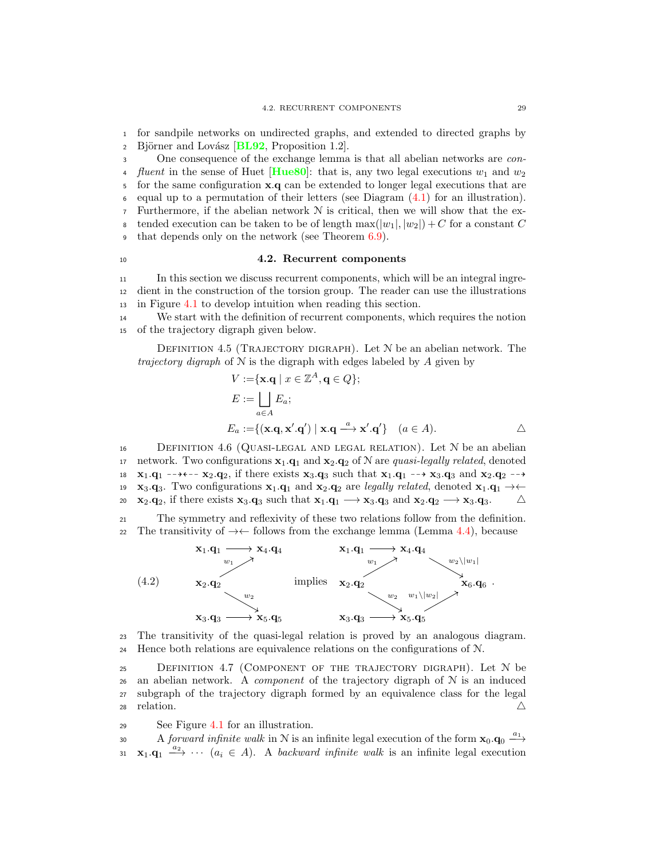<sup>1</sup> for sandpile networks on undirected graphs, and extended to directed graphs by 2 Björner and Lovász  $[\text{BL92}, \text{Proposition 1.2}].$  $[\text{BL92}, \text{Proposition 1.2}].$  $[\text{BL92}, \text{Proposition 1.2}].$ 

<sup>3</sup> One consequence of the exchange lemma is that all abelian networks are con-4 *fluent* in the sense of Huet [[Hue80](#page-93-0)]: that is, any two legal executions  $w_1$  and  $w_2$ <sup>5</sup> for the same configuration x.q can be extended to longer legal executions that are  $\epsilon$  equal up to a permutation of their letters (see Diagram  $(4.1)$  for an illustration). 7 Furthermore, if the abelian network  $\mathcal N$  is critical, then we will show that the ex-8 tended execution can be taken to be of length  $\max(|w_1|, |w_2|) + C$  for a constant C <sup>9</sup> that depends only on the network (see Theorem [6.9\)](#page-74-0).

#### <span id="page-36-1"></span><sup>10</sup> 4.2. Recurrent components

<sup>11</sup> In this section we discuss recurrent components, which will be an integral ingre-<sup>12</sup> dient in the construction of the torsion group. The reader can use the illustrations <sup>13</sup> in Figure [4.1](#page-37-0) to develop intuition when reading this section.

<sup>14</sup> We start with the definition of recurrent components, which requires the notion <sup>15</sup> of the trajectory digraph given below.

DEFINITION 4.5 (TRAJECTORY DIGRAPH). Let  $N$  be an abelian network. The trajectory digraph of  $N$  is the digraph with edges labeled by  $A$  given by

<span id="page-36-0"></span>
$$
V := \{ \mathbf{x} \cdot \mathbf{q} \mid x \in \mathbb{Z}^{A}, \mathbf{q} \in Q \};
$$
  
\n
$$
E := \bigsqcup_{a \in A} E_{a};
$$
  
\n
$$
E_{a} := \{ (\mathbf{x} \cdot \mathbf{q}, \mathbf{x}' \cdot \mathbf{q}') \mid \mathbf{x} \cdot \mathbf{q} \stackrel{a}{\longrightarrow} \mathbf{x}' \cdot \mathbf{q}' \} \quad (a \in A).
$$

<span id="page-36-2"></span>16 DEFINITION 4.6 (QUASI-LEGAL AND LEGAL RELATION). Let  $N$  be an abelian 17 network. Two configurations  $\mathbf{x}_1 \cdot \mathbf{q}_1$  and  $\mathbf{x}_2 \cdot \mathbf{q}_2$  of N are quasi-legally related, denoted 18  $x_1 \cdot q_1$   $\rightarrow$   $\rightarrow$   $\leftarrow$   $x_2 \cdot q_2$ , if there exists  $x_3 \cdot q_3$  such that  $x_1 \cdot q_1$   $\rightarrow$   $x_3 \cdot q_3$  and  $x_2 \cdot q_2$   $\rightarrow$ 19  $\mathbf{x}_3.\mathbf{q}_3$ . Two configurations  $\mathbf{x}_1.\mathbf{q}_1$  and  $\mathbf{x}_2.\mathbf{q}_2$  are legally related, denoted  $\mathbf{x}_1.\mathbf{q}_1 \rightarrow \leftarrow$ <br>20  $\mathbf{x}_2.\mathbf{q}_3$ , if there exists  $\mathbf{x}_3.\mathbf{q}_3$  such that  $\mathbf{x}_1.\mathbf{q}_1 \rightarrow \mathbf{x}_3.\mathbf{q}_3$  and  $\mathbf{x}_2.\mathbf{q}_2$ , if there exists  $\mathbf{x}_3.\mathbf{q}_3$  such that  $\mathbf{x}_1.\mathbf{q}_1 \longrightarrow \mathbf{x}_3.\mathbf{q}_3$  and  $\mathbf{x}_2.\mathbf{q}_2 \longrightarrow \mathbf{x}_3.\mathbf{q}_3$ .

<sup>21</sup> The symmetry and reflexivity of these two relations follow from the definition. 22 The transitivity of  $\rightarrow \leftarrow$  follows from the exchange lemma (Lemma [4.4\)](#page-35-1), because



<sup>23</sup> The transitivity of the quasi-legal relation is proved by an analogous diagram. <sup>24</sup> Hence both relations are equivalence relations on the configurations of N.

<span id="page-36-3"></span><sup>25</sup> Definition 4.7 (Component of the trajectory digraph). Let N be 26 an abelian network. A *component* of the trajectory digraph of  $N$  is an induced <sup>27</sup> subgraph of the trajectory digraph formed by an equivalence class for the legal  $\triangle$  relation.  $\triangle$ 

<sup>29</sup> See Figure [4.1](#page-37-0) for an illustration.

30 A forward infinite walk in N is an infinite legal execution of the form  $\mathbf{x}_0 \cdot \mathbf{q}_0 \xrightarrow{a_1}$ 31  $\mathbf{x}_1 \cdot \mathbf{q}_1 \xrightarrow{a_2} \cdots (a_i \in A)$ . A backward infinite walk is an infinite legal execution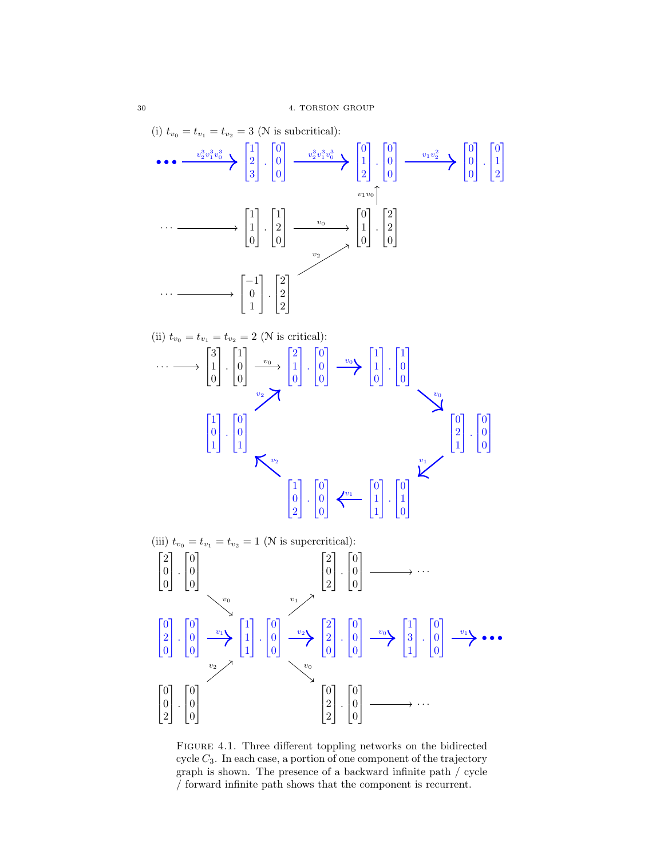

<span id="page-37-0"></span>Figure 4.1. Three different toppling networks on the bidirected cycle  $C_3$ . In each case, a portion of one component of the trajectory graph is shown. The presence of a backward infinite path / cycle / forward infinite path shows that the component is recurrent.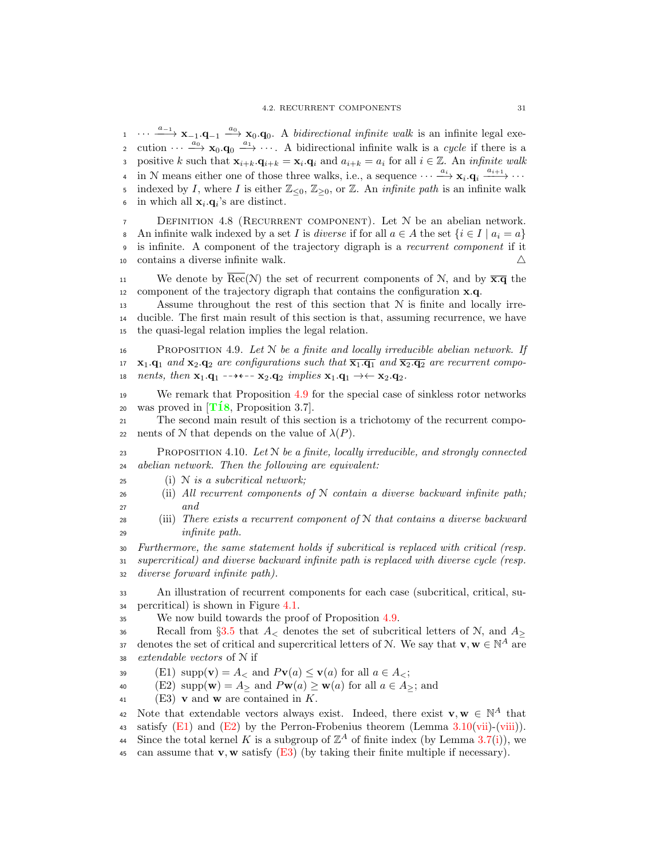$\cdots \longrightarrow {\bf x}_{-1} \cdot {\bf q}_{-1} \longrightarrow {\bf x}_0 \cdot {\bf q}_0$ . A *bidirectional infinite walk* is an infinite legal execution  $\cdots \longrightarrow_{\infty}^{\infty} \mathbf{x}_0 \cdot \mathbf{q}_0 \longrightarrow \cdots$  A bidirectional infinite walk is a cycle if there is a positive k such that  $\mathbf{x}_{i+k} \cdot \mathbf{q}_{i+k} = \mathbf{x}_i \cdot \mathbf{q}_i$  and  $a_{i+k} = a_i$  for all  $i \in \mathbb{Z}$ . An *infinite walk* 4 in N means either one of those three walks, i.e., a sequence  $\cdots \xrightarrow{a_i} \mathbf{x}_i \cdot \mathbf{q}_i \xrightarrow{a_{i+1}} \cdots$ 5 indexed by I, where I is either  $\mathbb{Z}_{\leq 0}$ ,  $\mathbb{Z}_{\geq 0}$ , or  $\mathbb{Z}$ . An *infinite path* is an infinite walk 6 in which all  $\mathbf{x}_i \cdot \mathbf{q}_i$ 's are distinct.

<span id="page-38-8"></span><sup>7</sup> Definition 4.8 (Recurrent component). Let N be an abelian network. 8 An infinite walk indexed by a set I is *diverse* if for all  $a \in A$  the set  $\{i \in I \mid a_i = a\}$ <br>9 is infinite. A component of the trajectory digraph is a *recurrent component* if it is infinite. A component of the trajectory digraph is a recurrent component if it 10 contains a diverse infinite walk.  $\triangle$ 

11 We denote by  $\overline{\text{Rec}}(\mathcal{N})$  the set of recurrent components of  $\mathcal{N}$ , and by  $\overline{\mathbf{x}.\mathbf{q}}$  the 12 component of the trajectory digraph that contains the configuration  $x.q$ .

<sup>13</sup> Assume throughout the rest of this section that N is finite and locally irre-<sup>14</sup> ducible. The first main result of this section is that, assuming recurrence, we have <sup>15</sup> the quasi-legal relation implies the legal relation.

<span id="page-38-0"></span>16 PROPOSITION 4.9. Let  $N$  be a finite and locally irreducible abelian network. If 17  $\mathbf{x}_1 \cdot \mathbf{q}_1$  and  $\mathbf{x}_2 \cdot \mathbf{q}_2$  are configurations such that  $\overline{\mathbf{x}_1 \cdot \mathbf{q}_1}$  and  $\overline{\mathbf{x}_2 \cdot \mathbf{q}_2}$  are recurrent compo-18 nents, then  $\mathbf{x}_1.\mathbf{q}_1 \dashrightarrow \leftarrow \mathbf{x}_2.\mathbf{q}_2$  implies  $\mathbf{x}_1.\mathbf{q}_1 \rightarrow \leftarrow \mathbf{x}_2.\mathbf{q}_2$ .

<sup>19</sup> We remark that Proposition [4.9](#page-38-0) for the special case of sinkless rotor networks 20 was proved in  $[T18,$  Proposition 3.7.

<sup>21</sup> The second main result of this section is a trichotomy of the recurrent compo-22 nents of N that depends on the value of  $\lambda(P)$ .

<span id="page-38-4"></span>PROPOSITION 4.10. Let  $N$  be a finite, locally irreducible, and strongly connected <sup>24</sup> abelian network. Then the following are equivalent:

- <span id="page-38-5"></span> $25$  (i) N is a subcritical network;
- <span id="page-38-6"></span>26 (ii) All recurrent components of  $N$  contain a diverse backward infinite path; 27 and
- <span id="page-38-7"></span>28 (iii) There exists a recurrent component of  $N$  that contains a diverse backward <sup>29</sup> infinite path.

<sup>30</sup> Furthermore, the same statement holds if subcritical is replaced with critical (resp. <sup>31</sup> supercritical) and diverse backward infinite path is replaced with diverse cycle (resp. <sup>32</sup> diverse forward infinite path).

<sup>33</sup> An illustration of recurrent components for each case (subcritical, critical, su-<sup>34</sup> percritical) is shown in Figure [4.1.](#page-37-0)

<sup>35</sup> We now build towards the proof of Proposition [4.9.](#page-38-0)

36 Recall from §[3.5](#page-24-0) that  $A_{\leq}$  denotes the set of subcritical letters of N, and  $A_{\geq}$ denotes the set of critical and supercritical letters of N. We say that  $\mathbf{v}, \mathbf{w} \in \mathbb{N}^A$  are <sup>38</sup> extendable vectors of N if

<span id="page-38-1"></span>39 (E1)  $\text{supp}(\mathbf{v}) = A_<$  and  $P\mathbf{v}(a) \leq \mathbf{v}(a)$  for all  $a \in A_<$ ;<br>40 (E2)  $\text{supp}(\mathbf{w}) = A_>$  and  $P\mathbf{w}(a) > \mathbf{w}(a)$  for all  $a \in A_>$ 

<span id="page-38-2"></span>(E2)  $\text{supp}(\mathbf{w}) = A_{\geq}$  and  $P\mathbf{w}(a) \geq \mathbf{w}(a)$  for all  $a \in A_{\geq}$ ; and

<span id="page-38-3"></span>41 (E3) **v** and **w** are contained in  $K$ .

Note that extendable vectors always exist. Indeed, there exist  $\mathbf{v}, \mathbf{w} \in \mathbb{N}^A$  that 43 satisfy  $(E1)$  and  $(E2)$  by the Perron-Frobenius theorem (Lemma [3.10\(](#page-24-1)[vii\)](#page-25-0)-[\(viii\)](#page-25-1)). 44 Since the total kernel K is a subgroup of  $\mathbb{Z}^A$  of finite index (by Lemma [3.7\(](#page-23-0)[i\)](#page-23-1)), we

45 can assume that  $\mathbf{v}, \mathbf{w}$  satisfy [\(E3\)](#page-38-3) (by taking their finite multiple if necessary).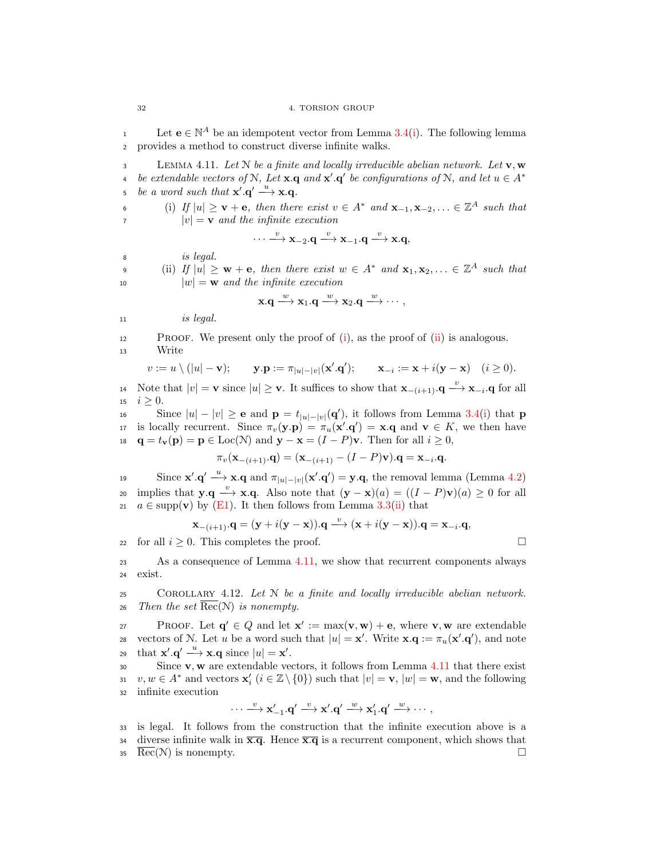1 Let  $e \in \mathbb{N}^A$  be an idempotent vector from Lemma [3.4\(](#page-22-0)[i\)](#page-22-1). The following lemma <sup>2</sup> provides a method to construct diverse infinite walks.

<span id="page-39-2"></span>3 LEMMA 4.11. Let N be a finite and locally irreducible abelian network. Let  $\mathbf{v}, \mathbf{w}$ be extendable vectors of N, Let **x**.**q** and **x'**.**q'** be configurations of N, and let  $u \in A^*$ 4 be a word such that  $\mathbf{x}' \cdot \mathbf{q}' \stackrel{u}{\longrightarrow} \mathbf{x} \cdot \mathbf{q}$ .

<span id="page-39-0"></span>6 (i) If  $|u| \geq \mathbf{v} + \mathbf{e}$ , then there exist  $v \in A^*$  and  $\mathbf{x}_{-1}, \mathbf{x}_{-2}, \ldots \in \mathbb{Z}^A$  such that  $|v| = \mathbf{v}$  and the infinite execution

$$
\cdots \xrightarrow{v} \mathbf{x}_{-2}.\mathbf{q} \xrightarrow{v} \mathbf{x}_{-1}.\mathbf{q} \xrightarrow{v} \mathbf{x}.\mathbf{q},
$$

<span id="page-39-1"></span><sup>8</sup> is legal.

(ii) If  $|u| \geq w + e$ , then there exist  $w \in A^*$  and  $\mathbf{x}_1, \mathbf{x}_2, ... \in \mathbb{Z}^A$  such that 10  $|w| = \mathbf{w}$  and the infinite execution

$$
\mathbf{x}.\mathbf{q} \stackrel{w}{\longrightarrow} \mathbf{x}_1.\mathbf{q} \stackrel{w}{\longrightarrow} \mathbf{x}_2.\mathbf{q} \stackrel{w}{\longrightarrow} \cdots,
$$

 $11$  is legal.

<sup>12</sup> Proof. We present only the proof of [\(i\)](#page-39-0), as the proof of [\(ii\)](#page-39-1) is analogous. <sup>13</sup> Write

$$
v := u \setminus (|u| - \mathbf{v}); \qquad \mathbf{y} \cdot \mathbf{p} := \pi_{|u| - |v|}(\mathbf{x}' \cdot \mathbf{q}'); \qquad \mathbf{x}_{-i} := \mathbf{x} + i(\mathbf{y} - \mathbf{x}) \quad (i \ge 0).
$$

14 Note that  $|v| = \mathbf{v}$  since  $|u| \geq \mathbf{v}$ . It suffices to show that  $\mathbf{x}_{-(i+1)} \cdot \mathbf{q} \stackrel{v}{\longrightarrow} \mathbf{x}_{-i} \cdot \mathbf{q}$  for all 15  $i \geq 0$ .<br>16 Si

Since  $|u| - |v| \ge$  e and  $\mathbf{p} = t_{|u| - |v|}(\mathbf{q}')$ , it follows from Lemma [3.4](#page-22-0)[\(i\)](#page-22-1) that **p** is locally recurrent. Since  $\pi_v(\mathbf{y} \cdot \mathbf{p}) = \pi_u(\mathbf{x}' \cdot \mathbf{q}') = \mathbf{x} \cdot \mathbf{q}$  and  $\mathbf{v} \in K$ , we then have 18  $\mathbf{q} = t_{\mathbf{v}}(\mathbf{p}) = \mathbf{p} \in \text{Loc}(\mathcal{N})$  and  $\mathbf{y} - \mathbf{x} = (I - P)\mathbf{v}$ . Then for all  $i \geq 0$ ,

$$
\pi_v(\mathbf{x}_{-(i+1)}.\mathbf{q}) = (\mathbf{x}_{-(i+1)} - (I - P)\mathbf{v}).\mathbf{q} = \mathbf{x}_{-i}.\mathbf{q}.
$$

19 Since  $\mathbf{x}' \cdot \mathbf{q}' \stackrel{u}{\longrightarrow} \mathbf{x} \cdot \mathbf{q}$  and  $\pi_{|u|-|v|}(\mathbf{x}' \cdot \mathbf{q}') = \mathbf{y} \cdot \mathbf{q}$ , the removal lemma (Lemma [4.2\)](#page-34-0) 20 implies that  $y.q \xrightarrow{v} x.q$ . Also note that  $(y-x)(a) = ((I-P)v)(a) \ge 0$  for all 21  $a \in \text{supp}(\mathbf{v})$  by [\(E1\)](#page-38-1). It then follows from Lemma [3.3\(](#page-22-2)[ii\)](#page-22-3) that

$$
\mathbf{x}_{-(i+1)}.\mathbf{q} = (\mathbf{y} + i(\mathbf{y} - \mathbf{x})).\mathbf{q} \xrightarrow{v} (\mathbf{x} + i(\mathbf{y} - \mathbf{x})).\mathbf{q} = \mathbf{x}_{-i}.\mathbf{q},
$$

22 for all  $i \geq 0$ . This completes the proof.

<sup>23</sup> As a consequence of Lemma [4.11,](#page-39-2) we show that recurrent components always <sup>24</sup> exist.

<span id="page-39-3"></span>25 COROLLARY 4.12. Let  $N$  be a finite and locally irreducible abelian network. 26 Then the set  $\overline{\text{Rec}}(\mathcal{N})$  is nonempty.

PROOF. Let  $\mathbf{q}' \in Q$  and let  $\mathbf{x}' := \max(\mathbf{v}, \mathbf{w}) + \mathbf{e}$ , where  $\mathbf{v}, \mathbf{w}$  are extendable 28 vectors of N. Let u be a word such that  $|u| = \mathbf{x}'$ . Write  $\mathbf{x} \cdot \mathbf{q} := \pi_u(\mathbf{x}' \cdot \mathbf{q}')$ , and note 29 that  $\mathbf{x}' \cdot \mathbf{q}' \stackrel{u}{\longrightarrow} \mathbf{x} \cdot \mathbf{q}$  since  $|u| = \mathbf{x}'$ .

 $30$  Since **v**, **w** are extendable vectors, it follows from Lemma [4.11](#page-39-2) that there exist 31  $v, w \in A^*$  and vectors  $\mathbf{x}'_i$   $(i \in \mathbb{Z} \setminus \{0\})$  such that  $|v| = \mathbf{v}$ ,  $|w| = \mathbf{w}$ , and the following <sup>32</sup> infinite execution

$$
\cdots \stackrel{\upsilon}{\longrightarrow} x'_{-1}.q' \stackrel{\upsilon}{\longrightarrow} x'.q' \stackrel{\upsilon}{\longrightarrow} x'_1.q' \stackrel{\upsilon}{\longrightarrow} \cdots,
$$

<sup>33</sup> is legal. It follows from the construction that the infinite execution above is a 34 diverse infinite walk in  $\overline{\mathbf{x}.q}$ . Hence  $\overline{\mathbf{x}.q}$  is a recurrent component, which shows that

 $\overline{\text{Rec}}(\mathcal{N})$  is nonempty.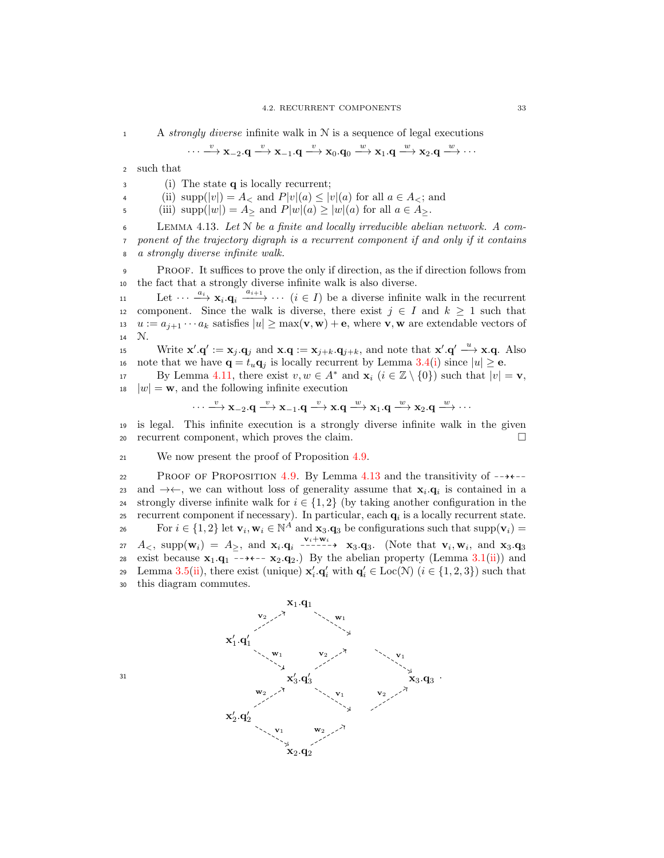1 A strongly diverse infinite walk in  $N$  is a sequence of legal executions

$$
\cdots \xrightarrow{v} x_{-2}.q \xrightarrow{v} x_{-1}.q \xrightarrow{v} x_0.q_0 \xrightarrow{w} x_1.q \xrightarrow{w} x_2.q \xrightarrow{w} \cdots
$$

<sup>2</sup> such that

<sup>3</sup> (i) The state q is locally recurrent;

4 (ii)  $\text{supp}(|v|) = A_<$  and  $P|v|(a) \le |v|(a)$  for all  $a \in A_<$ ; and

5 (iii)  $\text{supp}(|w|) = A_{\geq}$  and  $P|w|(a) \geq |w|(a)$  for all  $a \in A_{\geq}$ .

<span id="page-40-0"></span>6 LEMMA 4.13. Let  $N$  be a finite and locally irreducible abelian network. A com-<sup>7</sup> ponent of the trajectory digraph is a recurrent component if and only if it contains <sup>8</sup> a strongly diverse infinite walk.

<sup>9</sup> Proof. It suffices to prove the only if direction, as the if direction follows from <sup>10</sup> the fact that a strongly diverse infinite walk is also diverse.

11 Let  $\cdots \xrightarrow{a_i} \mathbf{x}_i \cdot \mathbf{q}_i \xrightarrow{a_{i+1}} \cdots (i \in I)$  be a diverse infinite walk in the recurrent 12 component. Since the walk is diverse, there exist  $j \in I$  and  $k \geq 1$  such that 13  $u := a_{j+1} \cdots a_k$  satisfies  $|u| \ge \max(\mathbf{v}, \mathbf{w}) + \mathbf{e}$ , where  $\mathbf{v}, \mathbf{w}$  are extendable vectors of 14  $\mathcal{N}$ .  $\mathcal{N}$ .

15 Write  $\mathbf{x}' \cdot \mathbf{q}' := \mathbf{x}_j \cdot \mathbf{q}_j$  and  $\mathbf{x} \cdot \mathbf{q} := \mathbf{x}_{j+k} \cdot \mathbf{q}_{j+k}$ , and note that  $\mathbf{x}' \cdot \mathbf{q}' \stackrel{u}{\longrightarrow} \mathbf{x} \cdot \mathbf{q}$ . Also 16 note that we have  $\mathbf{q} = t_u \mathbf{q}_i$  is locally recurrent by Lemma [3.4](#page-22-0)[\(i\)](#page-22-1) since  $|u| \ge \mathbf{e}$ .

By Lemma [4.11,](#page-39-2) there exist  $v, w \in A^*$  and  $\mathbf{x}_i$   $(i \in \mathbb{Z} \setminus \{0\})$  such that  $|v| = \mathbf{v}$ ,  $|w| = \mathbf{w}$ , and the following infinite execution

$$
\cdots \xrightarrow{v} \mathbf{x}_{-2}.\mathbf{q} \xrightarrow{v} \mathbf{x}_{-1}.\mathbf{q} \xrightarrow{v} \mathbf{x}.\mathbf{q} \xrightarrow{w} \mathbf{x}_1.\mathbf{q} \xrightarrow{w} \mathbf{x}_2.\mathbf{q} \xrightarrow{w} \cdots
$$

<sup>19</sup> is legal. This infinite execution is a strongly diverse infinite walk in the given <sup>20</sup> recurrent component, which proves the claim.

<sup>21</sup> We now present the proof of Proposition [4.9.](#page-38-0)

22 PROOF OF PROPOSITION [4.9.](#page-38-0) By Lemma [4.13](#page-40-0) and the transitivity of  $-\rightarrow$ and  $\rightarrow \leftarrow$ , we can without loss of generality assume that  $x_i \cdot q_i$  is contained in a 24 strongly diverse infinite walk for  $i \in \{1, 2\}$  (by taking another configuration in the <br>25 recurrent component if necessary). In particular, each  $\alpha_i$  is a locally recurrent state. recurrent component if necessary). In particular, each  $q_i$  is a locally recurrent state. For  $i \in \{1,2\}$  let  $\mathbf{v}_i, \mathbf{w}_i \in \mathbb{N}^A$  and  $\mathbf{x}_3. \mathbf{q}_3$  be configurations such that  $\text{supp}(\mathbf{v}_i)$ 27  $A_{\leq}$ , supp $(\mathbf{w}_i) = A_{\geq}$ , and  $\mathbf{x}_i \cdot \mathbf{q}_i$   $\stackrel{\mathbf{v}_i + \mathbf{w}_i}{\dashrightarrow}$   $\mathbf{x}_3 \cdot \mathbf{q}_3$ . (Note that  $\mathbf{v}_i, \mathbf{w}_i$ , and  $\mathbf{x}_3 \cdot \mathbf{q}_3$ 28 exist because  $\mathbf{x}_1 \cdot \mathbf{q}_1 \rightarrow \cdots \rightarrow \mathbf{x}_2 \cdot \mathbf{q}_2$ . By the abelian property (Lemma [3.1](#page-21-0)[\(ii\)](#page-21-1)) and 29 Lemma [3.5\(](#page-22-4)[ii\)](#page-22-5), there exist (unique)  $\mathbf{x}'_i \cdot \mathbf{q}'_i$  with  $\mathbf{q}'_i \in \text{Loc}(\mathcal{N})$   $(i \in \{1, 2, 3\})$  such that <sup>30</sup> this diagram commutes.

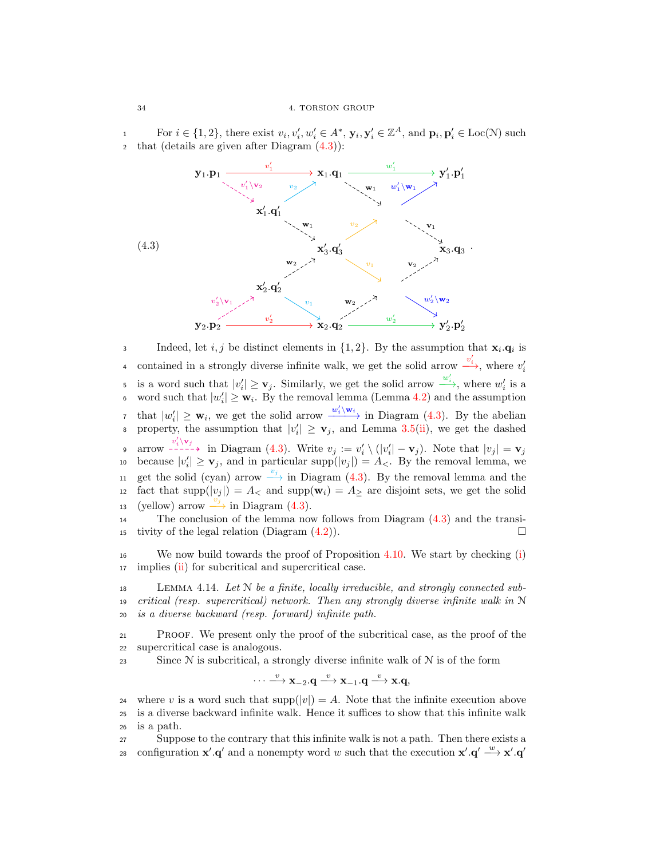For  $i \in \{1,2\}$ , there exist  $v_i, v'_i, w'_i \in A^*$ ,  $\mathbf{y}_i, \mathbf{y}'_i \in \mathbb{Z}^A$ , and  $\mathbf{p}_i, \mathbf{p}'_i \in \text{Loc}(\mathcal{N})$  such 1 <sup>2</sup> that (details are given after Diagram [\(4.3\)](#page-41-0)):



Indeed, let *i*, *j* be distinct elements in  $\{1, 2\}$ . By the assumption that  $\mathbf{x}_i \cdot \mathbf{q}_i$  is contained in a strongly diverse infinite walk, we get the solid arrow  $\frac{v'_i}{\longrightarrow}$ , where  $v'_i$ 4 is a word such that  $|v'_i| \geq \mathbf{v}_j$ . Similarly, we get the solid arrow  $\frac{w'_i}{\longrightarrow}$ , where  $w'_i$  is a • word such that  $|w'_i| \geq w_i$ . By the removal lemma (Lemma [4.2\)](#page-34-0) and the assumption that  $|w'_i| \geq \mathbf{w}_i$ , we get the solid arrow  $\frac{w'_i \setminus \mathbf{w}_i}{\cdot}$  in Diagram [\(4.3\)](#page-41-0). By the abelian s property, the assumption that  $|v'_i| \geq \mathbf{v}_j$ , and Lemma [3.5](#page-22-4)[\(ii\)](#page-22-5), we get the dashed 9 arrow  $\frac{v'_i \setminus v_j}{1 - v_j}$  in Diagram [\(4.3\)](#page-41-0). Write  $v_j := v'_i \setminus (|v'_i| - v_j)$ . Note that  $|v_j| = v_j$ 10 because  $|v'_i| \geq \mathbf{v}_j$ , and in particular supp $(|v_j|) = A_{\leq}$ . By the removal lemma, we 11 get the solid (cyan) arrow  $\stackrel{v_j}{\longrightarrow}$  in Diagram [\(4.3\)](#page-41-0). By the removal lemma and the 12 fact that supp $(|v_j|) = A_<$  and supp $(\mathbf{w}_i) = A_{\geq}$  are disjoint sets, we get the solid 13 (yellow) arrow  $\stackrel{v_j}{\longrightarrow}$  in Diagram [\(4.3\)](#page-41-0).

<sup>14</sup> The conclusion of the lemma now follows from Diagram [\(4.3\)](#page-41-0) and the transi-15 tivity of the legal relation (Diagram  $(4.2)$ ).

<sup>16</sup> We now build towards the proof of Proposition [4.10.](#page-38-4) We start by checking [\(i\)](#page-38-5) <sup>17</sup> implies [\(ii\)](#page-38-6) for subcritical and supercritical case.

<span id="page-41-1"></span><sup>18</sup> Lemma 4.14. Let N be a finite, locally irreducible, and strongly connected sub-19 critical (resp. supercritical) network. Then any strongly diverse infinite walk in  $N$ <sup>20</sup> is a diverse backward (resp. forward) infinite path.

<sup>21</sup> Proof. We present only the proof of the subcritical case, as the proof of the <sup>22</sup> supercritical case is analogous.

23 Since  $N$  is subcritical, a strongly diverse infinite walk of  $N$  is of the form

$$
\cdots \xrightarrow{v} \mathbf{x}_{-2}.\mathbf{q} \xrightarrow{v} \mathbf{x}_{-1}.\mathbf{q} \xrightarrow{v} \mathbf{x}.\mathbf{q},
$$

24 where v is a word such that supp( $|v|$ ) = A. Note that the infinite execution above<br>25 is a diverse backward infinite walk. Hence it suffices to show that this infinite walk <sup>25</sup> is a diverse backward infinite walk. Hence it suffices to show that this infinite walk <sup>26</sup> is a path.

<sup>27</sup> Suppose to the contrary that this infinite walk is not a path. Then there exists a configuration  $\mathbf{x}' \cdot \mathbf{q}'$  and a nonempty word w such that the execution  $\mathbf{x}' \cdot \mathbf{q}' \xrightarrow{w} \mathbf{x}' \cdot \mathbf{q}'$ 28

<span id="page-41-0"></span>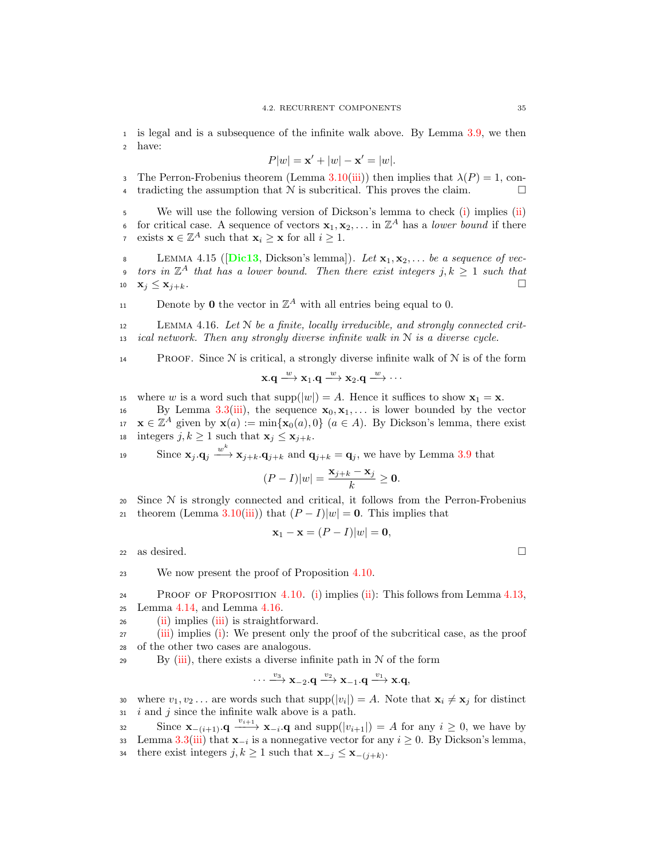<sup>1</sup> is legal and is a subsequence of the infinite walk above. By Lemma [3.9,](#page-23-2) we then <sup>2</sup> have:

$$
P|w| = \mathbf{x}' + |w| - \mathbf{x}' = |w|.
$$

3 The Perron-Frobenius theorem (Lemma [3.10\(](#page-24-1)[iii\)](#page-25-2)) then implies that  $\lambda(P) = 1$ , con-4 tradicting the assumption that  $N$  is subcritical. This proves the claim.  $\Box$ 

<sup>5</sup> We will use the following version of Dickson's lemma to check [\(i\)](#page-38-5) implies [\(ii\)](#page-38-6) 6 for critical case. A sequence of vectors  $x_1, x_2, \ldots$  in  $\mathbb{Z}^A$  has a lower bound if there v exists  $\mathbf{x} \in \mathbb{Z}^A$  such that  $\mathbf{x}_i \geq \mathbf{x}$  for all  $i \geq 1$ .

8 LEMMA 4.15 ( $[\text{Dic13}, \text{ Dickson's lemma}])$  $[\text{Dic13}, \text{ Dickson's lemma}])$  $[\text{Dic13}, \text{ Dickson's lemma}])$ . Let  $\mathbf{x}_1, \mathbf{x}_2, \ldots$  be a sequence of vec- $\quad$  tors in  $\mathbb{Z}^A$  that has a lower bound. Then there exist integers  $j, k \geq 1$  such that 10  $\mathbf{x}_j \leq \mathbf{x}_{j+k}$ .

11 Denote by **0** the vector in  $\mathbb{Z}^A$  with all entries being equal to 0.

<span id="page-42-0"></span> $12$  LEMMA 4.16. Let N be a finite, locally irreducible, and strongly connected crit-13 ical network. Then any strongly diverse infinite walk in  $N$  is a diverse cycle.

**PROOF.** Since  $N$  is critical, a strongly diverse infinite walk of  $N$  is of the form

$$
x.q\stackrel{w}{\longrightarrow}x_1.q\stackrel{w}{\longrightarrow}x_2.q\stackrel{w}{\longrightarrow}\cdots
$$

15 where w is a word such that  $\text{supp}(|w|) = A$ . Hence it suffices to show  $\mathbf{x}_1 = \mathbf{x}$ .<br>
16 By Lemma 3.3(iii), the sequence  $\mathbf{x}_0, \mathbf{x}_1, \dots$  is lower bounded by the ve

By Lemma [3.3\(](#page-22-2)[iii\)](#page-22-6), the sequence  $x_0, x_1, \ldots$  is lower bounded by the vector  $x \in \mathbb{Z}^A$  given by  $\mathbf{x}(a) := \min\{\mathbf{x}_0(a), 0\}$   $(a \in A)$ . By Dickson's lemma, there exist 18 integers  $j, k \geq 1$  such that  $\mathbf{x}_i \leq \mathbf{x}_{i+k}$ .

19 Since  $\mathbf{x}_j \cdot \mathbf{q}_j \xrightarrow{w^k} \mathbf{x}_{j+k} \cdot \mathbf{q}_{j+k}$  and  $\mathbf{q}_{j+k} = \mathbf{q}_j$ , we have by Lemma [3.9](#page-23-2) that

$$
(P - I)|w| = \frac{\mathbf{x}_{j+k} - \mathbf{x}_j}{k} \ge \mathbf{0}.
$$

<sup>20</sup> Since N is strongly connected and critical, it follows from the Perron-Frobenius 21 theorem (Lemma [3.10\(](#page-24-1)[iii\)](#page-25-2)) that  $(P - I)|w| = 0$ . This implies that

$$
\mathbf{x}_1 - \mathbf{x} = (P - I)|w| = \mathbf{0},
$$

22 as desired.  $\square$ 

<sup>23</sup> We now present the proof of Proposition [4.10.](#page-38-4)

24 PROOF OF PROPOSITION  $4.10.$  [\(i\)](#page-38-5) implies [\(ii\)](#page-38-6): This follows from Lemma  $4.13$ , <sup>25</sup> Lemma [4.14,](#page-41-1) and Lemma [4.16.](#page-42-0)

<sup>26</sup> [\(ii\)](#page-38-6) implies [\(iii\)](#page-38-7) is straightforward.

<sup>27</sup> [\(iii\)](#page-38-7) implies [\(i\)](#page-38-5): We present only the proof of the subcritical case, as the proof <sup>28</sup> of the other two cases are analogous.

29 By  $(iii)$ , there exists a diverse infinite path in  $N$  of the form

$$
\cdots \xrightarrow{v_3} \mathbf{x}_{-2}.\mathbf{q} \xrightarrow{v_2} \mathbf{x}_{-1}.\mathbf{q} \xrightarrow{v_1} \mathbf{x}.\mathbf{q},
$$

where  $v_1, v_2 \dots$  are words such that  $\text{supp}(|v_i|) = A$ . Note that  $\mathbf{x}_i \neq \mathbf{x}_j$  for distinct  $31$  *i* and *j* since the infinite walk above is a path.

- Since  $\mathbf{x}_{-(i+1)}\cdot \mathbf{q} \xrightarrow{v_{i+1}} \mathbf{x}_{-i}\cdot \mathbf{q}$  and supp $(|v_{i+1}|) = A$  for any  $i \geq 0$ , we have by
- 133 Lemma [3.3](#page-22-2)[\(iii\)](#page-22-6) that  $\mathbf{x}_{-i}$  is a nonnegative vector for any  $i \geq 0$ . By Dickson's lemma,
- there exist integers  $j, k \geq 1$  such that  $\mathbf{x}_{-j} \leq \mathbf{x}_{-(j+k)}$ .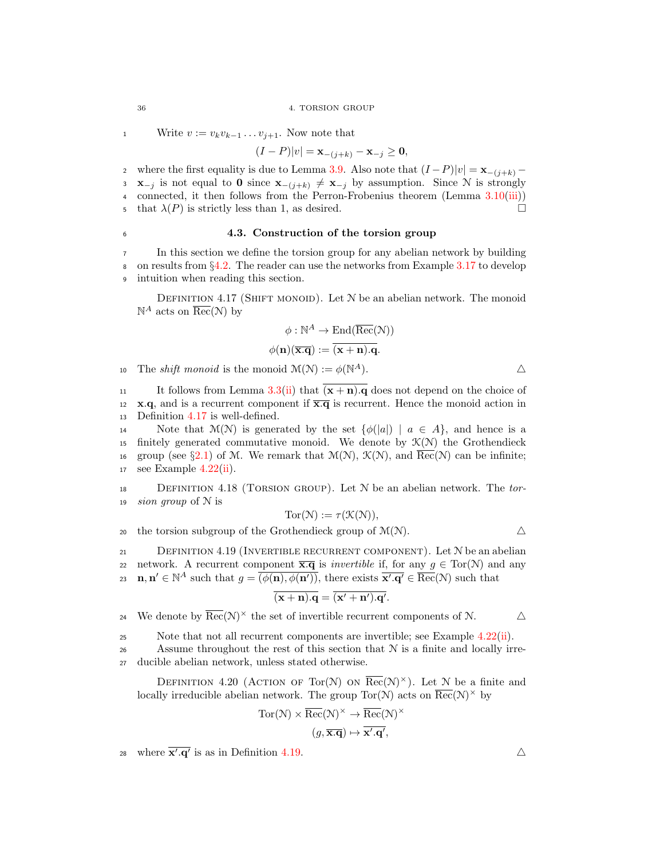1 Write  $v := v_k v_{k-1} \dots v_{j+1}$ . Now note that

$$
(I - P)|v| = \mathbf{x}_{-(j+k)} - \mathbf{x}_{-j} \ge \mathbf{0},
$$

2 where the first equality is due to Lemma [3.9.](#page-23-2) Also note that  $(I - P)|v| = \mathbf{x}_{-(j+k)} -$ <br>3  $\mathbf{x}_{-i}$  is not equal to 0 since  $\mathbf{x}_{-(j+k)} \neq \mathbf{x}_{-i}$  by assumption. Since N is strongly  $\mathbf{x}_{-j}$  is not equal to 0 since  $\mathbf{x}_{-(j+k)} \neq \mathbf{x}_{-j}$  by assumption. Since N is strongly <sup>4</sup> connected, it then follows from the Perron-Frobenius theorem (Lemma [3.10](#page-24-1)[\(iii\)](#page-25-2)) 5 that  $\lambda(P)$  is strictly less than 1, as desired.

### <span id="page-43-3"></span><sup>6</sup> 4.3. Construction of the torsion group

<sup>7</sup> In this section we define the torsion group for any abelian network by building 8 on results from  $\S4.2$ . The reader can use the networks from Example [3.17](#page-31-0) to develop intuition when reading this section. intuition when reading this section.

<span id="page-43-0"></span>DEFINITION 4.17 (SHIFT MONOID). Let  $N$  be an abelian network. The monoid  $\mathbb{N}^A$  acts on  $\overline{\text{Rec}}(\mathcal{N})$  by

$$
\phi : \mathbb{N}^A \to \text{End}(\overline{\text{Rec}}(\mathcal{N}))
$$

$$
\phi(\mathbf{n})(\overline{\mathbf{x}.\mathbf{q}}) := \overline{(\mathbf{x} + \mathbf{n}).\mathbf{q}}.
$$

10 The *shift monoid* is the monoid  $\mathcal{M}(\mathcal{N}) := \phi(\mathbb{N}^A)$ .

11 It follows from Lemma [3.3\(](#page-22-2)[ii\)](#page-22-3) that  $\overline{(x + n)q}$  does not depend on the choice of 12 x.q, and is a recurrent component if  $\overline{x}.\overline{q}$  is recurrent. Hence the monoid action in <sup>13</sup> Definition [4.17](#page-43-0) is well-defined.

14 Note that  $\mathcal{M}(\mathcal{N})$  is generated by the set  $\{\phi(|a|) \mid a \in A\}$ , and hence is a 15 finitely generated commutative monoid. We denote by  $\mathcal{K}(\mathcal{N})$  the Grothendieck 16 group (see §[2.1\)](#page-16-0) of M. We remark that  $\mathcal{M}(\mathcal{N})$ ,  $\mathcal{K}(\mathcal{N})$ , and  $\overline{\text{Rec}}(\mathcal{N})$  can be infinite;<br>17 see Example 4.22(ii). see Example  $4.22(i)$  $4.22(i)$ .

<span id="page-43-4"></span>18 DEFINITION 4.18 (TORSION GROUP). Let  $N$  be an abelian network. The tor-19 *sion group* of  $N$  is

$$
Tor(\mathcal{N}) := \tau(\mathcal{K}(\mathcal{N})),
$$

20 the torsion subgroup of the Grothendieck group of  $\mathcal{M}(\mathcal{N})$ .

<span id="page-43-1"></span>21 DEFINITION 4.19 (INVERTIBLE RECURRENT COMPONENT). Let  $N$  be an abelian 22 network. A recurrent component  $\overline{\mathbf{x} \cdot \mathbf{q}}$  is *invertible* if, for any  $g \in \text{Tor}(\mathcal{N})$  and any 23  $\mathbf{n}, \mathbf{n}' \in \mathbb{N}^A$  such that  $g = \overline{(\phi(\mathbf{n}), \phi(\mathbf{n}'))}$ , there exists  $\overline{\mathbf{x}', \mathbf{q}'} \in \overline{\text{Rec}}(\mathcal{N})$  such that

$$
\overline{(\mathbf{x} + \mathbf{n}) \cdot \mathbf{q}} = \overline{(\mathbf{x'} + \mathbf{n'}) \cdot \mathbf{q'}}
$$

.

24 We denote by  $\overline{\text{Rec}}(\mathcal{N})^{\times}$  the set of invertible recurrent components of  $\mathcal{N}$ .  $\Delta$ 

25 Note that not all recurrent components are invertible; see Example [4.22\(](#page-44-0)[ii\)](#page-44-1).

26 Assume throughout the rest of this section that  $N$  is a finite and locally irre-<sup>27</sup> ducible abelian network, unless stated otherwise.

<span id="page-43-2"></span>DEFINITION 4.20 (ACTION OF Tor(N) ON  $\overline{\text{Rec}}(\mathcal{N})^{\times}$ ). Let N be a finite and locally irreducible abelian network. The group  $Tor(N)$  acts on  $\overline{\text{Rec}}(N)^{\times}$  by

$$
Tor(\mathcal{N}) \times \overline{Rec}(\mathcal{N})^{\times} \to \overline{Rec}(\mathcal{N})^{\times}
$$

$$
(g, \overline{\mathbf{x}.\mathbf{q}}) \mapsto \overline{\mathbf{x}^{\prime}.\mathbf{q}^{\prime}},
$$

where  $\overline{\mathbf{x}',\mathbf{q}'}$  is as in Definition [4.19.](#page-43-1)  $\triangle$ 

$$
36
$$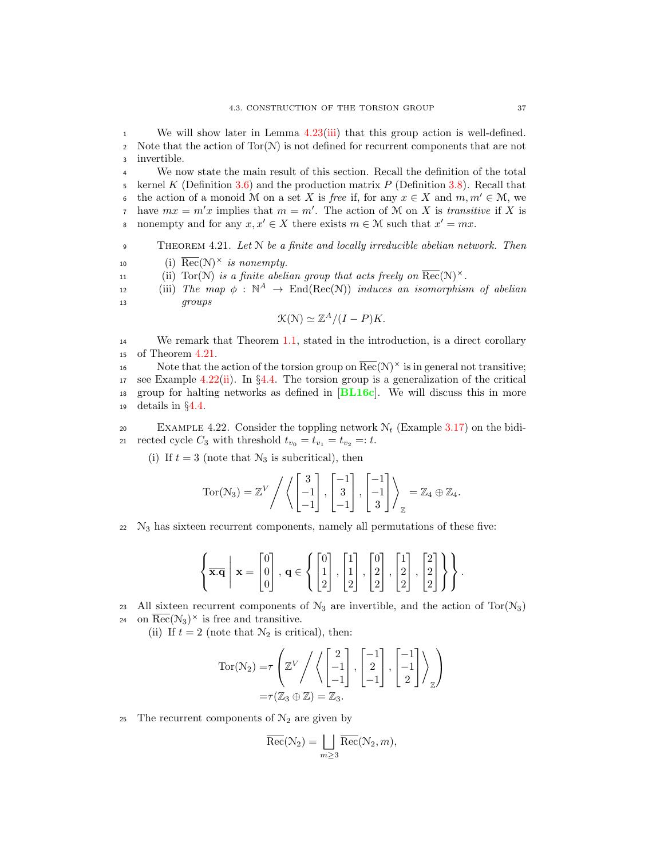<sup>1</sup> We will show later in Lemma [4.23\(](#page-45-0)[iii\)](#page-45-1) that this group action is well-defined. 2 Note that the action of  $Tor(N)$  is not defined for recurrent components that are not <sup>3</sup> invertible.

<sup>4</sup> We now state the main result of this section. Recall the definition of the total 5 kernel K (Definition [3.6\)](#page-23-3) and the production matrix  $P$  (Definition [3.8\)](#page-23-4). Recall that the action of a monoid M on a set X is free if, for any  $x \in X$  and  $m, m' \in M$ , we have  $mx = m'x$  implies that  $m = m'$ . The action of M on X is transitive if X is s nonempty and for any  $x, x' \in X$  there exists  $m \in \mathcal{M}$  such that  $x' = mx$ .

<span id="page-44-2"></span>9 THEOREM 4.21. Let N be a finite and locally irreducible abelian network. Then

- <span id="page-44-3"></span>10 (i)  $\overline{\text{Rec}}(\mathcal{N})^{\times}$  is nonempty.
- <span id="page-44-4"></span>11 (ii)  $Tor(N)$  is a finite abelian group that acts freely on  $\overline{Rec}(N)^{\times}$ .

<span id="page-44-5"></span>(iii) The map  $\phi : \mathbb{N}^A \to \text{End}(\text{Rec}(\mathbb{N}))$  induces an isomorphism of abelian arouns <sup>13</sup> groups

$$
\mathcal{K}(\mathcal{N}) \simeq \mathbb{Z}^A / (I - P)K.
$$

<sup>14</sup> We remark that Theorem [1.1,](#page-11-0) stated in the introduction, is a direct corollary <sup>15</sup> of Theorem [4.21.](#page-44-2)

16 Note that the action of the torsion group on  $\overline{\text{Rec}}(\mathcal{N})^{\times}$  is in general not transitive; 17 see Example [4.22](#page-44-0)[\(ii\)](#page-44-1). In §[4.4.](#page-46-0) The torsion group is a generalization of the critical <sup>18</sup> group for halting networks as defined in [[BL16c](#page-92-1)]. We will discuss this in more <sup>19</sup> details in §[4.4.](#page-46-0)

<span id="page-44-0"></span>20 EXAMPLE 4.22. Consider the toppling network  $\mathcal{N}_t$  (Example [3.17\)](#page-31-0) on the bidi-21 rected cycle  $C_3$  with threshold  $t_{v_0} = t_{v_1} = t_{v_2} =: t$ .

(i) If  $t = 3$  (note that  $\mathcal{N}_3$  is subcritical), then

$$
Tor(\mathcal{N}_3) = \mathbb{Z}^V / \left\langle \begin{bmatrix} 3 \\ -1 \\ -1 \end{bmatrix}, \begin{bmatrix} -1 \\ 3 \\ -1 \end{bmatrix}, \begin{bmatrix} -1 \\ -1 \\ 3 \end{bmatrix} \right\rangle_{\mathbb{Z}} = \mathbb{Z}_4 \oplus \mathbb{Z}_4.
$$

 $22 \text{ N}_3$  has sixteen recurrent components, namely all permutations of these five:

$$
\left\{\overline{\mathbf{x}.\mathbf{q}} \middle| \mathbf{x} = \begin{bmatrix} 0 \\ 0 \\ 0 \end{bmatrix}, \mathbf{q} \in \left\{ \begin{bmatrix} 0 \\ 1 \\ 2 \end{bmatrix}, \begin{bmatrix} 1 \\ 1 \\ 2 \end{bmatrix}, \begin{bmatrix} 0 \\ 2 \\ 2 \end{bmatrix}, \begin{bmatrix} 1 \\ 2 \\ 2 \end{bmatrix}, \begin{bmatrix} 2 \\ 2 \\ 2 \end{bmatrix} \right\} \right\}.
$$

23 All sixteen recurrent components of  $\mathcal{N}_3$  are invertible, and the action of Tor( $\mathcal{N}_3$ )

24 on  $\overline{\text{Rec}}(\mathcal{N}_3)^{\times}$  is free and transitive.

<span id="page-44-1"></span>(ii) If  $t = 2$  (note that  $\mathcal{N}_2$  is critical), then:

$$
Tor(N_2) = \tau \left( \mathbb{Z}^V / \left\langle \begin{bmatrix} 2 \\ -1 \\ -1 \end{bmatrix}, \begin{bmatrix} -1 \\ 2 \\ -1 \end{bmatrix}, \begin{bmatrix} -1 \\ -1 \\ 2 \end{bmatrix} \right\rangle_{\mathbb{Z}} \right)
$$

$$
= \tau(\mathbb{Z}_3 \oplus \mathbb{Z}) = \mathbb{Z}_3.
$$

25 The recurrent components of  $\mathcal{N}_2$  are given by

$$
\overline{{\rm Rec}}(\mathcal{N}_2)=\bigsqcup_{m\geq 3}\overline{{\rm Rec}}(\mathcal{N}_2,m),
$$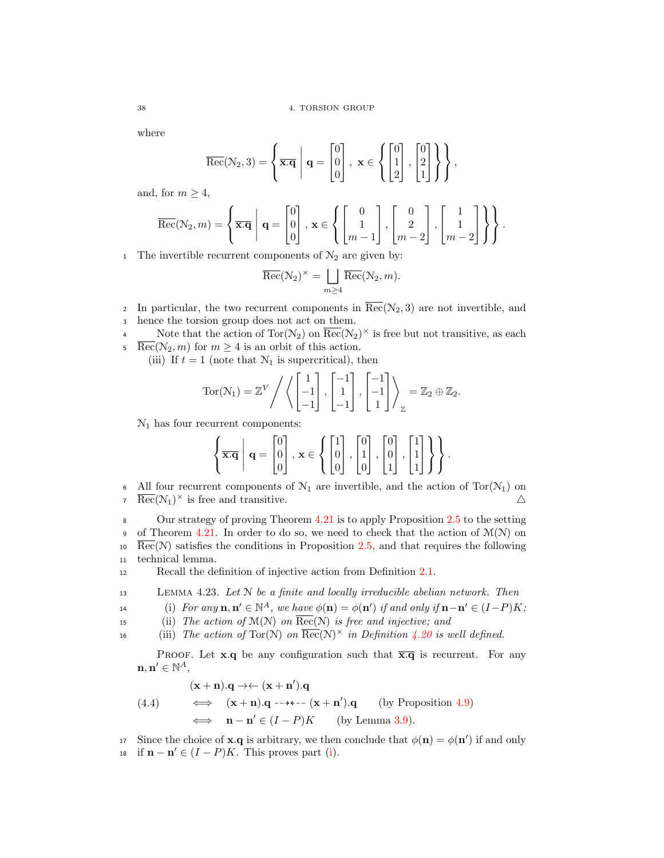where

$$
\overline{\text{Rec}}(\mathcal{N}_2,3) = \left\{ \overline{\mathbf{x}.\mathbf{q}} \middle| \mathbf{q} = \begin{bmatrix} 0 \\ 0 \\ 0 \end{bmatrix}, \mathbf{x} \in \left\{ \begin{bmatrix} 0 \\ 1 \\ 2 \end{bmatrix}, \begin{bmatrix} 0 \\ 2 \\ 1 \end{bmatrix} \right\} \right\},
$$

and, for  $m \geq 4$ ,

$$
\overline{\text{Rec}}(\mathcal{N}_2, m) = \left\{ \overline{\mathbf{x}.q} \middle| \mathbf{q} = \begin{bmatrix} 0 \\ 0 \\ 0 \end{bmatrix}, \mathbf{x} \in \left\{ \begin{bmatrix} 0 \\ 1 \\ m-1 \end{bmatrix}, \begin{bmatrix} 0 \\ 2 \\ m-2 \end{bmatrix}, \begin{bmatrix} 1 \\ 1 \\ m-2 \end{bmatrix} \right\} \right\}.
$$

1 The invertible recurrent components of  $\mathcal{N}_2$  are given by:

$$
\overline{\text{Rec}}(\mathcal{N}_2)^{\times} = \bigsqcup_{m \ge 4} \overline{\text{Rec}}(\mathcal{N}_2, m).
$$

- 2 In particular, the two recurrent components in  $\overline{\text{Rec}}(\mathcal{N}_2, 3)$  are not invertible, and <sup>3</sup> hence the torsion group does not act on them.
- Note that the action of  $Tor(N_2)$  on  $\overline{Rec}(N_2)^\times$  is free but not transitive, as each  $\overline{\text{Rec}}(\mathcal{N}_2, m)$  for  $m \geq 4$  is an orbit of this action.

(iii) If  $t = 1$  (note that  $\mathcal{N}_1$  is supercritical), then

Tor(N<sub>1</sub>) = 
$$
\mathbb{Z}^V / \left\langle \begin{bmatrix} 1 \\ -1 \\ -1 \end{bmatrix}, \begin{bmatrix} -1 \\ 1 \\ -1 \end{bmatrix}, \begin{bmatrix} -1 \\ -1 \\ 1 \end{bmatrix} \right\rangle_{\mathbb{Z}} = \mathbb{Z}_2 \oplus \mathbb{Z}_2.
$$

 $\mathcal{N}_1$  has four recurrent components:

$$
\left\{\overline{\mathbf{x}.\mathbf{q}} \middle| \mathbf{q} = \begin{bmatrix}0\\0\\0\end{bmatrix}, \mathbf{x} \in \left\{\begin{bmatrix}1\\0\\0\end{bmatrix}, \begin{bmatrix}0\\1\\0\end{bmatrix}, \begin{bmatrix}0\\0\\1\end{bmatrix}, \begin{bmatrix}1\\1\\1\end{bmatrix}\right\} \right\}.
$$

6 All four recurrent components of  $\mathcal{N}_1$  are invertible, and the action of Tor $(\mathcal{N}_1)$  on  $\overline{\text{Rec}}(\mathcal{N}_1)^{\times}$  is free and transitive.  $\triangle$ 

<sup>8</sup> Our strategy of proving Theorem [4.21](#page-44-2) is to apply Proposition [2.5](#page-18-0) to the setting 9 of Theorem [4.21.](#page-44-2) In order to do so, we need to check that the action of  $\mathcal{M}(\mathcal{N})$  on  $10 \text{ Rec}(\mathcal{N})$  satisfies the conditions in Proposition [2.5,](#page-18-0) and that requires the following <sup>11</sup> technical lemma.

<sup>12</sup> Recall the definition of injective action from Definition [2.1.](#page-16-1)

<span id="page-45-0"></span><sup>13</sup> Lemma 4.23. Let N be a finite and locally irreducible abelian network. Then

<span id="page-45-2"></span>14 (i) For any  $\mathbf{n}, \mathbf{n}' \in \mathbb{N}^A$ , we have  $\phi(\mathbf{n}) = \phi(\mathbf{n}')$  if and only if  $\mathbf{n} - \mathbf{n}' \in (I - P)K$ ;

<span id="page-45-4"></span>15 (ii) The action of  $\mathcal{M}(\mathcal{N})$  on  $\overline{\text{Rec}}(\mathcal{N})$  is free and injective; and

<span id="page-45-1"></span>16 (iii) The action of  $Tor(N)$  on  $\overline{Rec}(N)^{\times}$  in Definition [4.20](#page-43-2) is well defined.

PROOF. Let **x**.q be any configuration such that  $\overline{\mathbf{x}.q}$  is recurrent. For any  $\mathbf{n}, \mathbf{n}' \in \mathbb{N}^A,$ 

<span id="page-45-3"></span>(4.4)  
\n
$$
\begin{array}{rcl}\n(\mathbf{x} + \mathbf{n}).\mathbf{q} \rightarrow \leftarrow (\mathbf{x} + \mathbf{n}').\mathbf{q} \\
\iff & (\mathbf{x} + \mathbf{n}).\mathbf{q} \rightarrow \leftarrow - (\mathbf{x} + \mathbf{n}').\mathbf{q} \quad \text{(by Proposition 4.9)} \\
\iff & \mathbf{n} - \mathbf{n}' \in (I - P)K \quad \text{(by Lemma 3.9)}.\n\end{array}
$$

17 Since the choice of **x**.q is arbitrary, we then conclude that  $\phi(\mathbf{n}) = \phi(\mathbf{n}')$  if and only 18 if  $\mathbf{n} - \mathbf{n}' \in (I - P)K$ . This proves part [\(i\)](#page-45-2).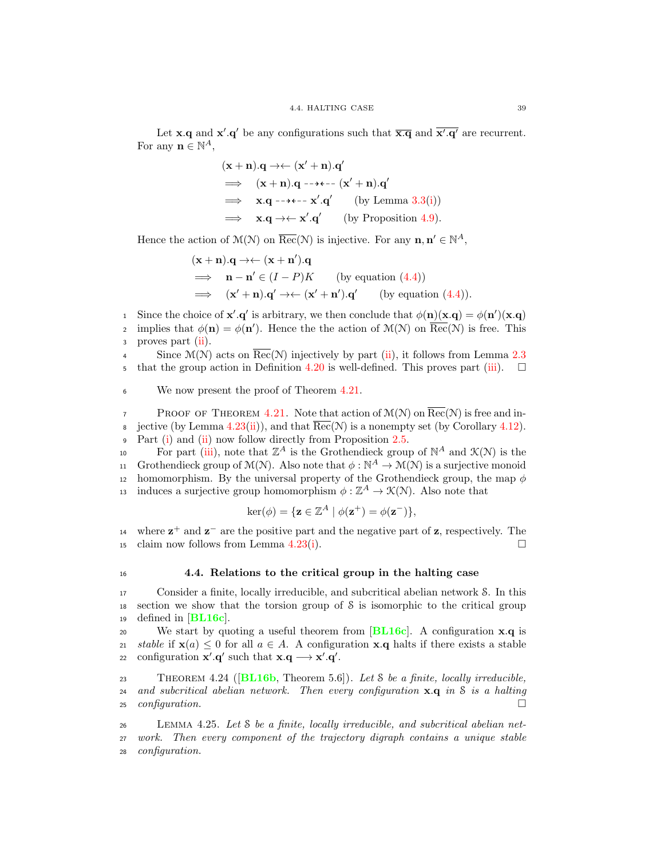Let **x**.q and **x'**.q' be any configurations such that  $\overline{\mathbf{x} \cdot \mathbf{q}}$  and  $\overline{\mathbf{x}' \cdot \mathbf{q}'}$  are recurrent. For any  $\mathbf{n} \in \mathbb{N}^A$ ,

$$
(\mathbf{x} + \mathbf{n}).\mathbf{q} \rightarrow \leftarrow (\mathbf{x}' + \mathbf{n}).\mathbf{q}'
$$
  
\n
$$
\implies (\mathbf{x} + \mathbf{n}).\mathbf{q} \rightarrow \leftarrow \leftarrow (\mathbf{x}' + \mathbf{n}).\mathbf{q}'
$$
  
\n
$$
\implies \mathbf{x}.\mathbf{q} \rightarrow \leftarrow \mathbf{x}'.\mathbf{q}' \qquad \text{(by Lemma 3.3(i))}
$$
  
\n
$$
\implies \mathbf{x}.\mathbf{q} \rightarrow \leftarrow \mathbf{x}'.\mathbf{q}' \qquad \text{(by Proposition 4.9)}.
$$

Hence the action of  $\mathcal{M}(\mathcal{N})$  on  $\overline{\text{Rec}}(\mathcal{N})$  is injective. For any  $\mathbf{n}, \mathbf{n}' \in \mathbb{N}^A$ ,

$$
(\mathbf{x} + \mathbf{n}).\mathbf{q} \rightarrow \leftarrow (\mathbf{x} + \mathbf{n}').\mathbf{q}
$$
  
\n
$$
\implies \mathbf{n} - \mathbf{n}' \in (I - P)K \qquad \text{(by equation (4.4))}
$$
  
\n
$$
\implies (\mathbf{x}' + \mathbf{n}).\mathbf{q}' \rightarrow \leftarrow (\mathbf{x}' + \mathbf{n}').\mathbf{q}' \qquad \text{(by equation (4.4))}.
$$

i Since the choice of  $\mathbf{x}' \cdot \mathbf{q}'$  is arbitrary, we then conclude that  $\phi(\mathbf{n})(\mathbf{x}.q) = \phi(\mathbf{n}')(\mathbf{x}.q)$ implies that  $\phi(\mathbf{n}) = \phi(\mathbf{n}')$ . Hence the the action of  $\mathcal{M}(\mathcal{N})$  on  $\overline{\text{Rec}}(\mathcal{N})$  is free. This <sup>3</sup> proves part [\(ii\)](#page-45-4).

4 Since  $\mathcal{M}(\mathcal{N})$  acts on Rec( $\mathcal{N}$ ) injectively by part [\(ii\)](#page-45-4), it follows from Lemma [2.3](#page-17-0) that the group action in Definition [4.20](#page-43-2) is well-defined. This proves part [\(iii\)](#page-45-1).  $\Box$ 

<sup>6</sup> We now present the proof of Theorem [4.21.](#page-44-2)

**PROOF OF THEOREM [4.21.](#page-44-2)** Note that action of  $\mathcal{M}(\mathcal{N})$  on  $\overline{\text{Rec}}(\mathcal{N})$  is free and in-8 jective (by Lemma [4.23\(](#page-45-0)[ii\)](#page-45-4)), and that  $\text{Rec}(\mathcal{N})$  is a nonempty set (by Corollary [4.12\)](#page-39-3). <sup>9</sup> Part [\(i\)](#page-44-3) and [\(ii\)](#page-44-4) now follow directly from Proposition [2.5.](#page-18-0)

10 For part [\(iii\)](#page-44-5), note that  $\mathbb{Z}^A$  is the Grothendieck group of  $\mathbb{N}^A$  and  $\mathcal{K}(\mathcal{N})$  is the 11 Grothendieck group of  $\mathcal{M}(\mathcal{N})$ . Also note that  $\phi : \mathbb{N}^A \to \mathcal{M}(\mathcal{N})$  is a surjective monoid 12 homomorphism. By the universal property of the Grothendieck group, the map  $\phi$ is induces a surjective group homomorphism  $\phi : \mathbb{Z}^A \to \mathcal{K}(\mathcal{N})$ . Also note that

$$
\ker(\phi) = \{ \mathbf{z} \in \mathbb{Z}^A \mid \phi(\mathbf{z}^+) = \phi(\mathbf{z}^-) \},\
$$

14 where  $z^+$  and  $z^-$  are the positive part and the negative part of z, respectively. The 15 claim now follows from Lemma [4.23\(](#page-45-0)[i\)](#page-45-2).  $\square$ 

# <span id="page-46-0"></span><sup>16</sup> 4.4. Relations to the critical group in the halting case

<sup>17</sup> Consider a finite, locally irreducible, and subcritical abelian network S. In this <sup>18</sup> section we show that the torsion group of S is isomorphic to the critical group 19 defined in  $|BL16c|$  $|BL16c|$  $|BL16c|$ .

20 We start by quoting a useful theorem from  $[BL16c]$  $[BL16c]$  $[BL16c]$ . A configuration  $x.q$  is 21 stable if  $\mathbf{x}(a) \leq 0$  for all  $a \in A$ . A configuration  $\mathbf{x} \cdot \mathbf{q}$  halts if there exists a stable  $\text{conf}$  configuration  $\mathbf{x}' \cdot \mathbf{q}'$  such that  $\mathbf{x} \cdot \mathbf{q} \longrightarrow \mathbf{x}' \cdot \mathbf{q}'$ . 22 configuration  $\mathbf{x}' \cdot \mathbf{q}'$  such that  $\mathbf{x} \cdot \mathbf{q} \longrightarrow \mathbf{x}' \cdot \mathbf{q}'$ .

<span id="page-46-1"></span>23 THEOREM 4.24 ( $[BL16b, Theorem 5.6]$  $[BL16b, Theorem 5.6]$  $[BL16b, Theorem 5.6]$ ). Let S be a finite, locally irreducible, 24 and subcritical abelian network. Then every configuration  $x.q$  in S is a halting 25 configuration.  $\Box$ 

<sup>26</sup> Lemma 4.25. Let S be a finite, locally irreducible, and subcritical abelian net-<sup>27</sup> work. Then every component of the trajectory digraph contains a unique stable <sup>28</sup> configuration.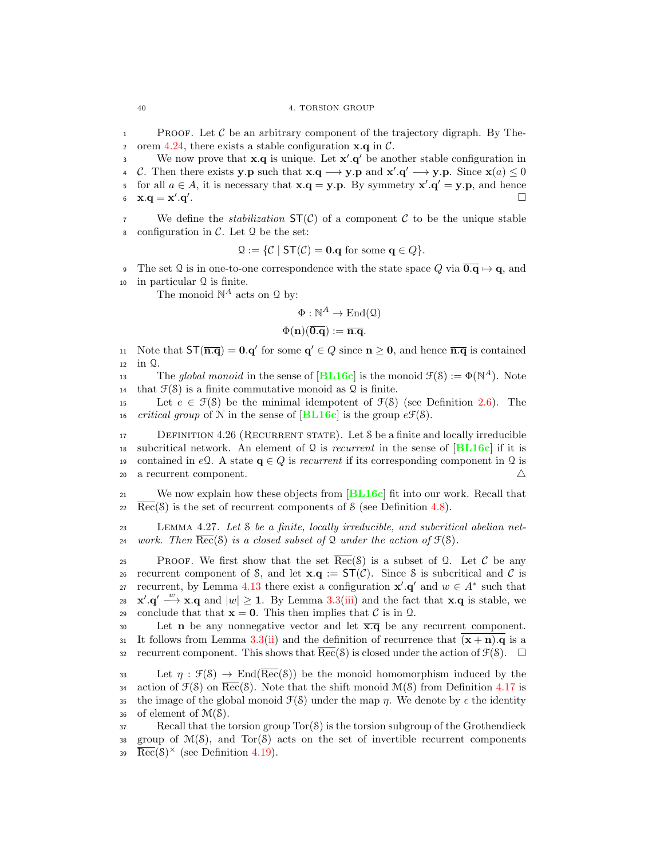**1** PROOF. Let C be an arbitrary component of the trajectory digraph. By The-<br>2 orem 4.24, there exists a stable configuration  $\mathbf{x} \cdot \mathbf{a}$  in C. 2 orem [4.24,](#page-46-1) there exists a stable configuration  $\mathbf{x} \cdot \mathbf{q}$  in C.<br>3 We now prove that  $\mathbf{x} \cdot \mathbf{q}$  is unique. Let  $\mathbf{x}' \cdot \mathbf{q}'$  be and

We now prove that  $\mathbf{x} \cdot \mathbf{q}$  is unique. Let  $\mathbf{x}' \cdot \mathbf{q}'$  be another stable configuration in 4 C. Then there exists y.p such that  $\mathbf{x} \cdot \mathbf{q} \longrightarrow \mathbf{y} \cdot \mathbf{p}$  and  $\mathbf{x}' \cdot \mathbf{q}' \longrightarrow \mathbf{y} \cdot \mathbf{p}$ . Since  $\mathbf{x}(a) \leq 0$ 5 for all  $a \in A$ , it is necessary that  $\mathbf{x} \cdot \mathbf{q} = \mathbf{y} \cdot \mathbf{p}$ . By symmetry  $\mathbf{x}' \cdot \mathbf{q}' = \mathbf{y} \cdot \mathbf{p}$ , and hence 6  $\mathbf{x} \cdot \mathbf{q} = \mathbf{x}' \cdot \mathbf{q}'$ .

<sup>7</sup> We define the *stabilization*  $ST(\mathcal{C})$  of a component  $\mathcal{C}$  to be the unique stable 8 configuration in  $\mathcal{C}$ . Let  $\mathcal{Q}$  be the set:

$$
\mathcal{Q} := \{ \mathcal{C} \mid \mathsf{ST}(\mathcal{C}) = \mathbf{0}.\mathbf{q} \text{ for some } \mathbf{q} \in Q \}.
$$

9 The set Q is in one-to-one correspondence with the state space Q via  $\overline{0.9} \mapsto q$ , and <sup>10</sup> in particular Q is finite.

The monoid  $\mathbb{N}^A$  acts on  $\mathcal Q$  by:

$$
\Phi:\mathbb{N}^A\to\mathrm{End}(\mathfrak{Q})
$$

$$
\Phi(\mathbf{n})(\overline{\mathbf{0}.\mathbf{q}}):=\overline{\mathbf{n}.\mathbf{q}}.
$$

11 Note that  $ST(\overline{n.q}) = 0.q'$  for some  $q' \in Q$  since  $n \ge 0$ , and hence  $\overline{n.q}$  is contained <sup>12</sup> in Q.

The global monoid in the sense of  $[\textbf{BL16c}]$  $[\textbf{BL16c}]$  $[\textbf{BL16c}]$  is the monoid  $\mathcal{F}(\mathcal{S}) := \Phi(\mathbb{N}^A)$ . Note 14 that  $\mathcal{F}(\mathcal{S})$  is a finite commutative monoid as Q is finite.

15 Let  $e \in \mathcal{F}(\mathcal{S})$  be the minimal idempotent of  $\mathcal{F}(\mathcal{S})$  (see Definition [2.6\)](#page-18-1). The 16 *critical group* of N in the sense of  $|BL16c|$  $|BL16c|$  $|BL16c|$  is the group  $e\mathcal{F}(\mathcal{S})$ .

<span id="page-47-1"></span>17 DEFINITION 4.26 (RECURRENT STATE). Let S be a finite and locally irreducible 18 subcritical network. An element of Q is *recurrent* in the sense of  $|BL16c|$  $|BL16c|$  $|BL16c|$  if it is 19 contained in eQ. A state  $\mathbf{q} \in Q$  is recurrent if its corresponding component in Q is a recurrent component. <sup>20</sup> a recurrent component. 4

<sup>21</sup> We now explain how these objects from [[BL16c](#page-92-1)] fit into our work. Recall that  $\text{Rec}(S)$  is the set of recurrent components of S (see Definition [4.8\)](#page-38-8).

<span id="page-47-0"></span><sup>23</sup> Lemma 4.27. Let S be a finite, locally irreducible, and subcritical abelian net-24 work. Then  $Rec(S)$  is a closed subset of Q under the action of  $\mathcal{F}(S)$ .

25 PROOF. We first show that the set  $\overline{\text{Rec}}(\mathcal{S})$  is a subset of Q. Let C be any 26 recurrent component of S, and let  $\mathbf{x} \cdot \mathbf{q} := \mathsf{ST}(\mathcal{C})$ . Since S is subcritical and C is<br>27 recurrent, by Lemma 4.13 there exist a configuration  $\mathbf{x}' \cdot \mathbf{q}'$  and  $w \in A^*$  such that recurrent, by Lemma [4.13](#page-40-0) there exist a configuration  $\mathbf{x}' \cdot \mathbf{q}'$  and  $w \in A^*$  such that 28  $\mathbf{x}' \cdot \mathbf{q}' \longrightarrow \mathbf{x} \cdot \mathbf{q}$  and  $|w| \geq 1$ . By Lemma [3.3](#page-22-2)[\(iii\)](#page-22-6) and the fact that  $\mathbf{x} \cdot \mathbf{q}$  is stable, we 29 conclude that that  $\mathbf{x} = \mathbf{0}$ . This then implies that C is in Q.<br>20 Let **n** be any nonnegative vector and let  $\overline{\mathbf{x}.\mathbf{a}}$  be any

Let **n** be any nonnegative vector and let  $\overline{\mathbf{x}.q}$  be any recurrent component. 31 It follows from Lemma [3.3\(](#page-22-2)[ii\)](#page-22-3) and the definition of recurrence that  $(x + n)$ . q is a 32 recurrent component. This shows that  $Rec(S)$  is closed under the action of  $\mathcal{F}(S)$ .  $\square$ 

33 Let  $\eta : \mathfrak{F}(\mathcal{S}) \to \text{End}(\overline{\text{Rec}}(\mathcal{S}))$  be the monoid homomorphism induced by the 34 action of  $\mathcal{F}(S)$  on  $\overline{\text{Rec}}(S)$ . Note that the shift monoid  $\mathcal{M}(S)$  from Definition [4.17](#page-43-0) is 35 the image of the global monoid  $\mathcal{F}(S)$  under the map *n*. We denote by  $\epsilon$  the identity 36 of element of  $\mathcal{M}(\mathcal{S})$ .

 $37$  Recall that the torsion group  $Tor(S)$  is the torsion subgroup of the Grothendieck 38 group of  $\mathcal{M}(S)$ , and  $Tor(S)$  acts on the set of invertible recurrent components 39  $\overline{\text{Rec}}(\mathcal{S})^{\times}$  (see Definition [4.19\)](#page-43-1).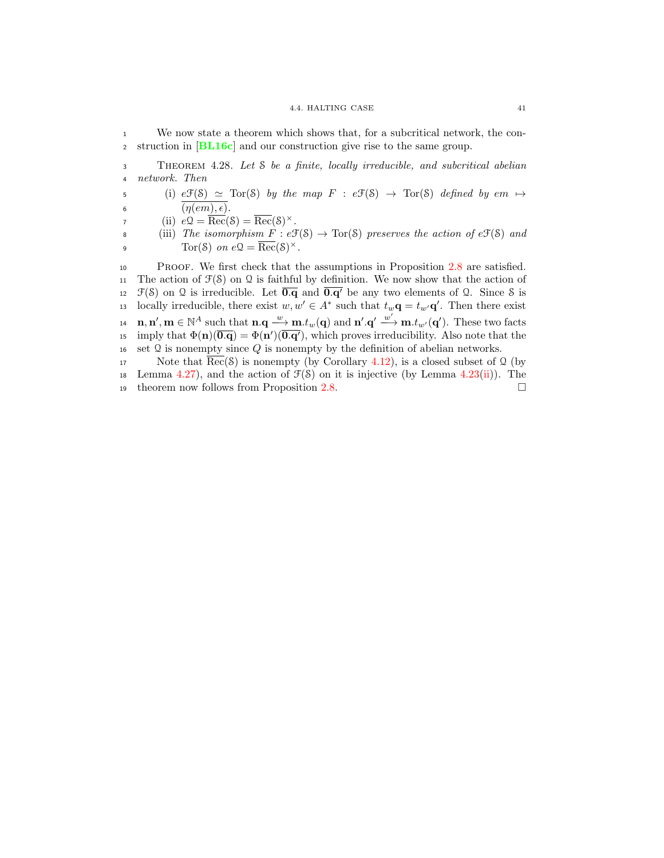#### 4.4. HALTING CASE 41

<sup>1</sup> We now state a theorem which shows that, for a subcritical network, the con-<sup>2</sup> struction in [[BL16c](#page-92-1)] and our construction give rise to the same group.

<sup>3</sup> Theorem 4.28. Let S be a finite, locally irreducible, and subcritical abelian <sup>4</sup> network. Then

5 (i)  $e\mathfrak{F}(\mathcal{S}) \simeq \text{Tor}(\mathcal{S})$  by the map  $F : e\mathfrak{F}(\mathcal{S}) \to \text{Tor}(\mathcal{S})$  defined by  $em \mapsto$ 6  $(\eta(em), \epsilon).$ 

7 (ii)  $e\mathfrak{Q} = \overline{\text{Rec}}(\mathfrak{S}) = \overline{\text{Rec}}(\mathfrak{S})^{\times}.$ 

8 (iii) The isomorphism  $F : e\mathfrak{F}(\mathcal{S}) \to \text{Tor}(\mathcal{S})$  preserves the action of  $e\mathfrak{F}(\mathcal{S})$  and  $\text{Tor}(\mathcal{S})$  on  $e\mathfrak{Q} = \overline{\text{Rec}}(\mathcal{S})^{\times}$ . 9  $\text{Tor}(\mathcal{S})$  on  $e\mathcal{Q} = \overline{\text{Rec}}(\mathcal{S})^{\times}.$ 

<sup>10</sup> Proof. We first check that the assumptions in Proposition [2.8](#page-18-2) are satisfied. 11 The action of  $\mathcal{F}(\mathcal{S})$  on  $\Omega$  is faithful by definition. We now show that the action of 12  $\mathcal{F}(\mathcal{S})$  on  $\mathcal{Q}$  is irreducible. Let  $\overline{0.\mathbf{q}}$  and  $\overline{0.\mathbf{q}'}$  be any two elements of  $\mathcal{Q}$ . Since  $\mathcal{S}$  is 13 locally irreducible, there exist  $w, w' \in A^*$  such that  $t_w \mathbf{q} = t_{w'} \mathbf{q}'$ . Then there exist  $\mathbf{n}, \mathbf{n}', \mathbf{m} \in \mathbb{N}^A$  such that  $\mathbf{n} \cdot \mathbf{q} \longrightarrow \mathbf{m}.t_w(\mathbf{q})$  and  $\mathbf{n}' \cdot \mathbf{q}' \longrightarrow \mathbf{m}.t_{w'}(\mathbf{q}')$ . These two facts is imply that  $\Phi(\mathbf{n})(\overline{\mathbf{0}.\mathbf{q}}) = \Phi(\mathbf{n}')(\overline{\mathbf{0}.\mathbf{q}'})$ , which proves irreducibility. Also note that the 16 set  $\Omega$  is nonempty since  $Q$  is nonempty by the definition of abelian networks.

17 Note that  $\overline{\text{Rec}}(\mathcal{S})$  is nonempty (by Corollary [4.12\)](#page-39-3), is a closed subset of Q (by 18 Lemma [4.27\)](#page-47-0), and the action of  $\mathcal{F}(S)$  on it is injective (by Lemma [4.23](#page-45-0)[\(ii\)](#page-45-4)). The 19 theorem now follows from Proposition [2.8.](#page-18-2)  $\Box$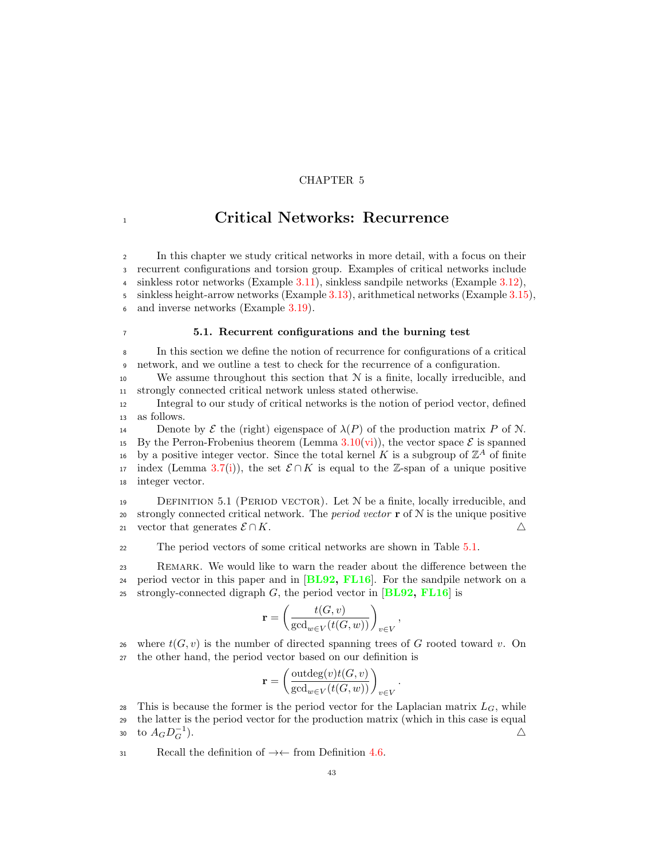# CHAPTER 5

# <sup>1</sup> Critical Networks: Recurrence

 In this chapter we study critical networks in more detail, with a focus on their recurrent configurations and torsion group. Examples of critical networks include sinkless rotor networks (Example [3.11\)](#page-27-0), sinkless sandpile networks (Example [3.12\)](#page-27-1), sinkless height-arrow networks (Example [3.13\)](#page-28-0), arithmetical networks (Example [3.15\)](#page-30-0),

6 and inverse networks (Example [3.19\)](#page-33-0).

# <sup>7</sup> 5.1. Recurrent configurations and the burning test

<sup>8</sup> In this section we define the notion of recurrence for configurations of a critical <sup>9</sup> network, and we outline a test to check for the recurrence of a configuration.

10 We assume throughout this section that  $N$  is a finite, locally irreducible, and <sup>11</sup> strongly connected critical network unless stated otherwise.

<sup>12</sup> Integral to our study of critical networks is the notion of period vector, defined <sup>13</sup> as follows.

14 Denote by  $\mathcal E$  the (right) eigenspace of  $\lambda(P)$  of the production matrix P of N. 15 By the Perron-Frobenius theorem (Lemma [3.10](#page-24-1)[\(vi\)](#page-25-3)), the vector space  $\mathcal{E}$  is spanned<br>16 by a positive integer vector. Since the total kernel K is a subgroup of  $\mathbb{Z}^4$  of finite 16 by a positive integer vector. Since the total kernel K is a subgroup of  $\mathbb{Z}^A$  of finite 17 index (Lemma [3.7\(](#page-23-0)[i\)](#page-23-1)), the set  $\mathcal{E} \cap K$  is equal to the Z-span of a unique positive is integer vector. integer vector.

<span id="page-50-0"></span> $19$  DEFINITION 5.1 (PERIOD VECTOR). Let  $N$  be a finite, locally irreducible, and 20 strongly connected critical network. The *period vector*  $\mathbf{r}$  of  $\mathcal{N}$  is the unique positive 21 vector that generates  $\mathcal{E} \cap K$ .

<sup>22</sup> The period vectors of some critical networks are shown in Table [5.1.](#page-51-0)

<sup>23</sup> Remark. We would like to warn the reader about the difference between the 24 period vector in this paper and in  $[BL92, FL16]$  $[BL92, FL16]$  $[BL92, FL16]$  $[BL92, FL16]$  $[BL92, FL16]$ . For the sandpile network on a 25 strongly-connected digraph  $G$ , the period vector in [[BL92,](#page-92-0) [FL16](#page-93-2)] is

$$
\mathbf{r} = \left(\frac{t(G, v)}{\gcd_{w \in V}(t(G, w))}\right)_{v \in V}
$$

,

26 where  $t(G, v)$  is the number of directed spanning trees of G rooted toward v. On <sup>27</sup> the other hand, the period vector based on our definition is

$$
\mathbf{r} = \left(\frac{\text{outdeg}(v)t(G,v)}{\text{gcd}_{w \in V}(t(G,w))}\right)_{v \in V}.
$$

28 This is because the former is the period vector for the Laplacian matrix  $L_G$ , while <sup>29</sup> the latter is the period vector for the production matrix (which in this case is equal  $\text{to } A_G D_G^{-1}$ ).

31 Recall the definition of  $\rightarrow \leftarrow$  from Definition [4.6.](#page-36-2)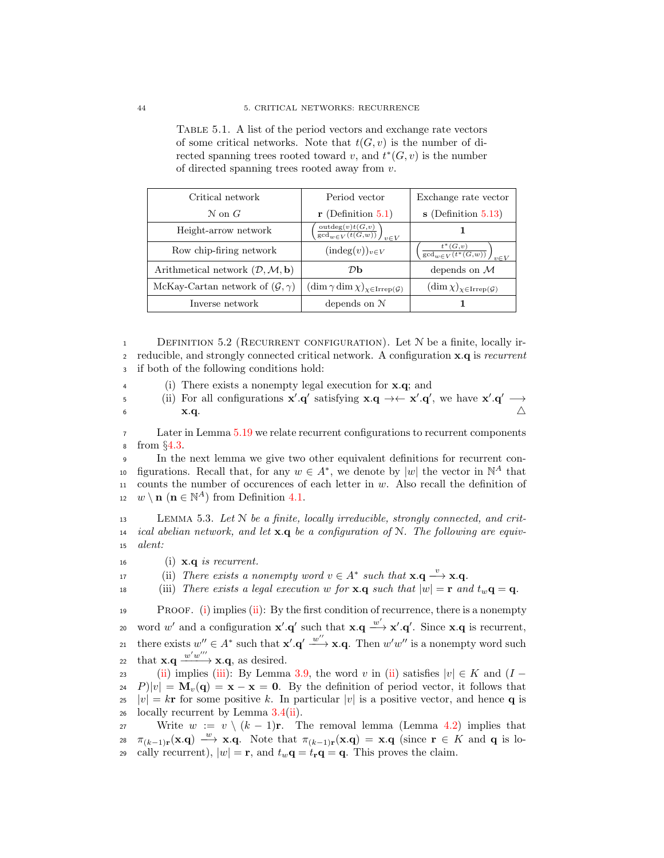| Critical network                                              | Period vector                                                                           | Exchange rate vector                                             |
|---------------------------------------------------------------|-----------------------------------------------------------------------------------------|------------------------------------------------------------------|
| $\mathcal N$ on $G$                                           | $\mathbf{r}$ (Definition 5.1)                                                           | $s$ (Definition 5.13)                                            |
| Height-arrow network                                          | $\overline{\mathrm{outdeg}(v)t(G,v)\over \mathrm{gcd}_{w\in V}(t(G,w))}\bigg)_{v\in V}$ |                                                                  |
| Row chip-firing network                                       | $(\text{indeg}(v))_{v \in V}$                                                           | $\left(\frac{t^*(G,v)}{\gcd_{w\in V}(t^*(G,w))}\right)_{v\in V}$ |
| Arithmetical network $(\mathcal{D}, \mathcal{M}, \mathbf{b})$ | DЬ                                                                                      | depends on $\mathcal M$                                          |
| McKay-Cartan network of $(\mathcal{G}, \gamma)$               | $(\dim \gamma \dim \chi)_{\chi \in \text{Irrep}(\mathcal{G})}$                          | $(\dim \chi)_{\chi \in \text{Irrep}(\mathcal{G})}$               |
| Inverse network                                               | depends on N                                                                            |                                                                  |

<span id="page-51-0"></span>Table 5.1. A list of the period vectors and exchange rate vectors of some critical networks. Note that  $t(G, v)$  is the number of directed spanning trees rooted toward v, and  $t^*(G, v)$  is the number of directed spanning trees rooted away from v.

<span id="page-51-5"></span>1 DEFINITION 5.2 (RECURRENT CONFIGURATION). Let N be a finite, locally ir-<sup>2</sup> reducible, and strongly connected critical network. A configuration x.q is recurrent <sup>3</sup> if both of the following conditions hold:

- <sup>4</sup> (i) There exists a nonempty legal execution for x.q; and
- 5 (ii) For all configurations  $\mathbf{x}' \cdot \mathbf{q}'$  satisfying  $\mathbf{x} \cdot \mathbf{q} \to \mathbf{x}' \cdot \mathbf{q}'$ , we have  $\mathbf{x}' \cdot \mathbf{q}' \to \mathbf{x}'$ 6  $\mathbf{x}.\mathbf{q}$ .

<sup>7</sup> Later in Lemma [5.19](#page-61-0) we relate recurrent configurations to recurrent components <sup>8</sup> from §[4.3.](#page-43-3)

 In the next lemma we give two other equivalent definitions for recurrent conio figurations. Recall that, for any  $w \in A^*$ , we denote by  $|w|$  the vector in  $\mathbb{N}^A$  that counts the number of occurences of each letter in w. Also recall the definition of  $w \setminus \mathbf{n}$  ( $\mathbf{n} \in \mathbb{N}^A$ ) from Definition [4.1.](#page-34-1)

<span id="page-51-4"></span> $13$  LEMMA 5.3. Let N be a finite, locally irreducible, strongly connected, and crit-14 ical abelian network, and let  $\mathbf{x} \cdot \mathbf{q}$  be a configuration of N. The following are equiv-<sup>15</sup> alent:

- <span id="page-51-1"></span>16 (i)  $\mathbf{x} \cdot \mathbf{q}$  is recurrent.
- <span id="page-51-2"></span>17 (ii) There exists a nonempty word  $v \in A^*$  such that  $\mathbf{x} \cdot \mathbf{q} \stackrel{v}{\longrightarrow} \mathbf{x} \cdot \mathbf{q}$ .
- <span id="page-51-3"></span>18 (iii) There exists a legal execution w for **x**.q such that  $|w| = \mathbf{r}$  and  $t_w \mathbf{q} = \mathbf{q}$ .

**PROOF.** [\(i\)](#page-51-1) implies [\(ii\)](#page-51-2): By the first condition of recurrence, there is a nonempty 20 word w' and a configuration  $\mathbf{x}' \cdot \mathbf{q}'$  such that  $\mathbf{x} \cdot \mathbf{q} \xrightarrow{w'} \mathbf{x}' \cdot \mathbf{q}'$ . Since  $\mathbf{x} \cdot \mathbf{q}$  is recurrent, 21 there exists  $w'' \in A^*$  such that  $\mathbf{x}' \cdot \mathbf{q}' \xrightarrow{w''} \mathbf{x} \cdot \mathbf{q}$ . Then  $w'w''$  is a nonempty word such 22 that  $\mathbf{x} \cdot \mathbf{q} \xrightarrow{w'w'''} \mathbf{x} \cdot \mathbf{q}$ , as desired.

23 [\(ii\)](#page-51-2) implies [\(iii\)](#page-51-3): By Lemma [3.9,](#page-23-2) the word v in [\(ii\)](#page-51-2) satisfies  $|v| \in K$  and  $(I - 24 P)|v| = M_v(\mathbf{q}) = \mathbf{x} - \mathbf{x} = \mathbf{0}$ . By the definition of period vector, it follows that  $P||v| = M_v(q) = x - x = 0$ . By the definition of period vector, it follows that  $|v| = k\mathbf{r}$  for some positive k. In particular  $|v|$  is a positive vector, and hence **q** is locally recurrent by Lemma 3.4(ii). locally recurrent by Lemma  $3.4(ii)$  $3.4(ii)$ .

27 Write  $w := v \setminus (k-1)r$ . The removal lemma (Lemma [4.2\)](#page-34-0) implies that 28  $\pi_{(k-1)r}(\mathbf{x}.q) \stackrel{w}{\longrightarrow} \mathbf{x}.q$ . Note that  $\pi_{(k-1)r}(\mathbf{x}.q) = \mathbf{x}.q$  (since  $\mathbf{r} \in K$  and q is lo-29 cally recurrent),  $|w| = \mathbf{r}$ , and  $t_w \mathbf{q} = t_\mathbf{r} \mathbf{q} = \mathbf{q}$ . This proves the claim.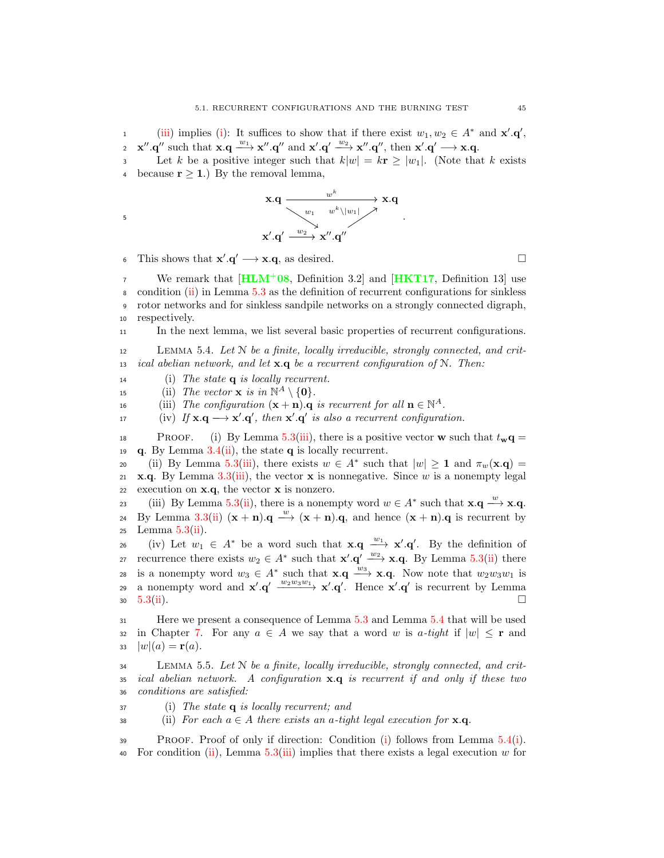1 [\(iii\)](#page-51-3) implies [\(i\)](#page-51-1): It suffices to show that if there exist  $w_1, w_2 \in A^*$  and  $\mathbf{x}', \mathbf{q}',$ 2  $\mathbf{x}'' \cdot \mathbf{q}''$  such that  $\mathbf{x} \cdot \mathbf{q} \xrightarrow{w_1} \mathbf{x}'' \cdot \mathbf{q}''$  and  $\mathbf{x}' \cdot \mathbf{q}' \xrightarrow{w_2} \mathbf{x}'' \cdot \mathbf{q}''$ , then  $\mathbf{x}' \cdot \mathbf{q}' \longrightarrow \mathbf{x} \cdot \mathbf{q}$ .

3 Let k be a positive integer such that  $k|w| = k\mathbf{r} \ge |w_1|$ . (Note that k exists because  $r \geq 1$ .) By the removal lemma,

$$
\begin{array}{ccc}\n\mathbf{x}.\mathbf{q} & \xrightarrow{\quad \mathbf{w}^k & \mathbf{w}^1 \quad \mathbf{w}^k \setminus |w_1| \rightarrow \mathbf{x}.\mathbf{q} \\
\searrow \quad & \searrow \quad & \mathbf{x}' \cdot \mathbf{q}' & \xrightarrow{\quad \mathbf{w}^2 \quad \mathbf{x}'' \cdot \mathbf{q}''\n\end{array}
$$

6 This shows that  $\mathbf{x}' \cdot \mathbf{q}' \longrightarrow \mathbf{x} \cdot \mathbf{q}$ , as desired.

We remark that  $[HLM^+ 08,$  $[HLM^+ 08,$  $[HLM^+ 08,$  Definition 3.2] and  $[HKT17,$  $[HKT17,$  $[HKT17,$  Definition 13] use condition [\(ii\)](#page-51-2) in Lemma [5.3](#page-51-4) as the definition of recurrent configurations for sinkless rotor networks and for sinkless sandpile networks on a strongly connected digraph, respectively.

<sup>11</sup> In the next lemma, we list several basic properties of recurrent configurations.

<span id="page-52-0"></span> $12$  LEMMA 5.4. Let N be a finite, locally irreducible, strongly connected, and crit-13 ical abelian network, and let  $\mathbf{x} \cdot \mathbf{q}$  be a recurrent configuration of N. Then:

<span id="page-52-2"></span>14 (i) The state  $q$  is locally recurrent.

<span id="page-52-4"></span>15 (ii) The vector **x** is in  $\mathbb{N}^A \setminus \{0\}.$ 

<span id="page-52-5"></span>16 (iii) The configuration  $(\mathbf{x} + \mathbf{n}) \cdot \mathbf{q}$  is recurrent for all  $\mathbf{n} \in \mathbb{N}^A$ .

17 (iv) If  $\mathbf{x} \cdot \mathbf{q} \longrightarrow \mathbf{x}' \cdot \mathbf{q}'$ , then  $\mathbf{x}' \cdot \mathbf{q}'$  is also a recurrent configuration.

18 PROOF. (i) By Lemma [5.3\(](#page-51-4)[iii\)](#page-51-3), there is a positive vector **w** such that  $t_{\mathbf{w}}\mathbf{q} =$ 19 **q.** By Lemma  $3.4$ ([ii\)](#page-22-8), the state **q** is locally recurrent.

20 (ii) By Lemma [5.3](#page-51-4)[\(iii\)](#page-51-3), there exists  $w \in A^*$  such that  $|w| \ge 1$  and  $\pi_w(\mathbf{x}.q) =$ 21 x.q. By Lemma [3.3\(](#page-22-2)[iii\)](#page-22-6), the vector x is nonnegative. Since w is a nonempty legal 22 execution on  $x.q$ , the vector  $x$  is nonzero.

(iii) By Lemma [5.3\(](#page-51-4)[ii\)](#page-51-2), there is a nonempty word  $w \in A^*$  such that  $\mathbf{x} \cdot \mathbf{q} \stackrel{w}{\longrightarrow} \mathbf{x} \cdot \mathbf{q}$ . 24 By Lemma [3.3](#page-22-2)[\(ii\)](#page-22-3)  $(\mathbf{x} + \mathbf{n}) \cdot \mathbf{q} \stackrel{w}{\longrightarrow} (\mathbf{x} + \mathbf{n}) \cdot \mathbf{q}$ , and hence  $(\mathbf{x} + \mathbf{n}) \cdot \mathbf{q}$  is recurrent by 25 Lemma  $5.3(ii)$  $5.3(ii)$ .

26 (iv) Let  $w_1 \in A^*$  be a word such that  $\mathbf{x} \cdot \mathbf{q} \xrightarrow{w_1} \mathbf{x}' \cdot \mathbf{q}'$ . By the definition of express in the exists  $w_2 \in A^*$  such that  $\mathbf{x}' \cdot \mathbf{q}' \xrightarrow{w_2} \mathbf{x} \cdot \mathbf{q}$ . By Lemma [5.3](#page-51-4)[\(ii\)](#page-51-2) there 28 is a nonempty word  $w_3 \in A^*$  such that  $\mathbf{x} \cdot \mathbf{q} \xrightarrow{w_3} \mathbf{x} \cdot \mathbf{q}$ . Now note that  $w_2w_3w_1$  is 29 a nonempty word and  $\mathbf{x}' \cdot \mathbf{q}' \xrightarrow{w_2w_3w_1} \mathbf{x}' \cdot \mathbf{q}'$ . Hence  $\mathbf{x}' \cdot \mathbf{q}'$  is recurrent by Lemma 30  $5.3(i)$  $5.3(i)$ .

<sup>31</sup> Here we present a consequence of Lemma [5.3](#page-51-4) and Lemma [5.4](#page-52-0) that will be used 32 in Chapter [7.](#page-78-0) For any  $a \in A$  we say that a word w is a-tight if  $|w| \leq r$  and  $|w|(a) = r(a)$ .  $|w|(a) = \mathbf{r}(a).$ 

 $134$  LEMMA 5.5. Let N be a finite, locally irreducible, strongly connected, and crit- $35$  ical abelian network. A configuration  $\mathbf{x} \cdot \mathbf{q}$  is recurrent if and only if these two <sup>36</sup> conditions are satisfied:

<span id="page-52-1"></span> $37$  (i) The state **q** is locally recurrent; and

<span id="page-52-3"></span>38 (ii) For each  $a \in A$  there exists an a-tight legal execution for **x**.q.

<sup>39</sup> Proof. Proof of only if direction: Condition [\(i\)](#page-52-1) follows from Lemma [5.4\(](#page-52-0)[i\)](#page-52-2). 40 For condition [\(ii\)](#page-52-3), Lemma  $5.3(iii)$  $5.3(iii)$  implies that there exists a legal execution w for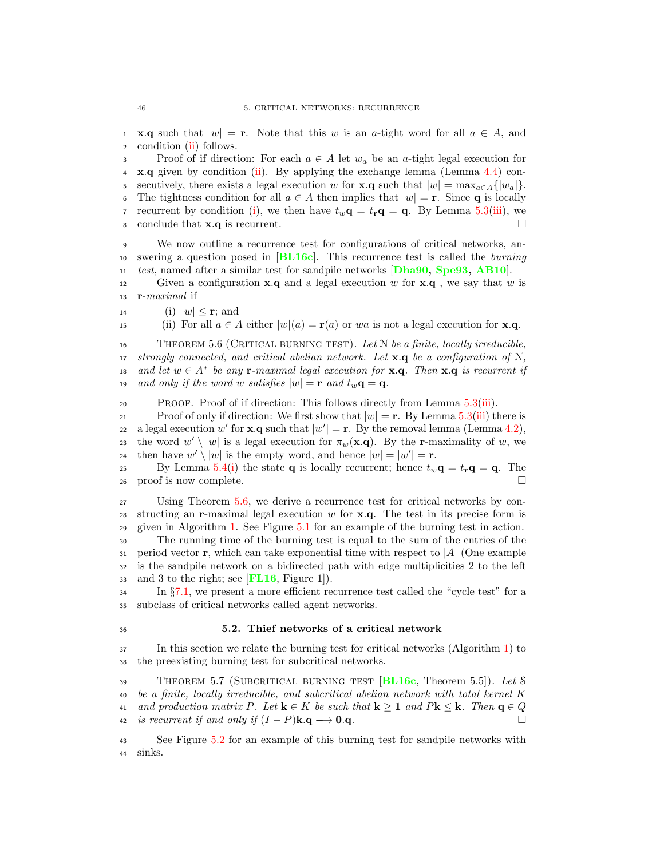1 **x.q** such that  $|w| = \mathbf{r}$ . Note that this w is an a-tight word for all  $a \in A$ , and condition (ii) follows. condition [\(ii\)](#page-52-3) follows.

3 Proof of if direction: For each  $a \in A$  let  $w_a$  be an a-tight legal execution for  $4 \times q$  given by condition [\(ii\)](#page-52-3). By applying the exchange lemma (Lemma [4.4\)](#page-35-1) con-5 secutively, there exists a legal execution w for **x**.**q** such that  $|w| = \max_{a \in A} \{|w_a|\}.$ 6 The tightness condition for all  $a \in A$  then implies that  $|w| = \mathbf{r}$ . Since **q** is locally recurrent by condition (i), we then have  $t_w \mathbf{q} = t_x \mathbf{q} = \mathbf{q}$ . By Lemma 5.3(iii), we recurrent by condition [\(i\)](#page-52-1), we then have  $t_w \mathbf{q} = t_\mathbf{r} \mathbf{q} = \mathbf{q}$ . By Lemma [5.3\(](#page-51-4)[iii\)](#page-51-3), we 8 conclude that  $\mathbf{x} \cdot \mathbf{q}$  is recurrent.

<sup>9</sup> We now outline a recurrence test for configurations of critical networks, an-<sup>10</sup> swering a question posed in [[BL16c](#page-92-1)]. This recurrence test is called the burning <sup>11</sup> test, named after a similar test for sandpile networks [[Dha90,](#page-92-3) [Spe93,](#page-94-1) [AB10](#page-92-4)].

12 Given a configuration **x.q** and a legal execution w for **x.q**, we say that w is  $13$  **r**-maximal if

14 (i)  $|w| \leq \mathbf{r}$ ; and<br>
15 (ii) For all  $a \in A$ 

(ii) For all  $a \in A$  either  $|w|(a) = \mathbf{r}(a)$  or wa is not a legal execution for **x**.q.

<span id="page-53-0"></span>16 THEOREM 5.6 (CRITICAL BURNING TEST). Let  $N$  be a finite, locally irreducible, 17 strongly connected, and critical abelian network. Let  $\mathbf{x} \cdot \mathbf{q}$  be a configuration of  $\mathcal{N}$ , 18 and let  $w \in A^*$  be any **r**-maximal legal execution for **x**.**q**. Then **x**.**q** is recurrent if 19 and only if the word w satisfies  $|w| = \mathbf{r}$  and  $t_w \mathbf{q} = \mathbf{q}$ .

<sup>20</sup> Proof. Proof of if direction: This follows directly from Lemma [5.3\(](#page-51-4)[iii\)](#page-51-3).

21 Proof of only if direction: We first show that  $|w| = \mathbf{r}$ . By Lemma [5.3\(](#page-51-4)[iii\)](#page-51-3) there is a legal execution w' for **x**.**q** such that  $|w'| = \mathbf{r}$ . By the removal lemma (Lemma [4.2\)](#page-34-0), 23 the word  $w' \setminus |w|$  is a legal execution for  $\pi_w(\mathbf{x}.q)$ . By the r-maximality of w, we 24 then have  $w' \setminus |w|$  is the empty word, and hence  $|w| = |w'| = \mathbf{r}$ .

25 By Lemma [5.4\(](#page-52-0)[i\)](#page-52-2) the state q is locally recurrent; hence  $t_w \mathbf{q} = t_\mathbf{r} \mathbf{q} = \mathbf{q}$ . The  $26 \text{ proof is now complete.}$ 

 Using Theorem [5.6,](#page-53-0) we derive a recurrence test for critical networks by con-28 structing an r-maximal legal execution w for  $x.q$ . The test in its precise form is given in Algorithm [1.](#page-53-1) See Figure [5.1](#page-54-0) for an example of the burning test in action. The running time of the burning test is equal to the sum of the entries of the

<span id="page-53-1"></span>31 period vector **r**, which can take exponential time with respect to  $|A|$  (One example is the sandpile network on a bidirected path with edge multiplicities 2 to the left is the sandpile network on a bidirected path with edge multiplicities 2 to the left 33 and 3 to the right; see  $[FL16, Figure 1]$  $[FL16, Figure 1]$  $[FL16, Figure 1]$ .

<sup>34</sup> In §[7.1,](#page-80-0) we present a more efficient recurrence test called the "cycle test" for a <sup>35</sup> subclass of critical networks called agent networks.

#### <sup>36</sup> 5.2. Thief networks of a critical network

<sup>37</sup> In this section we relate the burning test for critical networks (Algorithm [1\)](#page-53-1) to <sup>38</sup> the preexisting burning test for subcritical networks.

<span id="page-53-2"></span>39 THEOREM 5.7 (SUBCRITICAL BURNING TEST  $[\text{BL16c}, \text{Theorem 5.5}].$  $[\text{BL16c}, \text{Theorem 5.5}].$  $[\text{BL16c}, \text{Theorem 5.5}].$  Let S <sup>40</sup> be a finite, locally irreducible, and subcritical abelian network with total kernel K 41 and production matrix P. Let  $\mathbf{k} \in K$  be such that  $\mathbf{k} \geq 1$  and  $P\mathbf{k} \leq \mathbf{k}$ . Then  $\mathbf{q} \in Q$ <br>42 is recurrent if and only if  $(I - P)\mathbf{k} \cdot \mathbf{q} \to \mathbf{0} \cdot \mathbf{q}$ . is recurrent if and only if  $(I - P)$ **k.q**  $\longrightarrow$  **0.q.** 

<sup>43</sup> See Figure [5.2](#page-55-0) for an example of this burning test for sandpile networks with <sup>44</sup> sinks.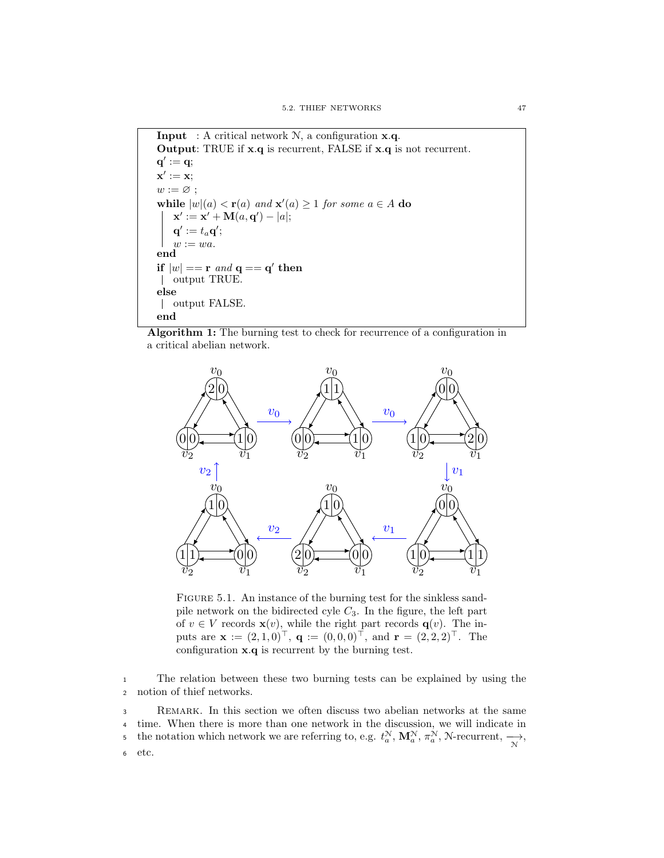**Input** : A critical network  $N$ , a configuration  $x.q$ . Output: TRUE if x.q is recurrent, FALSE if x.q is not recurrent.  $\mathbf{q}^\prime:=\mathbf{q};$  $\mathbf{x}':=\mathbf{x};$  $w := \varnothing;$ while  $|w|(a) < r(a)$  and  $x'(a) \ge 1$  for some  $a \in A$  do  $\mathbf{x}' := \mathbf{x}' + \mathbf{M}(a, \mathbf{q}') - |a|;$  $\mathbf{q}':=t_a\mathbf{q}';$  $w := wa.$ end if  $|w| == \textbf{r}$  and  $\mathbf{q} == \mathbf{q}'$  then output TRUE. else output FALSE. end

Algorithm 1: The burning test to check for recurrence of a configuration in a critical abelian network.



<span id="page-54-0"></span>FIGURE 5.1. An instance of the burning test for the sinkless sandpile network on the bidirected cyle  $C_3$ . In the figure, the left part of  $v \in V$  records  $\mathbf{x}(v)$ , while the right part records  $\mathbf{q}(v)$ . The inputs are  $\mathbf{x} := (2, 1, 0)^{\top}, \ \mathbf{q} := (0, 0, 0)^{\top}, \ \text{and} \ \mathbf{r} = (2, 2, 2)^{\top}.$  The configuration x.q is recurrent by the burning test.

<sup>1</sup> The relation between these two burning tests can be explained by using the <sup>2</sup> notion of thief networks.

<sup>3</sup> Remark. In this section we often discuss two abelian networks at the same <sup>4</sup> time. When there is more than one network in the discussion, we will indicate in the notation which network we are referring to, e.g.  $t_a^N$ ,  $\mathbf{M}_a^N$ ,  $\pi_a^N$ ,  $\mathcal{N}\text{-recurrent}, \xrightarrow[\mathcal{N}]{N}$ , <sup>6</sup> etc.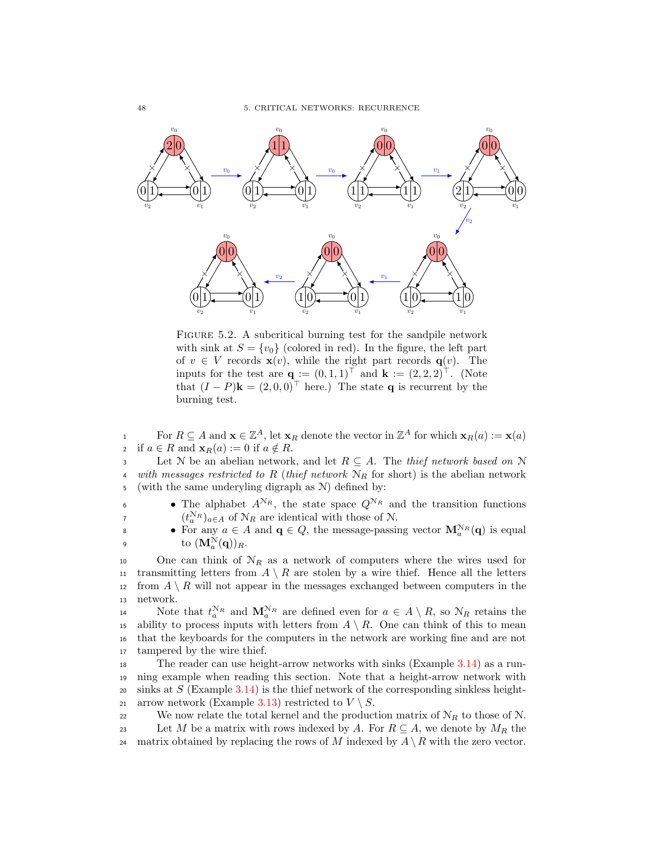

<span id="page-55-0"></span>FIGURE 5.2. A subcritical burning test for the sandpile network with sink at  $S = \{v_0\}$  (colored in red). In the figure, the left part of  $v \in V$  records  $\mathbf{x}(v)$ , while the right part records  $\mathbf{q}(v)$ . The inputs for the test are  $\mathbf{q} := (0,1,1)^\top$  and  $\mathbf{k} := (2,2,2)^\top$ . (Note that  $(I - P)\mathbf{k} = (2, 0, 0)^{\top}$  here.) The state **q** is recurrent by the burning test.

For  $R \subseteq A$  and  $\mathbf{x} \in \mathbb{Z}^A$ , let  $\mathbf{x}_R$  denote the vector in  $\mathbb{Z}^A$  for which  $\mathbf{x}_R(a) := \mathbf{x}(a)$ 2 if  $a \in R$  and  $\mathbf{x}_R(a) := 0$  if  $a \notin R$ .<br>3 Let N be an abelian network

3 Let N be an abelian network, and let  $R \subseteq A$ . The *thief network based on* N is *with messages restricted to R (thief network*  $N_P$  for short) is the abelian network with messages restricted to R (thief network  $N_R$  for short) is the abelian network <sup>5</sup> (with the same underyling digraph as N) defined by:

• The alphabet  $A^{\mathcal{N}_R}$ , the state space  $Q^{\mathcal{N}_R}$  and the transition functions <sup>7</sup>  $(t_a^{\mathcal{N}_R})_{a \in A}$  of  $\mathcal{N}_R$  are identical with those of  $\mathcal{N}$ .

• For any  $a \in A$  and  $\mathbf{q} \in Q$ , the message-passing vector  $\mathbf{M}_a^{N_R}(\mathbf{q})$  is equal 9 to  $(\mathbf{M}_{a}^{\mathcal{N}}(\mathbf{q}))_R$ .

10 One can think of  $N_R$  as a network of computers where the wires used for 11 transmitting letters from  $A \setminus R$  are stolen by a wire thief. Hence all the letters is the resolution  $A \setminus R$  will not appear in the messages exchanged between computers in the 12 from  $A \setminus R$  will not appear in the messages exchanged between computers in the network. network.

Note that  $t_a^{N_R}$  and  $\mathbf{M}_a^{N_R}$  are defined even for  $a \in A \setminus R$ , so  $N_R$  retains the 15 ability to process inputs with letters from  $A \setminus R$ . One can think of this to mean that the keyboards for the computers in the network are working fine and are not <sup>16</sup> that the keyboards for the computers in the network are working fine and are not <sup>17</sup> tampered by the wire thief.

<sup>18</sup> The reader can use height-arrow networks with sinks (Example [3.14\)](#page-29-0) as a run-<sup>19</sup> ning example when reading this section. Note that a height-arrow network with 20 sinks at S (Example [3.14\)](#page-29-0) is the thief network of the corresponding sinkless height-21 arrow network (Example [3.13\)](#page-28-0) restricted to  $V \setminus S$ .

22 We now relate the total kernel and the production matrix of  $\mathcal{N}_R$  to those of N.

- 23 Let M be a matrix with rows indexed by A. For  $R \subseteq A$ , we denote by  $M_R$  the matrix obtained by replacing the rows of M indexed by  $A \setminus R$  with the zero vector.
- matrix obtained by replacing the rows of M indexed by  $A \setminus R$  with the zero vector.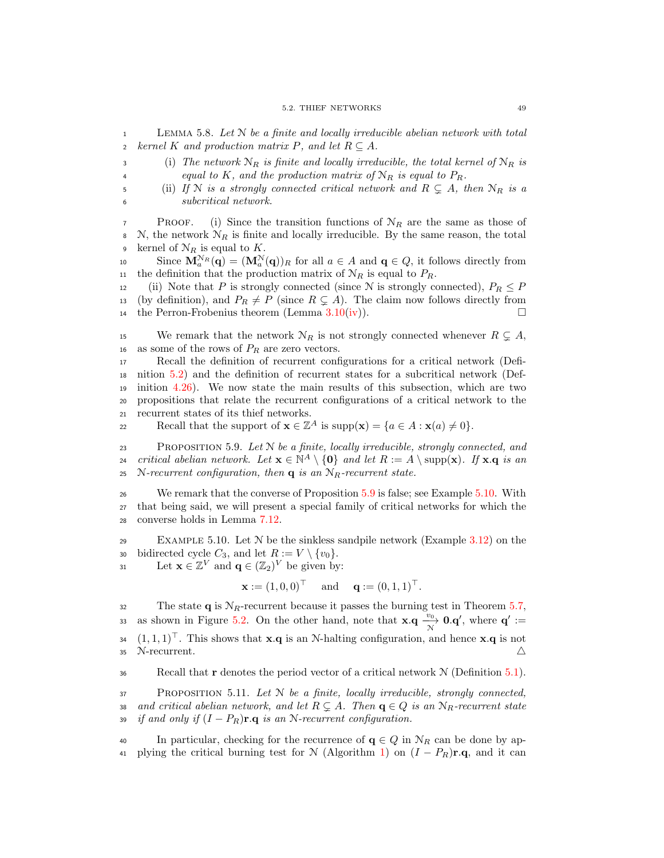<span id="page-56-2"></span> $1$  LEMMA 5.8. Let N be a finite and locally irreducible abelian network with total 2 kernel K and production matrix P, and let  $R \subset A$ .

3 (i) The network  $N_R$  is finite and locally irreducible, the total kernel of  $N_R$  is 4 equal to K, and the production matrix of  $\mathcal{N}_R$  is equal to  $P_R$ .

<span id="page-56-3"></span>5 (ii) If N is a strongly connected critical network and  $R \subseteq A$ , then  $\mathcal{N}_R$  is a <sup>6</sup> subcritical network.

**PROOF.** (i) Since the transition functions of  $N_R$  are the same as those of 8 N, the network  $\mathcal{N}_R$  is finite and locally irreducible. By the same reason, the total 9 kernel of  $\mathcal{N}_R$  is equal to K.

10 Since  $\mathbf{M}_a^{\mathcal{N}_R}(\mathbf{q}) = (\mathbf{M}_a^{\mathcal{N}}(\mathbf{q}))_R$  for all  $a \in A$  and  $\mathbf{q} \in Q$ , it follows directly from 11 the definition that the production matrix of  $N_R$  is equal to  $P_R$ .

12 (ii) Note that P is strongly connected (since N is strongly connected),  $P_R \leq P$ 13 (by definition), and  $P_R \neq P$  (since  $R \subsetneq A$ ). The claim now follows directly from the Perron-Frobenius theorem (Lemma 3.10(iv)). the Perron-Frobenius theorem (Lemma  $3.10(iv)$  $3.10(iv)$ ).

15 We remark that the network  $\mathcal{N}_R$  is not strongly connected whenever  $R \subsetneq A$ , 16 as some of the rows of  $P_R$  are zero vectors.

 Recall the definition of recurrent configurations for a critical network (Defi- nition [5.2\)](#page-51-5) and the definition of recurrent states for a subcritical network (Def- inition [4.26\)](#page-47-1). We now state the main results of this subsection, which are two propositions that relate the recurrent configurations of a critical network to the recurrent states of its thief networks.

Recall that the support of  $\mathbf{x} \in \mathbb{Z}^A$  is  $\text{supp}(\mathbf{x}) = \{a \in A : \mathbf{x}(a) \neq 0\}.$ 

<span id="page-56-0"></span> $P_{\text{ROPOSTTION}}$  5.9. Let  $N$  be a finite, locally irreducible, strongly connected, and critical abelian network. Let  $\mathbf{x} \in \mathbb{N}^A \setminus \{0\}$  and let  $R := A \setminus \text{supp}(\mathbf{x})$ . If  $\mathbf{x} \cdot \mathbf{q}$  is an 25 N-recurrent configuration, then  $q$  is an  $N_R$ -recurrent state.

<sup>26</sup> We remark that the converse of Proposition [5.9](#page-56-0) is false; see Example [5.10.](#page-56-1) With <sup>27</sup> that being said, we will present a special family of critical networks for which the <sup>28</sup> converse holds in Lemma [7.12.](#page-85-0)

<span id="page-56-1"></span>29 EXAMPLE 5.10. Let  $N$  be the sinkless sandpile network (Example [3.12\)](#page-27-1) on the 30 bidirected cycle  $C_3$ , and let  $R := V \setminus \{v_0\}$ .<br>31 Let  $\mathbf{x} \in \mathbb{Z}^V$  and  $\mathbf{q} \in (\mathbb{Z}_2)^V$  be given by

31 Let  $\mathbf{x} \in \mathbb{Z}^V$  and  $\mathbf{q} \in (\mathbb{Z}_2)^V$  be given by:

 $\mathbf{x} := (1, 0, 0)^{\top}$  and  $\mathbf{q} := (0, 1, 1)^{\top}$ .

32 The state **q** is  $N_R$ -recurrent because it passes the burning test in Theorem [5.7,](#page-53-2) as shown in Figure [5.2.](#page-55-0) On the other hand, note that  $\mathbf{x} \cdot \mathbf{q} \xrightarrow[\text{N}]{v_0} \mathbf{0} \cdot \mathbf{q}'$ , where  $\mathbf{q}' :=$  $(1, 1, 1)^\top$ . This shows that **x**.q is an N-halting configuration, and hence **x**.q is not 35 N-recurrent.  $\triangle$ 

36 Recall that  $\mathbf r$  denotes the period vector of a critical network  $\mathcal N$  (Definition [5.1\)](#page-50-0).

<span id="page-56-4"></span> $37$  PROPOSITION 5.11. Let N be a finite, locally irreducible, strongly connected, 38 and critical abelian network, and let  $R \subsetneq A$ . Then  $\mathbf{q} \in Q$  is an  $\mathcal{N}_R$ -recurrent state<br>39 if and only if  $(I - P_R)\mathbf{r} \cdot \mathbf{q}$  is an N-recurrent configuration. if and only if  $(I - P_R)$ r.q is an N-recurrent configuration.

40 In particular, checking for the recurrence of  $q \in Q$  in  $\mathcal{N}_R$  can be done by ap-41 plying the critical burning test for N (Algorithm [1\)](#page-53-1) on  $(I - P_R)$ **r.q**, and it can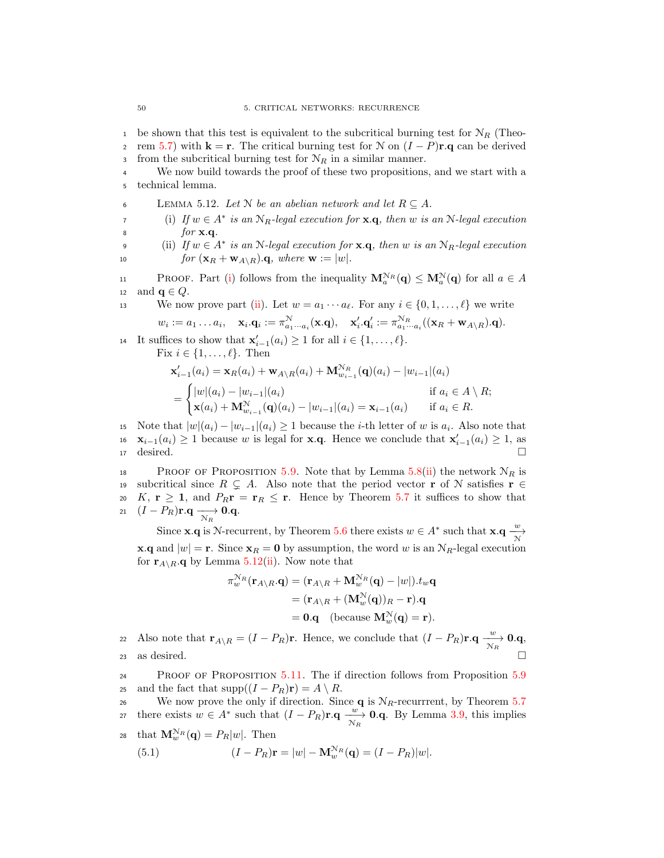<sup>1</sup> be shown that this test is equivalent to the subcritical burning test for  $N_R$  (Theo-2 rem [5.7\)](#page-53-2) with **k** = **r**. The critical burning test for N on  $(I - P)\mathbf{r} \cdot \mathbf{q}$  can be derived from the subcritical burning test for  $N_B$  in a similar manner. from the subcritical burning test for  $N_R$  in a similar manner.

<sup>4</sup> We now build towards the proof of these two propositions, and we start with a <sup>5</sup> technical lemma.

<span id="page-57-2"></span>6 LEMMA 5.12. Let N be an abelian network and let  $R \subseteq A$ .

<span id="page-57-0"></span>(i) If  $w \in A^*$  is an  $N_R$ -legal execution for  $\mathbf{x} \cdot \mathbf{q}$ , then w is an N-legal execution  $\delta$  *for* **x**.q.

<span id="page-57-1"></span>9 (ii) If  $w \in A^*$  is an N-legal execution for  $\mathbf{x} \cdot \mathbf{q}$ , then w is an  $N_R$ -legal execution 10 for  $(\mathbf{x}_R + \mathbf{w}_{A \setminus R}).\mathbf{q}$ , where  $\mathbf{w} := |w|$ .

**PROOF.** Part [\(i\)](#page-57-0) follows from the inequality  $\mathbf{M}_a^{\mathcal{N}_R}(\mathbf{q}) \leq \mathbf{M}_a^{\mathcal{N}}(\mathbf{q})$  for all  $a \in A$ 12 and  $\mathbf{q} \in Q$ .

13 We now prove part [\(ii\)](#page-57-1). Let  $w = a_1 \cdots a_\ell$ . For any  $i \in \{0, 1, \ldots, \ell\}$  we write

 $w_i:=a_1\ldots a_i,\quad \mathbf{x}_i.\mathbf{q}_i:=\pi_{a_1\cdots a_i}^{\mathcal{N}}(\mathbf{x}.\mathbf{q}),\quad \mathbf{x}_i'.\mathbf{q}_i':=\pi_{a_1\cdots a_i}^{\mathcal{N}_R}((\mathbf{x}_R+\mathbf{w}_{A\setminus R}).\mathbf{q}).$ 

14 It suffices to show that  $\mathbf{x}'_{i-1}(a_i) \geq 1$  for all  $i \in \{1, ..., \ell\}$ .

Fix  $i \in \{1, \ldots, \ell\}$ . Then

$$
\mathbf{x}'_{i-1}(a_i) = \mathbf{x}_R(a_i) + \mathbf{w}_{A \setminus R}(a_i) + \mathbf{M}_{w_{i-1}}^{N_R}(\mathbf{q})(a_i) - |w_{i-1}|(a_i)
$$
  
= 
$$
\begin{cases} |w|(a_i) - |w_{i-1}|(a_i) & \text{if } a_i \in A \setminus R; \\ \mathbf{x}(a_i) + \mathbf{M}_{w_{i-1}}^{N}(\mathbf{q})(a_i) - |w_{i-1}|(a_i) = \mathbf{x}_{i-1}(a_i) & \text{if } a_i \in R. \end{cases}
$$

15 Note that  $|w|(a_i) - |w_{i-1}|(a_i) \ge 1$  because the *i*-th letter of w is  $a_i$ . Also note that  $\mathbf{x}_{i-1}(a_i) > 1$  because w is legal for  $\mathbf{x} \cdot \mathbf{a}$ . Hence we conclude that  $\mathbf{x}'_{i-1}(a_i) > 1$ , as 16  $\mathbf{x}_{i-1}(a_i) \geq 1$  because w is legal for **x**.q. Hence we conclude that  $\mathbf{x}'_{i-1}(a_i) \geq 1$ , as  $\Box$  desired.  $\Box$ 

18 PROOF OF PROPOSITION [5.9.](#page-56-0) Note that by Lemma [5.8](#page-56-2)[\(ii\)](#page-56-3) the network  $\mathcal{N}_R$  is 19 subcritical since  $R \subsetneq A$ . Also note that the period vector **r** of N satisfies **r** ∈ <br>20 K, **r** ≥ **1**, and  $P_R$ **r** = **r**<sub>R</sub> ≤ **r**. Hence by Theorem 5.7 it suffices to show that 20 K,  $\mathbf{r} \geq 1$ , and  $P_R \mathbf{r} = \mathbf{r}_R \leq \mathbf{r}$ . Hence by Theorem [5.7](#page-53-2) it suffices to show that  $(I - P_R)\mathbf{r} \cdot \mathbf{q} \longrightarrow 0.\mathbf{q}$ . 21  $(I - P_R) \mathbf{r} \cdot \mathbf{q} \longrightarrow_{R} \mathbf{0} \cdot \mathbf{q}$ .

Since **x**.q is N-recurrent, by Theorem [5.6](#page-53-0) there exists  $w \in A^*$  such that **x**.q  $\frac{w}{N}$ **x.q** and  $|w| = \mathbf{r}$ . Since  $\mathbf{x}_R = \mathbf{0}$  by assumption, the word w is an  $N_R$ -legal execution for  $\mathbf{r}_{A\setminus R}$ . Q by Lemma [5.12](#page-57-2)[\(ii\)](#page-57-1). Now note that

$$
\pi_w^{\mathcal{N}_R}(\mathbf{r}_{A\setminus R}.\mathbf{q}) = (\mathbf{r}_{A\setminus R} + \mathbf{M}_w^{\mathcal{N}_R}(\mathbf{q}) - |w|).t_w \mathbf{q}
$$

$$
= (\mathbf{r}_{A\setminus R} + (\mathbf{M}_w^{\mathcal{N}}(\mathbf{q}))_R - \mathbf{r}).\mathbf{q}
$$

$$
= \mathbf{0}.\mathbf{q} \quad \text{(because } \mathbf{M}_w^{\mathcal{N}}(\mathbf{q}) = \mathbf{r}).
$$

22 Also note that  $\mathbf{r}_{A\setminus R} = (I - P_R)\mathbf{r}$ . Hence, we conclude that  $(I - P_R)\mathbf{r} \cdot \mathbf{q} \xrightarrow[\mathcal{N}_R]{w} \mathbf{0} \cdot \mathbf{q}$ , 23 as desired.  $\Box$ 

<sup>24</sup> Proof of Proposition [5.11.](#page-56-4) The if direction follows from Proposition [5.9](#page-56-0) 25 and the fact that  $\text{supp}((I - P_R)\mathbf{r}) = A \setminus R$ .<br>26 We now prove the only if direction. Since

We now prove the only if direction. Since  $q$  is  $N_R$ -recurrrent, by Theorem [5.7](#page-53-2) there exists  $w \in A^*$  such that  $(I - P_R) \mathbf{r} \cdot \mathbf{q} \xrightarrow[\mathcal{N}_R]{} \mathbf{0} \cdot \mathbf{q}$ . By Lemma [3.9,](#page-23-2) this implies 28 that  $\mathbf{M}_w^{\mathcal{N}_R}(\mathbf{q}) = P_R|w|$ . Then

<span id="page-57-3"></span>(5.1) 
$$
(I - P_R)\mathbf{r} = |w| - \mathbf{M}_w^{N_R}(\mathbf{q}) = (I - P_R)|w|.
$$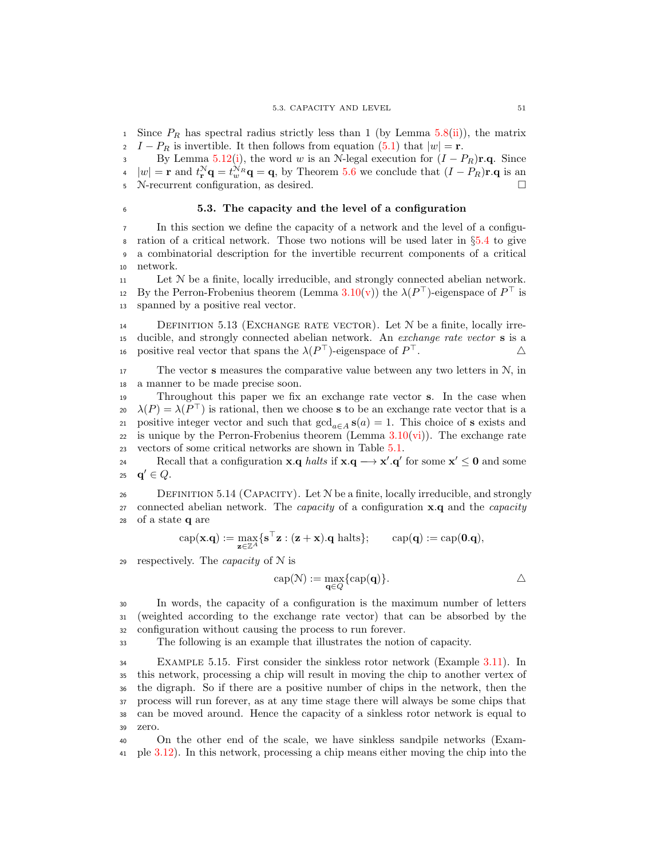Since  $P_R$  has spectral radius strictly less than 1 (by Lemma [5.8\(](#page-56-2)[ii\)](#page-56-3)), the matrix  $I - P_R$  is invertible. It then follows from equation [\(5.1\)](#page-57-3) that  $|w| = \mathbf{r}$ .

3 By Lemma [5.12\(](#page-57-2)[i\)](#page-57-0), the word w is an N-legal execution for  $(I - P_R)\mathbf{r} \cdot \mathbf{q}$ . Since  $\mathbf{a} \mid w \mid = \mathbf{r}$  and  $t^N \mathbf{q} = t^{N_R} \mathbf{q} = \mathbf{q}$ , by Theorem 5.6 we conclude that  $(I - P_R)\mathbf{r} \cdot \mathbf{q}$  is an  $|w| = \mathbf{r}$  and  $t_{\mathbf{r}}^N \mathbf{q} = t_w^N \mathbf{q} = \mathbf{q}$ , by Theorem [5.6](#page-53-0) we conclude that  $(I - P_R)\mathbf{r} \cdot \mathbf{q}$  is an <sup>5</sup> N-recurrent configuration, as desired.

### <sup>6</sup> 5.3. The capacity and the level of a configuration

<sup>7</sup> In this section we define the capacity of a network and the level of a configu-8 ration of a critical network. Those two notions will be used later in  $\S5.4$  $\S5.4$  to give<br>9 a combinatorial description for the invertible recurrent components of a critical <sup>9</sup> a combinatorial description for the invertible recurrent components of a critical <sup>10</sup> network.

<sup>11</sup> Let N be a finite, locally irreducible, and strongly connected abelian network. 12 By the Perron-Frobenius theorem (Lemma [3.10\(](#page-24-1)[v\)](#page-25-5)) the  $\lambda(P^{\top})$ -eigenspace of  $P^{\top}$  is <sup>13</sup> spanned by a positive real vector.

<span id="page-58-0"></span> $14$  DEFINITION 5.13 (EXCHANGE RATE VECTOR). Let N be a finite, locally irre-<sup>15</sup> ducible, and strongly connected abelian network. An exchange rate vector s is a 16 positive real vector that spans the  $\lambda(P^{\top})$ -eigenspace of  $P^{\top}$ .  $\Delta$ 

 $17$  The vector **s** measures the comparative value between any two letters in  $\mathcal{N}$ , in <sup>18</sup> a manner to be made precise soon.

<sup>19</sup> Throughout this paper we fix an exchange rate vector s. In the case when 20  $\lambda(P) = \lambda(P^{\top})$  is rational, then we choose **s** to be an exchange rate vector that is a 21 positive integer vector and such that  $gcd_{a\in A} s(a) = 1$ . This choice of s exists and 22 is unique by the Perron-Frobenius theorem (Lemma  $3.10(vi)$  $3.10(vi)$ ). The exchange rate <sup>23</sup> vectors of some critical networks are shown in Table [5.1.](#page-51-0)

Recall that a configuration  $\mathbf{x} \cdot \mathbf{q}$  halts if  $\mathbf{x} \cdot \mathbf{q} \longrightarrow \mathbf{x}' \cdot \mathbf{q}'$  for some  $\mathbf{x}' \leq \mathbf{0}$  and some 25 **q'**  $\in Q$ .

 $26$  DEFINITION 5.14 (CAPACITY). Let  $N$  be a finite, locally irreducible, and strongly 27 connected abelian network. The *capacity* of a configuration  $\mathbf{x} \cdot \mathbf{q}$  and the *capacity* <sup>28</sup> of a state q are

$$
\operatorname{cap}(\mathbf{x}.\mathbf{q}):=\max_{\mathbf{z}\in\mathbb{Z}^A}\{\mathbf{s}^\top\mathbf{z}:(\mathbf{z}+\mathbf{x}).\mathbf{q}\text{ halts}\};\qquad \operatorname{cap}(\mathbf{q}):=\operatorname{cap}(\mathbf{0}.\mathbf{q}),
$$

29 respectively. The *capacity* of  $N$  is

$$
cap(N) := \max_{\mathbf{q} \in Q} \{cap(\mathbf{q})\}.
$$

<sup>30</sup> In words, the capacity of a configuration is the maximum number of letters <sup>31</sup> (weighted according to the exchange rate vector) that can be absorbed by the <sup>32</sup> configuration without causing the process to run forever.

<sup>33</sup> The following is an example that illustrates the notion of capacity.

 Example 5.15. First consider the sinkless rotor network (Example [3.11\)](#page-27-0). In this network, processing a chip will result in moving the chip to another vertex of the digraph. So if there are a positive number of chips in the network, then the process will run forever, as at any time stage there will always be some chips that can be moved around. Hence the capacity of a sinkless rotor network is equal to <sup>39</sup> zero.

<sup>40</sup> On the other end of the scale, we have sinkless sandpile networks (Exam-<sup>41</sup> ple [3.12\)](#page-27-1). In this network, processing a chip means either moving the chip into the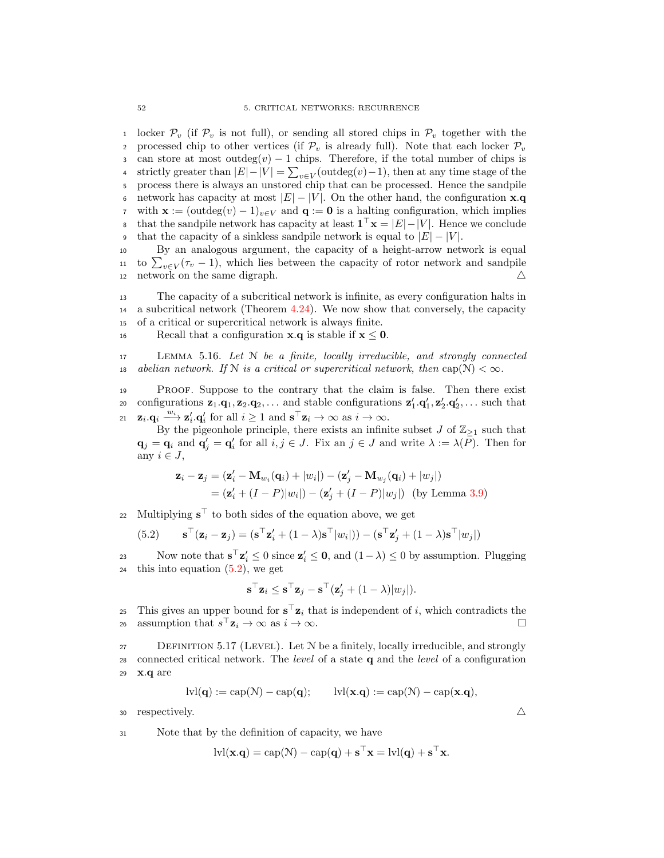1 locker  $\mathcal{P}_v$  (if  $\mathcal{P}_v$  is not full), or sending all stored chips in  $\mathcal{P}_v$  together with the processed chip to other vertices (if  $\mathcal{P}_v$  is already full). Note that each locker  $\mathcal{P}_v$ . 2 processed chip to other vertices (if  $\mathcal{P}_v$  is already full). Note that each locker  $\mathcal{P}_v$ <br>3 can store at most outdeg $(v) - 1$  chips. Therefore, if the total number of chips is 3 can store at most outdeg $(v) - 1$  chips. Therefore, if the total number of chips is strictly greater than  $|E| - |V| = \sum_{v \in V}$  (outdeg $(v) - 1$ ), then at any time stage of the strictly greater than  $|E| - |V| = \sum_{v \in V}$  (outdeg $(v) - 1$ ), then at any time stage of the <sup>5</sup> process there is always an unstored chip that can be processed. Hence the sandpile 6 network has capacity at most  $|E| - |V|$ . On the other hand, the configuration  $\mathbf{x} \cdot \mathbf{q}$ <br>7 with  $\mathbf{x} := (\text{outdeg}(v) - 1)_{v \in V}$  and  $\mathbf{q} := \mathbf{0}$  is a halting configuration, which implies 7 with  $\mathbf{x} := (\text{outdeg}(v) - 1)_{v \in V}$  and  $\mathbf{q} := \mathbf{0}$  is a halting configuration, which implies that the sandpile network has capacity at least  $\mathbf{1}^\top \mathbf{x} = |E| - |V|$ . Hence we conclude s that the sandpile network has capacity at least  $\mathbf{1}^\top \mathbf{x} = |E| - |V|$ . Hence we conclude 9 that the capacity of a sinkless sandpile network is equal to  $|E| - |V|$ .<br>10 By an analogous argument, the capacity of a height-arrow net

<sup>10</sup> By an analogous argument, the capacity of a height-arrow network is equal 11 to  $\sum_{v \in V} (\tau_v - 1)$ , which lies between the capacity of rotor network and sandpile 12 network on the same digraph.  $\triangle$ 

<sup>13</sup> The capacity of a subcritical network is infinite, as every configuration halts in <sup>14</sup> a subcritical network (Theorem [4.24\)](#page-46-1). We now show that conversely, the capacity <sup>15</sup> of a critical or supercritical network is always finite.

16 Recall that a configuration  $x.q$  is stable if  $x < 0$ .

 $17$  LEMMA 5.16. Let N be a finite, locally irreducible, and strongly connected 18 abelian network. If N is a critical or supercritical network, then  $cap(N) < \infty$ .

<sup>19</sup> Proof. Suppose to the contrary that the claim is false. Then there exist 20 configurations  $z_1 \cdot q_1, z_2 \cdot q_2, \ldots$  and stable configurations  $z'_1 \cdot q'_1, z'_2 \cdot q'_2, \ldots$  such that 21  $\mathbf{z}_i \cdot \mathbf{q}_i \xrightarrow{w_i} \mathbf{z}'_i \cdot \mathbf{q}'_i$  for all  $i \ge 1$  and  $\mathbf{s}^\top \mathbf{z}_i \to \infty$  as  $i \to \infty$ .

By the pigeonhole principle, there exists an infinite subset J of  $\mathbb{Z}_{\geq 1}$  such that  $\mathbf{q}_j = \mathbf{q}_i$  and  $\mathbf{q}'_j = \mathbf{q}'_i$  for all  $i, j \in J$ . Fix an  $j \in J$  and write  $\lambda := \lambda(\overline{P})$ . Then for any  $i \in J$ ,

$$
\mathbf{z}_{i} - \mathbf{z}_{j} = (\mathbf{z}'_{i} - \mathbf{M}_{w_{i}}(\mathbf{q}_{i}) + |w_{i}|) - (\mathbf{z}'_{j} - \mathbf{M}_{w_{j}}(\mathbf{q}_{i}) + |w_{j}|)
$$
  
= (\mathbf{z}'\_{i} + (I - P)|w\_{i}|) - (\mathbf{z}'\_{j} + (I - P)|w\_{j}|) (by Lemma 3.9)

22 Multiplying  $\mathbf{s}^{\top}$  to both sides of the equation above, we get

(5.2) 
$$
\mathbf{s}^{\top}(\mathbf{z}_{i} - \mathbf{z}_{j}) = (\mathbf{s}^{\top}\mathbf{z}'_{i} + (1 - \lambda)\mathbf{s}^{\top}|w_{i}|)) - (\mathbf{s}^{\top}\mathbf{z}'_{j} + (1 - \lambda)\mathbf{s}^{\top}|w_{j}|)
$$

Now note that  $\mathbf{s}^\top \mathbf{z}'_i \leq 0$  since  $\mathbf{z}'_i \leq \mathbf{0}$ , and  $(1 - \lambda) \leq 0$  by assumption. Plugging 24 this into equation  $(5.2)$ , we get

<span id="page-59-0"></span>
$$
\mathbf{s}^\top \mathbf{z}_i \leq \mathbf{s}^\top \mathbf{z}_j - \mathbf{s}^\top (\mathbf{z}'_j + (1 - \lambda)|w_j|).
$$

25 This gives an upper bound for  $\mathbf{s}^\top \mathbf{z}_i$  that is independent of i, which contradicts the assumption that  $s^{\top} \mathbf{z}_i \to \infty$  as  $i \to \infty$ .

 $27$  DEFINITION 5.17 (LEVEL). Let N be a finitely, locally irreducible, and strongly 28 connected critical network. The *level* of a state  $q$  and the *level* of a configuration <sup>29</sup> x.q are

$$
\text{lvl}(\mathbf{q}) := \text{cap}(\mathcal{N}) - \text{cap}(\mathbf{q}); \qquad \text{lvl}(\mathbf{x}.\mathbf{q}) := \text{cap}(\mathcal{N}) - \text{cap}(\mathbf{x}.\mathbf{q}),
$$

 $\Delta$  respectively.

<sup>31</sup> Note that by the definition of capacity, we have

$$
lvl(\mathbf{x}.\mathbf{q}) = cap(\mathcal{N}) - cap(\mathbf{q}) + \mathbf{s}^\top \mathbf{x} = ivl(\mathbf{q}) + \mathbf{s}^\top \mathbf{x}.
$$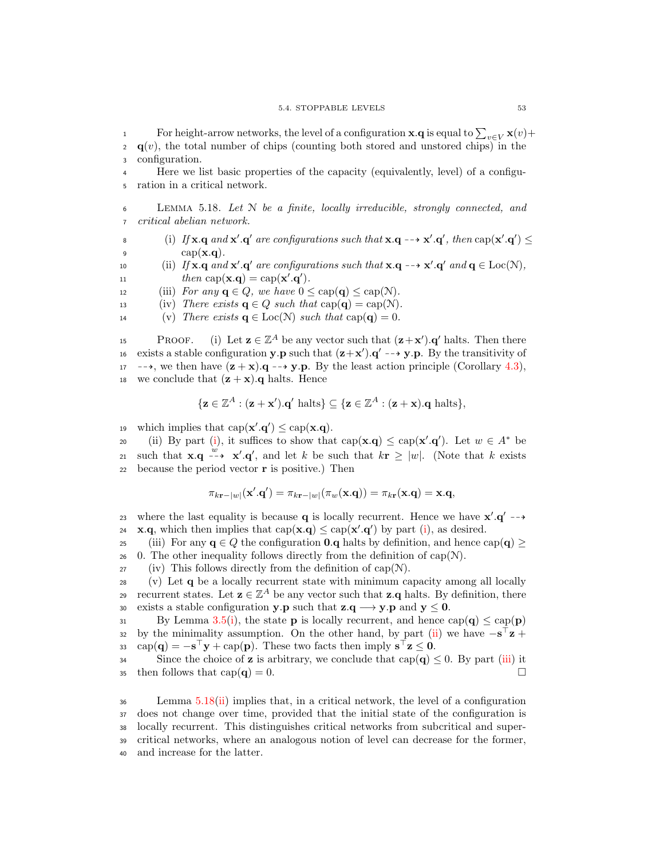For height-arrow networks, the level of a configuration **x**.**q** is equal to  $\sum_{v \in V}$ **x** $(v)$ +  $q(v)$ , the total number of chips (counting both stored and unstored chips) in the <sup>3</sup> configuration.

<sup>4</sup> Here we list basic properties of the capacity (equivalently, level) of a configu-<sup>5</sup> ration in a critical network.

<span id="page-60-3"></span> $6$  LEMMA 5.18. Let N be a finite, locally irreducible, strongly connected, and <sup>7</sup> critical abelian network.

<span id="page-60-0"></span>8 (i) If  $\mathbf{x} \cdot \mathbf{q}$  and  $\mathbf{x}' \cdot \mathbf{q}'$  are configurations such that  $\mathbf{x} \cdot \mathbf{q} \rightarrow \mathbf{x}' \cdot \mathbf{q}'$ , then  $\text{cap}(\mathbf{x}' \cdot \mathbf{q}') \leq$ 9 cap $(\mathbf{x}.\mathbf{q})$ .

<span id="page-60-1"></span>10 (ii) If  $\mathbf{x} \cdot \mathbf{q}$  and  $\mathbf{x}' \cdot \mathbf{q}'$  are configurations such that  $\mathbf{x} \cdot \mathbf{q} \rightarrow \mathbf{x}' \cdot \mathbf{q}'$  and  $\mathbf{q} \in \text{Loc}(\mathcal{N})$ , 11  $then \operatorname{cap}(\mathbf{x}.\mathbf{q}) = \operatorname{cap}(\mathbf{x}'.\mathbf{q}'.$ 

<span id="page-60-2"></span>12 (iii) For any  $q \in Q$ , we have  $0 \leq cap(q) \leq cap(N)$ .

13 (iv) There exists  $q \in Q$  such that  $cap(q) = cap(N)$ .

<span id="page-60-4"></span>14 (v) There exists  $\mathbf{q} \in \text{Loc}(\mathcal{N})$  such that  $\text{cap}(\mathbf{q}) = 0$ .

**PROOF.** (i) Let  $z \in \mathbb{Z}^A$  be any vector such that  $(z + x')$ . q' halts. Then there 16 exists a stable configuration **y**.**p** such that  $(z+x')$ .**q'** -->**y**.**p**. By the transitivity of 17 -->, we then have  $(\mathbf{z} + \mathbf{x})$ .  $\mathbf{q} \rightarrow \mathbf{y}$ . By the least action principle (Corollary [4.3\)](#page-35-2), 18 we conclude that  $(\mathbf{z} + \mathbf{x})$ . q halts. Hence

$$
\{ \mathbf{z} \in \mathbb{Z}^A : (\mathbf{z} + \mathbf{x}') \cdot \mathbf{q}' \text{ halts} \} \subseteq \{ \mathbf{z} \in \mathbb{Z}^A : (\mathbf{z} + \mathbf{x}) \cdot \mathbf{q} \text{ halts} \},
$$

19 which implies that  $cap(\mathbf{x}',\mathbf{q}') \leq cap(\mathbf{x}.\mathbf{q})$ .

20 (ii) By part [\(i\)](#page-60-0), it suffices to show that  $cap(\mathbf{x}.\mathbf{q}) \leq cap(\mathbf{x}'.\mathbf{q}')$ . Let  $w \in A^*$  be 21 such that  $\mathbf{x} \cdot \mathbf{q} \xrightarrow{w} \mathbf{x}' \cdot \mathbf{q}'$ , and let k be such that  $k \mathbf{r} \ge |w|$ . (Note that k exists 22 because the period vector  $\bf{r}$  is positive.) Then

$$
\pi_{k\mathbf{r}-|w|}(\mathbf{x}'.\mathbf{q}') = \pi_{k\mathbf{r}-|w|}(\pi_w(\mathbf{x}.\mathbf{q})) = \pi_{k\mathbf{r}}(\mathbf{x}.\mathbf{q}) = \mathbf{x}.\mathbf{q},
$$

23 where the last equality is because **q** is locally recurrent. Hence we have  $x'.q' \rightarrow$ 24 **x.q**, which then implies that  $cap(x,q) \leq cap(x',q')$  by part [\(i\)](#page-60-0), as desired.

25 (iii) For any  $q \in Q$  the configuration **0.** $q$  halts by definition, and hence cap( $q \ge$ 26 0. The other inequality follows directly from the definition of cap( $N$ ).

 $27$  (iv) This follows directly from the definition of cap(N).

<sup>28</sup> (v) Let q be a locally recurrent state with minimum capacity among all locally recurrent states. Let  $z \in \mathbb{Z}^A$  be any vector such that  $z \cdot q$  halts. By definition, there 30 exists a stable configuration **y**.**p** such that **z**.**q**  $\rightarrow$  **y**.**p** and **y**  $\leq$  **0**.<br>By Lemma 3.5(i), the state **p** is locally recurrent, and hence **c** 

By Lemma [3.5\(](#page-22-4)[i\)](#page-22-9), the state **p** is locally recurrent, and hence  $cap(\mathbf{q}) \leq cap(\mathbf{p})$ by the minimality assumption. On the other hand, by part [\(ii\)](#page-60-1) we have  $-\mathbf{s}^\top \mathbf{z}$  +  $\text{cap}(\mathbf{q}) = -\mathbf{s}^{\top}\mathbf{y} + \text{cap}(\mathbf{p}).$  These two facts then imply  $\mathbf{s}^{\top}\mathbf{z} \leq \mathbf{0}.$ 

Since the choice of **z** is arbitrary, we conclude that cap(**q**)  $\leq 0$ . By part [\(iii\)](#page-60-2) it then follows that cap(**q**) = 0. 35 then follows that  $cap(\mathbf{q}) = 0$ .

 Lemma [5.18\(](#page-60-3)[ii\)](#page-60-1) implies that, in a critical network, the level of a configuration does not change over time, provided that the initial state of the configuration is locally recurrent. This distinguishes critical networks from subcritical and super- critical networks, where an analogous notion of level can decrease for the former, and increase for the latter.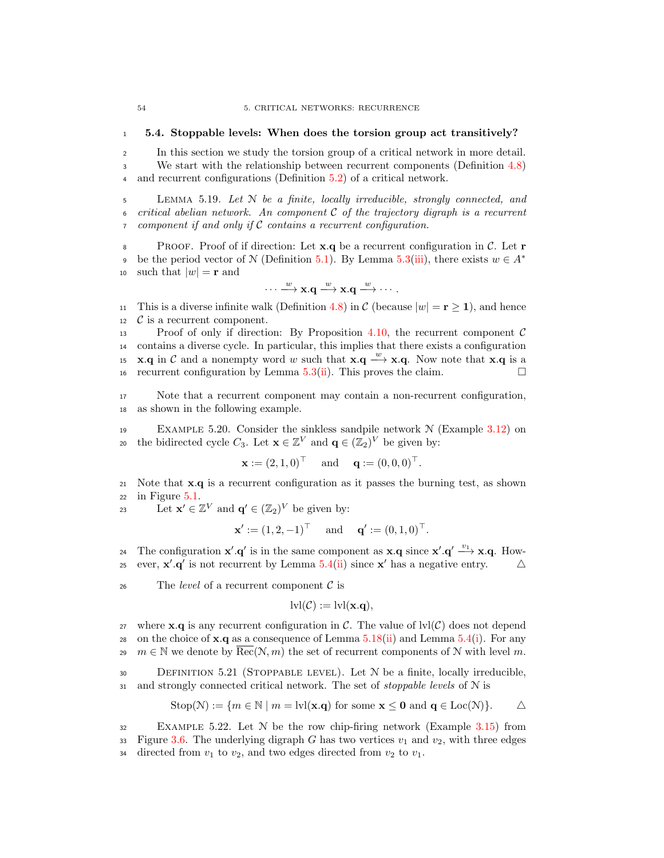## <span id="page-61-1"></span><sup>1</sup> 5.4. Stoppable levels: When does the torsion group act transitively?

<sup>2</sup> In this section we study the torsion group of a critical network in more detail. <sup>3</sup> We start with the relationship between recurrent components (Definition [4.8\)](#page-38-8) <sup>4</sup> and recurrent configurations (Definition [5.2\)](#page-51-5) of a critical network.

<span id="page-61-0"></span><sup>5</sup> Lemma 5.19. Let N be a finite, locally irreducible, strongly connected, and 6 critical abelian network. An component C of the trajectory digraph is a recurrent component if and only if C contains a recurrent configuration. component if and only if  $C$  contains a recurrent configuration.

8 PROOF. Proof of if direction: Let  $\mathbf{x} \cdot \mathbf{q}$  be a recurrent configuration in C. Let  $\mathbf{r}$ be the period vector of N (Definition [5.1\)](#page-50-0). By Lemma [5.3\(](#page-51-4)[iii\)](#page-51-3), there exists  $w \in A^*$ 9 10 such that  $|w| = \mathbf{r}$  and

$$
\cdots \xrightarrow{w} \mathbf{x}.\mathbf{q} \xrightarrow{w} \mathbf{x}.\mathbf{q} \xrightarrow{w} \cdots.
$$

11 This is a diverse infinite walk (Definition [4.8\)](#page-38-8) in  $C$  (because  $|w| = \mathbf{r} \ge \mathbf{1}$ ), and hence  $C$  is a recurrent component.  $\begin{array}{ll} \n\text{12} & \mathcal{C} \n\end{array}$  is a recurrent component.<br>
13 Proof of only if direction

Proof of only if direction: By Proposition [4.10,](#page-38-4) the recurrent component  $\mathcal C$ <sup>14</sup> contains a diverse cycle. In particular, this implies that there exists a configuration 15 **x.q** in C and a nonempty word w such that  $\mathbf{x} \cdot \mathbf{q} \stackrel{w}{\longrightarrow} \mathbf{x} \cdot \mathbf{q}$ . Now note that  $\mathbf{x} \cdot \mathbf{q}$  is a 16 recurrent configuration by Lemma [5.3\(](#page-51-4)[ii\)](#page-51-2). This proves the claim.

<sup>17</sup> Note that a recurrent component may contain a non-recurrent configuration, <sup>18</sup> as shown in the following example.

19 EXAMPLE 5.20. Consider the sinkless sandpile network  $\mathcal N$  (Example [3.12\)](#page-27-1) on 20 the bidirected cycle  $C_3$ . Let  $\mathbf{x} \in \mathbb{Z}^V$  and  $\mathbf{q} \in (\mathbb{Z}_2)^V$  be given by:

$$
x := (2, 1, 0)T
$$
 and  $q := (0, 0, 0)T$ .

<sup>21</sup> Note that x.q is a recurrent configuration as it passes the burning test, as shown  $22$  in Figure  $5.1$ .

23 Let  $\mathbf{x}' \in \mathbb{Z}^V$  and  $\mathbf{q}' \in (\mathbb{Z}_2)^V$  be given by:

$$
x' := (1, 2, -1)T
$$
 and  $q' := (0, 1, 0)T$ .

24 The configuration  $\mathbf{x}' \cdot \mathbf{q}'$  is in the same component as  $\mathbf{x} \cdot \mathbf{q}$  since  $\mathbf{x}' \cdot \mathbf{q}' \stackrel{v_1}{\longrightarrow} \mathbf{x} \cdot \mathbf{q}$ . However,  $\mathbf{x}' \cdot \mathbf{q}'$  is not recurrent by Lemma [5.4\(](#page-52-0)[ii\)](#page-52-4) since  $\mathbf{x}'$  has a negative entry.  $\Delta$ 

26 The *level* of a recurrent component  $\mathcal{C}$  is

$$
lvl(\mathcal{C}) := \text{lvl}(\mathbf{x}.\mathbf{q}),
$$

27 where **x**.q is any recurrent configuration in C. The value of  $\text{lvl}(\mathcal{C})$  does not depend 28 on the choice of  $\mathbf{x} \cdot \mathbf{q}$  as a consequence of Lemma [5.18](#page-60-3)[\(ii\)](#page-60-1) and Lemma [5.4\(](#page-52-0)[i\)](#page-52-2). For any 29  $m \in \mathbb{N}$  we denote by  $Rec(N, m)$  the set of recurrent components of N with level m.

30 DEFINITION 5.21 (STOPPABLE LEVEL). Let  $N$  be a finite, locally irreducible, 31 and strongly connected critical network. The set of *stoppable levels* of N is

$$
Stop(\mathcal{N}) := \{ m \in \mathbb{N} \mid m = \text{lvl}(\mathbf{x}.\mathbf{q}) \text{ for some } \mathbf{x} \le \mathbf{0} \text{ and } \mathbf{q} \in \text{Loc}(\mathcal{N}) \}. \qquad \triangle
$$

<sup>32</sup> Example 5.22. Let N be the row chip-firing network (Example [3.15\)](#page-30-0) from 33 Figure [3.6.](#page-30-1) The underlying digraph G has two vertices  $v_1$  and  $v_2$ , with three edges 34 directed from  $v_1$  to  $v_2$ , and two edges directed from  $v_2$  to  $v_1$ .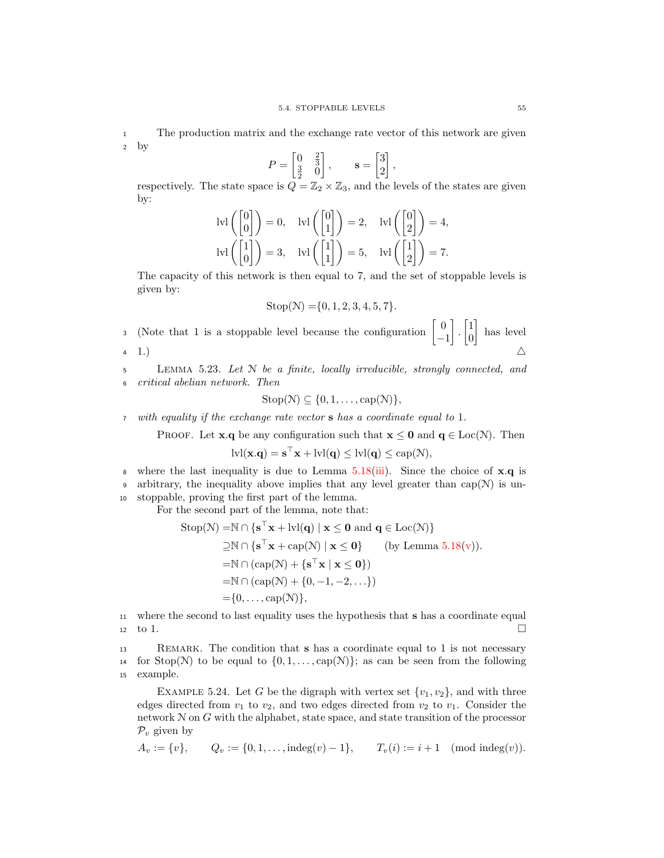<sup>1</sup> The production matrix and the exchange rate vector of this network are given <sup>2</sup> by

$$
P = \begin{bmatrix} 0 & \frac{2}{3} \\ \frac{3}{2} & 0 \end{bmatrix}, \qquad \mathbf{s} = \begin{bmatrix} 3 \\ 2 \end{bmatrix},
$$

respectively. The state space is  $Q = \mathbb{Z}_2 \times \mathbb{Z}_3$ , and the levels of the states are given by:

$$
Ivl\left(\begin{bmatrix}0\\0\end{bmatrix}\right)=0, \quad Ivl\left(\begin{bmatrix}0\\1\end{bmatrix}\right)=2, \quad Ivl\left(\begin{bmatrix}0\\2\end{bmatrix}\right)=4,
$$

$$
Ivl\left(\begin{bmatrix}1\\0\end{bmatrix}\right)=3, \quad Ivl\left(\begin{bmatrix}1\\1\end{bmatrix}\right)=5, \quad Ivl\left(\begin{bmatrix}1\\2\end{bmatrix}\right)=7.
$$

The capacity of this network is then equal to 7, and the set of stoppable levels is given by:

$$
Stop(\mathcal{N}) = \{0, 1, 2, 3, 4, 5, 7\}.
$$

(Note that 1 is a stoppable level because the configuration  $\begin{bmatrix} 0 \end{bmatrix}$ −1  $\Big] \cdot \Big[ \frac{1}{\alpha}$ 0 3 (Note that 1 is a stoppable level because the configuration  $\begin{bmatrix} 0 \\ 1 \end{bmatrix}$ .  $\begin{bmatrix} 1 \\ 0 \end{bmatrix}$  has level 4 1.)  $\triangle$ 

<sup>5</sup> Lemma 5.23. Let N be a finite, locally irreducible, strongly connected, and <sup>6</sup> critical abelian network. Then

$$
\mathrm{Stop}(\mathcal{N}) \subseteq \{0, 1, \ldots, \mathrm{cap}(\mathcal{N})\},\
$$

<sup>7</sup> with equality if the exchange rate vector s has a coordinate equal to 1.

PROOF. Let **x**.q be any configuration such that  $\mathbf{x} \leq \mathbf{0}$  and  $\mathbf{q} \in \text{Loc}(\mathcal{N})$ . Then

$$
lvl(\mathbf{x}.\mathbf{q}) = \mathbf{s}^\top \mathbf{x} +lvl(\mathbf{q}) \leq lvl(\mathbf{q}) \leq cap(\mathcal{N}),
$$

where the last inequality is due to Lemma [5.18\(](#page-60-3)[iii\)](#page-60-2). Since the choice of  $\mathbf{x} \cdot \mathbf{q}$  is 9 arbitrary, the inequality above implies that any level greater than  $cap(N)$  is un-<sup>10</sup> stoppable, proving the first part of the lemma.

For the second part of the lemma, note that:

$$
\begin{aligned} \mathrm{Stop}(\mathcal{N}) =& \mathbb{N} \cap \{\mathbf{s}^{\top}\mathbf{x} + \mathrm{lvl}(\mathbf{q}) \mid \mathbf{x} \leq \mathbf{0} \text{ and } \mathbf{q} \in \mathrm{Loc}(\mathcal{N})\} \\ \supseteq& \mathbb{N} \cap \{\mathbf{s}^{\top}\mathbf{x} + \mathrm{cap}(\mathcal{N}) \mid \mathbf{x} \leq \mathbf{0}\} \qquad \text{(by Lemma 5.18(v))}. \\ =& \mathbb{N} \cap (\mathrm{cap}(\mathcal{N}) + \{\mathbf{s}^{\top}\mathbf{x} \mid \mathbf{x} \leq \mathbf{0}\}) \\ =& \mathbb{N} \cap (\mathrm{cap}(\mathcal{N}) + \{0, -1, -2, \dots\}) \\ =& \{0, \dots, \mathrm{cap}(\mathcal{N})\}, \end{aligned}
$$

<sup>11</sup> where the second to last equality uses the hypothesis that s has a coordinate equal  $\Box$  to 1.

<sup>13</sup> Remark. The condition that s has a coordinate equal to 1 is not necessary 14 for Stop(N) to be equal to  $\{0, 1, \ldots, \text{cap}(N)\}$ ; as can be seen from the following example. example.

<span id="page-62-0"></span>EXAMPLE 5.24. Let G be the digraph with vertex set  $\{v_1, v_2\}$ , and with three edges directed from  $v_1$  to  $v_2$ , and two edges directed from  $v_2$  to  $v_1$ . Consider the network  $N$  on  $G$  with the alphabet, state space, and state transition of the processor  $\mathcal{P}_v$  given by

$$
A_v := \{v\}, \qquad Q_v := \{0, 1, \dots, \text{indeg}(v) - 1\}, \qquad T_v(i) := i + 1 \pmod{\text{indeg}(v)}.
$$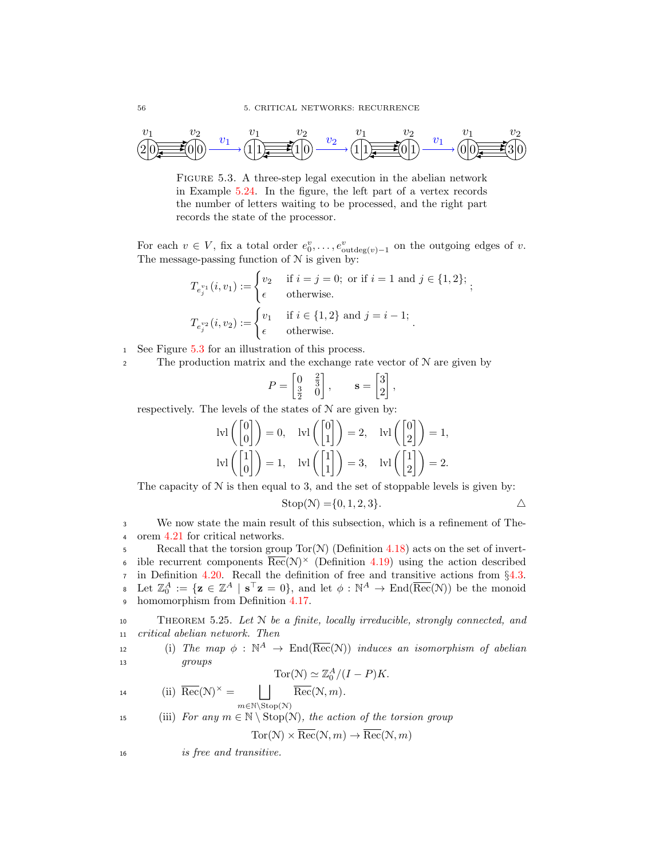

<span id="page-63-0"></span>FIGURE 5.3. A three-step legal execution in the abelian network in Example [5.24.](#page-62-0) In the figure, the left part of a vertex records the number of letters waiting to be processed, and the right part records the state of the processor.

For each  $v \in V$ , fix a total order  $e_0^v, \ldots, e_{\text{outdeg}(v)-1}^v$  on the outgoing edges of v. The message-passing function of  $N$  is given by:

$$
T_{e_j^{v_1}}(i, v_1) := \begin{cases} v_2 & \text{if } i = j = 0; \text{ or if } i = 1 \text{ and } j \in \{1, 2\}; \\ \epsilon & \text{otherwise.} \end{cases}
$$

$$
T_{e_j^{v_2}}(i, v_2) := \begin{cases} v_1 & \text{if } i \in \{1, 2\} \text{ and } j = i - 1; \\ \epsilon & \text{otherwise.} \end{cases}
$$

- <sup>1</sup> See Figure [5.3](#page-63-0) for an illustration of this process.
- 2 The production matrix and the exchange rate vector of  $N$  are given by

$$
P = \begin{bmatrix} 0 & \frac{2}{3} \\ \frac{3}{2} & 0 \end{bmatrix}, \qquad \mathbf{s} = \begin{bmatrix} 3 \\ 2 \end{bmatrix},
$$

respectively. The levels of the states of N are given by:

$$
|V1\left(\begin{bmatrix} 0\\0 \end{bmatrix}\right) = 0, \quad |V1\left(\begin{bmatrix} 0\\1 \end{bmatrix}\right) = 2, \quad |V1\left(\begin{bmatrix} 0\\2 \end{bmatrix}\right) = 1,
$$

$$
|V1\left(\begin{bmatrix} 1\\0 \end{bmatrix}\right) = 1, \quad |V1\left(\begin{bmatrix} 1\\1 \end{bmatrix}\right) = 3, \quad |V1\left(\begin{bmatrix} 1\\2 \end{bmatrix}\right) = 2.
$$

The capacity of  $N$  is then equal to 3, and the set of stoppable levels is given by:

$$
Stop(N) = \{0, 1, 2, 3\}.
$$

<sup>3</sup> We now state the main result of this subsection, which is a refinement of The-<sup>4</sup> orem [4.21](#page-44-2) for critical networks.

5 Recall that the torsion group  $Tor(N)$  (Definition [4.18\)](#page-43-4) acts on the set of invert-• ible recurrent components  $\overline{\text{Rec}}(\mathcal{N})^{\times}$  (Definition [4.19\)](#page-43-1) using the action described 7 in Definition [4.20.](#page-43-2) Recall the definition of free and transitive actions from §[4.3.](#page-43-3)<br>8 Let  $\mathbb{Z}_2^A := \{ \mathbf{z} \in \mathbb{Z}^A \mid \mathbf{s}^\top \mathbf{z} = 0 \}$ , and let  $\phi : \mathbb{N}^A \to \text{End}(\overline{\text{Rec}}(\mathcal{N}))$  be the monoid  $\mathbf{z} \in \mathbb{Z}^A \mid \mathbf{s}^\top \mathbf{z} = 0$ , and let  $\phi : \mathbb{N}^A \to \text{End}(\overline{\text{Rec}}(\mathcal{N}))$  be the monoid <sup>9</sup> homomorphism from Definition [4.17.](#page-43-0)

<span id="page-63-1"></span>10 THEOREM 5.25. Let  $N$  be a finite, locally irreducible, strongly connected, and <sup>11</sup> critical abelian network. Then

<span id="page-63-3"></span>(i) The map  $\phi : \mathbb{N}^A \to \text{End}(\overline{\text{Rec}}(\mathcal{N}))$  induces an isomorphism of abelian <sup>13</sup> groups

$$
Tor(\mathcal{N}) \simeq \mathbb{Z}_0^A/(I - P)K.
$$

<span id="page-63-4"></span>14 (ii) 
$$
\overline{\text{Rec}}(\mathcal{N})^{\times} = \bigsqcup_{m \in \mathbb{N} \backslash \text{Stop}(\mathcal{N})} \overline{\text{Rec}}(\mathcal{N}, m).
$$

<span id="page-63-2"></span>15 (iii) For any  $m \in \mathbb{N} \setminus \text{Stop}(\mathcal{N})$ , the action of the torsion group

$$
Tor(\mathcal{N}) \times \overline{Rec}(\mathcal{N}, m) \to \overline{Rec}(\mathcal{N}, m)
$$

<sup>16</sup> is free and transitive.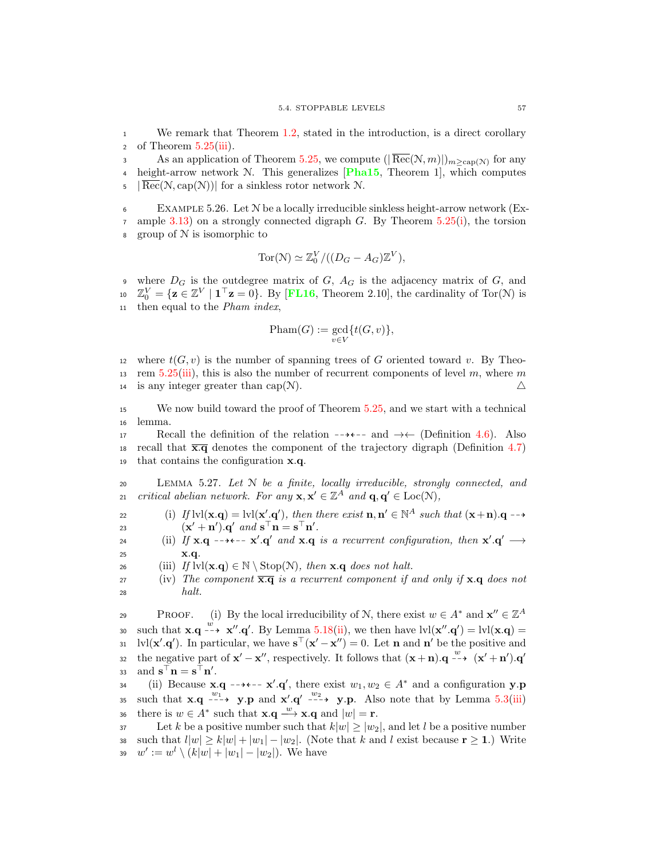We remark that Theorem [1.2,](#page-12-0) stated in the introduction, is a direct corollary 2 of Theorem  $5.25(iii)$  $5.25(iii)$ .

As an application of Theorem [5.25,](#page-63-1) we compute  $(|\overline{Rec}(N,m)|)_{m \geq cap(N)}$  for any 4 height-arrow network  $N$ . This generalizes [[Pha15](#page-94-2), Theorem 1], which computes  $\mathfrak{g}$  | Rec(N, cap(N))| for a sinkless rotor network N.

<sup>6</sup> Example 5.26. Let N be a locally irreducible sinkless height-arrow network (Ex- $\tau$  ample [3.13\)](#page-28-0) on a strongly connected digraph G. By Theorem [5.25\(](#page-63-1)[i\)](#page-63-3), the torsion <sup>8</sup> group of N is isomorphic to

$$
Tor(\mathcal{N}) \simeq \mathbb{Z}_0^V/((D_G - A_G)\mathbb{Z}^V),
$$

9 where  $D_G$  is the outdegree matrix of  $G$ ,  $A_G$  is the adjacency matrix of  $G$ , and 10  $\mathbb{Z}_0^V = {\mathbf{z} \in \mathbb{Z}^V \mid \mathbf{1}^\top \mathbf{z} = 0}.$  By [[FL16](#page-93-2), Theorem 2.10], the cardinality of Tor(N) is <sup>11</sup> then equal to the Pham index,

$$
{\rm Pham}(G):=\gcd_{v\in V}\{t(G,v)\},
$$

12 where  $t(G, v)$  is the number of spanning trees of G oriented toward v. By Theo-13 rem [5.25](#page-63-1)[\(iii\)](#page-63-2), this is also the number of recurrent components of level m, where m 14 is any integer greater than cap(N).  $\triangle$ 

<sup>15</sup> We now build toward the proof of Theorem [5.25,](#page-63-1) and we start with a technical <sup>16</sup> lemma.

17 Recall the definition of the relation  $-\rightarrow \leftarrow$  and  $\rightarrow \leftarrow$  (Definition [4.6\)](#page-36-2). Also 18 recall that  $\overline{x,q}$  denotes the component of the trajectory digraph (Definition [4.7\)](#page-36-3) <sup>19</sup> that contains the configuration x.q.

<span id="page-64-0"></span><sup>20</sup> Lemma 5.27. Let N be a finite, locally irreducible, strongly connected, and 21 critical abelian network. For any  $\mathbf{x}, \mathbf{x}' \in \mathbb{Z}^A$  and  $\mathbf{q}, \mathbf{q}' \in \text{Loc}(\mathcal{N})$ ,

<span id="page-64-3"></span>(i) If  $\text{lvl}(\mathbf{x}, \mathbf{q}) = \text{lvl}(\mathbf{x}', \mathbf{q}')$ , then there exist  $\mathbf{n}, \mathbf{n}' \in \mathbb{N}^A$  such that  $(\mathbf{x} + \mathbf{n}) \cdot \mathbf{q} \rightarrow$ 23  $(\mathbf{x}' + \mathbf{n}') \cdot \mathbf{q}'$  and  $\mathbf{s}^\top \mathbf{n} = \mathbf{s}^\top \mathbf{n}'$ .

<span id="page-64-4"></span>24 (ii) If  $\mathbf{x} \cdot \mathbf{q}$  --+--  $\mathbf{x}' \cdot \mathbf{q}'$  and  $\mathbf{x} \cdot \mathbf{q}$  is a recurrent configuration, then  $\mathbf{x}' \cdot \mathbf{q}' \longrightarrow$ 25 **x.q.** 

<span id="page-64-1"></span>26 (iii) If  $\text{lvl}(\mathbf{x}.\mathbf{q}) \in \mathbb{N} \setminus \text{Stop}(\mathcal{N})$ , then  $\mathbf{x}.\mathbf{q}$  does not halt.

<span id="page-64-2"></span> $27$  (iv) The component  $\overline{\mathbf{x}.\mathbf{q}}$  is a recurrent component if and only if  $\mathbf{x}.\mathbf{q}$  does not  $28$  halt.

PROOF. (i) By the local irreducibility of N, there exist  $w \in A^*$  and  $\mathbf{x}'' \in \mathbb{Z}^A$ 30 such that  $\mathbf{x} \cdot \mathbf{q} \stackrel{w}{\dashrightarrow} \mathbf{x}'' \cdot \mathbf{q}'$ . By Lemma [5.18](#page-60-3)[\(ii\)](#page-60-1), we then have  $\text{lvl}(\mathbf{x}'' \cdot \mathbf{q}') = \text{lvl}(\mathbf{x} \cdot \mathbf{q}) =$ 31 bl(**x'.q'**). In particular, we have  $\mathbf{s}^{\top}(\mathbf{x}' - \mathbf{x}'') = 0$ . Let **n** and **n'** be the positive and the negative part of  $\mathbf{x}' - \mathbf{x}''$ , respectively. It follows that  $(\mathbf{x} + \mathbf{n}) \cdot \mathbf{q} \xrightarrow{w} (\mathbf{x}' + \mathbf{n}') \cdot \mathbf{q}'$ 32  $\text{and } \mathbf{s}^\top \mathbf{n} = \mathbf{s}^\top \mathbf{n}'.$ 

34 (ii) Because  $\mathbf{x} \cdot \mathbf{q}$  --+--  $\mathbf{x}' \cdot \mathbf{q}'$ , there exist  $w_1, w_2 \in A^*$  and a configuration  $\mathbf{y} \cdot \mathbf{p}$ 35 such that  $\mathbf{x} \cdot \mathbf{q} \dashrightarrow \mathbf{y} \cdot \mathbf{p}$  and  $\mathbf{x}' \cdot \mathbf{q}' \dashrightarrow \mathbf{y} \cdot \mathbf{p}$ . Also note that by Lemma [5.3](#page-51-4)[\(iii\)](#page-51-3) 36 there is  $w \in A^*$  such that  $\mathbf{x} \cdot \mathbf{q} \stackrel{w}{\longrightarrow} \mathbf{x} \cdot \mathbf{q}$  and  $|w| = \mathbf{r}$ .

37 Let k be a positive number such that  $k|w| \ge |w_2|$ , and let l be a positive number 38 such that  $l|w| \ge k|w| + |w_1| - |w_2|$ . (Note that k and l exist because  $\mathbf{r} \ge 1$ .) Write<br>39  $w' := w^l \setminus (k|w| + |w_1| - |w_2|)$ . We have 39  $w' := w^l \setminus (k|w| + |w_1| - |w_2|)$ . We have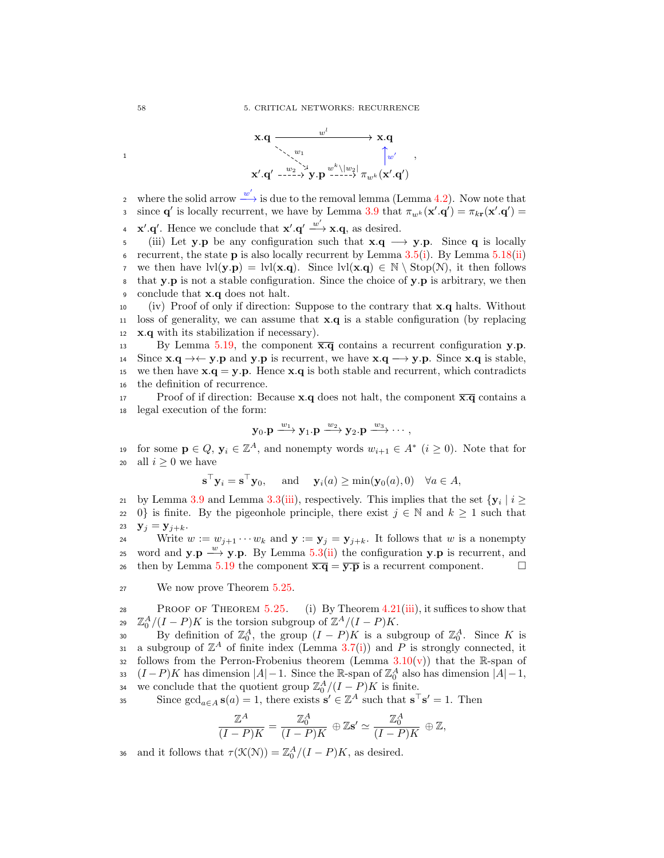

where the solid arrow  $\stackrel{w'}{\longrightarrow}$  is due to the removal lemma (Lemma [4.2\)](#page-34-0). Now note that s since **q'** is locally recurrent, we have by Lemma [3.9](#page-23-2) that  $\pi_{w^k}(\mathbf{x}', \mathbf{q}') = \pi_{k\mathbf{r}}(\mathbf{x}', \mathbf{q}')$ 

**x**  $\mathbf{x}' \cdot \mathbf{q}'$ . Hence we conclude that  $\mathbf{x}' \cdot \mathbf{q}' \xrightarrow{w'} \mathbf{x} \cdot \mathbf{q}$ , as desired.

5 (iii) Let **y**.p be any configuration such that  $\mathbf{x} \cdot \mathbf{q} \rightarrow \mathbf{y} \cdot \mathbf{p}$ . Since **q** is locally contracted in the state p is also locally recurrent by Lemma 3.5(i). By Lemma 5.18(ii) recurrent, the state  $p$  is also locally recurrent by Lemma [3.5](#page-22-4)[\(i\)](#page-22-9). By Lemma [5.18\(](#page-60-3)[ii\)](#page-60-1) 7 we then have  $\text{lvl}(\mathbf{y}, \mathbf{p}) = \text{lvl}(\mathbf{x}, \mathbf{q})$ . Since  $\text{lvl}(\mathbf{x}, \mathbf{q}) \in \mathbb{N} \setminus \text{Stop}(\mathbb{N})$ , it then follows  $\mathbf{s}$  that **y**.p is not a stable configuration. Since the choice of **y**.p is arbitrary, we then 9 conclude that **x**.q does not halt.

<sup>10</sup> (iv) Proof of only if direction: Suppose to the contrary that x.q halts. Without 11 loss of generality, we can assume that  $x.q$  is a stable configuration (by replacing 12 x.q with its stabilization if necessary).

13 By Lemma [5.19,](#page-61-0) the component  $\overline{\mathbf{x}.q}$  contains a recurrent configuration y.p. 14 Since  $\mathbf{x} \cdot \mathbf{q} \rightarrow \leftarrow \mathbf{y} \cdot \mathbf{p}$  and  $\mathbf{y} \cdot \mathbf{p}$  is recurrent, we have  $\mathbf{x} \cdot \mathbf{q} \rightarrow \mathbf{y} \cdot \mathbf{p}$ . Since  $\mathbf{x} \cdot \mathbf{q}$  is stable, we then have  $\mathbf{x} \cdot \mathbf{q} = \mathbf{y} \cdot \mathbf{p}$ . Hence  $\mathbf{x} \cdot \mathbf{q}$  i we then have  $x.q = y.p.$  Hence  $x.q$  is both stable and recurrent, which contradicts <sup>16</sup> the definition of recurrence.

17 Proof of if direction: Because **x**.q does not halt, the component  $\overline{\mathbf{x}.\mathbf{q}}$  contains a <sup>18</sup> legal execution of the form:

$$
\mathbf{y}_0.\mathbf{p} \xrightarrow{w_1} \mathbf{y}_1.\mathbf{p} \xrightarrow{w_2} \mathbf{y}_2.\mathbf{p} \xrightarrow{w_3} \cdots,
$$

for some  $\mathbf{p} \in Q$ ,  $\mathbf{y}_i \in \mathbb{Z}^A$ , and nonempty words  $w_{i+1} \in A^*$   $(i \geq 0)$ . Note that for 20 all  $i \geq 0$  we have

$$
\mathbf{s}^{\top}\mathbf{y}_i = \mathbf{s}^{\top}\mathbf{y}_0
$$
, and  $\mathbf{y}_i(a) \ge \min(\mathbf{y}_0(a), 0) \quad \forall a \in A$ ,

by Lemma [3.9](#page-23-2) and Lemma [3.3](#page-22-2)[\(iii\)](#page-22-6), respectively. This implies that the set  $\{y_i | i \ge 0\}$  is finite. By the pigeonhole principle, there exist  $j \in \mathbb{N}$  and  $k \ge 1$  such that 22 0} is finite. By the pigeonhole principle, there exist  $j \in \mathbb{N}$  and  $k \ge 1$  such that  $\mathbf{y}_i = \mathbf{y}_{i+k}$ .  $y_j = y_{j+k}.$ 

24 Write  $w := w_{j+1} \cdots w_k$  and  $\mathbf{y} := \mathbf{y}_j = \mathbf{y}_{j+k}$ . It follows that w is a nonempty 25 word and  $y.p \stackrel{w}{\longrightarrow} y.p.$  By Lemma [5.3](#page-51-4)[\(ii\)](#page-51-2) the configuration  $y.p$  is recurrent, and 26 then by Lemma [5.19](#page-61-0) the component  $\overline{\mathbf{x}.q} = \overline{\mathbf{y}.p}$  is a recurrent component.

<sup>27</sup> We now prove Theorem [5.25.](#page-63-1)

28 PROOF OF THEOREM [5.25.](#page-63-1) (i) By Theorem  $4.21(iii)$  $4.21(iii)$ , it suffices to show that 29  $\mathbb{Z}_0^A/(I-P)K$  is the torsion subgroup of  $\mathbb{Z}^A/(I-P)K$ .

30 By definition of  $\mathbb{Z}_0^A$ , the group  $(I - P)K$  is a subgroup of  $\mathbb{Z}_0^A$ . Since K is 31 a subgroup of  $\mathbb{Z}^A$  of finite index (Lemma [3.7\(](#page-23-0)[i\)](#page-23-1)) and P is strongly connected, it 32 follows from the Perron-Frobenius theorem (Lemma  $3.10(v)$  $3.10(v)$ ) that the R-span of 33  $(I-P)K$  has dimension  $|A|-1$ . Since the R-span of  $\mathbb{Z}_{0}^{A}$  also has dimension  $|A|-1$ , we conclude that the quotient group  $\mathbb{Z}_0^A/(I-P)K$  is finite.

Since  $\gcd_{a \in A} s(a) = 1$ , there exists  $s' \in \mathbb{Z}^A$  such that  $s^{\top} s' = 1$ . Then

$$
\frac{\mathbb{Z}^A}{(I-P)K} = \frac{\mathbb{Z}_0^A}{(I-P)K} \oplus \mathbb{Z}\mathbf{s}' \simeq \frac{\mathbb{Z}_0^A}{(I-P)K} \oplus \mathbb{Z},
$$

as and it follows that  $\tau(\mathcal{K}(\mathcal{N})) = \mathbb{Z}_0^A / (I - P)K$ , as desired.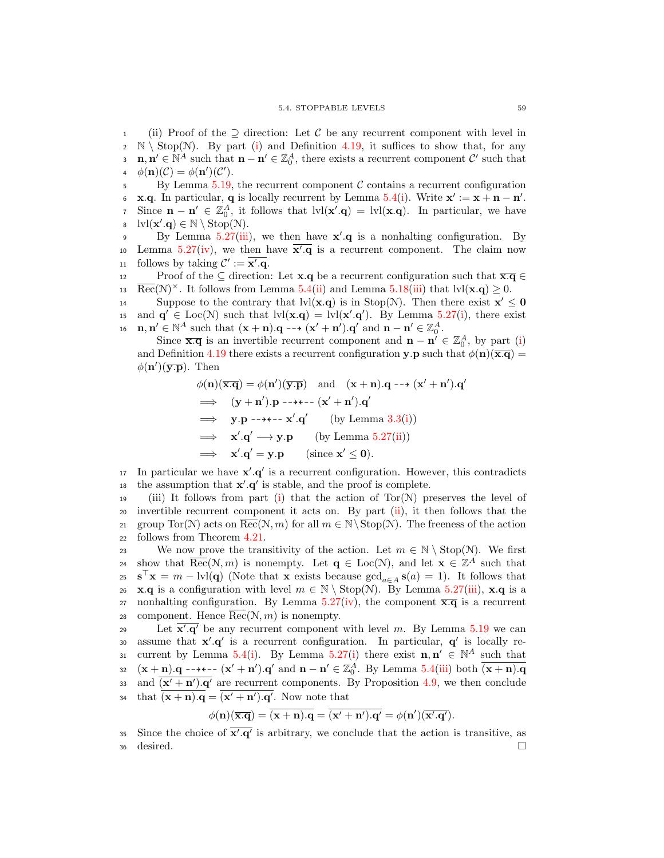1 (ii) Proof of the  $\supseteq$  direction: Let C be any recurrent component with level in <br>2 N \ Stop(N). By part (i) and Definition 4.19, it suffices to show that, for any 2 N \ Stop(N). By part [\(i\)](#page-63-3) and Definition [4.19,](#page-43-1) it suffices to show that, for any  $\mathbf{n} \cdot \mathbf{n}' \in \mathbb{N}^A$  such that  $\mathbf{n} - \mathbf{n}' \in \mathbb{Z}_0^A$ , there exists a recurrent component C' such that **n**,  $\mathbf{n}' \in \mathbb{N}^A$  such that  $\mathbf{n} - \mathbf{n}' \in \mathbb{Z}_0^A$ , there exists a recurrent component  $\mathcal{C}'$  such that 4  $\phi(\mathbf{n})(\mathcal{C}) = \phi(\mathbf{n}')(\mathcal{C}').$ 

 $5 \text{ By Lemma } 5.19$ , the recurrent component C contains a recurrent configuration 6 **x.q.** In particular, **q** is locally recurrent by Lemma [5.4\(](#page-52-0)[i\)](#page-52-2). Write  $\mathbf{x}' := \mathbf{x} + \mathbf{n} - \mathbf{n}'$ . Since  $\mathbf{n} - \mathbf{n}' \in \mathbb{Z}_0^A$ , it follows that  $\text{lvl}(\mathbf{x}', \mathbf{q}) = \text{lvl}(\mathbf{x}, \mathbf{q})$ . In particular, we have  $\text{b} \quad \text{lvl}(\mathbf{x}', \mathbf{q}) \in \mathbb{N} \setminus \text{Stop}(\mathcal{N}).$ 

By Lemma [5.27\(](#page-64-0)[iii\)](#page-64-1), we then have  $x'.q$  is a nonhalting configuration. By 10 Lemma  $5.27(iv)$  $5.27(iv)$ , we then have  $\overline{x'}.q$  is a recurrent component. The claim now 11 follows by taking  $\mathcal{C}' := \overline{\mathbf{x}'.\mathbf{q}}$ .

12 Proof of the  $\subseteq$  direction: Let **x**.**q** be a recurrent configuration such that  $\overline{\mathbf{x} \cdot \mathbf{q}} \in$ <br>13  $\overline{\text{Rec}}(\mathcal{N})^{\times}$ . It follows from Lemma 5.4(ii) and Lemma 5.18(iii) that  $|v|(\mathbf{x} \cdot \mathbf{q}) \ge 0$ . 13 Rec(N)<sup>×</sup>. It follows from Lemma [5.4\(](#page-52-0)[ii\)](#page-52-4) and Lemma [5.18\(](#page-60-3)[iii\)](#page-60-2) that  $\text{lvl}(\mathbf{x}.\mathbf{q}) \geq 0$ .

Suppose to the contrary that  $\text{lvl}(\mathbf{x}.\mathbf{q})$  is in Stop(N). Then there exist  $\mathbf{x}' \leq \mathbf{0}$ <br>is and  $\mathbf{q}' \in \text{Loc}(\mathcal{N})$  such that  $\text{lvl}(\mathbf{x}.\mathbf{q}) = \text{lvl}(\mathbf{x}'.\mathbf{q}')$ . By Lemma 5.27(i), there exist and  $\mathbf{q}' \in \text{Loc}(\mathcal{N})$  such that  $\text{lvl}(\mathbf{x} \cdot \mathbf{q}) = \text{lvl}(\mathbf{x}' \cdot \mathbf{q}')$ . By Lemma [5.27\(](#page-64-0)[i\)](#page-64-3), there exist 16  $\mathbf{n}, \mathbf{n}' \in \mathbb{N}^A$  such that  $(\mathbf{x} + \mathbf{n}).\mathbf{q} \dashrightarrow (\mathbf{x}' + \mathbf{n}') \cdot \mathbf{q}'$  and  $\mathbf{n} - \mathbf{n}' \in \mathbb{Z}_0^A$ .

Since  $\overline{\mathbf{x}} \cdot \overline{\mathbf{q}}$  is an invertible recurrent component and  $\mathbf{n} - \mathbf{n}' \in \mathbb{Z}_0^A$ , by part [\(i\)](#page-63-3) and Definition [4.19](#page-43-1) there exists a recurrent configuration y.p such that  $\phi(\mathbf{n})(\overline{\mathbf{x}}.\overline{\mathbf{q}})$  =  $\phi(\mathbf{n}')(\overline{\mathbf{y}.\mathbf{p}})$ . Then

$$
\phi(\mathbf{n})(\overline{\mathbf{x}.\mathbf{q}}) = \phi(\mathbf{n}')(\overline{\mathbf{y}.\mathbf{p}}) \text{ and } (\mathbf{x} + \mathbf{n}).\mathbf{q} \rightarrow (\mathbf{x}' + \mathbf{n}').\mathbf{q}'
$$
  
\n
$$
\implies (\mathbf{y} + \mathbf{n}').\mathbf{p} \rightarrow \mathbf{y} \rightarrow \mathbf{q}'
$$
  
\n
$$
\implies \mathbf{y}.\mathbf{p} \rightarrow \mathbf{y} \rightarrow \mathbf{q}'
$$
  
\n
$$
\implies \mathbf{y}.\mathbf{p} \rightarrow \mathbf{q}' \text{ (by Lemma 3.3(i))}
$$
  
\n
$$
\implies \mathbf{x}'.\mathbf{q}' \rightarrow \mathbf{y}.\mathbf{p} \text{ (by Lemma 5.27(ii))}
$$
  
\n
$$
\implies \mathbf{x}'.\mathbf{q}' = \mathbf{y}.\mathbf{p} \text{ (since } \mathbf{x}' \leq \mathbf{0}).
$$

In particular we have  $x'.q'$  is a recurrent configuration. However, this contradicts 18 the assumption that  $x'.q'$  is stable, and the proof is complete.

19 (iii) It follows from part [\(i\)](#page-63-3) that the action of  $Tor(N)$  preserves the level of <sup>20</sup> invertible recurrent component it acts on. By part [\(ii\)](#page-63-4), it then follows that the 21 group Tor(N) acts on  $\overline{\text{Rec}}(\mathcal{N}, m)$  for all  $m \in \mathbb{N} \setminus \text{Stop}(\mathcal{N})$ . The freeness of the action follows from Theorem 4.21. follows from Theorem [4.21.](#page-44-2)

23 We now prove the transitivity of the action. Let  $m \in \mathbb{N} \setminus \text{Stop}(\mathcal{N})$ . We first show that  $\overline{\text{Rec}}(\mathcal{N}, m)$  is nonempty. Let  $\mathbf{q} \in \text{Loc}(\mathcal{N})$ , and let  $\mathbf{x} \in \mathbb{Z}^{\overline{A}}$  such that  $\mathbf{s}^{\top}\mathbf{x} = m - \text{lvl}(\mathbf{q})$  (Note that  $\mathbf{x}$  exists because  $\gcd_{a \in A} \mathbf{s}(a) = 1$ ). It follows that 26 x.q is a configuration with level  $m \in \mathbb{N} \setminus \text{Stop}(\mathcal{N})$ . By Lemma [5.27\(](#page-64-0)[iii\)](#page-64-1), x.q is a 27 nonhalting configuration. By Lemma  $5.27(iv)$  $5.27(iv)$ , the component  $\overline{x}.\overline{q}$  is a recurrent 28 component. Hence  $\overline{\text{Rec}}(\mathcal{N}, m)$  is nonempty.

29 Let  $\overline{x',q'}$  be any recurrent component with level m. By Lemma [5.19](#page-61-0) we can assume that  $x'.q'$  is a recurrent configuration. In particular,  $q'$  is locally re-31 current by Lemma [5.4\(](#page-52-0)[i\)](#page-64-3). By Lemma [5.27\(](#page-64-0)i) there exist  $\mathbf{n}, \mathbf{n}' \in \mathbb{N}^A$  such that 32  $(\mathbf{x} + \underline{\mathbf{n}}) \cdot \mathbf{q} - \mathbf{a} \cdot \mathbf{c} - (\mathbf{x}' + \mathbf{n}') \cdot \mathbf{q}'$  and  $\mathbf{n} - \mathbf{n}' \in \mathbb{Z}_{0}^{A}$ . By Lemma [5.4](#page-52-0)[\(iii\)](#page-52-5) both  $\overline{(\mathbf{x} + \mathbf{n}) \cdot \mathbf{q}}$ as and  $(x' + n')$ .q' are recurrent components. By Proposition [4.9,](#page-38-0) we then conclude <sup>34</sup> that  $(\mathbf{x} + \mathbf{n}).\mathbf{q} = (\mathbf{x}' + \mathbf{n}') \cdot \mathbf{q}'$ . Now note that

$$
\phi(\mathbf{n})(\overline{\mathbf{x}.\mathbf{q}}) = \overline{(\mathbf{x}+\mathbf{n}).\mathbf{q}} = \overline{(\mathbf{x'}+\mathbf{n'}).\mathbf{q'}} = \phi(\mathbf{n'})\overline{(\mathbf{x'}.\mathbf{q'})}.
$$

35 Since the choice of  $\overline{x'}.q'$  is arbitrary, we conclude that the action is transitive, as  $\frac{1}{36}$  desired.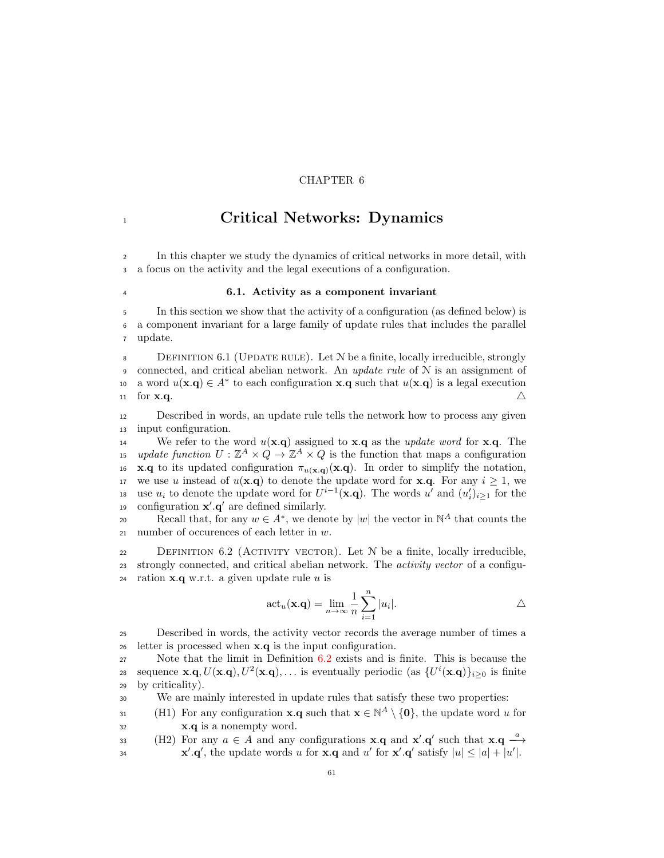# CHAPTER 6

# 1 Critical Networks: Dynamics

<sup>2</sup> In this chapter we study the dynamics of critical networks in more detail, with <sup>3</sup> a focus on the activity and the legal executions of a configuration.

# <sup>4</sup> 6.1. Activity as a component invariant

<sup>5</sup> In this section we show that the activity of a configuration (as defined below) is <sup>6</sup> a component invariant for a large family of update rules that includes the parallel <sup>7</sup> update.

<sup>8</sup> Definition 6.1 (Update rule). Let N be a finite, locally irreducible, strongly 9 connected, and critical abelian network. An update rule of  $N$  is an assignment of 10 a word  $u(\mathbf{x}.\mathbf{q}) \in A^*$  to each configuration  $\mathbf{x}.\mathbf{q}$  such that  $u(\mathbf{x}.\mathbf{q})$  is a legal execution 11 for **x.q.**  $\triangle$ 

<sup>12</sup> Described in words, an update rule tells the network how to process any given <sup>13</sup> input configuration.

14 We refer to the word  $u(\mathbf{x}.q)$  assigned to **x**.q as the update word for **x**.q. The 15 update function  $U: \mathbb{Z}^A \times Q \to \mathbb{Z}^A \times Q$  is the function that maps a configuration 16 **x**.q to its updated configuration  $\pi_{u(\mathbf{x},\mathbf{q})}(\mathbf{x},\mathbf{q})$ . In order to simplify the notation, 17 we use u instead of  $u(\mathbf{x}.q)$  to denote the update word for **x**.q. For any  $i \geq 1$ , we 18 use  $u_i$  to denote the update word for  $U^{i-1}(\mathbf{x}.q)$ . The words  $u'$  and  $(u'_i)_{i\geq 1}$  for the 19 configuration  $x'.q'$  are defined similarly.

Recall that, for any  $w \in A^*$ , we denote by  $|w|$  the vector in  $\mathbb{N}^A$  that counts the 21 number of occurences of each letter in  $w$ .

<span id="page-68-0"></span>22 DEFINITION 6.2 (ACTIVITY VECTOR). Let  $N$  be a finite, locally irreducible, 23 strongly connected, and critical abelian network. The *activity vector* of a configu-24 ration  $x.q$  w.r.t. a given update rule u is

$$
\operatorname{act}_{u}(\mathbf{x}.\mathbf{q}) = \lim_{n \to \infty} \frac{1}{n} \sum_{i=1}^{n} |u_i|.
$$

<sup>25</sup> Described in words, the activity vector records the average number of times a <sup>26</sup> letter is processed when x.q is the input configuration.

<sup>27</sup> Note that the limit in Definition [6.2](#page-68-0) exists and is finite. This is because the sequence  $\mathbf{x} \cdot \mathbf{q}$ ,  $U(\mathbf{x} \cdot \mathbf{q})$ ,  $U^2(\mathbf{x} \cdot \mathbf{q})$ ,... is eventually periodic (as  $\{U^i(\mathbf{x} \cdot \mathbf{q})\}_{i \geq 0}$  is finite <sup>29</sup> by criticality).

<sup>30</sup> We are mainly interested in update rules that satisfy these two properties:

<span id="page-68-1"></span>31 (H1) For any configuration **x**.**q** such that  $\mathbf{x} \in \mathbb{N}^A \setminus \{0\}$ , the update word u for <sup>32</sup> x.q is a nonempty word.

<span id="page-68-2"></span>33 (H2) For any  $a \in A$  and any configurations **x**.q and **x'**.q' such that **x**.q  $\frac{a}{a}$  $\mathbf{x}' \cdot \mathbf{q}'$ , the update words u for  $\mathbf{x} \cdot \mathbf{q}$  and u' for  $\mathbf{x}' \cdot \mathbf{q}'$  satisfy  $|u| \leq |a| + |u'|$ .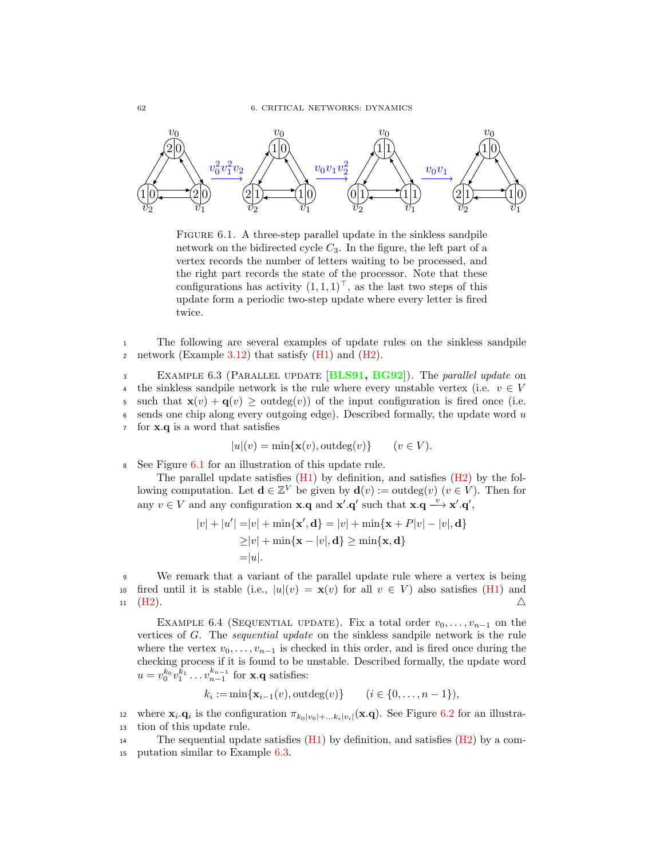

<span id="page-69-0"></span>FIGURE 6.1. A three-step parallel update in the sinkless sandpile network on the bidirected cycle  $C_3$ . In the figure, the left part of a vertex records the number of letters waiting to be processed, and the right part records the state of the processor. Note that these configurations has activity  $(1, 1, 1)^\top$ , as the last two steps of this update form a periodic two-step update where every letter is fired twice.

<sup>1</sup> The following are several examples of update rules on the sinkless sandpile 2 network (Example  $3.12$ ) that satisfy [\(H1\)](#page-68-1) and [\(H2\)](#page-68-2).

<span id="page-69-1"></span>3 EXAMPLE 6.3 (PARALLEL UPDATE [[BLS91,](#page-92-5) [BG92](#page-92-6)]). The parallel update on 4 the sinkless sandpile network is the rule where every unstable vertex (i.e.  $v \in V$ 5 such that  $\mathbf{x}(v) + \mathbf{q}(v) \geq$  outdeg $(v)$ ) of the input configuration is fired once (i.e.<br>6 sends one chip along every outgoing edge). Described formally, the update word u sends one chip along every outgoing edge). Described formally, the update word  $u$ <sup>7</sup> for x.q is a word that satisfies

$$
|u|(v) = \min\{\mathbf{x}(v), \text{outdeg}(v)\} \qquad (v \in V).
$$

See Figure [6.1](#page-69-0) for an illustration of this update rule.

The parallel update satisfies  $(H1)$  by definition, and satisfies  $(H2)$  by the following computation. Let  $\mathbf{d} \in \mathbb{Z}^V$  be given by  $\mathbf{d}(v) := \text{outdeg}(v)$  ( $v \in V$ ). Then for any  $v \in V$  and any configuration **x**.**q** and **x'**.**q'** such that **x**.**q**  $\stackrel{v}{\longrightarrow}$ **x'**.**q'**,

$$
|v| + |u'| = |v| + \min\{\mathbf{x}', \mathbf{d}\} = |v| + \min\{\mathbf{x} + P|v| - |v|, \mathbf{d}\}
$$

$$
\ge |v| + \min\{\mathbf{x} - |v|, \mathbf{d}\} \ge \min\{\mathbf{x}, \mathbf{d}\}
$$

$$
= |u|.
$$

<sup>9</sup> We remark that a variant of the parallel update rule where a vertex is being 10 fired until it is stable (i.e.,  $|u|(v) = \mathbf{x}(v)$  for all  $v \in V$ ) also satisfies [\(H1\)](#page-68-1) and  $\Box$  $11 \quad (H2).$  $11 \quad (H2).$  $11 \quad (H2).$ 

EXAMPLE 6.4 (SEQUENTIAL UPDATE). Fix a total order  $v_0, \ldots, v_{n-1}$  on the vertices of G. The sequential update on the sinkless sandpile network is the rule where the vertex  $v_0, \ldots, v_{n-1}$  is checked in this order, and is fired once during the checking process if it is found to be unstable. Described formally, the update word  $u = v_0^{k_0} v_1^{k_1} \dots v_{n-1}^{k_{n-1}}$  for **x**.**q** satisfies:

$$
k_i := \min\{\mathbf{x}_{i-1}(v), \text{outdeg}(v)\}\
$$
  $(i \in \{0, ..., n-1\}),$ 

12 where  $\mathbf{x}_i \cdot \mathbf{q}_i$  is the configuration  $\pi_{k_0|v_0|+\dots k_i|v_i|}(\mathbf{x} \cdot \mathbf{q})$ . See Figure [6.2](#page-70-0) for an illustra-<sup>13</sup> tion of this update rule.

14 The sequential update satisfies  $(H1)$  by definition, and satisfies  $(H2)$  by a com-<sup>15</sup> putation similar to Example [6.3.](#page-69-1)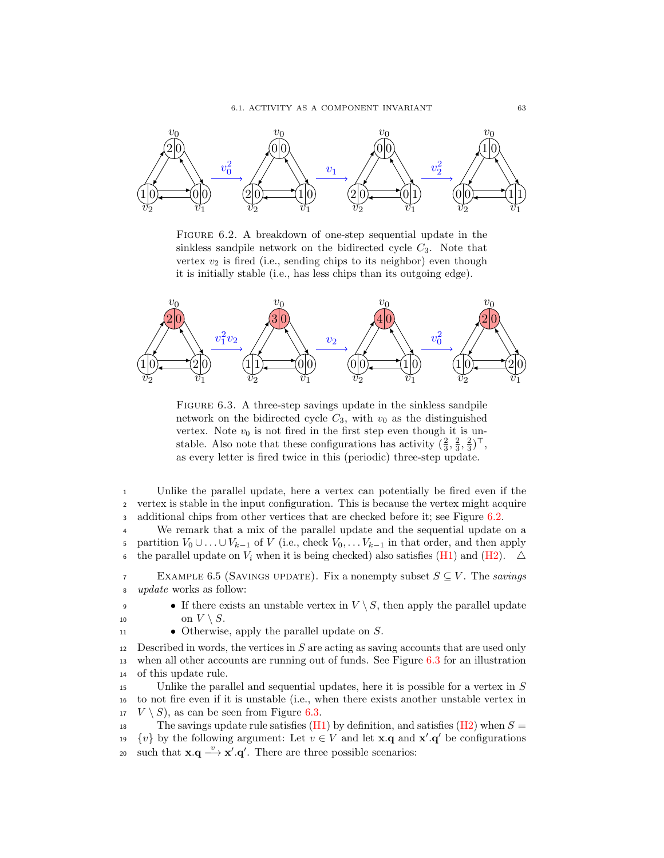

<span id="page-70-0"></span>FIGURE 6.2. A breakdown of one-step sequential update in the sinkless sandpile network on the bidirected cycle  $C_3$ . Note that vertex  $v_2$  is fired (i.e., sending chips to its neighbor) even though it is initially stable (i.e., has less chips than its outgoing edge).



<span id="page-70-1"></span>FIGURE 6.3. A three-step savings update in the sinkless sandpile network on the bidirected cycle  $C_3$ , with  $v_0$  as the distinguished vertex. Note  $v_0$  is not fired in the first step even though it is unstable. Also note that these configurations has activity  $(\frac{2}{3}, \frac{2}{3}, \frac{2}{3})^{\top}$ , as every letter is fired twice in this (periodic) three-step update.

<sup>1</sup> Unlike the parallel update, here a vertex can potentially be fired even if the <sup>2</sup> vertex is stable in the input configuration. This is because the vertex might acquire 3 additional chips from other vertices that are checked before it; see Figure [6.2.](#page-70-0)

<sup>4</sup> We remark that a mix of the parallel update and the sequential update on a 5 partition  $V_0 \cup \ldots \cup V_{k-1}$  of V (i.e., check  $V_0, \ldots V_{k-1}$  in that order, and then apply 6 the parallel update on  $V_i$  when it is being checked) also satisfies [\(H1\)](#page-68-1) and [\(H2\)](#page-68-2).  $\triangle$ 

7 EXAMPLE 6.5 (SAVINGS UPDATE). Fix a nonempty subset  $S \subseteq V$ . The savings <sup>8</sup> update works as follow:

- If there exists an unstable vertex in  $V \setminus S$ , then apply the parallel update 10 on  $V \setminus S$ .<br>
11 • Otherwise
	- Otherwise, apply the parallel update on  $S$ .

12 Described in words, the vertices in  $S$  are acting as saving accounts that are used only <sup>13</sup> when all other accounts are running out of funds. See Figure [6.3](#page-70-1) for an illustration <sup>14</sup> of this update rule.

<sup>15</sup> Unlike the parallel and sequential updates, here it is possible for a vertex in S <sup>16</sup> to not fire even if it is unstable (i.e., when there exists another unstable vertex in <sup>17</sup>  $V \setminus S$ , as can be seen from Figure [6.3.](#page-70-1)<br><sup>18</sup> The savings update rule satisfies (H)

The savings update rule satisfies  $(H1)$  by definition, and satisfies  $(H2)$  when  $S =$ 19  $\{v\}$  by the following argument: Let  $v \in V$  and let **x**.**q** and **x'**.**q'** be configurations such that  $\mathbf{x} \cdot \mathbf{q} \longrightarrow \mathbf{x}' \cdot \mathbf{q}'$ . There are three possible scenarios: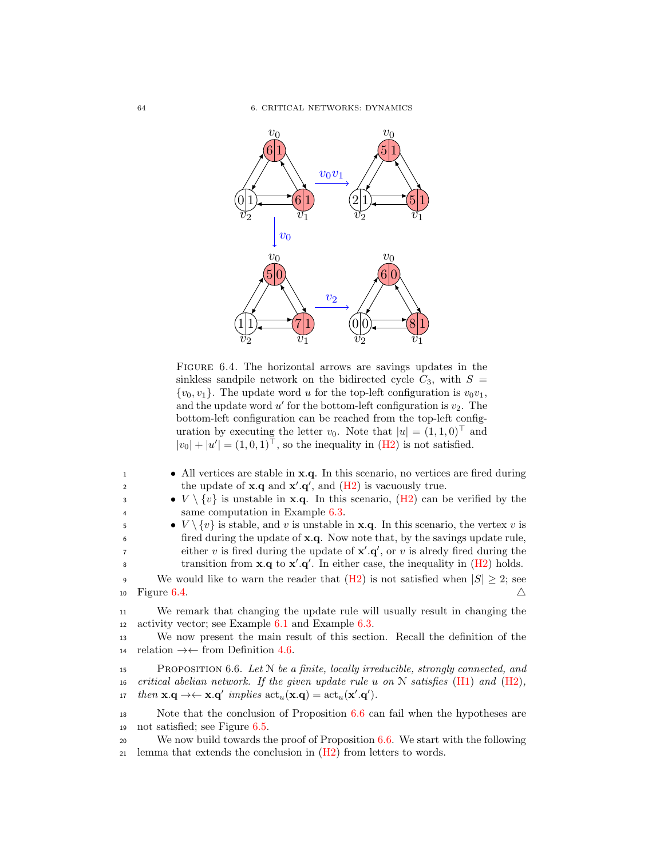

<span id="page-71-0"></span>FIGURE 6.4. The horizontal arrows are savings updates in the sinkless sandpile network on the bidirected cycle  $C_3$ , with  $S =$  $\{v_0, v_1\}$ . The update word u for the top-left configuration is  $v_0v_1$ , and the update word  $u'$  for the bottom-left configuration is  $v_2$ . The bottom-left configuration can be reached from the top-left configuration by executing the letter  $v_0$ . Note that  $|u| = (1, 1, 0)^\top$  and  $|v_0| + |u'| = (1, 0, 1)^\top$ , so the inequality in [\(H2\)](#page-68-2) is not satisfied.

| • All vertices are stable in <b>x</b> .q. In this scenario, no vertices are fired during             |
|------------------------------------------------------------------------------------------------------|
| the update of <b>x</b> .q and $\mathbf{x}' \cdot \mathbf{q}'$ , and $(\text{H2})$ is vacuously true. |
| • $V \setminus \{v\}$ is unstable in <b>x.q.</b> In this scenario, (H2) can be verified by the       |
| $\cdots$ $\cdots$ $\cdots$ $\cdots$                                                                  |

<sup>4</sup> same computation in Example [6.3.](#page-69-1)  $\bullet V \setminus \{v\}$  is stable, and v is unstable in **x.q.** In this scenario, the vertex v is  $\epsilon$  fired during the update of **x**.q. Now note that, by the savings update rule,

is fired during the update of  $\mathbf{x}' \cdot \mathbf{q}'$ , or v is alredy fired during the transition from  $\mathbf{x} \cdot \mathbf{q}$  to  $\mathbf{x}' \cdot \mathbf{q}'$ . In either case, the inequality in  $(H2)$  holds.

9 We would like to warn the reader that [\(H2\)](#page-68-2) is not satisfied when  $|S| \ge 2$ ; see<br>io Figure 6.4. 10 Figure [6.4.](#page-71-0)  $\triangle$ 

<sup>11</sup> We remark that changing the update rule will usually result in changing the <sup>12</sup> activity vector; see Example [6.1](#page-69-0) and Example [6.3.](#page-70-1)

<sup>13</sup> We now present the main result of this section. Recall the definition of the 14 relation  $\rightarrow \leftarrow$  from Definition [4.6.](#page-36-2)

<span id="page-71-1"></span>15 PROPOSITION 6.6. Let  $N$  be a finite, locally irreducible, strongly connected, and 16 critical abelian network. If the given update rule u on  $N$  satisfies  $(H1)$  and  $(H2)$ , 17 then  $\mathbf{x} \cdot \mathbf{q} \rightarrow \leftarrow \mathbf{x} \cdot \mathbf{q}'$  implies  $\text{act}_u(\mathbf{x} \cdot \mathbf{q}) = \text{act}_u(\mathbf{x}' \cdot \mathbf{q}')$ .

<sup>18</sup> Note that the conclusion of Proposition [6.6](#page-71-1) can fail when the hypotheses are <sup>19</sup> not satisfied; see Figure [6.5.](#page-72-0)

<sup>20</sup> We now build towards the proof of Proposition [6.6.](#page-71-1) We start with the following 21 lemma that extends the conclusion in  $(H2)$  from letters to words.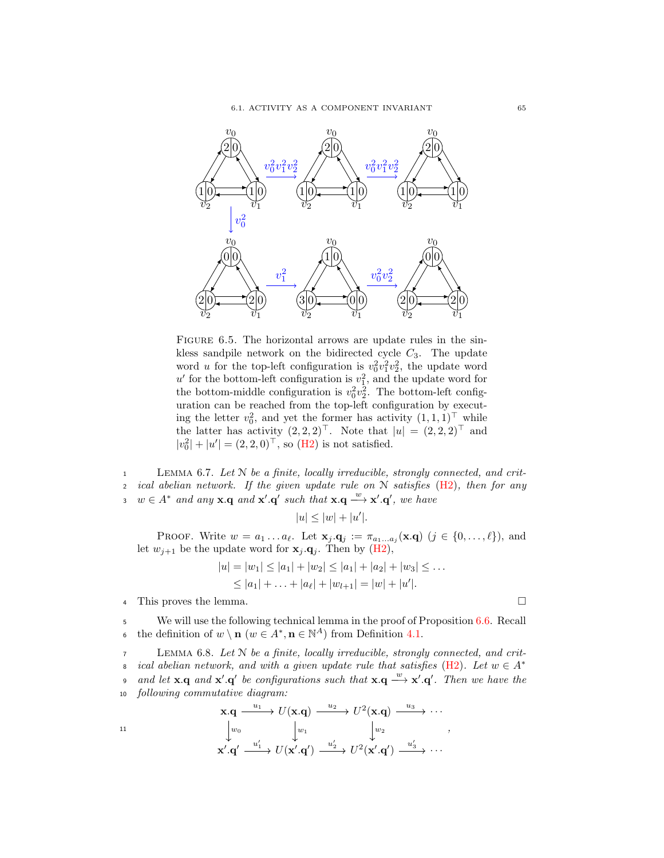

FIGURE 6.5. The horizontal arrows are update rules in the sinkless sandpile network on the bidirected cycle  $C_3$ . The update word *u* for the top-left configuration is  $v_0^2 v_1^2 v_2^2$ , the update word  $u'$  for the bottom-left configuration is  $v_1^2$ , and the update word for the bottom-middle configuration is  $v_0^2 v_2^2$ . The bottom-left configuration can be reached from the top-left configuration by executing the letter  $v_0^2$ , and yet the former has activity  $(1,1,1)^\top$  while the latter has activity  $(2,2,2)^{\top}$ . Note that  $|u| = (2,2,2)^{\top}$  and  $|v_0^2| + |u'| = (2, 2, 0)^{\top}$ , so [\(H2\)](#page-68-0) is not satisfied.

<span id="page-72-0"></span><sup>1</sup> Lemma 6.7. Let N be a finite, locally irreducible, strongly connected, and crit-2 ical abelian network. If the given update rule on  $N$  satisfies  $(H2)$ , then for any 3  $w \in A^*$  and any **x**.q and **x'**.q' such that **x**.q  $\stackrel{w}{\longrightarrow}$ **x'**.q', we have

$$
|u|\leq |w|+|u'|.
$$

PROOF. Write  $w = a_1 \ldots a_\ell$ . Let  $\mathbf{x}_j \cdot \mathbf{q}_j := \pi_{a_1 \ldots a_j}(\mathbf{x} \cdot \mathbf{q}) \ (j \in \{0, \ldots, \ell\})$ , and let  $w_{j+1}$  be the update word for  $x_j \cdot q_j$ . Then by [\(H2\)](#page-68-0),

$$
|u| = |w_1| \le |a_1| + |w_2| \le |a_1| + |a_2| + |w_3| \le \dots
$$
  
 
$$
\le |a_1| + \dots + |a_\ell| + |w_{l+1}| = |w| + |u'|.
$$

<sup>4</sup> This proves the lemma.

<sup>5</sup> We will use the following technical lemma in the proof of Proposition [6.6.](#page-71-0) Recall 6 the definition of  $w \setminus \mathbf{n}$   $(w \in A^*, \mathbf{n} \in \mathbb{N}^A)$  from Definition [4.1.](#page-34-0)

<span id="page-72-1"></span><sup>7</sup> Lemma 6.8. Let N be a finite, locally irreducible, strongly connected, and crit-ical abelian network, and with a given update rule that satisfies [\(H2\)](#page-68-0). Let  $w \in A^*$ 8 o and let  $\mathbf{x}.\mathbf{q}$  and  $\mathbf{x}'.\mathbf{q}'$  be configurations such that  $\mathbf{x}.\mathbf{q} \stackrel{w}{\longrightarrow} \mathbf{x}'.\mathbf{q}'$ . Then we have the <sup>10</sup> following commutative diagram:  $u_1$  $\overline{u}$  $210$ 

$$
\begin{array}{cccc}\n\mathbf{x}.\mathbf{q} & \xrightarrow{u_1} & U(\mathbf{x}.\mathbf{q}) & \xrightarrow{u_2} & U^2(\mathbf{x}.\mathbf{q}) & \xrightarrow{u_3} & \cdots \\
\downarrow^{w_0} & \downarrow^{w_1} & \downarrow^{w_2} & \\
\mathbf{x}'.\mathbf{q'} & \xrightarrow{u'_1} & U(\mathbf{x'}.\mathbf{q'}) & \xrightarrow{u'_2} & U^2(\mathbf{x'}.\mathbf{q'}) & \xrightarrow{u'_3} & \cdots\n\end{array}
$$

$$
\qquad \qquad \Box
$$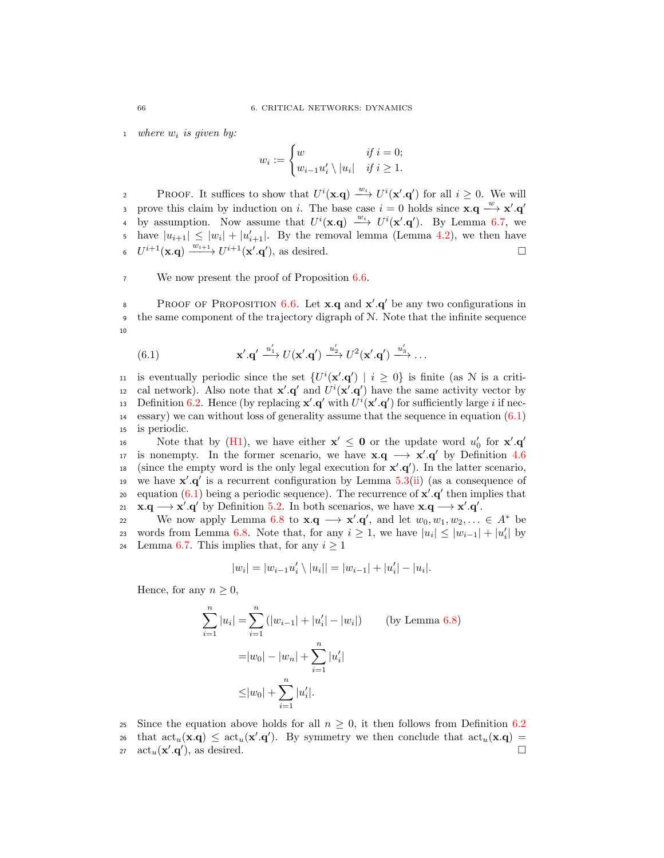1 where  $w_i$  is given by:

$$
w_i := \begin{cases} w & \text{if } i = 0; \\ w_{i-1}u'_i \setminus |u_i| & \text{if } i \ge 1. \end{cases}
$$

PROOF. It suffices to show that  $U^i(\mathbf{x}.q) \stackrel{w_i}{\longrightarrow} U^i(\mathbf{x}'.q')$  for all  $i \geq 0$ . We will prove this claim by induction on i. The base case  $i = 0$  holds since  $\mathbf{x} \cdot \mathbf{q} \stackrel{w}{\longrightarrow} \mathbf{x}' \cdot \mathbf{q}'$ 3 4 by assumption. Now assume that  $U^i(\mathbf{x} \cdot \mathbf{q}) \longrightarrow U^i(\mathbf{x}', \mathbf{q}')$ . By Lemma [6.7,](#page-72-0) we 5 have  $|u_{i+1}| \leq |w_i| + |u'_{i+1}|$ . By the removal lemma (Lemma [4.2\)](#page-34-1), we then have 6  $U^{i+1}(\mathbf{x}.\mathbf{q}) \xrightarrow{w_{i+1}} U^{i+1}(\mathbf{x}'.\mathbf{q}')$ , as desired.

<sup>7</sup> We now present the proof of Proposition [6.6.](#page-71-0)

PROOF OF PROPOSITION [6.6.](#page-71-0) Let **x**.q and  $\mathbf{x}' \cdot \mathbf{q}'$  be any two configurations in  $\bullet$  the same component of the trajectory digraph of N. Note that the infinite sequence 10

<span id="page-73-0"></span>(6.1) 
$$
\mathbf{x}' \cdot \mathbf{q}' \xrightarrow{u'_1} U(\mathbf{x}' \cdot \mathbf{q}') \xrightarrow{u'_2} U^2(\mathbf{x}' \cdot \mathbf{q}') \xrightarrow{u'_3} \dots
$$

11 is eventually periodic since the set  $\{U^i(\mathbf{x}', \mathbf{q}') \mid i \geq 0\}$  is finite (as N is a critiis cal network). Also note that  $\mathbf{x}' \cdot \mathbf{q}'$  and  $U^i(\mathbf{x}' \cdot \mathbf{q}')$  have the same activity vector by 13 Definition [6.2.](#page-68-1) Hence (by replacing  $\mathbf{x}' \cdot \mathbf{q}'$  with  $U^i(\mathbf{x}' \cdot \mathbf{q}')$  for sufficiently large i if nec-<sup>14</sup> essary) we can without loss of generality assume that the sequence in equation [\(6.1\)](#page-73-0) <sup>15</sup> is periodic.

Note that by [\(H1\)](#page-68-2), we have either  $\mathbf{x}' \leq \mathbf{0}$  or the update word  $u'_0$  for  $\mathbf{x}' \cdot \mathbf{q}'$ 16 17 is nonempty. In the former scenario, we have  $\mathbf{x} \cdot \mathbf{q} \rightarrow \mathbf{x}' \cdot \mathbf{q}'$  by Definition [4.6](#page-36-0) 18 (since the empty word is the only legal execution for  $x'.q'$ ). In the latter scenario, 19 we have  $x'.q'$  is a recurrent configuration by Lemma [5.3\(](#page-51-0)[ii\)](#page-51-1) (as a consequence of equation  $(6.1)$  being a periodic sequence). The recurrence of  $x'.q'$  then implies that 21  $\mathbf{x} \cdot \mathbf{q} \longrightarrow \mathbf{x}' \cdot \mathbf{q}'$  by Definition [5.2.](#page-51-2) In both scenarios, we have  $\mathbf{x} \cdot \mathbf{q} \longrightarrow \mathbf{x}' \cdot \mathbf{q}'$ .

22 We now apply Lemma [6.8](#page-72-1) to  $\mathbf{x} \cdot \mathbf{q} \longrightarrow \mathbf{x}' \cdot \mathbf{q}'$ , and let  $w_0, w_1, w_2, \dots \in A^*$  be 23 words from Lemma [6.8.](#page-72-1) Note that, for any  $i \geq 1$ , we have  $|u_i| \leq |w_{i-1}| + |u'_i|$  by 24 Lemma [6.7.](#page-72-0) This implies that, for any  $i \geq 1$ 

$$
|w_i| = |w_{i-1}u'_i \setminus |u_i|| = |w_{i-1}| + |u'_i| - |u_i|.
$$

Hence, for any  $n \geq 0$ ,

$$
\sum_{i=1}^{n} |u_i| = \sum_{i=1}^{n} (|w_{i-1}| + |u'_i| - |w_i|)
$$
 (by Lemma 6.8)  

$$
= |w_0| - |w_n| + \sum_{i=1}^{n} |u'_i|
$$
  

$$
\leq |w_0| + \sum_{i=1}^{n} |u'_i|.
$$

25 Since the equation above holds for all  $n \geq 0$ , it then follows from Definition [6.2](#page-68-1)<br>26 that act<sub>n</sub>(**x**,**q**) < act<sub>n</sub>(**x'**,**q'**). By symmetry we then conclude that act<sub>n</sub>(**x**,**q**) = that  $\text{act}_u(\mathbf{x}.\mathbf{q}) \leq \text{act}_u(\mathbf{x}'.\mathbf{q}')$ . By symmetry we then conclude that  $\text{act}_u(\mathbf{x}.\mathbf{q}) =$ 27  $\text{act}_u(\mathbf{x}', \mathbf{q}')$ , as desired.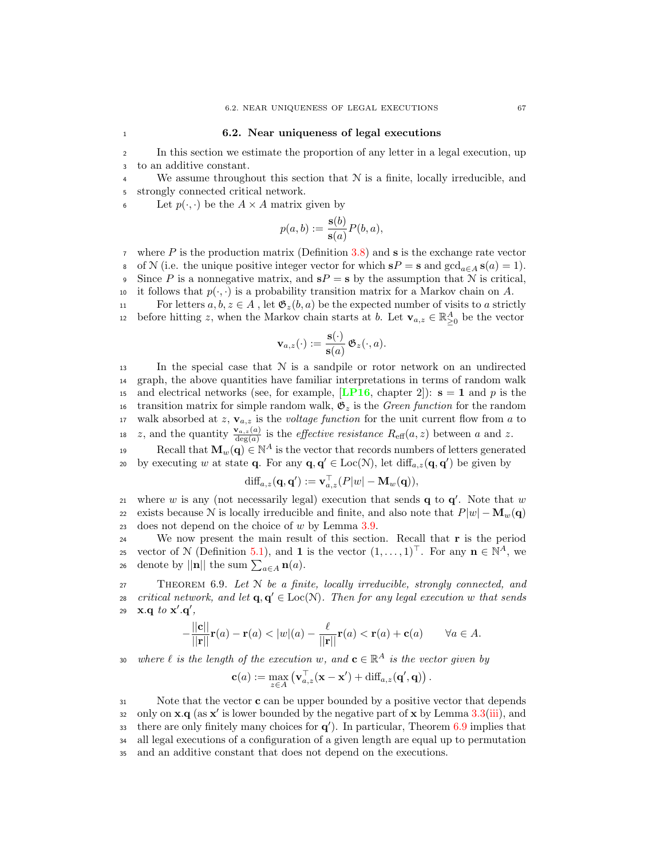### <sup>1</sup> 6.2. Near uniqueness of legal executions

<sup>2</sup> In this section we estimate the proportion of any letter in a legal execution, up <sup>3</sup> to an additive constant.

<sup>4</sup> We assume throughout this section that N is a finite, locally irreducible, and <sup>5</sup> strongly connected critical network.

6 Let  $p(\cdot, \cdot)$  be the  $A \times A$  matrix given by

$$
p(a,b) := \frac{\mathbf{s}(b)}{\mathbf{s}(a)} P(b,a),
$$

 $\tau$  where P is the production matrix (Definition [3.8\)](#page-23-0) and s is the exchange rate vector 8 of N (i.e. the unique positive integer vector for which  $sP = s$  and  $gcd_{a \in A} s(a) = 1$ ). 9 Since P is a nonnegative matrix, and  $sP = s$  by the assumption that N is critical, 10 it follows that  $p(\cdot, \cdot)$  is a probability transition matrix for a Markov chain on A.<br>
For letters  $a, b, z \in A$ , let  $\mathfrak{G}_z(b, a)$  be the expected number of visits to a strict

For letters  $a, b, z \in A$ , let  $\mathfrak{G}_z(b, a)$  be the expected number of visits to a strictly before hitting z, when the Markov chain starts at b. Let  $\mathbf{v}_{a,z} \in \mathbb{R}_{\geq 0}^A$  be the vector

$$
\mathbf{v}_{a,z}(\cdot) := \frac{\mathbf{s}(\cdot)}{\mathbf{s}(a)} \, \mathfrak{G}_z(\cdot, a).
$$

13 In the special case that  $N$  is a sandpile or rotor network on an undirected <sup>14</sup> graph, the above quantities have familiar interpretations in terms of random walk 15 and electrical networks (see, for example, [[LP16](#page-93-0), chapter 2]):  $s = 1$  and p is the 16 transition matrix for simple random walk,  $\mathfrak{G}_z$  is the Green function for the random 17 walk absorbed at z,  $\mathbf{v}_{a,z}$  is the *voltage function* for the unit current flow from a to 18 z, and the quantity  $\frac{\mathbf{v}_{a,z}(a)}{\deg(a)}$  is the *effective resistance*  $R_{\text{eff}}(a, z)$  between a and z.

Recall that  $\mathbf{M}_w(\mathbf{q}) \in \mathbb{N}^A$  is the vector that records numbers of letters generated by executing w at state **q**. For any **q**, **q'**  $\in$  Loc( $\mathcal{N}$ ), let  $\text{diff}_{a,z}(\mathbf{q}, \mathbf{q}')$  be given by

$$
\mathrm{diff}_{a,z}(\mathbf{q},\mathbf{q}') := \mathbf{v}_{a,z}^{\top}(P|w| - \mathbf{M}_w(\mathbf{q})),
$$

21 where w is any (not necessarily legal) execution that sends  $q$  to  $q'$ . Note that w 22 exists because N is locally irreducible and finite, and also note that  $P|w| - \mathbf{M}_w(\mathbf{q})$ <br>23 does not depend on the choice of w by Lemma 3.9. does not depend on the choice of  $w$  by Lemma [3.9.](#page-23-1)

<sup>24</sup> We now present the main result of this section. Recall that r is the period vector of N (Definition [5.1\)](#page-50-0), and 1 is the vector  $(1, \ldots, 1)^\top$ . For any  $\mathbf{n} \in \mathbb{N}^A$ , we 26 denote by  $||\mathbf{n}||$  the sum  $\sum_{a \in A} \mathbf{n}(a)$ .

<span id="page-74-0"></span><sup>27</sup> Theorem 6.9. Let N be a finite, locally irreducible, strongly connected, and critical network, and let  $\mathbf{q}, \mathbf{q}' \in \text{Loc}(\mathcal{N})$ . Then for any legal execution w that sends 29  $\mathbf{x} \cdot \mathbf{q}$  to  $\mathbf{x}' \cdot \mathbf{q}'$ ,

$$
-\frac{||\mathbf{c}||}{||\mathbf{r}||}\mathbf{r}(a) - \mathbf{r}(a) < |w|(a) - \frac{\ell}{||\mathbf{r}||}\mathbf{r}(a) < \mathbf{r}(a) + \mathbf{c}(a) \qquad \forall a \in A.
$$

30 where  $\ell$  is the length of the execution w, and  $\mathbf{c} \in \mathbb{R}^A$  is the vector given by

$$
\mathbf{c}(a) := \max_{z \in A} \left( \mathbf{v}_{a,z}^{\top}(\mathbf{x} - \mathbf{x}') + \text{diff}_{a,z}(\mathbf{q}',\mathbf{q}) \right).
$$

31 Note that the vector **c** can be upper bounded by a positive vector that depends 32 only on  $\mathbf{x} \cdot \mathbf{q}$  (as  $\mathbf{x}'$  is lower bounded by the negative part of  $\mathbf{x}$  by Lemma [3.3\(](#page-22-0)[iii\)](#page-22-1), and there are only finitely many choices for  $q'$ ). In particular, Theorem [6.9](#page-74-0) implies that <sup>34</sup> all legal executions of a configuration of a given length are equal up to permutation <sup>35</sup> and an additive constant that does not depend on the executions.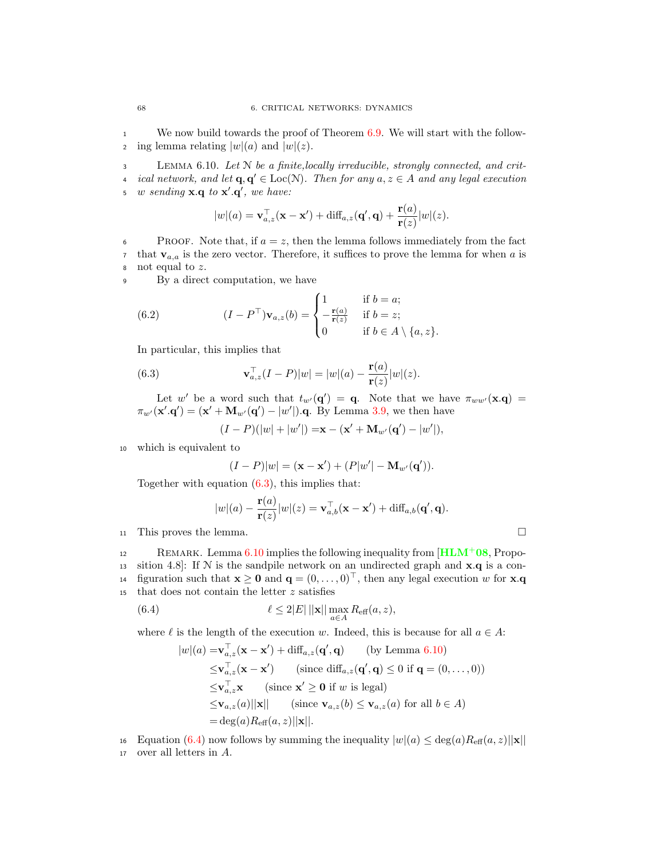<sup>1</sup> We now build towards the proof of Theorem [6.9.](#page-74-0) We will start with the follow-2 ing lemma relating  $|w|(a)$  and  $|w|(z)$ .

<span id="page-75-1"></span><sup>3</sup> Lemma 6.10. Let N be a finite,locally irreducible, strongly connected, and crit-4 ical network, and let  $\mathbf{q}, \mathbf{q}' \in \text{Loc}(\mathcal{N})$ . Then for any  $a, z \in A$  and any legal execution 5 w sending  $\mathbf{x} \cdot \mathbf{q}$  to  $\mathbf{x}' \cdot \mathbf{q}'$ , we have:

$$
|w|(a) = \mathbf{v}_{a,z}^{\top}(\mathbf{x} - \mathbf{x}') + \mathrm{diff}_{a,z}(\mathbf{q}', \mathbf{q}) + \frac{\mathbf{r}(a)}{\mathbf{r}(z)}|w|(z).
$$

6 PROOF. Note that, if  $a = z$ , then the lemma follows immediately from the fact <sup>7</sup> that  $\mathbf{v}_{a,a}$  is the zero vector. Therefore, it suffices to prove the lemma for when a is <sup>8</sup> not equal to z.

<sup>9</sup> By a direct computation, we have

(6.2) 
$$
(I - P^{\top}) \mathbf{v}_{a,z}(b) = \begin{cases} 1 & \text{if } b = a; \\ -\frac{\mathbf{r}(a)}{\mathbf{r}(z)} & \text{if } b = z; \\ 0 & \text{if } b \in A \setminus \{a, z\}. \end{cases}
$$

In particular, this implies that

<span id="page-75-0"></span>(6.3) 
$$
\mathbf{v}_{a,z}^{\top}(I-P)|w| = |w|(a) - \frac{\mathbf{r}(a)}{\mathbf{r}(z)}|w|(z).
$$

Let w' be a word such that  $t_{w'}(q') = q$ . Note that we have  $\pi_{ww'}(x.q) =$  $\pi_{w'}(\mathbf{x}'.\mathbf{q}') = (\mathbf{x}' + \mathbf{M}_{w'}(\mathbf{q}') - |w'|)$ .q. By Lemma [3.9,](#page-23-1) we then have

$$
(I - P)(|w| + |w'|) = x - (x' + M_{w'}(q') - |w'|),
$$

<sup>10</sup> which is equivalent to

$$
(I - P)|w| = (\mathbf{x} - \mathbf{x}') + (P|w'| - \mathbf{M}_{w'}(\mathbf{q}')).
$$

Together with equation  $(6.3)$ , this implies that:

<span id="page-75-2"></span>
$$
|w|(a) - \frac{\mathbf{r}(a)}{\mathbf{r}(z)}|w|(z) = \mathbf{v}_{a,b}^{\top}(\mathbf{x} - \mathbf{x}') + \text{diff}_{a,b}(\mathbf{q}',\mathbf{q}).
$$

<sup>11</sup> This proves the lemma.

REMARK. Lemma  $6.10$  implies the following inequality from  $[\text{HLM}^+ 0.8, \text{Prop}$  $[\text{HLM}^+ 0.8, \text{Prop}$  $[\text{HLM}^+ 0.8, \text{Prop}$ 13 sition 4.8]: If  $N$  is the sandpile network on an undirected graph and  $x.q$  is a configuration such that  $\mathbf{x} \geq \mathbf{0}$  and  $\mathbf{q} = (0, \dots, 0)^{\top}$ , then any legal execution w for **x**.**q** that does not contain the letter z satisfies that does not contain the letter  $z$  satisfies

(6.4) 
$$
\ell \leq 2|E| ||\mathbf{x}|| \max_{a \in A} R_{\text{eff}}(a, z),
$$

where  $\ell$  is the length of the execution w. Indeed, this is because for all  $a \in A$ :

$$
|w|(a) = \mathbf{v}_{a,z}^{\top}(\mathbf{x} - \mathbf{x}') + \text{diff}_{a,z}(\mathbf{q}', \mathbf{q}) \qquad \text{(by Lemma 6.10)}
$$
  
\n
$$
\leq \mathbf{v}_{a,z}^{\top}(\mathbf{x} - \mathbf{x}') \qquad \text{(since diff}_{a,z}(\mathbf{q}', \mathbf{q}) \leq 0 \text{ if } \mathbf{q} = (0, \dots, 0))
$$
  
\n
$$
\leq \mathbf{v}_{a,z}^{\top} \mathbf{x} \qquad \text{(since } \mathbf{x}' \geq \mathbf{0} \text{ if } w \text{ is legal})
$$
  
\n
$$
\leq \mathbf{v}_{a,z}(a) ||\mathbf{x}|| \qquad \text{(since } \mathbf{v}_{a,z}(b) \leq \mathbf{v}_{a,z}(a) \text{ for all } b \in A)
$$
  
\n
$$
= \text{deg}(a) R_{\text{eff}}(a, z) ||\mathbf{x}||.
$$

16 Equation [\(6.4\)](#page-75-2) now follows by summing the inequality  $|w|(a) \le \deg(a)R_{\text{eff}}(a, z)||\mathbf{x}||$ <br>17 over all letters in A. over all letters in A.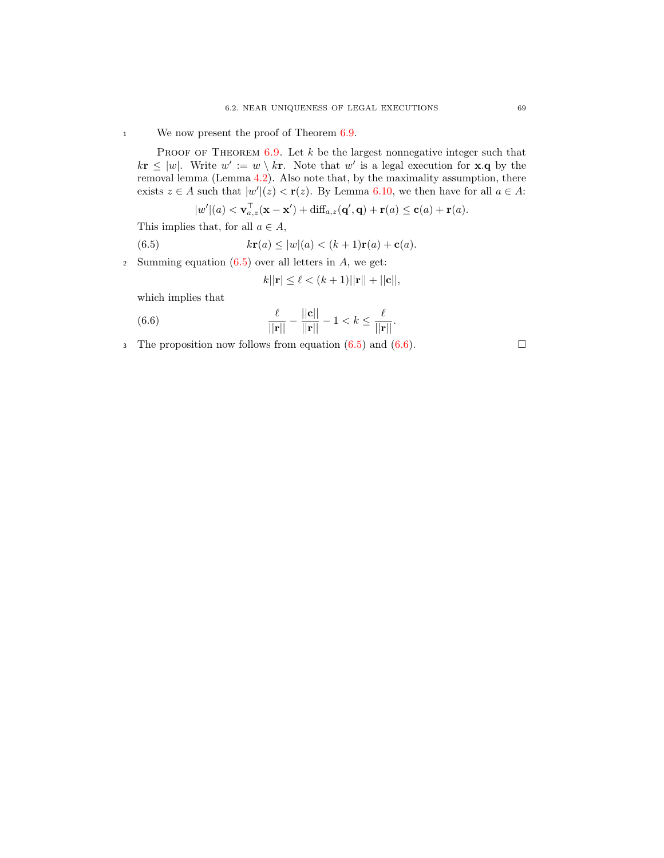<sup>1</sup> We now present the proof of Theorem [6.9.](#page-74-0)

PROOF OF THEOREM  $6.9$ . Let  $k$  be the largest nonnegative integer such that  $k\mathbf{r} \leq |w|$ . Write  $w' := w \setminus k\mathbf{r}$ . Note that w' is a legal execution for **x**.**q** by the removal lemma (Lemma [4.2\)](#page-34-1). Also note that, by the maximality assumption, there exists  $z \in A$  such that  $|w'|(z) < r(z)$ . By Lemma [6.10,](#page-75-1) we then have for all  $a \in A$ :

$$
|w'|(a) < \mathbf{v}_{a,z}^{\top}(\mathbf{x}-\mathbf{x}') + \mathrm{diff}_{a,z}(\mathbf{q}',\mathbf{q}) + \mathbf{r}(a) \leq \mathbf{c}(a) + \mathbf{r}(a).
$$

This implies that, for all  $a \in A$ ,

<span id="page-76-0"></span>(6.5) 
$$
k\mathbf{r}(a) \le |w|(a) < (k+1)\mathbf{r}(a) + \mathbf{c}(a).
$$

2 Summing equation  $(6.5)$  over all letters in  $A$ , we get:

$$
k||{\bf r}| \le \ell < (k+1)||{\bf r}|| + ||{\bf c}||,
$$

which implies that

<span id="page-76-1"></span>(6.6) 
$$
\frac{\ell}{||\mathbf{r}||} - \frac{||\mathbf{c}||}{||\mathbf{r}||} - 1 < k \le \frac{\ell}{||\mathbf{r}||}.
$$

3 The proposition now follows from equation  $(6.5)$  and  $(6.6)$ .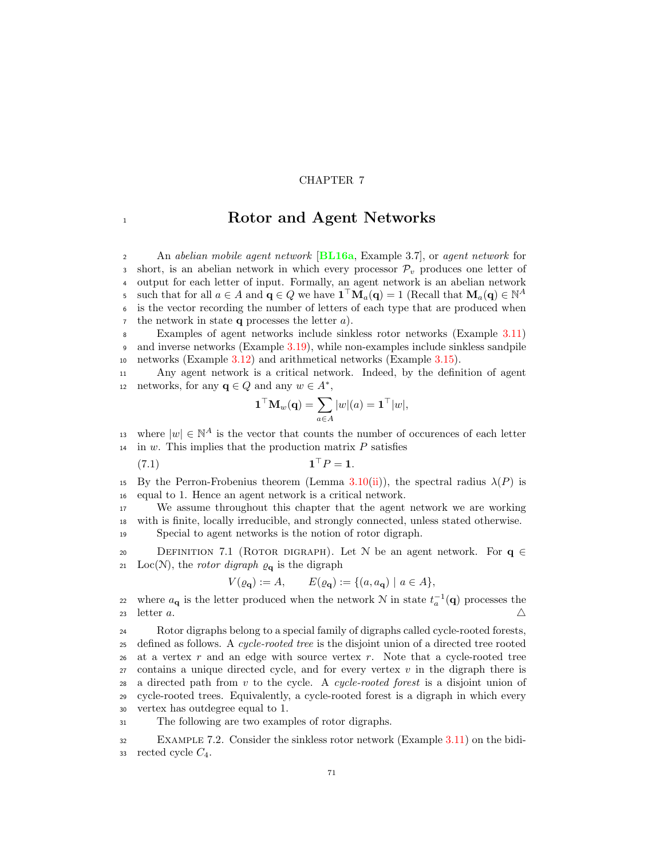## CHAPTER 7

## <sup>1</sup> Rotor and Agent Networks

2 An abelian mobile agent network [[BL16a](#page-92-0), Example 3.7], or agent network for 3 short, is an abelian network in which every processor  $\mathcal{P}_v$  produces one letter of <sup>4</sup> output for each letter of input. Formally, an agent network is an abelian network s such that for all  $a \in A$  and  $\mathbf{q} \in Q$  we have  $\mathbf{1}^\top \mathbf{M}_a(\mathbf{q}) = 1$  (Recall that  $\mathbf{M}_a(\mathbf{q}) \in \mathbb{N}^A$ <sup>6</sup> is the vector recording the number of letters of each type that are produced when  $\tau$  the network in state **q** processes the letter  $a$ ).

<sup>8</sup> Examples of agent networks include sinkless rotor networks (Example [3.11\)](#page-27-0) <sup>9</sup> and inverse networks (Example [3.19\)](#page-33-0), while non-examples include sinkless sandpile <sup>10</sup> networks (Example [3.12\)](#page-27-1) and arithmetical networks (Example [3.15\)](#page-30-0).

<sup>11</sup> Any agent network is a critical network. Indeed, by the definition of agent 12 networks, for any  $\mathbf{q} \in Q$  and any  $w \in A^*$ ,

<span id="page-78-0"></span>
$$
\mathbf{1}^\top \mathbf{M}_w(\mathbf{q}) = \sum_{a \in A} |w|(a) = \mathbf{1}^\top |w|,
$$

13 where  $|w| \in \mathbb{N}^A$  is the vector that counts the number of occurences of each letter  $14$  in w. This implies that the production matrix P satisfies

 $(7.1)$  $\mathbf{1}^\top P = \mathbf{1}.$ 

15 By the Perron-Frobenius theorem (Lemma [3.10\(](#page-24-0)[ii\)](#page-24-1)), the spectral radius  $\lambda(P)$  is <sup>16</sup> equal to 1. Hence an agent network is a critical network.

<sup>17</sup> We assume throughout this chapter that the agent network we are working <sup>18</sup> with is finite, locally irreducible, and strongly connected, unless stated otherwise. <sup>19</sup> Special to agent networks is the notion of rotor digraph.

20 DEFINITION 7.1 (ROTOR DIGRAPH). Let N be an agent network. For  $\mathbf{q} \in$ <br>21 Loc(N), the *rotor digraph*  $\rho_{\mathbf{q}}$  is the digraph Loc(N), the *rotor digraph*  $\varrho_{q}$  is the digraph

$$
V(\varrho_{\mathbf{q}}) := A, \qquad E(\varrho_{\mathbf{q}}) := \{ (a, a_{\mathbf{q}}) \mid a \in A \},
$$

22 where  $a_{\mathbf{q}}$  is the letter produced when the network N in state  $t_a^{-1}(\mathbf{q})$  processes the 23 letter a.  $\triangle$ 

<sup>24</sup> Rotor digraphs belong to a special family of digraphs called cycle-rooted forests, 25 defined as follows. A cycle-rooted tree is the disjoint union of a directed tree rooted 26 at a vertex r and an edge with source vertex r. Note that a cycle-rooted tree  $27$  contains a unique directed cycle, and for every vertex v in the digraph there is 28 a directed path from v to the cycle. A cycle-rooted forest is a disjoint union of <sup>29</sup> cycle-rooted trees. Equivalently, a cycle-rooted forest is a digraph in which every <sup>30</sup> vertex has outdegree equal to 1.

<sup>31</sup> The following are two examples of rotor digraphs.

<sup>32</sup> Example 7.2. Consider the sinkless rotor network (Example [3.11\)](#page-27-0) on the bidi-33 rected cycle  $C_4$ .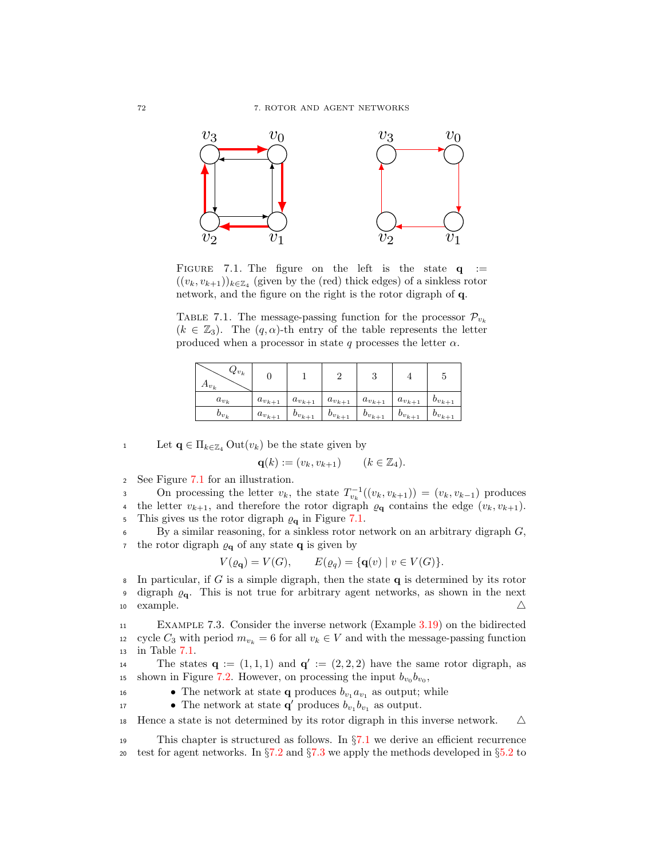

<span id="page-79-0"></span>FIGURE 7.1. The figure on the left is the state  $q :=$  $((v_k, v_{k+1}))_{k \in \mathbb{Z}_4}$  (given by the (red) thick edges) of a sinkless rotor network, and the figure on the right is the rotor digraph of q.

<span id="page-79-1"></span>TABLE 7.1. The message-passing function for the processor  $\mathcal{P}_{v_k}$  $(k \in \mathbb{Z}_3)$ . The  $(q, \alpha)$ -th entry of the table represents the letter produced when a processor in state q processes the letter  $\alpha$ .

| $\mathcal{U}v_k$<br>$Au_k$ |               |               |               | ಀ             |               |               |
|----------------------------|---------------|---------------|---------------|---------------|---------------|---------------|
| $a_{v_k}$                  | $a_{v_{k+1}}$ | $a_{v_{k+1}}$ | $a_{v_{k+1}}$ | $a_{v_{k+1}}$ | $a_{v_{k+1}}$ | $b_{v_{k+1}}$ |
| $v_{v_k}$                  | $a_{v_{k+1}}$ | $b_{v_{k+1}}$ | $b_{v_{k+1}}$ | $b_{v_{k+1}}$ | $b_{v_{k+1}}$ | $b_{v_{k+1}}$ |

1 Let  $\mathbf{q} \in \Pi_{k \in \mathbb{Z}_4}$  Out $(v_k)$  be the state given by

$$
\mathbf{q}(k) := (v_k, v_{k+1}) \qquad (k \in \mathbb{Z}_4).
$$

<sup>2</sup> See Figure [7.1](#page-79-0) for an illustration.

3 On processing the letter  $v_k$ , the state  $T_{v_k}^{-1}((v_k, v_{k+1})) = (v_k, v_{k-1})$  produces 4 the letter  $v_{k+1}$ , and therefore the rotor digraph  $\varrho_{q}$  contains the edge  $(v_k, v_{k+1})$ . 5 This gives us the rotor digraph  $\varrho_{q}$  in Figure [7.1.](#page-79-0)

 $6$  By a similar reasoning, for a sinkless rotor network on an arbitrary digraph  $G$ , <sup>7</sup> the rotor digraph  $\varrho_{q}$  of any state **q** is given by

$$
V(\varrho_{\mathbf{q}}) = V(G), \qquad E(\varrho_{q}) = {\mathbf{q}(v) \mid v \in V(G)}.
$$

8 In particular, if G is a simple digraph, then the state  $q$  is determined by its rotor 9 digraph  $\varrho_{q}$ . This is not true for arbitrary agent networks, as shown in the next 10 example.  $\triangle$ 

<sup>11</sup> Example 7.3. Consider the inverse network (Example [3.19\)](#page-33-0) on the bidirected 12 cycle  $C_3$  with period  $m_{v_k} = 6$  for all  $v_k \in V$  and with the message-passing function in Table 7.1. in Table  $7.1$ .

14 The states  $\mathbf{q} := (1, 1, 1)$  and  $\mathbf{q}' := (2, 2, 2)$  have the same rotor digraph, as <sup>15</sup> shown in Figure [7.2.](#page-80-0) However, on processing the input  $b_{v_0}b_{v_0}$ ,

• The network at state **q** produces  $b_{v_1} a_{v_1}$  as output; while

17 • The network at state  $\mathbf{q}'$  produces  $b_{v_1}b_{v_1}$  as output.

18 Hence a state is not determined by its rotor digraph in this inverse network.  $\triangle$ 

<sup>19</sup> This chapter is structured as follows. In §[7.1](#page-80-1) we derive an efficient recurrence 20 test for agent networks. In  $\S 7.2$  $\S 7.2$  and  $\S 7.3$  $\S 7.3$  we apply the methods developed in  $\S 5.2$  $\S 5.2$  to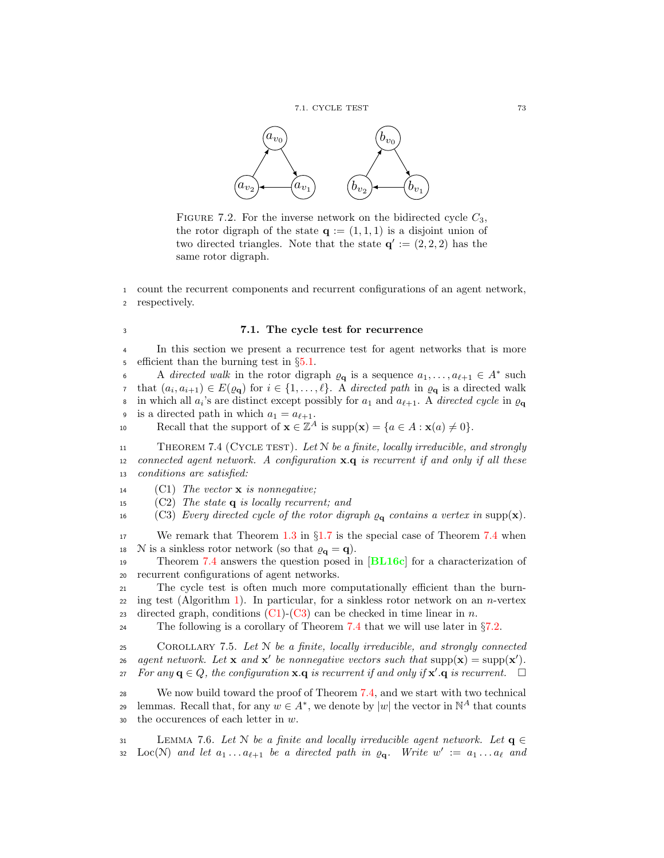

<span id="page-80-0"></span>FIGURE 7.2. For the inverse network on the bidirected cycle  $C_3$ , the rotor digraph of the state  $q := (1, 1, 1)$  is a disjoint union of two directed triangles. Note that the state  $\mathbf{q}' := (2, 2, 2)$  has the same rotor digraph.

<sup>1</sup> count the recurrent components and recurrent configurations of an agent network, <sup>2</sup> respectively.

<span id="page-80-1"></span><sup>3</sup> 7.1. The cycle test for recurrence

<sup>4</sup> In this section we present a recurrence test for agent networks that is more efficient than the burning test in  $\S 5.1$ .

A directed walk in the rotor digraph  $\varrho_{\mathbf{q}}$  is a sequence  $a_1, \ldots, a_{\ell+1} \in A^*$  such that  $(a_i, a_{i+1}) \in E(\varrho_\mathbf{q})$  for  $i \in \{1, ..., \ell\}$ . A directed path in  $\varrho_\mathbf{q}$  is a directed walk in which all  $a_i$ 's are distinct except possibly for  $a_1$  and  $a_{\ell+1}$ . A directed cycle in  $\varrho_{\mathbf{q}}$ 9 is a directed path in which  $a_1 = a_{\ell+1}$ .

Recall that the support of  $\mathbf{x} \in \mathbb{Z}^A$  is  $\text{supp}(\mathbf{x}) = \{a \in A : \mathbf{x}(a) \neq 0\}.$ 

<span id="page-80-2"></span>11 THEOREM 7.4 (CYCLE TEST). Let  $N$  be a finite, locally irreducible, and strongly 12 connected agent network. A configuration  $\mathbf{x} \cdot \mathbf{q}$  is recurrent if and only if all these <sup>13</sup> conditions are satisfied:

<span id="page-80-3"></span>14 (C1) The vector  $\bf{x}$  is nonnegative;

<span id="page-80-5"></span>15 (C2) The state  $q$  is locally recurrent; and

<span id="page-80-4"></span>16 (C3) Every directed cycle of the rotor digraph  $\rho_{\mathbf{q}}$  contains a vertex in supp(**x**).

17 We remark that Theorem [1.3](#page-12-0) in §[1.7](#page-12-1) is the special case of Theorem [7.4](#page-80-2) when<br>18 N is a sinkless rotor network (so that  $\rho_{q} = q$ ). N is a sinkless rotor network (so that  $\varrho_{q} = q$ ).

<sup>19</sup> Theorem [7.4](#page-80-2) answers the question posed in [[BL16c](#page-92-1)] for a characterization of <sup>20</sup> recurrent configurations of agent networks.

<sup>21</sup> The cycle test is often much more computationally efficient than the burn-22 ing test (Algorithm [1\)](#page-53-1). In particular, for a sinkless rotor network on an n-vertex 23 directed graph, conditions  $(C1)-(C3)$  $(C1)-(C3)$  can be checked in time linear in n.

<sup>24</sup> The following is a corollary of Theorem [7.4](#page-80-2) that we will use later in §[7.2.](#page-83-0)

<span id="page-80-7"></span>25 COROLLARY 7.5. Let  $N$  be a finite, locally irreducible, and strongly connected agent network. Let **x** and **x'** be nonnegative vectors such that  $\text{supp}(\mathbf{x}) = \text{supp}(\mathbf{x}')$ . For any  $\mathbf{q} \in Q$ , the configuration  $\mathbf{x} \cdot \mathbf{q}$  is recurrent if and only if  $\mathbf{x}' \cdot \mathbf{q}$  is recurrent.  $\Box$ 

<sup>28</sup> We now build toward the proof of Theorem [7.4,](#page-80-2) and we start with two technical lemmas. Recall that, for any  $w \in A^*$ , we denote by  $|w|$  the vector in  $\mathbb{N}^A$  that counts  $30$  the occurences of each letter in  $w$ .

<span id="page-80-6"></span>31 LEMMA 7.6. Let N be a finite and locally irreducible agent network. Let  $q \in$ 32 Loc(N) and let  $a_1 \ldots a_{\ell+1}$  be a directed path in  $\varrho_{\mathbf{q}}$ . Write  $w' := a_1 \ldots a_{\ell}$  and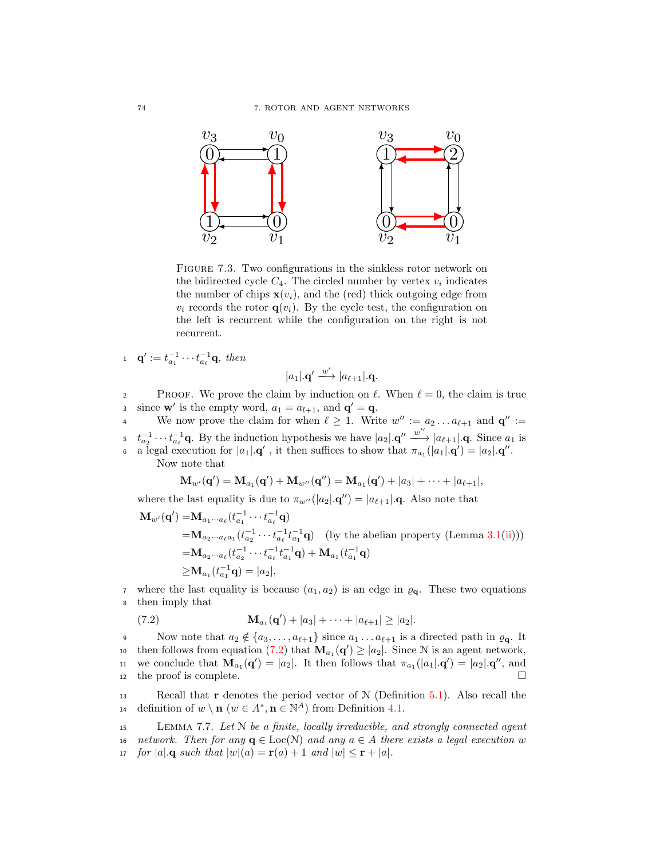

FIGURE 7.3. Two configurations in the sinkless rotor network on the bidirected cycle  $C_4$ . The circled number by vertex  $v_i$  indicates the number of chips  $\mathbf{x}(v_i)$ , and the (red) thick outgoing edge from  $v_i$  records the rotor  $q(v_i)$ . By the cycle test, the configuration on the left is recurrent while the configuration on the right is not recurrent.

$$
\mathbf{q}' := t_{a_1}^{-1} \cdots t_{a_\ell}^{-1} \mathbf{q}, \text{ then}
$$

$$
|a_1|.\mathbf{q}' \xrightarrow{w'} |a_{\ell+1}|.\mathbf{q}.
$$

2 PROOF. We prove the claim by induction on  $\ell$ . When  $\ell = 0$ , the claim is true if since **w**' is the empty word,  $a_1 = a_{l+1}$ , and  $\mathbf{q}' = \mathbf{q}$ .

We now prove the claim for when  $\ell \geq 1$ . Write  $w'' := a_2 \dots a_{\ell+1}$  and  $\mathbf{q}'' := a_1 \cdot \dots \cdot a_{\ell+1}$  $t_{a_2}^{-1} \cdots t_{a_\ell}^{-1}$ q. By the induction hypothesis we have  $|a_2| \cdot \mathbf{q}'' \stackrel{w''}{\longrightarrow} |a_{\ell+1}| \cdot \mathbf{q}$ . Since  $a_1$  is **a** legal execution for  $|a_1| \cdot \mathbf{q}'$ , it then suffices to show that  $\pi_{a_1}(|a_1| \cdot \mathbf{q}') = |a_2| \cdot \mathbf{q}''$ .

Now note that

$$
\mathbf{M}_{w'}(\mathbf{q}') = \mathbf{M}_{a_1}(\mathbf{q}') + \mathbf{M}_{w''}(\mathbf{q}'') = \mathbf{M}_{a_1}(\mathbf{q}') + |a_3| + \cdots + |a_{\ell+1}|,
$$

where the last equality is due to  $\pi_{w''}(|a_2| \cdot \mathbf{q}'') = |a_{\ell+1}| \cdot \mathbf{q}$ . Also note that

$$
\mathbf{M}_{w'}(\mathbf{q}') = \mathbf{M}_{a_1 \cdots a_\ell} (t_{a_1}^{-1} \cdots t_{a_\ell}^{-1} \mathbf{q})
$$
\n
$$
= \mathbf{M}_{a_2 \cdots a_\ell a_1} (t_{a_2}^{-1} \cdots t_{a_\ell}^{-1} t_{a_1}^{-1} \mathbf{q}) \quad \text{(by the abelian property (Lemma 3.1(ii)))}
$$
\n
$$
= \mathbf{M}_{a_2 \cdots a_\ell} (t_{a_2}^{-1} \cdots t_{a_\ell}^{-1} t_{a_1}^{-1} \mathbf{q}) + \mathbf{M}_{a_1} (t_{a_1}^{-1} \mathbf{q})
$$
\n
$$
\geq \mathbf{M}_{a_1} (t_{a_1}^{-1} \mathbf{q}) = |a_2|,
$$

7 where the last equality is because  $(a_1, a_2)$  is an edge in  $\varrho_{q}$ . These two equations <sup>8</sup> then imply that

<span id="page-81-0"></span>(7.2) 
$$
\mathbf{M}_{a_1}(\mathbf{q}') + |a_3| + \cdots + |a_{\ell+1}| \ge |a_2|.
$$

9 Now note that  $a_2 \notin \{a_3, \ldots, a_{\ell+1}\}\$  since  $a_1 \ldots a_{\ell+1}$  is a directed path in  $\varrho_{\mathbf{q}}$ . It then follows from equation [\(7.2\)](#page-81-0) that  $\mathbf{M}_{a_1}(\mathbf{q}') \geq |a_2|$ . Since N is an agent network, 11 we conclude that  $\mathbf{M}_{a_1}(\mathbf{q}') = |a_2|$ . It then follows that  $\pi_{a_1}(|a_1| \cdot \mathbf{q}') = |a_2| \cdot \mathbf{q}''$ , and 12 the proof is complete.  $\Box$ 

13 Recall that **r** denotes the period vector of  $N$  (Definition [5.1\)](#page-50-0). Also recall the 14 definition of  $w \setminus \mathbf{n}$   $(w \in A^*, \mathbf{n} \in \mathbb{N}^A)$  from Definition [4.1.](#page-34-0)

<span id="page-81-1"></span><sup>15</sup> Lemma 7.7. Let N be a finite, locally irreducible, and strongly connected agent 16 network. Then for any  $\mathbf{q} \in \text{Loc}(\mathcal{N})$  and any  $a \in A$  there exists a legal execution w<br>17 for  $|a|$ ,  $\mathbf{q}$  such that  $|w|(a) = \mathbf{r}(a) + 1$  and  $|w| \leq \mathbf{r} + |a|$ . for  $|a|$ , q such that  $|w|(a) = \mathbf{r}(a) + 1$  and  $|w| \leq \mathbf{r} + |a|$ .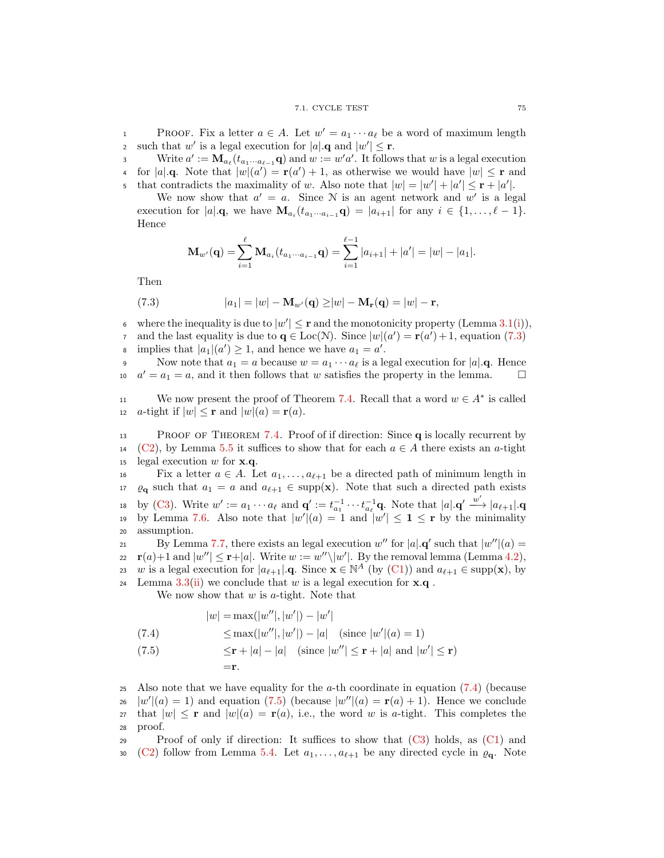#### 7.1. CYCLE TEST 75

PROOF. Fix a letter  $a \in A$ . Let  $w' = a_1 \cdots a_\ell$  be a word of maximum length such that w' is a legal execution for  $|a| \cdot \mathbf{q}$  and  $|w'| \leq \mathbf{r}$ .

3 Write  $a' := \mathbf{M}_{a_{\ell}}(t_{a_1\cdots a_{\ell-1}}\mathbf{q})$  and  $w := w'a'$ . It follows that w is a legal execution 4 for  $|a| \cdot \mathbf{q}$ . Note that  $|w|(a') = \mathbf{r}(a') + 1$ , as otherwise we would have  $|w| \leq \mathbf{r}$  and that contradicts the maximality of w. Also note that  $|w| = |w'| + |a'| \leq r + |a'|$ .

We now show that  $a' = a$ . Since N is an agent network and w' is a legal execution for  $|a| \cdot \mathbf{q}$ , we have  $\mathbf{M}_{a_i}(t_{a_1\cdots a_{i-1}}\mathbf{q}) = |a_{i+1}|$  for any  $i \in \{1,\ldots,\ell-1\}$ . Hence

$$
\mathbf{M}_{w'}(\mathbf{q}) = \sum_{i=1}^{\ell} \mathbf{M}_{a_i}(t_{a_1 \cdots a_{i-1}} \mathbf{q}) = \sum_{i=1}^{\ell-1} |a_{i+1}| + |a'| = |w| - |a_1|.
$$

Then

<span id="page-82-0"></span>(7.3) 
$$
|a_1| = |w| - \mathbf{M}_{w'}(\mathbf{q}) \ge |w| - \mathbf{M}_{r}(\mathbf{q}) = |w| - \mathbf{r},
$$

where the inequality is due to  $|w'| \leq r$  and the monotonicity property (Lemma [3.1](#page-21-0)[\(i\)](#page-21-2)), and the last equality is due to  $\mathbf{q} \in \text{Loc}(\mathcal{N})$ . Since  $|w|(a') = \mathbf{r}(a') + 1$ , equation [\(7.3\)](#page-82-0) implies that  $|a_1|(a') \ge 1$ , and hence we have  $a_1 = a'$ .

9 Now note that  $a_1 = a$  because  $w = a_1 \cdots a_\ell$  is a legal execution for  $|a|$ .q. Hence  $a' = a_1 = a$ , and it then follows that w satisfies the property in the lemma.

11 We now present the proof of Theorem [7.4.](#page-80-2) Recall that a word  $w \in A^*$  is called 12 a-tight if  $|w| \leq r$  and  $|w|(a) = r(a)$ .

<sup>13</sup> Proof of Theorem [7.4.](#page-80-2) Proof of if direction: Since q is locally recurrent by 14 [\(C2\)](#page-80-5), by Lemma [5.5](#page-52-0) it suffices to show that for each  $a \in A$  there exists an a-tight legal execution w for **x**.q. legal execution  $w$  for  $x.q$ .

Fix a letter  $a \in A$ . Let  $a_1, \ldots, a_{\ell+1}$  be a directed path of minimum length in 17  $\varrho_{q}$  such that  $a_1 = a$  and  $a_{\ell+1} \in \text{supp}(\mathbf{x})$ . Note that such a directed path exists 18 by [\(C3\)](#page-80-4). Write  $w' := a_1 \cdots a_\ell$  and  $\mathbf{q}' := t_{a_1}^{-1} \cdots t_{a_\ell}^{-1} \mathbf{q}$ . Note that  $|a| \cdot \mathbf{q}' \stackrel{w'}{\longrightarrow} |a_{\ell+1}| \cdot \mathbf{q}$ 19 by Lemma [7.6.](#page-80-6) Also note that  $|w'(a) = 1$  and  $|w'| \le 1 \le r$  by the minimality <sup>20</sup> assumption.

By Lemma [7.7,](#page-81-1) there exists an legal execution  $w''$  for  $|a| \cdot \mathbf{q}'$  such that  $|w''|(a) =$  $r(a)+1$  and  $|w''| \le r+|a|$ . Write  $w := w''\setminus |w'|$ . By the removal lemma (Lemma [4.2\)](#page-34-1), 23 w is a legal execution for  $|a_{\ell+1}| \cdot \mathbf{q}$ . Since  $\mathbf{x} \in \mathbb{N}^A$  (by [\(C1\)](#page-80-3)) and  $a_{\ell+1} \in \text{supp}(\mathbf{x})$ , by 24 Lemma  $3.3$ ([ii\)](#page-22-2) we conclude that w is a legal execution for  $x.q$ .

We now show that  $w$  is  $a$ -tight. Note that

<span id="page-82-2"></span><span id="page-82-1"></span>(7.4)  
\n
$$
|w| = \max(|w''|, |w'|) - |w'|
$$
\n
$$
\leq \max(|w''|, |w'|) - |a| \quad (\text{since } |w'| (a) = 1)
$$
\n
$$
\leq \mathbf{r} + |a| - |a| \quad (\text{since } |w''| \leq \mathbf{r} + |a| \text{ and } |w'| \leq \mathbf{r})
$$
\n
$$
= \mathbf{r}.
$$

25 Also note that we have equality for the a-th coordinate in equation  $(7.4)$  (because  $|w'|(a) = 1$  and equation [\(7.5\)](#page-82-2) (because  $|w''|(a) = \mathbf{r}(a) + 1$ ). Hence we conclude 27 that  $|w| \leq r$  and  $|w|(a) = r(a)$ , i.e., the word w is a-tight. This completes the <sup>28</sup> proof.

29 Proof of only if direction: It suffices to show that  $(C3)$  holds, as  $(C1)$  and 30 [\(C2\)](#page-80-5) follow from Lemma [5.4.](#page-52-1) Let  $a_1, \ldots, a_{\ell+1}$  be any directed cycle in  $\varrho_{q}$ . Note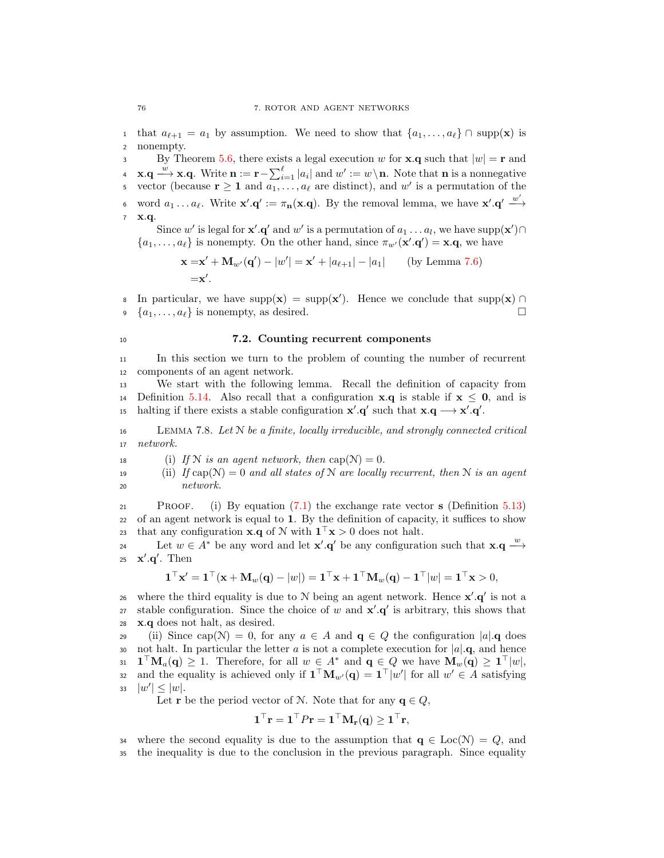1 that  $a_{\ell+1} = a_1$  by assumption. We need to show that  $\{a_1, \ldots, a_{\ell}\} \cap \text{supp}(\mathbf{x})$  is a nonempty. nonempty.

By Theorem [5.6,](#page-53-2) there exists a legal execution w for **x**.q such that  $|w| = \mathbf{r}$  and **4 x**.**q**  $\stackrel{w}{\longrightarrow}$  **x**.**q**. Write  $\mathbf{n} := \mathbf{r} - \sum_{i=1}^{\ell} |a_i|$  and  $w' := w \setminus \mathbf{n}$ . Note that **n** is a nonnegative s vector (because  $\mathbf{r} \geq 1$  and  $a_1, \ldots, a_\ell$  are distinct), and w' is a permutation of the o word  $a_1 \ldots a_\ell$ . Write  $\mathbf{x}' \cdot \mathbf{q}' := \pi_\mathbf{n}(\mathbf{x}.\mathbf{q})$ . By the removal lemma, we have  $\mathbf{x}' \cdot \mathbf{q}' \stackrel{w'}{\longrightarrow}$ <sup>7</sup> x.q.

Since w' is legal for **x'**. $\mathbf{q}'$  and w' is a permutation of  $a_1 \dots a_l$ , we have supp $(\mathbf{x}') \cap$  $\{a_1, \ldots, a_\ell\}$  is nonempty. On the other hand, since  $\pi_{w'}(\mathbf{x}'.\mathbf{q}') = \mathbf{x}.\mathbf{q}$ , we have

$$
\mathbf{x} = \mathbf{x}' + \mathbf{M}_{w'}(\mathbf{q}') - |w'| = \mathbf{x}' + |a_{\ell+1}| - |a_1|
$$
 (by Lemma 7.6)  
=
$$
\mathbf{x}'.
$$

8 In particular, we have supp(x) = supp(x'). Hence we conclude that supp(x) ∩  $\{a_1, \ldots, a_\ell\}$  is nonempty, as desired.

## <span id="page-83-0"></span><sup>10</sup> 7.2. Counting recurrent components

<sup>11</sup> In this section we turn to the problem of counting the number of recurrent <sup>12</sup> components of an agent network.

<sup>13</sup> We start with the following lemma. Recall the definition of capacity from 14 Definition [5.14.](#page-58-0) Also recall that a configuration **x**.q is stable if  $x \le 0$ , and is to halting if there exists a stable configuration  $\mathbf{x}' \cdot \mathbf{q}'$  such that  $\mathbf{x} \cdot \mathbf{q} \longrightarrow \mathbf{x}' \cdot \mathbf{q}'$ .

<span id="page-83-1"></span> $16$  LEMMA 7.8. Let N be a finite, locally irreducible, and strongly connected critical <sup>17</sup> network.

18 (i) If N is an agent network, then  $cap(N) = 0$ .

<span id="page-83-2"></span>19 (ii) If  $cap(N) = 0$  and all states of N are locally recurrent, then N is an agent <sup>20</sup> network.

21 PROOF. (i) By equation  $(7.1)$  the exchange rate vector s (Definition [5.13\)](#page-58-1) <sup>22</sup> of an agent network is equal to 1. By the definition of capacity, it suffices to show 23 that any configuration **x**.q of N with  $\mathbf{1}^\top \mathbf{x} > 0$  does not halt.

24 Let  $w \in A^*$  be any word and let **x'**.**q'** be any configuration such that **x**.**q**  $\stackrel{w}{\longrightarrow}$ 25  $\mathbf{x}' \cdot \mathbf{q}'$ . Then

$$
\mathbf{1}^\top \mathbf{x}' = \mathbf{1}^\top (\mathbf{x} + \mathbf{M}_w(\mathbf{q}) - |w|) = \mathbf{1}^\top \mathbf{x} + \mathbf{1}^\top \mathbf{M}_w(\mathbf{q}) - \mathbf{1}^\top |w| = \mathbf{1}^\top \mathbf{x} > 0,
$$

26 where the third equality is due to N being an agent network. Hence  $\mathbf{x}' \cdot \mathbf{q}'$  is not a 27 stable configuration. Since the choice of w and  $x'.q'$  is arbitrary, this shows that <sup>28</sup> x.q does not halt, as desired.

29 (ii) Since cap( $\mathcal{N}$ ) = 0, for any  $a \in A$  and  $\mathbf{q} \in Q$  the configuration  $|a|$ . q does 30 not halt. In particular the letter a is not a complete execution for  $|a| \cdot \mathbf{q}$ , and hence<br>31  $\mathbf{1}^\top \mathbf{M}_a(\mathbf{q}) \geq 1$ . Therefore, for all  $w \in A^*$  and  $\mathbf{q} \in Q$  we have  $\mathbf{M}_w(\mathbf{q}) \geq \mathbf{1}^\top |w|$ ,  $\mathbf{1} \mathbf{1}^\top \mathbf{M}_a(\mathbf{q}) \geq 1$ . Therefore, for all  $w \in A^*$  and  $\mathbf{q} \in Q$  we have  $\mathbf{M}_w(\mathbf{q}) \geq \mathbf{1}^\top |w|$ , 32 and the equality is achieved only if  $\mathbf{1}^\top \mathbf{M}_{w'}(\mathbf{q}) = \mathbf{1}^\top |w'|$  for all  $w' \in A$  satisfying 33  $|w'| \leq |w|$ .

Let **r** be the period vector of N. Note that for any  $q \in Q$ ,

$$
\mathbf{1}^{\top}\mathbf{r} = \mathbf{1}^{\top}P\mathbf{r} = \mathbf{1}^{\top}\mathbf{M}_{\mathbf{r}}(\mathbf{q}) \geq \mathbf{1}^{\top}\mathbf{r},
$$

34 where the second equality is due to the assumption that  $q \in \text{Loc}(\mathcal{N}) = Q$ , and <sup>35</sup> the inequality is due to the conclusion in the previous paragraph. Since equality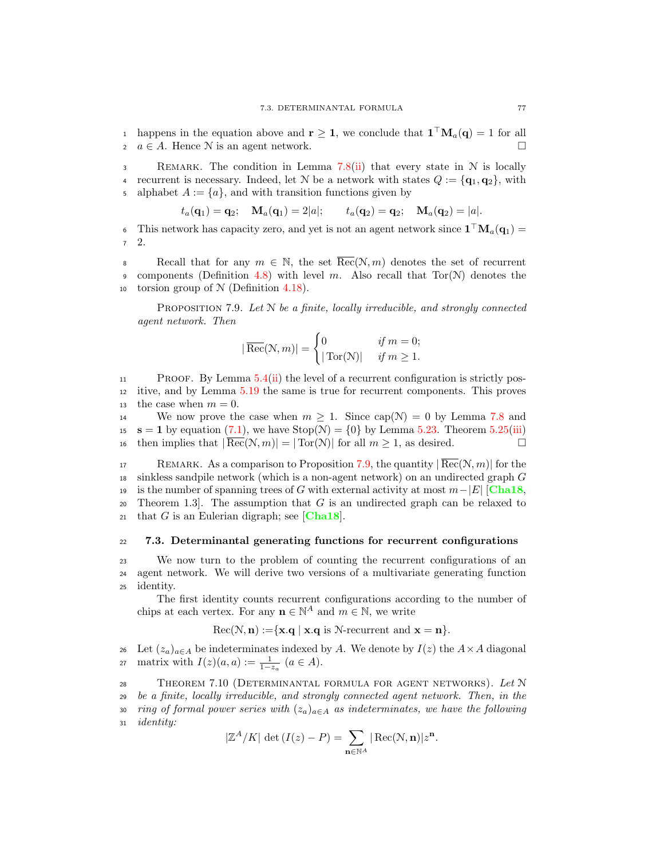1 happens in the equation above and  $\mathbf{r} \geq 1$ , we conclude that  $\mathbf{1}^\top \mathbf{M}_a(\mathbf{q}) = 1$  for all 2  $a \in A$ . Hence N is an agent network.

3 REMARK. The condition in Lemma [7.8\(](#page-83-1)[ii\)](#page-83-2) that every state in N is locally 4 recurrent is necessary. Indeed, let N be a network with states  $Q := {\mathbf{q}_1, \mathbf{q}_2}$ , with 5 alphabet  $A := \{a\}$ , and with transition functions given by

$$
t_a(\mathbf{q}_1) = \mathbf{q}_2;
$$
  $\mathbf{M}_a(\mathbf{q}_1) = 2|a|;$   $t_a(\mathbf{q}_2) = \mathbf{q}_2;$   $\mathbf{M}_a(\mathbf{q}_2) = |a|.$ 

6 This network has capacity zero, and yet is not an agent network since  $\mathbf{1}^\top \mathbf{M}_a(\mathbf{q}_1) =$ <sup>7</sup> 2.

8 Recall that for any  $m \in \mathbb{N}$ , the set  $\overline{\text{Rec}}(\mathcal{N}, m)$  denotes the set of recurrent components (Definition 4.8) with level m. Also recall that  $\text{Tor}(\mathcal{N})$  denotes the components (Definition [4.8\)](#page-38-0) with level m. Also recall that  $Tor(N)$  denotes the 10 torsion group of  $N$  (Definition [4.18\)](#page-43-0).

<span id="page-84-1"></span>PROPOSITION 7.9. Let  $N$  be a finite, locally irreducible, and strongly connected agent network. Then

$$
|\overline{\text{Rec}}(\mathcal{N}, m)| = \begin{cases} 0 & \text{if } m = 0; \\ |\text{Tor}(\mathcal{N})| & \text{if } m \ge 1. \end{cases}
$$

<sup>11</sup> Proof. By Lemma [5.4](#page-52-1)[\(ii\)](#page-52-2) the level of a recurrent configuration is strictly pos-<sup>12</sup> itive, and by Lemma [5.19](#page-61-0) the same is true for recurrent components. This proves 13 the case when  $m = 0$ .

14 We now prove the case when  $m \geq 1$ . Since cap(N) = 0 by Lemma [7.8](#page-83-1) and 15 **s** = 1 by equation [\(7.1\)](#page-78-0), we have Stop( $N$ ) = {0} by Lemma [5.23.](#page-62-0) Theorem [5.25](#page-63-0)[\(iii\)](#page-63-1) <br>16 then implies that  $|\overline{\text{Rec}}(N, m)| = |\text{Tor}(N)|$  for all  $m > 1$ , as desired. 16 then implies that  $|\overline{\text{Rec}}(\mathcal{N}, m)| = |\text{Tor}(\mathcal{N})|$  for all  $m \geq 1$ , as desired.

17 REMARK. As a comparison to Proposition [7.9,](#page-84-1) the quantity  $|Rec(\mathcal{N}, m)|$  for the <sup>18</sup> sinkless sandpile network (which is a non-agent network) on an undirected graph G 19 is the number of spanning trees of G with external activity at most  $m-|E|$  [[Cha18](#page-92-2), 20 Theorem 1.3]. The assumption that G is an undirected graph can be relaxed to Theorem 1.3. The assumption that G is an undirected graph can be relaxed to 21 that G is an Eulerian digraph; see [[Cha18](#page-92-2)].

## <span id="page-84-0"></span><sup>22</sup> 7.3. Determinantal generating functions for recurrent configurations

<sup>23</sup> We now turn to the problem of counting the recurrent configurations of an <sup>24</sup> agent network. We will derive two versions of a multivariate generating function <sup>25</sup> identity.

The first identity counts recurrent configurations according to the number of chips at each vertex. For any  $\mathbf{n} \in \mathbb{N}^A$  and  $m \in \mathbb{N}$ , we write

$$
\operatorname{Rec}(\mathcal{N}, n) := \{ \mathbf{x}. \mathbf{q} \mid \mathbf{x}. \mathbf{q} \text{ is } \mathcal{N}\text{-recurrent and } \mathbf{x} = \mathbf{n} \}.
$$

26 Let  $(z_a)_{a \in A}$  be indeterminates indexed by A. We denote by  $I(z)$  the  $A \times A$  diagonal 27 matrix with  $I(z)(a, a) := \frac{1}{1-z_a}$   $(a \in A)$ .

<span id="page-84-2"></span>28 THEOREM 7.10 (DETERMINANTAL FORMULA FOR AGENT NETWORKS). Let  $N$ <sup>29</sup> be a finite, locally irreducible, and strongly connected agent network. Then, in the 30 ring of formal power series with  $(z_a)_{a \in A}$  as indeterminates, we have the following <sup>31</sup> identity:

 $\mathbf{n}$ ∈N $^{A}$ 

 $| \operatorname{Rec}(\mathcal{N}, \mathbf{n}) | z^{\mathbf{n}}.$ 

$$
|\mathbb{Z}^A/K| \, \det\left(I(z) - P\right) = \sum
$$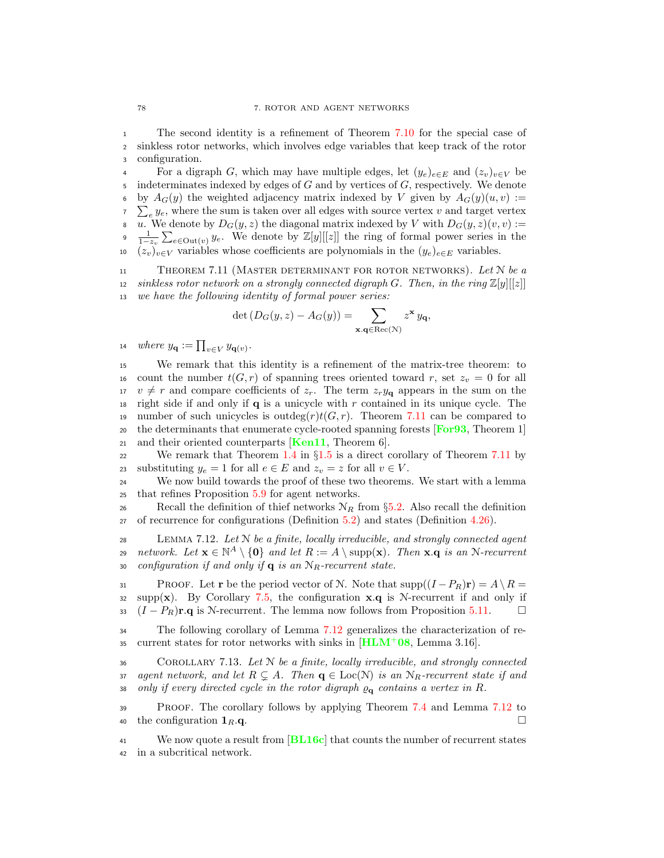<sup>1</sup> The second identity is a refinement of Theorem [7.10](#page-84-2) for the special case of <sup>2</sup> sinkless rotor networks, which involves edge variables that keep track of the rotor <sup>3</sup> configuration.

4 For a digraph G, which may have multiple edges, let  $(y_e)_{e \in E}$  and  $(z_v)_{v \in V}$  be indeterminates indexed by edges of  $G$  and by vertices of  $G$ , respectively. We denote 6  $\nabla \sum_{e} y_e$ , where the sum is taken over all edges with source vertex v and target vertex by  $A_G(y)$  the weighted adjacency matrix indexed by V given by  $A_G(y)(u, v) :=$ 8 u. We denote by  $D_G(y, z)$  the diagonal matrix indexed by V with  $D_G(y, z)(v, v) :=$ 9  $\frac{1}{1-z_v}\sum_{e\in\text{Out}(v)} y_e$ . We denote by  $\mathbb{Z}[y][[z]]$  the ring of formal power series in the 10  $(z_v)_{v \in V}$  variables whose coefficients are polynomials in the  $(y_e)_{e \in E}$  variables.

<span id="page-85-0"></span>11 THEOREM 7.11 (MASTER DETERMINANT FOR ROTOR NETWORKS). Let  $N$  be a 12 sinkless rotor network on a strongly connected digraph G. Then, in the ring  $\mathbb{Z}[y][[z]]$ <sup>13</sup> we have the following identity of formal power series:

$$
\det(D_G(y,z) - A_G(y)) = \sum_{\mathbf{x},\mathbf{q} \in \text{Rec}(\mathcal{N})} z^{\mathbf{x}} y_{\mathbf{q}},
$$

14 where  $y_{\mathbf{q}} := \prod_{v \in V} y_{\mathbf{q}(v)}$ .

<sup>15</sup> We remark that this identity is a refinement of the matrix-tree theorem: to 16 count the number  $t(G, r)$  of spanning trees oriented toward r, set  $z_v = 0$  for all  $17 \quad v \neq r$  and compare coefficients of  $z_r$ . The term  $z_r y_q$  appears in the sum on the 18 right side if and only if  $q$  is a unicycle with r contained in its unique cycle. The 19 number of such unicycles is outdeg $(r)t(G, r)$ . Theorem [7.11](#page-85-0) can be compared to <sup>20</sup> the determinants that enumerate cycle-rooted spanning forests **[[For93](#page-93-2)**, Theorem 1] 21 and their oriented counterparts  $\text{Ken11}$  $\text{Ken11}$  $\text{Ken11}$ , Theorem 6.

22 We remark that Theorem [1.4](#page-12-2) in §[1.5](#page-11-0) is a direct corollary of Theorem [7.11](#page-85-0) by<br>23 substituting  $u_e = 1$  for all  $e \in E$  and  $z_n = z$  for all  $v \in V$ . 23 substituting  $y_e = 1$  for all  $e \in E$  and  $z_v = z$  for all  $v \in V$ .<br>24 We now build towards the proof of these two theorems

We now build towards the proof of these two theorems. We start with a lemma <sup>25</sup> that refines Proposition [5.9](#page-56-0) for agent networks.

26 Recall the definition of thief networks  $N_R$  from §[5.2.](#page-53-0) Also recall the definition  $27$  of recurrence for configurations (Definition 5.2) and states (Definition 4.26). of recurrence for configurations (Definition [5.2\)](#page-51-2) and states (Definition [4.26\)](#page-47-0).

<span id="page-85-1"></span>28 LEMMA 7.12. Let  $N$  be a finite, locally irreducible, and strongly connected agent 29 network. Let  $\mathbf{x} \in \mathbb{N}^A \setminus \{\mathbf{0}\}$  and let  $R := A \setminus \text{supp}(\mathbf{x})$ . Then  $\mathbf{x} \cdot \mathbf{q}$  is an N-recurrent 30 configuration if and only if  $q$  is an  $N_R$ -recurrent state.

31 PROOF. Let **r** be the period vector of N. Note that  $supp((I - P_R)\mathbf{r}) = A \setminus R =$  $32$  supp(x). By Corollary [7.5,](#page-80-7) the configuration x.q is N-recurrent if and only if 33  $(I - P_R)$ **r.**q is N-recurrent. The lemma now follows from Proposition [5.11.](#page-56-1)

<sup>34</sup> The following corollary of Lemma [7.12](#page-85-1) generalizes the characterization of re-35 current states for rotor networks with sinks in  $[\text{HLM}^+$  $[\text{HLM}^+$  $[\text{HLM}^+$  08, Lemma 3.16.

 $36$  COROLLARY 7.13. Let  $N$  be a finite, locally irreducible, and strongly connected 37 agent network, and let  $R \subsetneq A$ . Then  $q \in Loc(N)$  is an  $N_R$ -recurrent state if and<br>38 only if every directed cycle in the rotor digraph  $o_{\alpha}$  contains a vertex in R. only if every directed cycle in the rotor digraph  $\varrho_{q}$  contains a vertex in R.

<sup>39</sup> Proof. The corollary follows by applying Theorem [7.4](#page-80-2) and Lemma [7.12](#page-85-1) to 40 the configuration  $\mathbf{1}_R$ .q.

<sup>41</sup> We now quote a result from [[BL16c](#page-92-1)] that counts the number of recurrent states <sup>42</sup> in a subcritical network.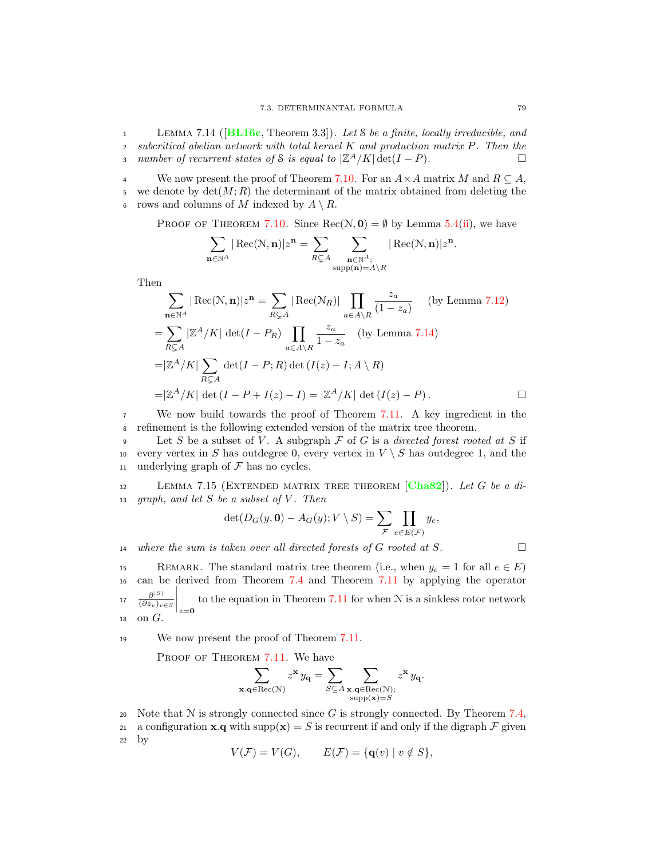<span id="page-86-0"></span>1 LEMMA 7.14 ( $[BL16c, Theorem 3.3]$  $[BL16c, Theorem 3.3]$  $[BL16c, Theorem 3.3]$ ). Let S be a finite, locally irreducible, and <sup>2</sup> subcritical abelian network with total kernel K and production matrix P. Then the 3 number of recurrent states of S is equal to  $|\mathbb{Z}^A/K| \det(I - P)$ .

We now present the proof of Theorem [7.10.](#page-84-2) For an  $A \times A$  matrix M and  $R \subseteq A$ , 5 we denote by  $\det(M; R)$  the determinant of the matrix obtained from deleting the 6 rows and columns of M indexed by  $A \setminus R$ .

PROOF OF THEOREM [7.10.](#page-84-2) Since  $Rec(\mathcal{N}, \mathbf{0}) = \emptyset$  by Lemma [5.4\(](#page-52-1)[ii\)](#page-52-2), we have

$$
\sum_{\mathbf{n}\in\mathbb{N}^A}|\operatorname{Rec}(\mathcal{N},\mathbf{n})|z^{\mathbf{n}}=\sum_{R\subsetneq A}\sum_{\substack{\mathbf{n}\in\mathbb{N}^A;\\\operatorname{supp}(\mathbf{n})=A\backslash R}}|\operatorname{Rec}(\mathcal{N},\mathbf{n})|z^{\mathbf{n}}.
$$

Then

$$
\sum_{\mathbf{n}\in\mathbb{N}^A} |\text{Rec}(\mathbf{N}, \mathbf{n})|z^{\mathbf{n}} = \sum_{R\subsetneq A} |\text{Rec}(\mathbf{N}_R)| \prod_{a\in A\setminus R} \frac{z_a}{(1-z_a)} \quad \text{(by Lemma 7.12)}
$$
  
= 
$$
\sum_{R\subsetneq A} |\mathbb{Z}^A/K| \det(I - P_R) \prod_{a\in A\setminus R} \frac{z_a}{1-z_a} \quad \text{(by Lemma 7.14)}
$$
  
=  $|\mathbb{Z}^A/K| \sum_{R\subsetneq A} \det(I - P; R) \det(I(z) - I; A\setminus R)$   
=  $|\mathbb{Z}^A/K| \det(I - P + I(z) - I) = |\mathbb{Z}^A/K| \det(I(z) - P).$ 

<sup>7</sup> We now build towards the proof of Theorem [7.11.](#page-85-0) A key ingredient in the <sup>8</sup> refinement is the following extended version of the matrix tree theorem.

9 Let S be a subset of V. A subgraph  $\mathcal F$  of G is a directed forest rooted at S if to every vertex in S has outdegree 0, every vertex in  $V \setminus S$  has outdegree 1, and the every vertex in S has outdegree 0, every vertex in  $V \setminus S$  has outdegree 1, and the 11 underlying graph of  $\mathcal F$  has no cycles.

<span id="page-86-1"></span> $12$  Lemma 7.15 (EXTENDED MATRIX TREE THEOREM [[Cha82](#page-92-3)]). Let G be a di-13 graph, and let  $S$  be a subset of  $V$ . Then

$$
\det(D_G(y, \mathbf{0}) - A_G(y); V \setminus S) = \sum_{\mathcal{F}} \prod_{e \in E(\mathcal{F})} y_e,
$$

14 where the sum is taken over all directed forests of G rooted at S.  $\Box$ 

15 REMARK. The standard matrix tree theorem (i.e., when  $y_e = 1$  for all  $e \in E$ ) <sup>16</sup> can be derived from Theorem [7.4](#page-80-2) and Theorem [7.11](#page-85-0) by applying the operator  $\partial^{|S|}$  $\overline{(\partial z_v)_{v\in S}}$  $\overline{\phantom{a}}$ I  $\overline{\phantom{a}}$  $\vert_{z=0}$  $\frac{\partial^{|\mathcal{S}|}}{\partial z_0 \cdot \dots \cdot \partial \mathcal{S}}$  to the equation in Theorem [7.11](#page-85-0) for when N is a sinkless rotor network  $18$  on  $G$ .

<sup>19</sup> We now present the proof of Theorem [7.11.](#page-85-0)

PROOF OF THEOREM [7.11.](#page-85-0) We have

$$
\sum_{\mathbf{x}.\mathbf{q} \in \text{Rec}(\mathcal{N})} z^\mathbf{x} \, y_\mathbf{q} = \sum_{S \subseteq A} \sum_{\substack{\mathbf{x}.\mathbf{q} \in \text{Rec}(\mathcal{N}); \\ \text{supp}(\mathbf{x}) = S}} z^\mathbf{x} \, y_\mathbf{q}.
$$

- 20 Note that  $N$  is strongly connected since G is strongly connected. By Theorem [7.4,](#page-80-2)
- 21 a configuration **x**.**q** with supp $(\mathbf{x}) = S$  is recurrent if and only if the digraph  $\mathcal F$  given by by

$$
V(\mathcal{F}) = V(G), \qquad E(\mathcal{F}) = \{ \mathbf{q}(v) \mid v \notin S \},
$$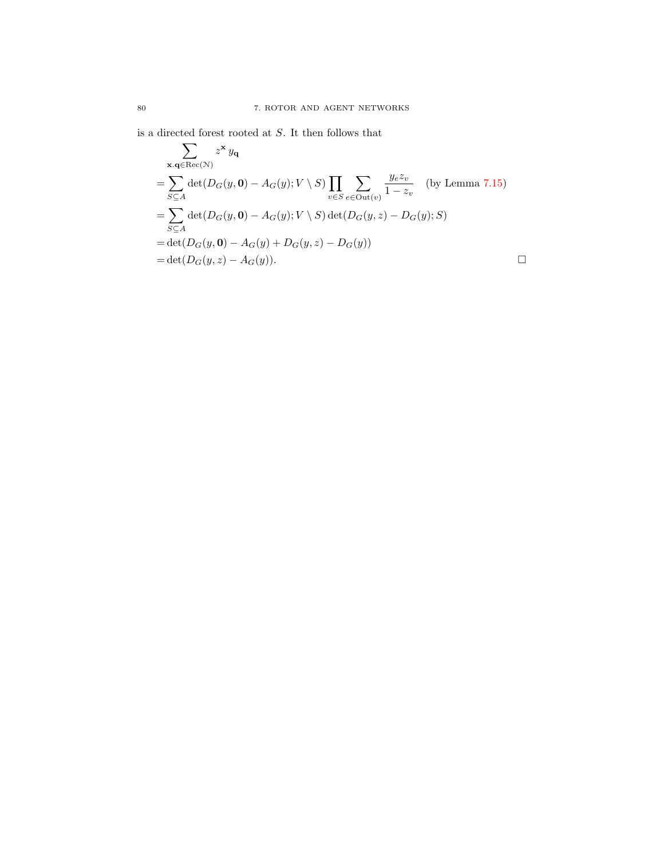is a directed forest rooted at S. It then follows that

$$
\sum_{\mathbf{x},\mathbf{q}\in\text{Rec}(\mathcal{N})} z^{\mathbf{x}} y_{\mathbf{q}}
$$
\n
$$
= \sum_{S\subseteq A} \det(D_G(y, \mathbf{0}) - A_G(y); V \setminus S) \prod_{v\in S} \sum_{e\in\text{Out}(v)} \frac{y_e z_v}{1 - z_v} \quad \text{(by Lemma 7.15)}
$$
\n
$$
= \sum_{S\subseteq A} \det(D_G(y, \mathbf{0}) - A_G(y); V \setminus S) \det(D_G(y, z) - D_G(y); S)
$$
\n
$$
= \det(D_G(y, \mathbf{0}) - A_G(y) + D_G(y, z) - D_G(y))
$$
\n
$$
= \det(D_G(y, z) - A_G(y)). \qquad \Box
$$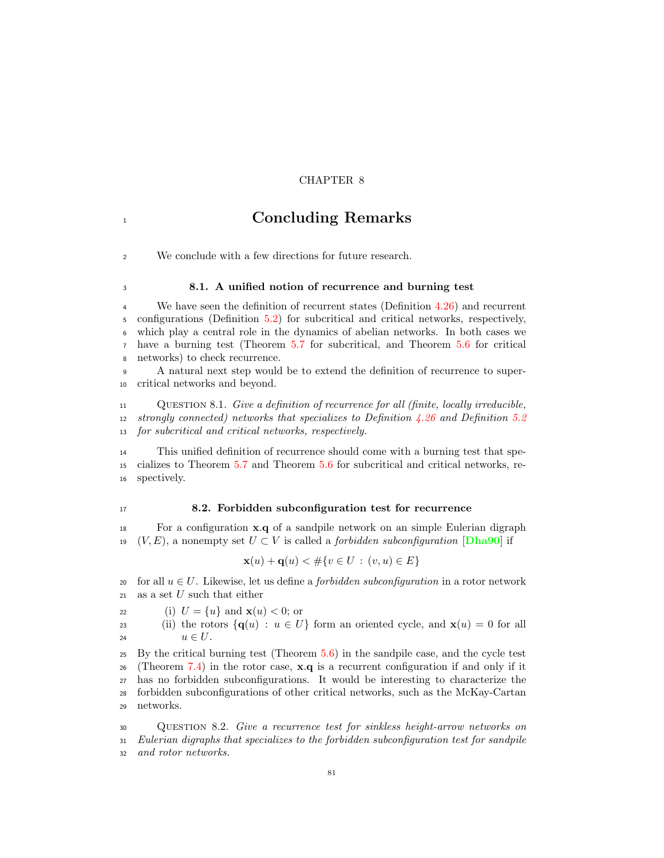## CHAPTER 8

## <sup>1</sup> Concluding Remarks

We conclude with a few directions for future research.

## 8.1. A unified notion of recurrence and burning test

 We have seen the definition of recurrent states (Definition [4.26\)](#page-47-0) and recurrent configurations (Definition [5.2\)](#page-51-2) for subcritical and critical networks, respectively, which play a central role in the dynamics of abelian networks. In both cases we have a burning test (Theorem [5.7](#page-53-3) for subcritical, and Theorem [5.6](#page-53-2) for critical networks) to check recurrence.

 A natural next step would be to extend the definition of recurrence to super-critical networks and beyond.

 Question 8.1. Give a definition of recurrence for all (finite, locally irreducible, 12 strongly connected) networks that specializes to Definition  $\frac{1}{26}$  and Definition [5.2](#page-51-2) for subcritical and critical networks, respectively.

 This unified definition of recurrence should come with a burning test that spe- cializes to Theorem [5.7](#page-53-3) and Theorem [5.6](#page-53-2) for subcritical and critical networks, re-spectively.

#### 8.2. Forbidden subconfiguration test for recurrence

 For a configuration x.q of a sandpile network on an simple Eulerian digraph 19 (V, E), a nonempty set  $U \subset V$  is called a *forbidden subconfiguration* [[Dha90](#page-92-4)] if

$$
\mathbf{x}(u) + \mathbf{q}(u) < \# \{ v \in U : (v, u) \in E \}
$$

- 20 for all  $u \in U$ . Likewise, let us define a *forbidden subconfiguration* in a rotor network 21 as a set U such that either as a set  $U$  such that either
- 22 (i)  $U = \{u\}$  and  $\mathbf{x}(u) < 0$ ; or<br>
23 (ii) the rotors  $\{\mathbf{q}(u) : u \in U\}$
- 23 (ii) the rotors  $\{q(u) : u \in U\}$  form an oriented cycle, and  $\mathbf{x}(u) = 0$  for all  $u \in U$ .  $u \in U$ .

 By the critical burning test (Theorem [5.6\)](#page-53-2) in the sandpile case, and the cycle test 26 (Theorem [7.4\)](#page-80-2) in the rotor case,  $x \cdot q$  is a recurrent configuration if and only if it has no forbidden subconfigurations. It would be interesting to characterize the forbidden subconfigurations of other critical networks, such as the McKay-Cartan networks.

 Question 8.2. Give a recurrence test for sinkless height-arrow networks on Eulerian digraphs that specializes to the forbidden subconfiguration test for sandpile and rotor networks.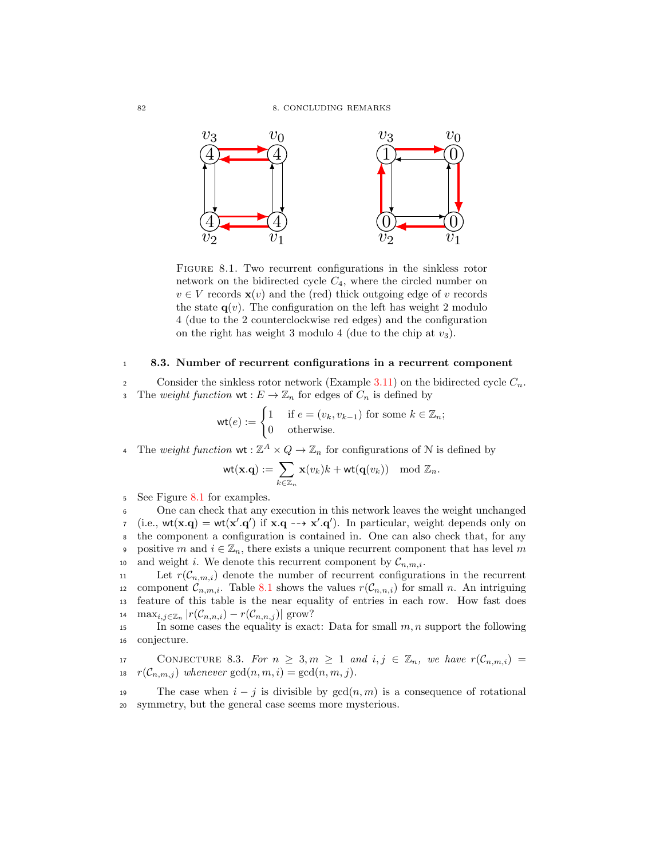

<span id="page-89-0"></span>FIGURE 8.1. Two recurrent configurations in the sinkless rotor network on the bidirected cycle  $C_4$ , where the circled number on  $v \in V$  records  $\mathbf{x}(v)$  and the (red) thick outgoing edge of v records the state  $q(v)$ . The configuration on the left has weight 2 modulo 4 (due to the 2 counterclockwise red edges) and the configuration on the right has weight 3 modulo 4 (due to the chip at  $v_3$ ).

## <sup>1</sup> 8.3. Number of recurrent configurations in a recurrent component

2 Consider the sinkless rotor network (Example [3.11\)](#page-27-0) on the bidirected cycle  $C_n$ . 3 The weight function  $\mathsf{wt}: E \to \mathbb{Z}_n$  for edges of  $C_n$  is defined by

$$
\text{wt}(e) := \begin{cases} 1 & \text{if } e = (v_k, v_{k-1}) \text{ for some } k \in \mathbb{Z}_n; \\ 0 & \text{otherwise.} \end{cases}
$$

4 The weight function  $\mathsf{wt}: \mathbb{Z}^A \times Q \to \mathbb{Z}_n$  for configurations of N is defined by

$$
\mathrm{wt}(\mathbf{x}.\mathbf{q}):=\sum_{k\in\mathbb{Z}_n}\mathbf{x}(v_k)k+\mathrm{wt}(\mathbf{q}(v_k))\mod \mathbb{Z}_n.
$$

<sup>5</sup> See Figure [8.1](#page-89-0) for examples.

<sup>6</sup> One can check that any execution in this network leaves the weight unchanged *i*.e.,  $wt(\mathbf{x}.q) = wt(\mathbf{x}'.q')$  if  $\mathbf{x}.q \rightarrow \mathbf{x}'.q'$ . In particular, weight depends only on <sup>8</sup> the component a configuration is contained in. One can also check that, for any 9 positive m and  $i \in \mathbb{Z}_n$ , there exists a unique recurrent component that has level m <sup>10</sup> and weight *i*. We denote this recurrent component by  $\mathcal{C}_{n,m,i}$ .<br>
Let  $r(\mathcal{C}_{n,m,i})$  denote the number of recurrent configurat

11 Let  $r(C_{n,m,i})$  denote the number of recurrent configurations in the recurrent component  $C_{n,m,i}$ . Table 8.1 shows the values  $r(C_{n,n,i})$  for small n. An intriguing component  $C_{n,m,i}$ . Table [8.1](#page-90-0) shows the values  $r(C_{n,n,i})$  for small n. An intriguing feature of this table is the near equality of entries in each row. How fast does feature of this table is the near equality of entries in each row. How fast does 14 max<sub>i,j∈ $\mathbb{Z}_n$ </sub>  $|r(\mathcal{C}_{n,n,i}) - r(\mathcal{C}_{n,n,j})|$  grow?

15 In some cases the equality is exact: Data for small  $m, n$  support the following <sup>16</sup> conjecture.

17 CONJECTURE 8.3. For  $n \geq 3, m \geq 1$  and  $i, j \in \mathbb{Z}_n$ , we have  $r(\mathcal{C}_{n,m,i}) =$ 18  $r(\mathcal{C}_{n,m,j})$  whenever  $gcd(n,m,i) = gcd(n,m,j)$ .

19 The case when  $i - j$  is divisible by  $gcd(n, m)$  is a consequence of rotational <sup>20</sup> symmetry, but the general case seems more mysterious.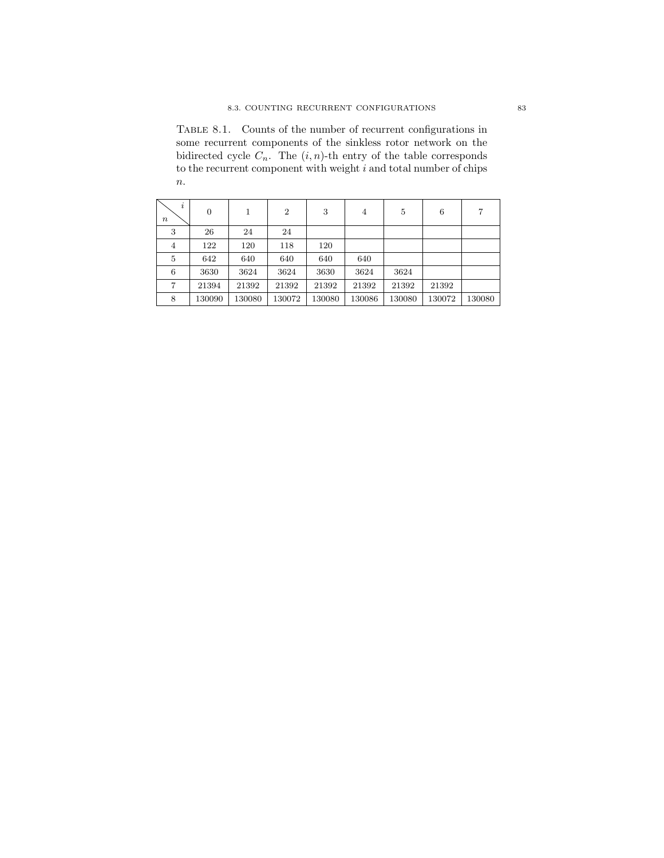<span id="page-90-0"></span>Table 8.1. Counts of the number of recurrent configurations in some recurrent components of the sinkless rotor network on the bidirected cycle  $C_n$ . The  $(i, n)$ -th entry of the table corresponds to the recurrent component with weight  $i$  and total number of chips  $% \mathcal{N}$  $\boldsymbol{n}.$ 

| $\dot{i}$<br>$\it n$ | $\overline{0}$ | 1      | $\overline{2}$ | 3      | $\overline{4}$ | 5      | 6      | 7      |
|----------------------|----------------|--------|----------------|--------|----------------|--------|--------|--------|
| 3                    | 26             | 24     | 24             |        |                |        |        |        |
| 4                    | 122            | 120    | 118            | 120    |                |        |        |        |
| 5                    | 642            | 640    | 640            | 640    | 640            |        |        |        |
| 6                    | 3630           | 3624   | 3624           | 3630   | 3624           | 3624   |        |        |
| 7                    | 21394          | 21392  | 21392          | 21392  | 21392          | 21392  | 21392  |        |
| 8                    | 130090         | 130080 | 130072         | 130080 | 130086         | 130080 | 130072 | 130080 |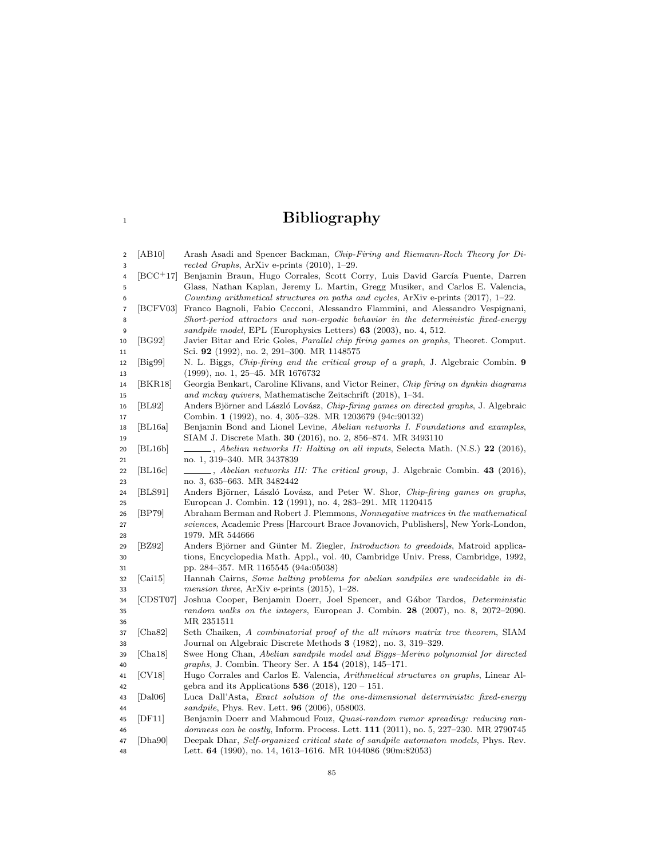# <sup>1</sup> Bibliography

<span id="page-92-4"></span><span id="page-92-3"></span><span id="page-92-2"></span><span id="page-92-1"></span><span id="page-92-0"></span>

| $\overline{\mathbf{c}}$   | AB10                         | Arash Asadi and Spencer Backman, <i>Chip-Firing and Riemann-Roch Theory for Di-</i>         |
|---------------------------|------------------------------|---------------------------------------------------------------------------------------------|
| 3                         |                              | rected Graphs, ArXiv e-prints $(2010)$ , 1–29.                                              |
| 4                         | $[BCC+17]$                   | Benjamin Braun, Hugo Corrales, Scott Corry, Luis David García Puente, Darren                |
| 5                         |                              | Glass, Nathan Kaplan, Jeremy L. Martin, Gregg Musiker, and Carlos E. Valencia,              |
| 6                         |                              | Counting arithmetical structures on paths and cycles, ArXiv e-prints $(2017)$ , 1–22.       |
| $\overline{\mathfrak{c}}$ | [BCFV03]                     | Franco Bagnoli, Fabio Cecconi, Alessandro Flammini, and Alessandro Vespignani,              |
| 8                         |                              | Short-period attractors and non-ergodic behavior in the deterministic fixed-energy          |
| 9                         |                              | <i>sandpile model</i> , EPL (Europhysics Letters) 63 (2003), no. 4, 512.                    |
| 10                        | [BG92]                       | Javier Bitar and Eric Goles, <i>Parallel chip firing games on graphs</i> , Theoret. Comput. |
| 11                        |                              | Sci. 92 (1992), no. 2, 291–300. MR 1148575                                                  |
| 12                        | $[\text{Big99}]$             | N. L. Biggs, <i>Chip-firing and the critical group of a graph</i> , J. Algebraic Combin. 9  |
| 13                        |                              | $(1999)$ , no. 1, 25–45. MR 1676732                                                         |
| 14                        | [BKR18]                      | Georgia Benkart, Caroline Klivans, and Victor Reiner, Chip firing on dynkin diagrams        |
| 15                        |                              | and mckay quivers, Mathematische Zeitschrift (2018), 1–34.                                  |
| 16                        | BL92                         | Anders Björner and László Lovász, Chip-firing games on directed graphs, J. Algebraic        |
| 17                        |                              | Combin. 1 (1992), no. 4, 305–328. MR 1203679 (94c:90132)                                    |
| 18                        | BL16a                        | Benjamin Bond and Lionel Levine, Abelian networks I. Foundations and examples,              |
| 19                        |                              | SIAM J. Discrete Math. <b>30</b> (2016), no. 2, 856–874. MR 3493110                         |
| 20                        | BL16b                        | $\bot$ , Abelian networks II: Halting on all inputs, Selecta Math. (N.S.) 22 (2016),        |
| 21                        |                              | no. 1, 319–340. MR 3437839                                                                  |
| 22                        | [BL16c]                      | _____, Abelian networks III: The critical group, J. Algebraic Combin. 43 (2016),            |
| 23                        |                              | no. 3, 635–663. MR 3482442                                                                  |
| 24                        | BLS91                        | Anders Björner, László Lovász, and Peter W. Shor, Chip-firing games on graphs,              |
| 25                        |                              | European J. Combin. 12 (1991), no. 4, 283-291. MR 1120415                                   |
| 26                        | BP79                         | Abraham Berman and Robert J. Plemmons, Nonnegative matrices in the mathematical             |
| 27                        |                              | sciences, Academic Press   Harcourt Brace Jovanovich, Publishers , New York-London,         |
| 28                        |                              | 1979. MR 544666                                                                             |
| 29                        | BZ92                         | Anders Björner and Günter M. Ziegler, Introduction to greedoids, Matroid applica-           |
| 30                        |                              | tions, Encyclopedia Math. Appl., vol. 40, Cambridge Univ. Press, Cambridge, 1992,           |
| 31                        |                              | pp. 284–357. MR 1165545 (94a:05038)                                                         |
| 32                        | [Cai15]                      | Hannah Cairns, Some halting problems for abelian sandpiles are undecidable in di-           |
| 33                        |                              | <i>mension three</i> , ArXiv e-prints $(2015)$ , 1-28.                                      |
| 34                        | [CDST07]                     | Joshua Cooper, Benjamin Doerr, Joel Spencer, and Gábor Tardos, Deterministic                |
| 35                        |                              | random walks on the integers, European J. Combin. $28$ (2007), no. 8, 2072-2090.            |
| 36                        |                              | MR 2351511                                                                                  |
| 37                        | [Cha82]                      | Seth Chaiken, A combinatorial proof of the all minors matrix tree theorem, SIAM             |
| 38                        |                              | Journal on Algebraic Discrete Methods 3 (1982), no. 3, 319–329.                             |
| 39                        | [Cha18]                      | Swee Hong Chan, Abelian sandpile model and Biggs-Merino polynomial for directed             |
| 40                        |                              | graphs, J. Combin. Theory Ser. A 154 (2018), 145-171.                                       |
| 41                        | [CV18]                       | Hugo Corrales and Carlos E. Valencia, Arithmetical structures on graphs, Linear Al-         |
| 42                        |                              | gebra and its Applications 536 (2018), $120 - 151$ .                                        |
| 43                        | $\lceil \text{Dal06} \rceil$ | Luca Dall'Asta, Exact solution of the one-dimensional deterministic fixed-energy            |
| 44                        |                              | sandpile, Phys. Rev. Lett. <b>96</b> (2006), 058003.                                        |
| 45                        | DF11                         | Benjamin Doerr and Mahmoud Fouz, Quasi-random rumor spreading: reducing ran-                |
| 46                        |                              | domness can be costly, Inform. Process. Lett. 111 (2011), no. 5, 227–230. MR 2790745        |
| 47                        | Dha90                        | Deepak Dhar, Self-organized critical state of sandpile automaton models, Phys. Rev.         |
| 48                        |                              | Lett. $64$ (1990), no. 14, 1613–1616. MR 1044086 (90m:82053)                                |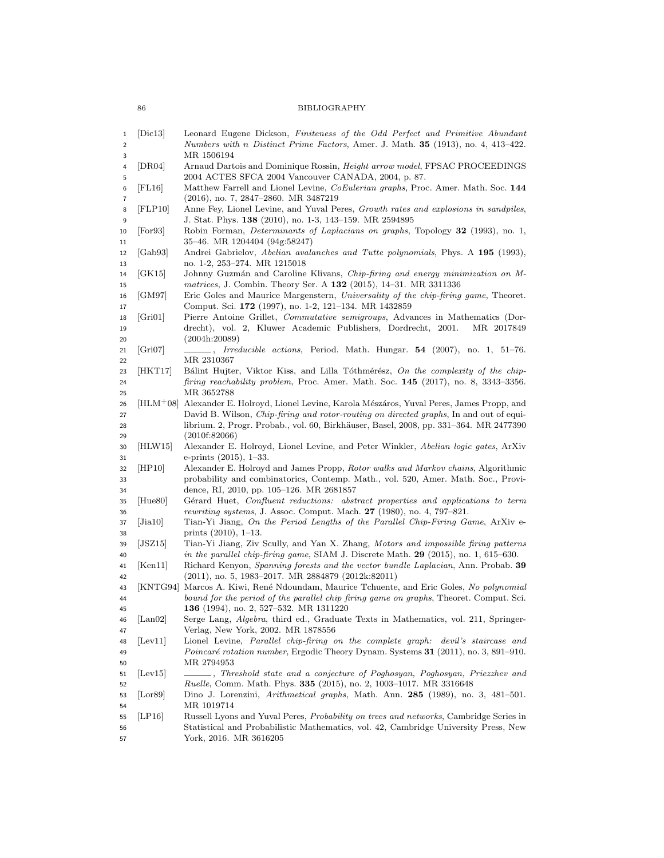86 BIBLIOGRAPHY

<span id="page-93-3"></span><span id="page-93-2"></span><span id="page-93-1"></span><span id="page-93-0"></span>

| 1<br>$\overline{\mathbf{c}}$<br>3 | $ \text{Dic}13 $                    | Leonard Eugene Dickson, Finiteness of the Odd Perfect and Primitive Abundant<br>Numbers with n Distinct Prime Factors, Amer. J. Math. 35 (1913), no. 4, 413-422.<br>MR 1506194                                                                                                 |
|-----------------------------------|-------------------------------------|--------------------------------------------------------------------------------------------------------------------------------------------------------------------------------------------------------------------------------------------------------------------------------|
| 4<br>5                            | DR04                                | Arnaud Dartois and Dominique Rossin, Height arrow model, FPSAC PROCEEDINGS<br>2004 ACTES SFCA 2004 Vancouver CANADA, 2004, p. 87.                                                                                                                                              |
| 6<br>7                            | $ {\rm FL16} $                      | Matthew Farrell and Lionel Levine, <i>CoEulerian graphs</i> , Proc. Amer. Math. Soc. 144<br>$(2016)$ , no. 7, 2847–2860. MR 3487219                                                                                                                                            |
| 8<br>9                            | FLP10                               | Anne Fey, Lionel Levine, and Yuval Peres, Growth rates and explosions in sandpiles,<br>J. Stat. Phys. 138 (2010), no. 1-3, 143–159. MR 2594895                                                                                                                                 |
| 10<br>11                          | For 93                              | Robin Forman, <i>Determinants of Laplacians on graphs</i> , Topology <b>32</b> (1993), no. 1,<br>35–46. MR 1204404 (94g:58247)                                                                                                                                                 |
| 12<br>13                          | Gab93                               | Andrei Gabrielov, Abelian avalanches and Tutte polynomials, Phys. A 195 (1993),<br>no. 1-2, 253–274. MR 1215018                                                                                                                                                                |
| 14<br>15                          | $ {\rm GK}}\mathbf{15} $            | Johnny Guzmán and Caroline Klivans, Chip-firing and energy minimization on M-<br><i>matrices</i> , J. Combin. Theory Ser. A <b>132</b> (2015), 14-31. MR 3311336                                                                                                               |
| 16<br>17                          | GM97                                | Eric Goles and Maurice Margenstern, Universality of the chip-firing game, Theoret.<br>Comput. Sci. 172 (1997), no. 1-2, 121–134. MR 1432859                                                                                                                                    |
| 18<br>19                          | Gri01                               | Pierre Antoine Grillet, Commutative semigroups, Advances in Mathematics (Dor-<br>drecht), vol. 2, Kluwer Academic Publishers, Dordrecht, 2001.<br>MR 2017849                                                                                                                   |
| 20<br>21<br>22                    | [Gri07]                             | (2004h:20089)<br><i>Irreducible actions</i> , Period. Math. Hungar. <b>54</b> (2007), no. 1, 51–76.<br>MR 2310367                                                                                                                                                              |
| 23<br>24                          | HKT17                               | Bálint Hujter, Viktor Kiss, and Lilla Tóthmérész, On the complexity of the chip-<br>firing reachability problem, Proc. Amer. Math. Soc. 145 (2017), no. 8, 3343-3356.<br>MR 3652788                                                                                            |
| 25<br>26<br>27                    | $[{\rm HLM^{+}08}]$                 | Alexander E. Holroyd, Lionel Levine, Karola Mészáros, Yuval Peres, James Propp, and<br>David B. Wilson, <i>Chip-firing and rotor-routing on directed graphs</i> , In and out of equi-<br>librium. 2, Progr. Probab., vol. 60, Birkhäuser, Basel, 2008, pp. 331–364. MR 2477390 |
| 28<br>29<br>30                    | HLW15                               | (2010f:82066)<br>Alexander E. Holroyd, Lionel Levine, and Peter Winkler, Abelian logic gates, ArXiv                                                                                                                                                                            |
| 31<br>32                          | HP10                                | e-prints $(2015)$ , 1-33.<br>Alexander E. Holroyd and James Propp, Rotor walks and Markov chains, Algorithmic                                                                                                                                                                  |
| 33<br>34                          |                                     | probability and combinatorics, Contemp. Math., vol. 520, Amer. Math. Soc., Provi-<br>dence, RI, 2010, pp. 105–126. MR 2681857                                                                                                                                                  |
| 35<br>36                          | Hue80                               | Gérard Huet, Confluent reductions: abstract properties and applications to term<br>rewriting systems, J. Assoc. Comput. Mach. $27$ (1980), no. 4, 797-821.                                                                                                                     |
| 37<br>38                          | Jia10                               | Tian-Yi Jiang, On the Period Lengths of the Parallel Chip-Firing Game, ArXiv e-<br>prints $(2010)$ , 1-13.                                                                                                                                                                     |
| 39<br>40<br>41                    | $ {\rm JSZ15} $<br>[Ken11]          | Tian-Yi Jiang, Ziv Scully, and Yan X. Zhang, Motors and impossible firing patterns<br>in the parallel chip-firing game, SIAM J. Discrete Math. $29$ (2015), no. 1, 615–630.<br>Richard Kenyon, Spanning forests and the vector bundle Laplacian, Ann. Probab. 39               |
| 42                                | KNTG94                              | $(2011)$ , no. 5, 1983–2017. MR 2884879 $(2012k:82011)$<br>Marcos A. Kiwi, René Ndoundam, Maurice Tchuente, and Eric Goles, No polynomial                                                                                                                                      |
| 43<br>44<br>45                    |                                     | bound for the period of the parallel chip firing game on graphs, Theoret. Comput. Sci.<br>136 (1994), no. 2, 527-532. MR 1311220                                                                                                                                               |
| 46<br>47                          | $\lfloor$ Lan $\lfloor 0.2 \rfloor$ | Serge Lang, Algebra, third ed., Graduate Texts in Mathematics, vol. 211, Springer-<br>Verlag, New York, 2002. MR 1878556                                                                                                                                                       |
| 48<br>49<br>50                    | Lev11                               | Lionel Levine, Parallel chip-firing on the complete graph:<br>devil's staircase and<br><i>Poincaré rotation number</i> , Ergodic Theory Dynam. Systems 31 (2011), no. 3, 891-910.<br>MR 2794953                                                                                |
| 51<br>52                          | $ {\rm Lev15} $                     | , Threshold state and a conjecture of Poghosyan, Poghosyan, Priezzhev and<br><i>Ruelle</i> , Comm. Math. Phys. <b>335</b> (2015), no. 2, 1003-1017. MR 3316648                                                                                                                 |
| 53<br>54                          | Lors9                               | Dino J. Lorenzini, Arithmetical graphs, Math. Ann. 285 (1989), no. 3, 481-501.<br>MR 1019714                                                                                                                                                                                   |
| 55<br>56<br>57                    | LP16                                | Russell Lyons and Yuval Peres, Probability on trees and networks, Cambridge Series in<br>Statistical and Probabilistic Mathematics, vol. 42, Cambridge University Press, New<br>York, 2016. MR 3616205                                                                         |